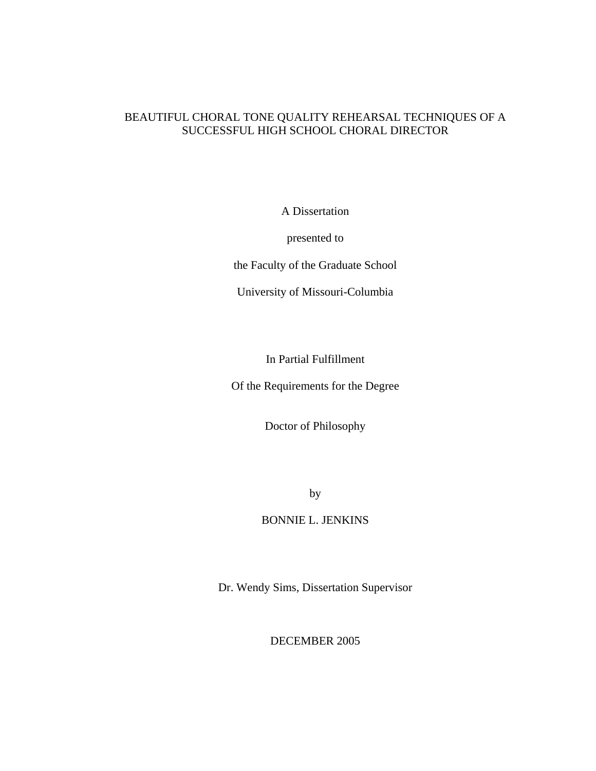# BEAUTIFUL CHORAL TONE QUALITY REHEARSAL TECHNIQUES OF A SUCCESSFUL HIGH SCHOOL CHORAL DIRECTOR

A Dissertation

presented to

the Faculty of the Graduate School

University of Missouri-Columbia

In Partial Fulfillment

Of the Requirements for the Degree

Doctor of Philosophy

by

BONNIE L. JENKINS

Dr. Wendy Sims, Dissertation Supervisor

DECEMBER 2005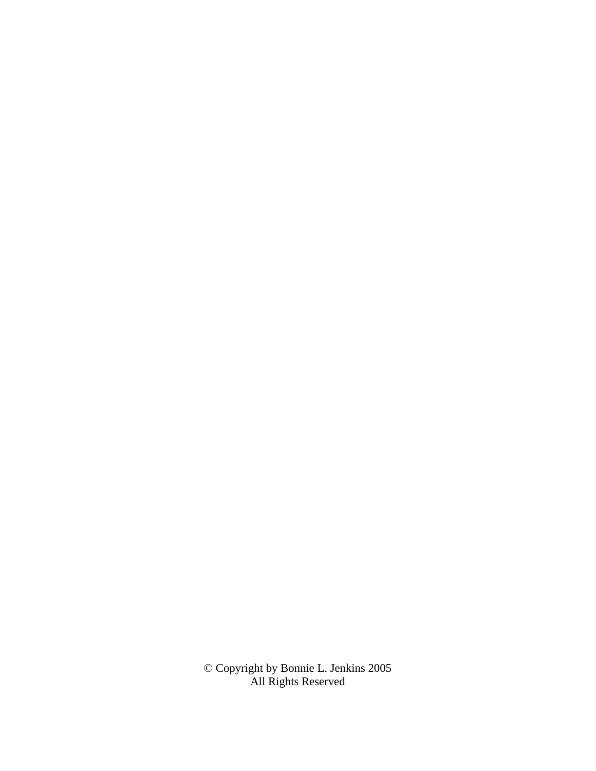© Copyright by Bonnie L. Jenkins 2005 All Rights Reserved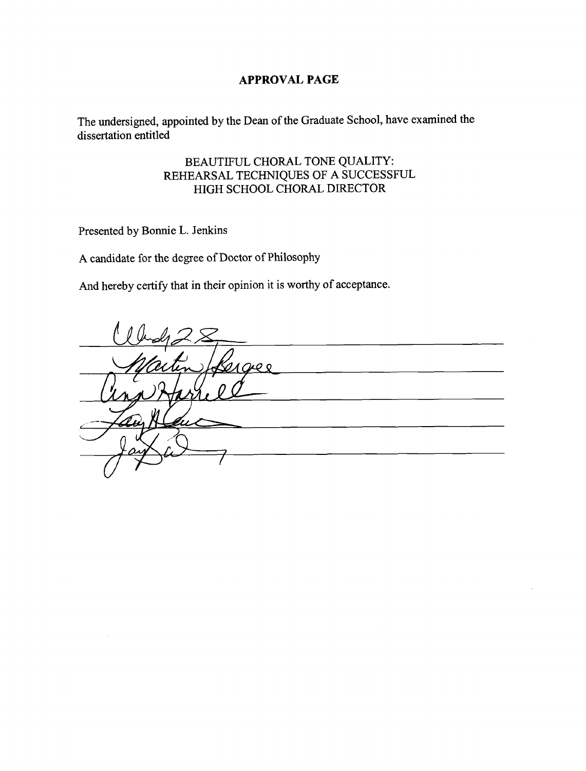## **APPROVAL PAGE**

The undersigned, appointed by the Dean of the Graduate School, have examined the dissertation entitled

# BEAUTIFUL CHORAL TONE QUALITY: REHEARSAL TECHNIQUES OF A SUCCESSFUL HIGH SCHOOL CHORAL DIRECTOR

Presented by Bonnie L. Jenkins

A candidate for the degree of Doctor of Philosophy

And hereby certify that in their opinion it is worthy of acceptance.

<u> 1990 - John Harry Harry Harry Harry Harry Harry Harry Harry Harry Harry Harry Harry Harry Harry Harry Harry H</u>  $0.000$ <u> 1980 - Jan Stein Berlin, amerikan berlin</u>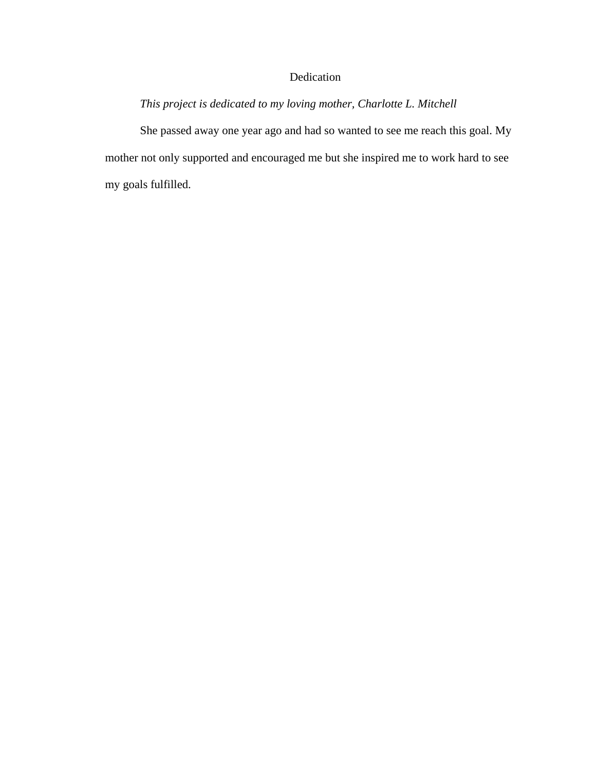# Dedication

*This project is dedicated to my loving mother, Charlotte L. Mitchell*

She passed away one year ago and had so wanted to see me reach this goal. My mother not only supported and encouraged me but she inspired me to work hard to see my goals fulfilled.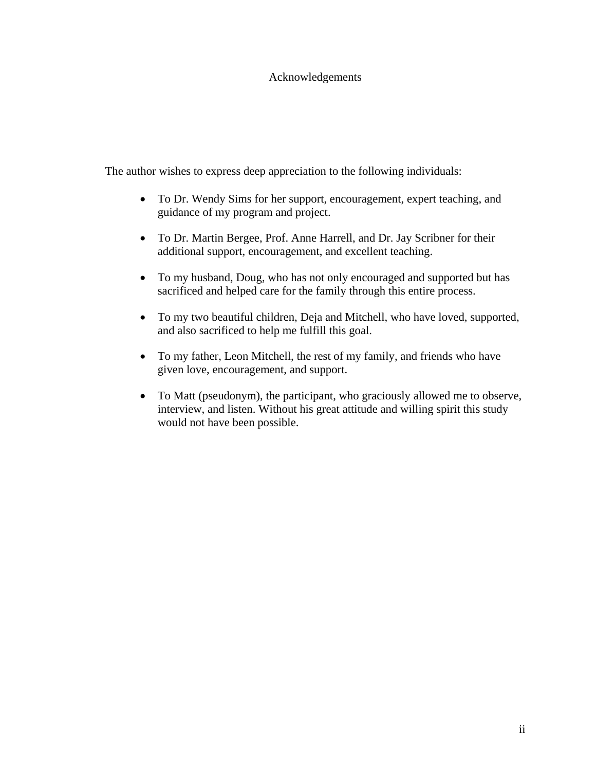## Acknowledgements

The author wishes to express deep appreciation to the following individuals:

- To Dr. Wendy Sims for her support, encouragement, expert teaching, and guidance of my program and project.
- To Dr. Martin Bergee, Prof. Anne Harrell, and Dr. Jay Scribner for their additional support, encouragement, and excellent teaching.
- To my husband, Doug, who has not only encouraged and supported but has sacrificed and helped care for the family through this entire process.
- To my two beautiful children, Deja and Mitchell, who have loved, supported, and also sacrificed to help me fulfill this goal.
- To my father, Leon Mitchell, the rest of my family, and friends who have given love, encouragement, and support.
- To Matt (pseudonym), the participant, who graciously allowed me to observe, interview, and listen. Without his great attitude and willing spirit this study would not have been possible.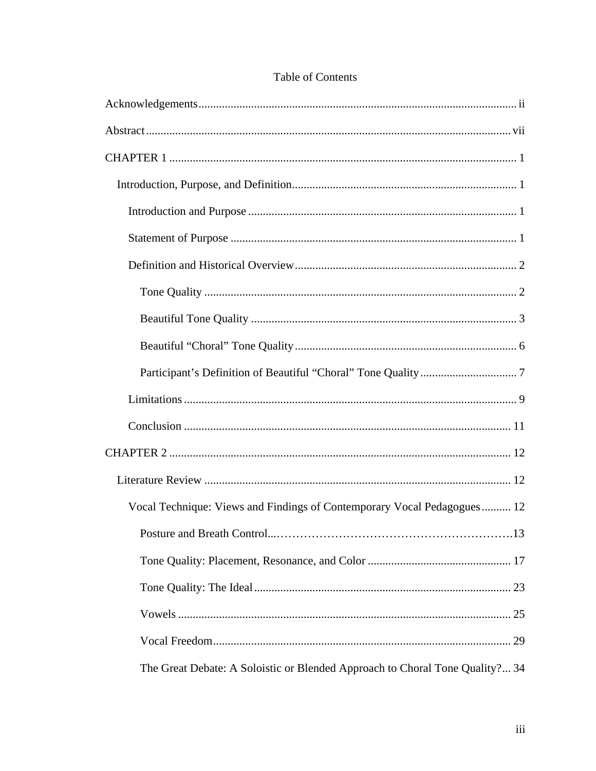| Vocal Technique: Views and Findings of Contemporary Vocal Pedagogues 12      |
|------------------------------------------------------------------------------|
| Posture and Breath Control<br>.13                                            |
|                                                                              |
|                                                                              |
|                                                                              |
|                                                                              |
| The Great Debate: A Soloistic or Blended Approach to Choral Tone Quality? 34 |

# Table of Contents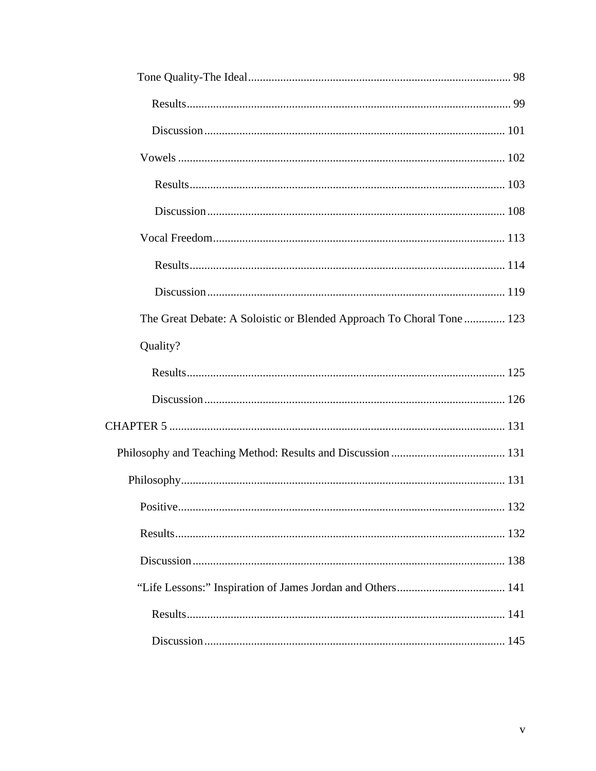| The Great Debate: A Soloistic or Blended Approach To Choral Tone 123 |  |
|----------------------------------------------------------------------|--|
| Quality?                                                             |  |
|                                                                      |  |
|                                                                      |  |
|                                                                      |  |
|                                                                      |  |
|                                                                      |  |
|                                                                      |  |
|                                                                      |  |
|                                                                      |  |
|                                                                      |  |
|                                                                      |  |
|                                                                      |  |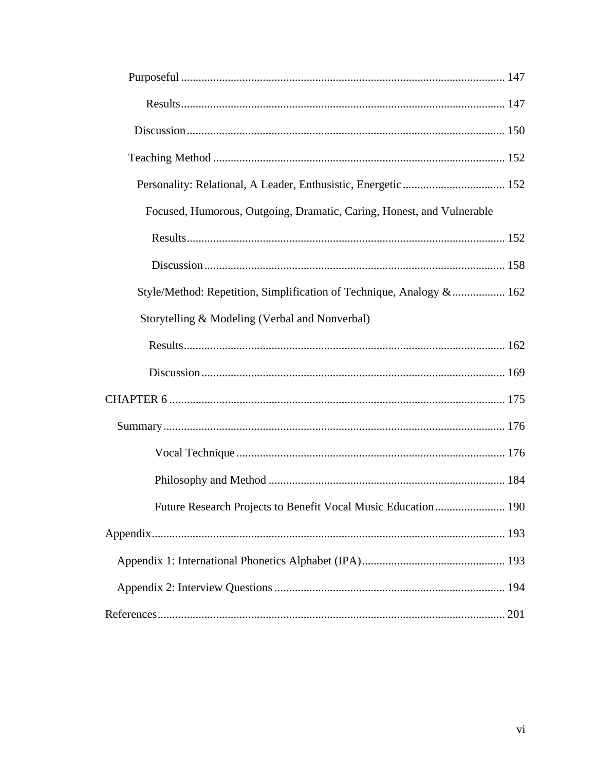| Focused, Humorous, Outgoing, Dramatic, Caring, Honest, and Vulnerable |
|-----------------------------------------------------------------------|
|                                                                       |
|                                                                       |
| Style/Method: Repetition, Simplification of Technique, Analogy &  162 |
| Storytelling & Modeling (Verbal and Nonverbal)                        |
|                                                                       |
|                                                                       |
|                                                                       |
|                                                                       |
|                                                                       |
|                                                                       |
|                                                                       |
|                                                                       |
|                                                                       |
|                                                                       |
|                                                                       |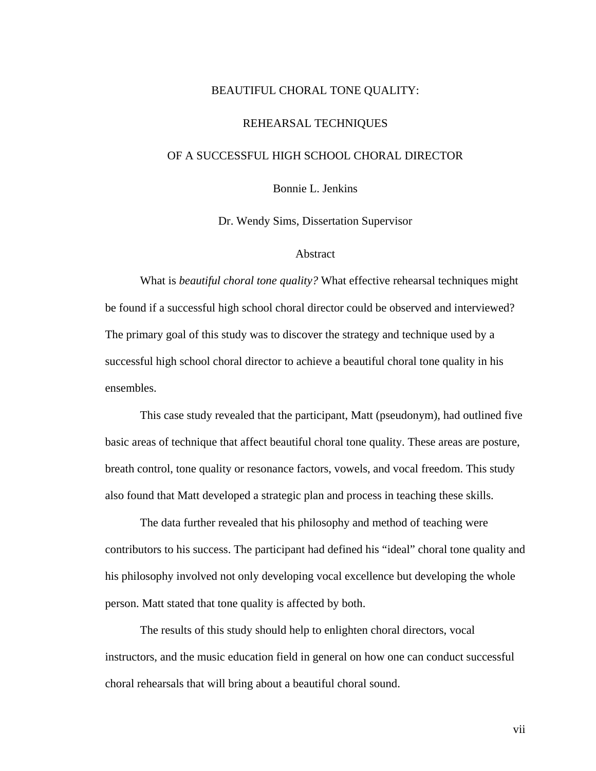## BEAUTIFUL CHORAL TONE QUALITY:

## REHEARSAL TECHNIQUES

## OF A SUCCESSFUL HIGH SCHOOL CHORAL DIRECTOR

Bonnie L. Jenkins

Dr. Wendy Sims, Dissertation Supervisor

## **Abstract**

What is *beautiful choral tone quality?* What effective rehearsal techniques might be found if a successful high school choral director could be observed and interviewed? The primary goal of this study was to discover the strategy and technique used by a successful high school choral director to achieve a beautiful choral tone quality in his ensembles.

This case study revealed that the participant, Matt (pseudonym), had outlined five basic areas of technique that affect beautiful choral tone quality. These areas are posture, breath control, tone quality or resonance factors, vowels, and vocal freedom. This study also found that Matt developed a strategic plan and process in teaching these skills.

The data further revealed that his philosophy and method of teaching were contributors to his success. The participant had defined his "ideal" choral tone quality and his philosophy involved not only developing vocal excellence but developing the whole person. Matt stated that tone quality is affected by both.

The results of this study should help to enlighten choral directors, vocal instructors, and the music education field in general on how one can conduct successful choral rehearsals that will bring about a beautiful choral sound.

vii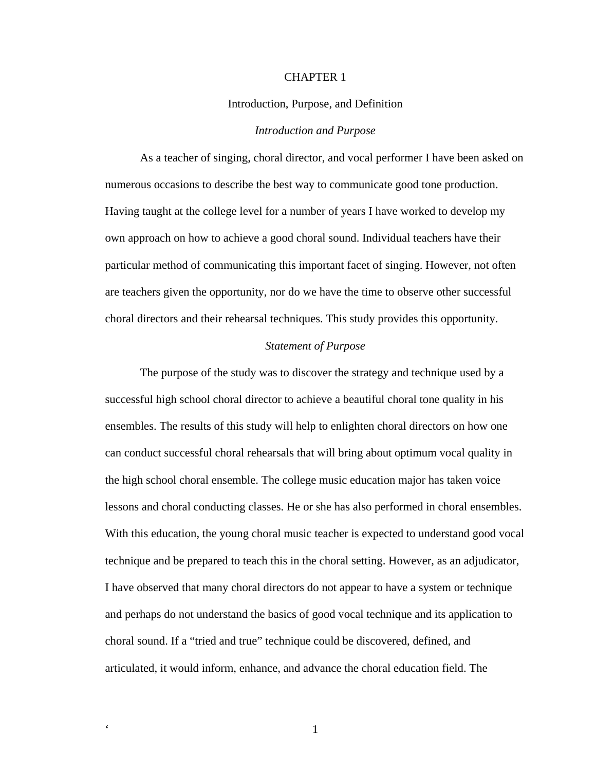#### CHAPTER 1

#### Introduction, Purpose, and Definition

#### *Introduction and Purpose*

As a teacher of singing, choral director, and vocal performer I have been asked on numerous occasions to describe the best way to communicate good tone production. Having taught at the college level for a number of years I have worked to develop my own approach on how to achieve a good choral sound. Individual teachers have their particular method of communicating this important facet of singing. However, not often are teachers given the opportunity, nor do we have the time to observe other successful choral directors and their rehearsal techniques. This study provides this opportunity.

#### *Statement of Purpose*

The purpose of the study was to discover the strategy and technique used by a successful high school choral director to achieve a beautiful choral tone quality in his ensembles. The results of this study will help to enlighten choral directors on how one can conduct successful choral rehearsals that will bring about optimum vocal quality in the high school choral ensemble. The college music education major has taken voice lessons and choral conducting classes. He or she has also performed in choral ensembles. With this education, the young choral music teacher is expected to understand good vocal technique and be prepared to teach this in the choral setting. However, as an adjudicator, I have observed that many choral directors do not appear to have a system or technique and perhaps do not understand the basics of good vocal technique and its application to choral sound. If a "tried and true" technique could be discovered, defined, and articulated, it would inform, enhance, and advance the choral education field. The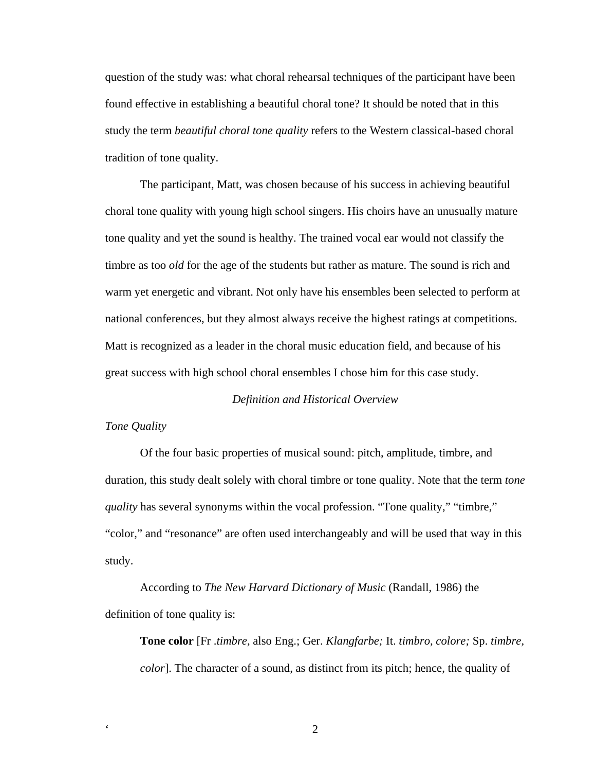question of the study was: what choral rehearsal techniques of the participant have been found effective in establishing a beautiful choral tone? It should be noted that in this study the term *beautiful choral tone quality* refers to the Western classical-based choral tradition of tone quality.

The participant, Matt, was chosen because of his success in achieving beautiful choral tone quality with young high school singers. His choirs have an unusually mature tone quality and yet the sound is healthy. The trained vocal ear would not classify the timbre as too *old* for the age of the students but rather as mature. The sound is rich and warm yet energetic and vibrant. Not only have his ensembles been selected to perform at national conferences, but they almost always receive the highest ratings at competitions. Matt is recognized as a leader in the choral music education field, and because of his great success with high school choral ensembles I chose him for this case study.

## *Definition and Historical Overview*

#### *Tone Quality*

Of the four basic properties of musical sound: pitch, amplitude, timbre, and duration, this study dealt solely with choral timbre or tone quality. Note that the term *tone quality* has several synonyms within the vocal profession. "Tone quality," "timbre," "color," and "resonance" are often used interchangeably and will be used that way in this study.

According to *The New Harvard Dictionary of Music* (Randall, 1986) the definition of tone quality is:

**Tone color** [Fr .*timbre,* also Eng.; Ger. *Klangfarbe;* It. *timbro, colore;* Sp. *timbre, color*]. The character of a sound, as distinct from its pitch; hence, the quality of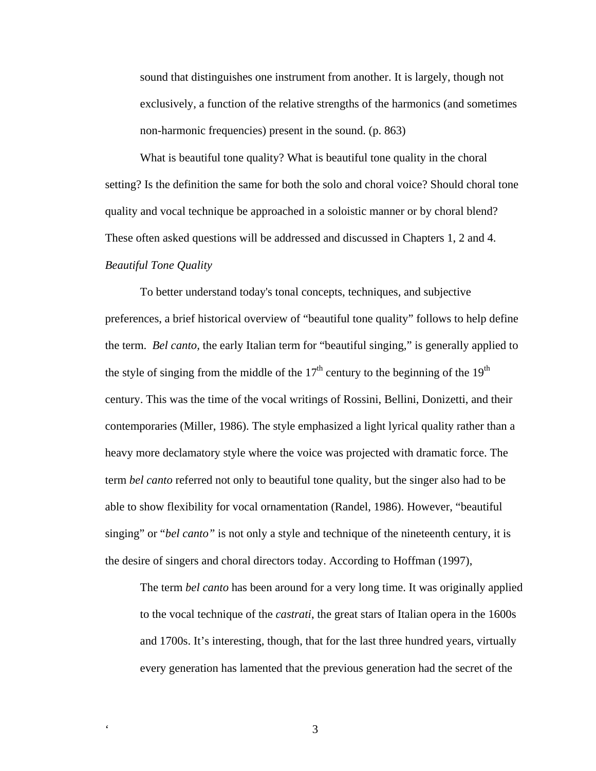sound that distinguishes one instrument from another. It is largely, though not exclusively, a function of the relative strengths of the harmonics (and sometimes non-harmonic frequencies) present in the sound. (p. 863)

What is beautiful tone quality? What is beautiful tone quality in the choral setting? Is the definition the same for both the solo and choral voice? Should choral tone quality and vocal technique be approached in a soloistic manner or by choral blend? These often asked questions will be addressed and discussed in Chapters 1, 2 and 4. *Beautiful Tone Quality* 

To better understand today's tonal concepts, techniques, and subjective preferences, a brief historical overview of "beautiful tone quality" follows to help define the term. *Bel canto,* the early Italian term for "beautiful singing," is generally applied to the style of singing from the middle of the  $17<sup>th</sup>$  century to the beginning of the  $19<sup>th</sup>$ century. This was the time of the vocal writings of Rossini, Bellini, Donizetti, and their contemporaries (Miller, 1986). The style emphasized a light lyrical quality rather than a heavy more declamatory style where the voice was projected with dramatic force. The term *bel canto* referred not only to beautiful tone quality, but the singer also had to be able to show flexibility for vocal ornamentation (Randel, 1986). However, "beautiful singing" or "*bel canto"* is not only a style and technique of the nineteenth century, it is the desire of singers and choral directors today. According to Hoffman (1997),

The term *bel canto* has been around for a very long time. It was originally applied to the vocal technique of the *castrati*, the great stars of Italian opera in the 1600s and 1700s. It's interesting, though, that for the last three hundred years, virtually every generation has lamented that the previous generation had the secret of the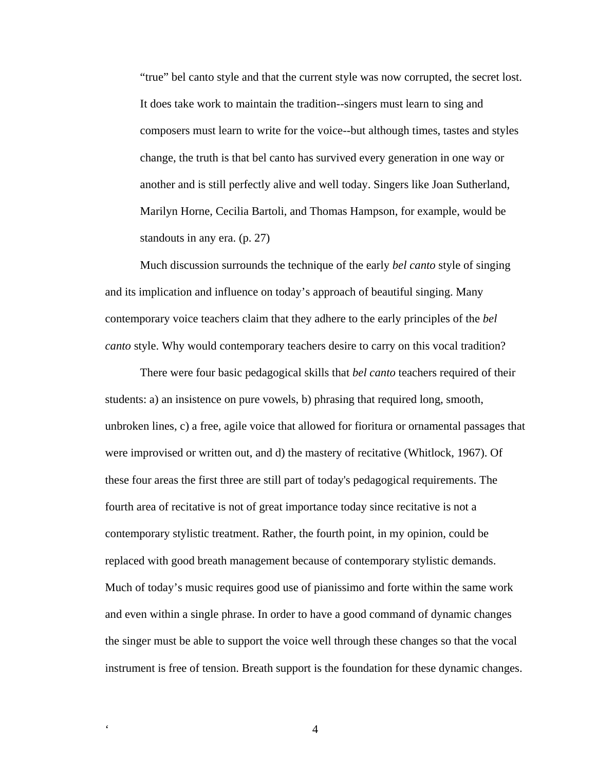"true" bel canto style and that the current style was now corrupted, the secret lost. It does take work to maintain the tradition--singers must learn to sing and composers must learn to write for the voice--but although times, tastes and styles change, the truth is that bel canto has survived every generation in one way or another and is still perfectly alive and well today. Singers like Joan Sutherland, Marilyn Horne, Cecilia Bartoli, and Thomas Hampson, for example, would be standouts in any era. (p. 27)

Much discussion surrounds the technique of the early *bel canto* style of singing and its implication and influence on today's approach of beautiful singing. Many contemporary voice teachers claim that they adhere to the early principles of the *bel canto* style. Why would contemporary teachers desire to carry on this vocal tradition?

There were four basic pedagogical skills that *bel canto* teachers required of their students: a) an insistence on pure vowels, b) phrasing that required long, smooth, unbroken lines, c) a free, agile voice that allowed for fioritura or ornamental passages that were improvised or written out, and d) the mastery of recitative (Whitlock, 1967). Of these four areas the first three are still part of today's pedagogical requirements. The fourth area of recitative is not of great importance today since recitative is not a contemporary stylistic treatment. Rather, the fourth point, in my opinion, could be replaced with good breath management because of contemporary stylistic demands. Much of today's music requires good use of pianissimo and forte within the same work and even within a single phrase. In order to have a good command of dynamic changes the singer must be able to support the voice well through these changes so that the vocal instrument is free of tension. Breath support is the foundation for these dynamic changes.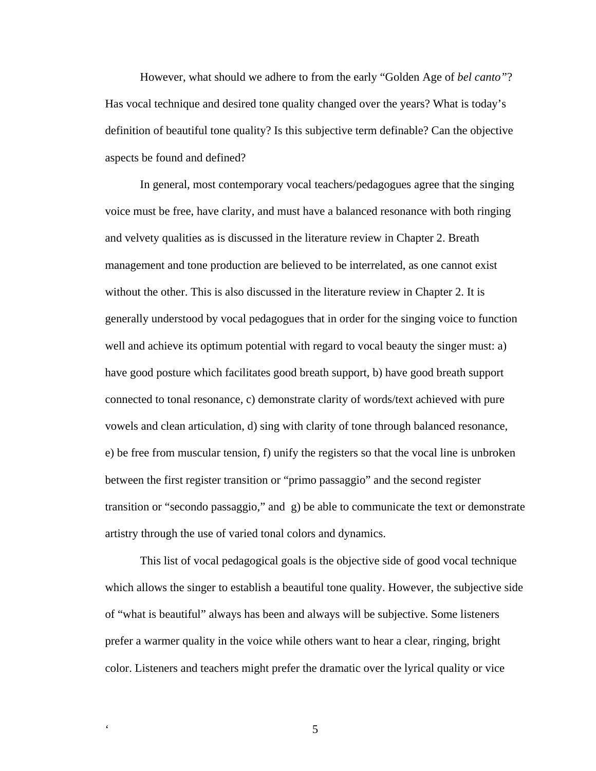However, what should we adhere to from the early "Golden Age of *bel canto"*? Has vocal technique and desired tone quality changed over the years? What is today's definition of beautiful tone quality? Is this subjective term definable? Can the objective aspects be found and defined?

In general, most contemporary vocal teachers/pedagogues agree that the singing voice must be free, have clarity, and must have a balanced resonance with both ringing and velvety qualities as is discussed in the literature review in Chapter 2. Breath management and tone production are believed to be interrelated, as one cannot exist without the other. This is also discussed in the literature review in Chapter 2. It is generally understood by vocal pedagogues that in order for the singing voice to function well and achieve its optimum potential with regard to vocal beauty the singer must: a) have good posture which facilitates good breath support, b) have good breath support connected to tonal resonance, c) demonstrate clarity of words/text achieved with pure vowels and clean articulation, d) sing with clarity of tone through balanced resonance, e) be free from muscular tension, f) unify the registers so that the vocal line is unbroken between the first register transition or "primo passaggio" and the second register transition or "secondo passaggio," and g) be able to communicate the text or demonstrate artistry through the use of varied tonal colors and dynamics.

This list of vocal pedagogical goals is the objective side of good vocal technique which allows the singer to establish a beautiful tone quality. However, the subjective side of "what is beautiful" always has been and always will be subjective. Some listeners prefer a warmer quality in the voice while others want to hear a clear, ringing, bright color. Listeners and teachers might prefer the dramatic over the lyrical quality or vice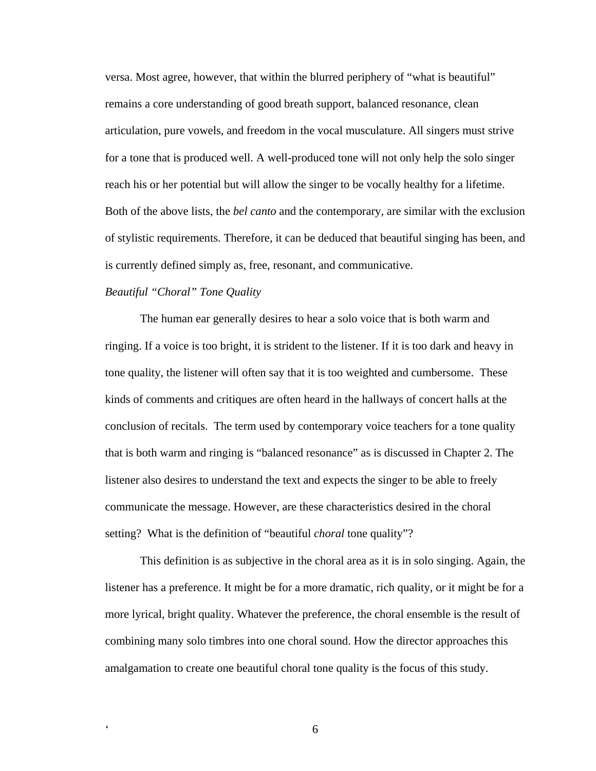versa. Most agree, however, that within the blurred periphery of "what is beautiful" remains a core understanding of good breath support, balanced resonance, clean articulation, pure vowels, and freedom in the vocal musculature. All singers must strive for a tone that is produced well. A well-produced tone will not only help the solo singer reach his or her potential but will allow the singer to be vocally healthy for a lifetime. Both of the above lists, the *bel canto* and the contemporary, are similar with the exclusion of stylistic requirements. Therefore, it can be deduced that beautiful singing has been, and is currently defined simply as, free, resonant, and communicative.

## *Beautiful "Choral" Tone Quality*

The human ear generally desires to hear a solo voice that is both warm and ringing. If a voice is too bright, it is strident to the listener. If it is too dark and heavy in tone quality, the listener will often say that it is too weighted and cumbersome. These kinds of comments and critiques are often heard in the hallways of concert halls at the conclusion of recitals. The term used by contemporary voice teachers for a tone quality that is both warm and ringing is "balanced resonance" as is discussed in Chapter 2. The listener also desires to understand the text and expects the singer to be able to freely communicate the message. However, are these characteristics desired in the choral setting? What is the definition of "beautiful *choral* tone quality"?

This definition is as subjective in the choral area as it is in solo singing. Again, the listener has a preference. It might be for a more dramatic, rich quality, or it might be for a more lyrical, bright quality. Whatever the preference, the choral ensemble is the result of combining many solo timbres into one choral sound. How the director approaches this amalgamation to create one beautiful choral tone quality is the focus of this study.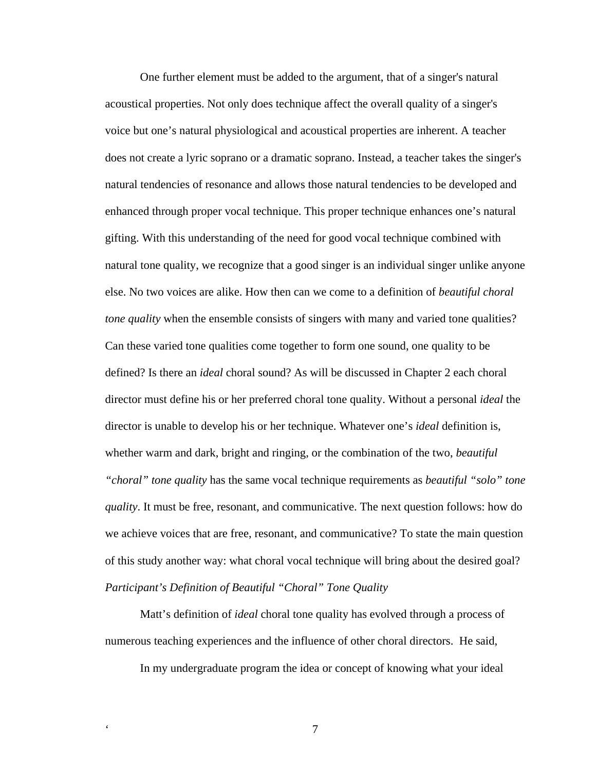One further element must be added to the argument, that of a singer's natural acoustical properties. Not only does technique affect the overall quality of a singer's voice but one's natural physiological and acoustical properties are inherent. A teacher does not create a lyric soprano or a dramatic soprano. Instead, a teacher takes the singer's natural tendencies of resonance and allows those natural tendencies to be developed and enhanced through proper vocal technique. This proper technique enhances one's natural gifting. With this understanding of the need for good vocal technique combined with natural tone quality, we recognize that a good singer is an individual singer unlike anyone else. No two voices are alike. How then can we come to a definition of *beautiful choral tone quality* when the ensemble consists of singers with many and varied tone qualities? Can these varied tone qualities come together to form one sound, one quality to be defined? Is there an *ideal* choral sound? As will be discussed in Chapter 2 each choral director must define his or her preferred choral tone quality. Without a personal *ideal* the director is unable to develop his or her technique. Whatever one's *ideal* definition is, whether warm and dark, bright and ringing, or the combination of the two, *beautiful "choral" tone quality* has the same vocal technique requirements as *beautiful "solo" tone quality*. It must be free, resonant, and communicative. The next question follows: how do we achieve voices that are free, resonant, and communicative? To state the main question of this study another way: what choral vocal technique will bring about the desired goal? *Participant's Definition of Beautiful "Choral" Tone Quality* 

Matt's definition of *ideal* choral tone quality has evolved through a process of numerous teaching experiences and the influence of other choral directors. He said,

In my undergraduate program the idea or concept of knowing what your ideal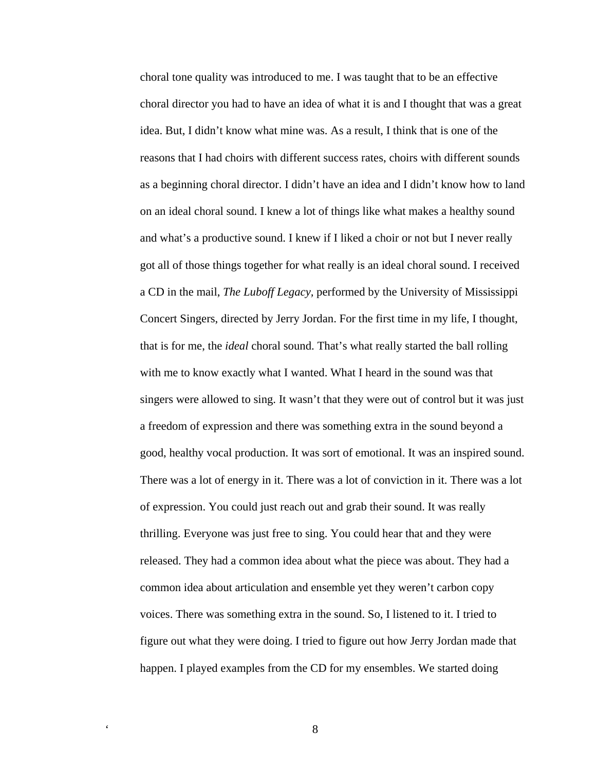choral tone quality was introduced to me. I was taught that to be an effective choral director you had to have an idea of what it is and I thought that was a great idea. But, I didn't know what mine was. As a result, I think that is one of the reasons that I had choirs with different success rates, choirs with different sounds as a beginning choral director. I didn't have an idea and I didn't know how to land on an ideal choral sound. I knew a lot of things like what makes a healthy sound and what's a productive sound. I knew if I liked a choir or not but I never really got all of those things together for what really is an ideal choral sound. I received a CD in the mail, *The Luboff Legacy,* performed by the University of Mississippi Concert Singers, directed by Jerry Jordan. For the first time in my life, I thought, that is for me, the *ideal* choral sound. That's what really started the ball rolling with me to know exactly what I wanted. What I heard in the sound was that singers were allowed to sing. It wasn't that they were out of control but it was just a freedom of expression and there was something extra in the sound beyond a good, healthy vocal production. It was sort of emotional. It was an inspired sound. There was a lot of energy in it. There was a lot of conviction in it. There was a lot of expression. You could just reach out and grab their sound. It was really thrilling. Everyone was just free to sing. You could hear that and they were released. They had a common idea about what the piece was about. They had a common idea about articulation and ensemble yet they weren't carbon copy voices. There was something extra in the sound. So, I listened to it. I tried to figure out what they were doing. I tried to figure out how Jerry Jordan made that happen. I played examples from the CD for my ensembles. We started doing

' 8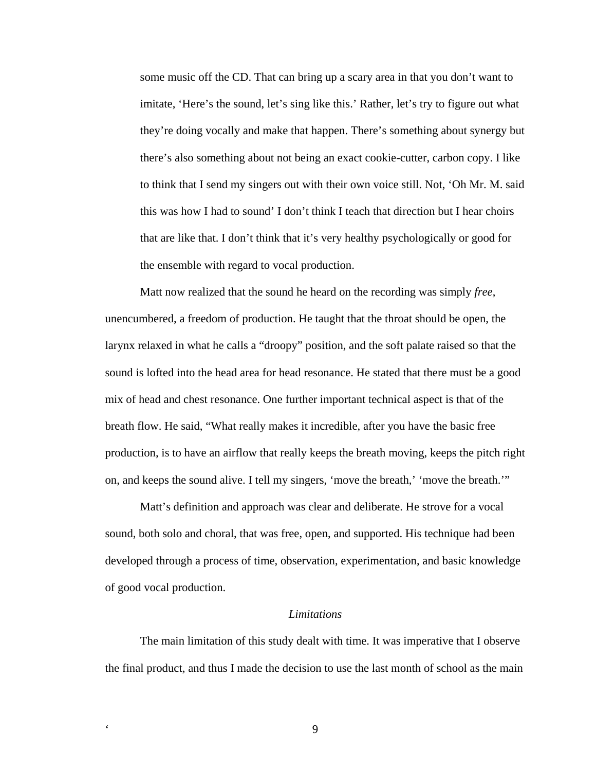some music off the CD. That can bring up a scary area in that you don't want to imitate, 'Here's the sound, let's sing like this.' Rather, let's try to figure out what they're doing vocally and make that happen. There's something about synergy but there's also something about not being an exact cookie-cutter, carbon copy. I like to think that I send my singers out with their own voice still. Not, 'Oh Mr. M. said this was how I had to sound' I don't think I teach that direction but I hear choirs that are like that. I don't think that it's very healthy psychologically or good for the ensemble with regard to vocal production.

Matt now realized that the sound he heard on the recording was simply *free*, unencumbered, a freedom of production. He taught that the throat should be open, the larynx relaxed in what he calls a "droopy" position, and the soft palate raised so that the sound is lofted into the head area for head resonance. He stated that there must be a good mix of head and chest resonance. One further important technical aspect is that of the breath flow. He said, "What really makes it incredible, after you have the basic free production, is to have an airflow that really keeps the breath moving, keeps the pitch right on, and keeps the sound alive. I tell my singers, 'move the breath,' 'move the breath.'"

Matt's definition and approach was clear and deliberate. He strove for a vocal sound, both solo and choral, that was free, open, and supported. His technique had been developed through a process of time, observation, experimentation, and basic knowledge of good vocal production.

#### *Limitations*

The main limitation of this study dealt with time. It was imperative that I observe the final product, and thus I made the decision to use the last month of school as the main

. 9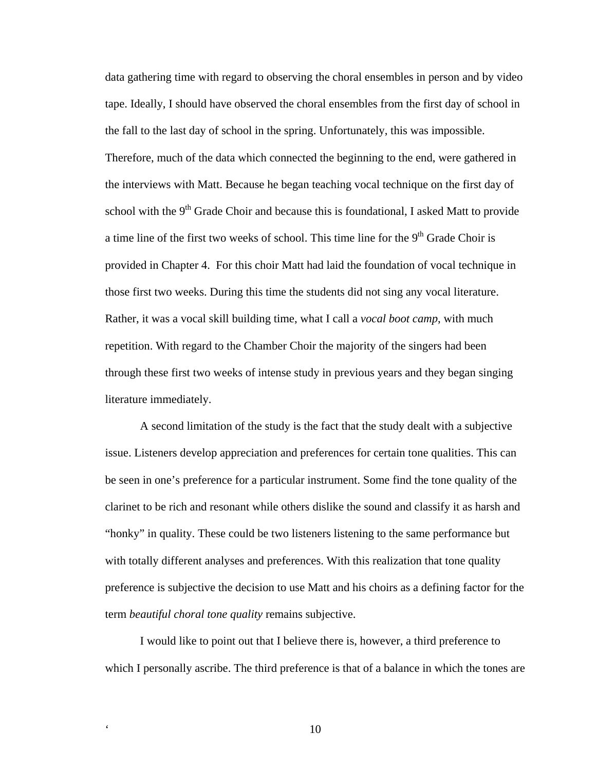data gathering time with regard to observing the choral ensembles in person and by video tape. Ideally, I should have observed the choral ensembles from the first day of school in the fall to the last day of school in the spring. Unfortunately, this was impossible. Therefore, much of the data which connected the beginning to the end, were gathered in the interviews with Matt. Because he began teaching vocal technique on the first day of school with the 9<sup>th</sup> Grade Choir and because this is foundational, I asked Matt to provide a time line of the first two weeks of school. This time line for the 9<sup>th</sup> Grade Choir is provided in Chapter 4. For this choir Matt had laid the foundation of vocal technique in those first two weeks. During this time the students did not sing any vocal literature. Rather, it was a vocal skill building time, what I call a *vocal boot camp*, with much repetition. With regard to the Chamber Choir the majority of the singers had been through these first two weeks of intense study in previous years and they began singing literature immediately.

A second limitation of the study is the fact that the study dealt with a subjective issue. Listeners develop appreciation and preferences for certain tone qualities. This can be seen in one's preference for a particular instrument. Some find the tone quality of the clarinet to be rich and resonant while others dislike the sound and classify it as harsh and "honky" in quality. These could be two listeners listening to the same performance but with totally different analyses and preferences. With this realization that tone quality preference is subjective the decision to use Matt and his choirs as a defining factor for the term *beautiful choral tone quality* remains subjective.

I would like to point out that I believe there is, however, a third preference to which I personally ascribe. The third preference is that of a balance in which the tones are

' 10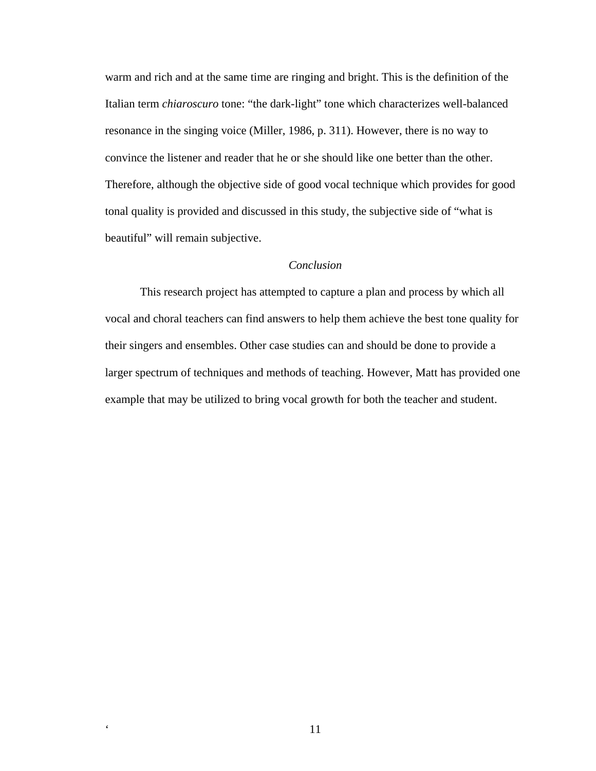warm and rich and at the same time are ringing and bright. This is the definition of the Italian term *chiaroscuro* tone: "the dark-light" tone which characterizes well-balanced resonance in the singing voice (Miller, 1986, p. 311). However, there is no way to convince the listener and reader that he or she should like one better than the other. Therefore, although the objective side of good vocal technique which provides for good tonal quality is provided and discussed in this study, the subjective side of "what is beautiful" will remain subjective.

## *Conclusion*

This research project has attempted to capture a plan and process by which all vocal and choral teachers can find answers to help them achieve the best tone quality for their singers and ensembles. Other case studies can and should be done to provide a larger spectrum of techniques and methods of teaching. However, Matt has provided one example that may be utilized to bring vocal growth for both the teacher and student.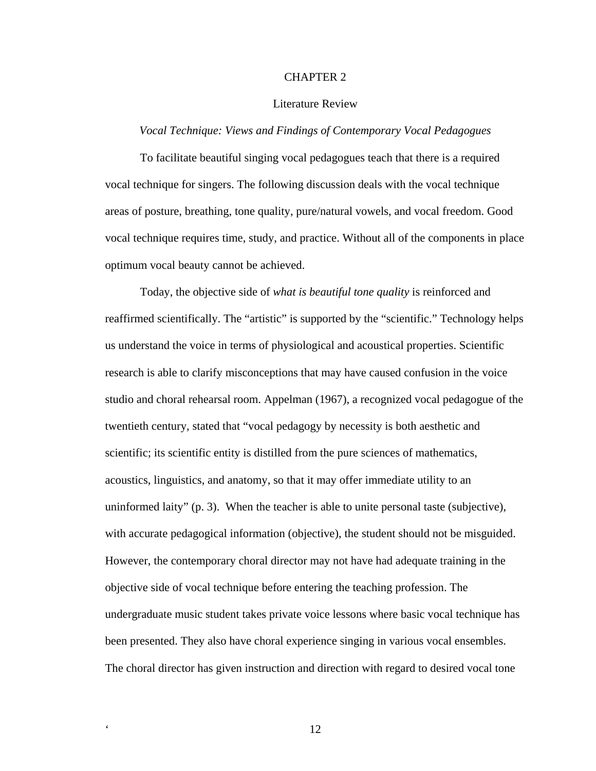### CHAPTER 2

## Literature Review

#### *Vocal Technique: Views and Findings of Contemporary Vocal Pedagogues*

To facilitate beautiful singing vocal pedagogues teach that there is a required vocal technique for singers. The following discussion deals with the vocal technique areas of posture, breathing, tone quality, pure/natural vowels, and vocal freedom. Good vocal technique requires time, study, and practice. Without all of the components in place optimum vocal beauty cannot be achieved.

Today, the objective side of *what is beautiful tone quality* is reinforced and reaffirmed scientifically. The "artistic" is supported by the "scientific." Technology helps us understand the voice in terms of physiological and acoustical properties. Scientific research is able to clarify misconceptions that may have caused confusion in the voice studio and choral rehearsal room. Appelman (1967), a recognized vocal pedagogue of the twentieth century, stated that "vocal pedagogy by necessity is both aesthetic and scientific; its scientific entity is distilled from the pure sciences of mathematics, acoustics, linguistics, and anatomy, so that it may offer immediate utility to an uninformed laity" (p. 3). When the teacher is able to unite personal taste (subjective), with accurate pedagogical information (objective), the student should not be misguided. However, the contemporary choral director may not have had adequate training in the objective side of vocal technique before entering the teaching profession. The undergraduate music student takes private voice lessons where basic vocal technique has been presented. They also have choral experience singing in various vocal ensembles. The choral director has given instruction and direction with regard to desired vocal tone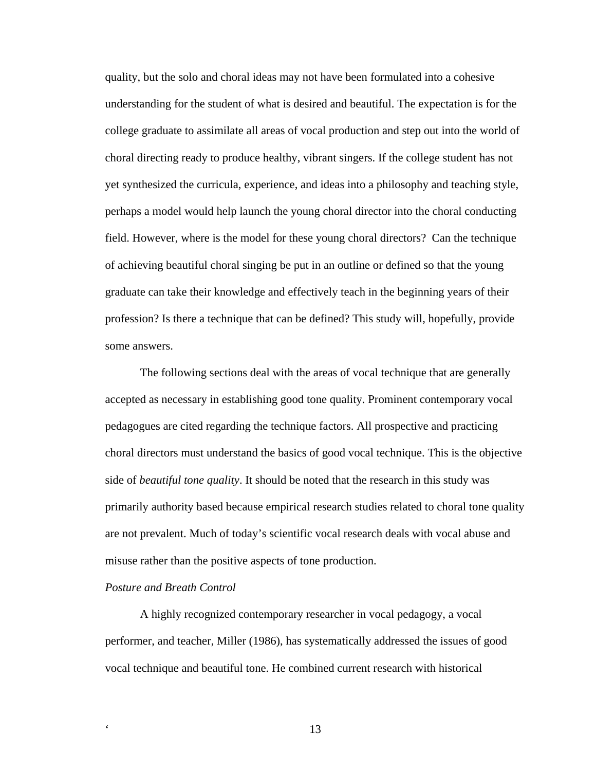quality, but the solo and choral ideas may not have been formulated into a cohesive understanding for the student of what is desired and beautiful. The expectation is for the college graduate to assimilate all areas of vocal production and step out into the world of choral directing ready to produce healthy, vibrant singers. If the college student has not yet synthesized the curricula, experience, and ideas into a philosophy and teaching style, perhaps a model would help launch the young choral director into the choral conducting field. However, where is the model for these young choral directors? Can the technique of achieving beautiful choral singing be put in an outline or defined so that the young graduate can take their knowledge and effectively teach in the beginning years of their profession? Is there a technique that can be defined? This study will, hopefully, provide some answers.

The following sections deal with the areas of vocal technique that are generally accepted as necessary in establishing good tone quality. Prominent contemporary vocal pedagogues are cited regarding the technique factors. All prospective and practicing choral directors must understand the basics of good vocal technique. This is the objective side of *beautiful tone quality*. It should be noted that the research in this study was primarily authority based because empirical research studies related to choral tone quality are not prevalent. Much of today's scientific vocal research deals with vocal abuse and misuse rather than the positive aspects of tone production.

## *Posture and Breath Control*

A highly recognized contemporary researcher in vocal pedagogy, a vocal performer, and teacher, Miller (1986), has systematically addressed the issues of good vocal technique and beautiful tone. He combined current research with historical

<sup>4</sup> 13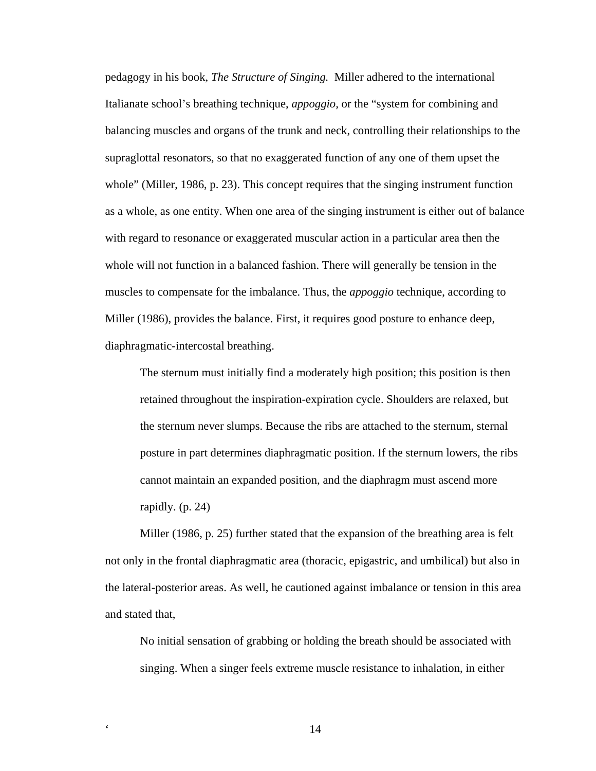pedagogy in his book, *The Structure of Singing.* Miller adhered to the international Italianate school's breathing technique, *appoggio,* or the "system for combining and balancing muscles and organs of the trunk and neck, controlling their relationships to the supraglottal resonators, so that no exaggerated function of any one of them upset the whole" (Miller, 1986, p. 23). This concept requires that the singing instrument function as a whole, as one entity. When one area of the singing instrument is either out of balance with regard to resonance or exaggerated muscular action in a particular area then the whole will not function in a balanced fashion. There will generally be tension in the muscles to compensate for the imbalance. Thus, the *appoggio* technique, according to Miller (1986), provides the balance. First, it requires good posture to enhance deep, diaphragmatic-intercostal breathing.

The sternum must initially find a moderately high position; this position is then retained throughout the inspiration-expiration cycle. Shoulders are relaxed, but the sternum never slumps. Because the ribs are attached to the sternum, sternal posture in part determines diaphragmatic position. If the sternum lowers, the ribs cannot maintain an expanded position, and the diaphragm must ascend more rapidly. (p. 24)

Miller (1986, p. 25) further stated that the expansion of the breathing area is felt not only in the frontal diaphragmatic area (thoracic, epigastric, and umbilical) but also in the lateral-posterior areas. As well, he cautioned against imbalance or tension in this area and stated that,

No initial sensation of grabbing or holding the breath should be associated with singing. When a singer feels extreme muscle resistance to inhalation, in either

' 14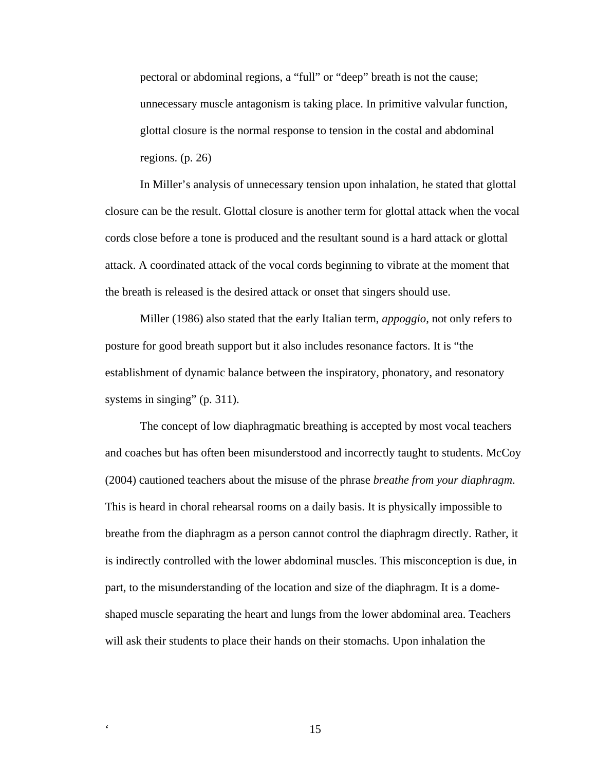pectoral or abdominal regions, a "full" or "deep" breath is not the cause; unnecessary muscle antagonism is taking place. In primitive valvular function, glottal closure is the normal response to tension in the costal and abdominal regions. (p. 26)

In Miller's analysis of unnecessary tension upon inhalation, he stated that glottal closure can be the result. Glottal closure is another term for glottal attack when the vocal cords close before a tone is produced and the resultant sound is a hard attack or glottal attack. A coordinated attack of the vocal cords beginning to vibrate at the moment that the breath is released is the desired attack or onset that singers should use.

Miller (1986) also stated that the early Italian term, *appoggio,* not only refers to posture for good breath support but it also includes resonance factors. It is "the establishment of dynamic balance between the inspiratory, phonatory, and resonatory systems in singing" (p. 311).

The concept of low diaphragmatic breathing is accepted by most vocal teachers and coaches but has often been misunderstood and incorrectly taught to students. McCoy (2004) cautioned teachers about the misuse of the phrase *breathe from your diaphragm*. This is heard in choral rehearsal rooms on a daily basis. It is physically impossible to breathe from the diaphragm as a person cannot control the diaphragm directly. Rather, it is indirectly controlled with the lower abdominal muscles. This misconception is due, in part, to the misunderstanding of the location and size of the diaphragm. It is a domeshaped muscle separating the heart and lungs from the lower abdominal area. Teachers will ask their students to place their hands on their stomachs. Upon inhalation the

the contract of the contract of the contract of the contract of the contract of the contract of the contract of the contract of the contract of the contract of the contract of the contract of the contract of the contract o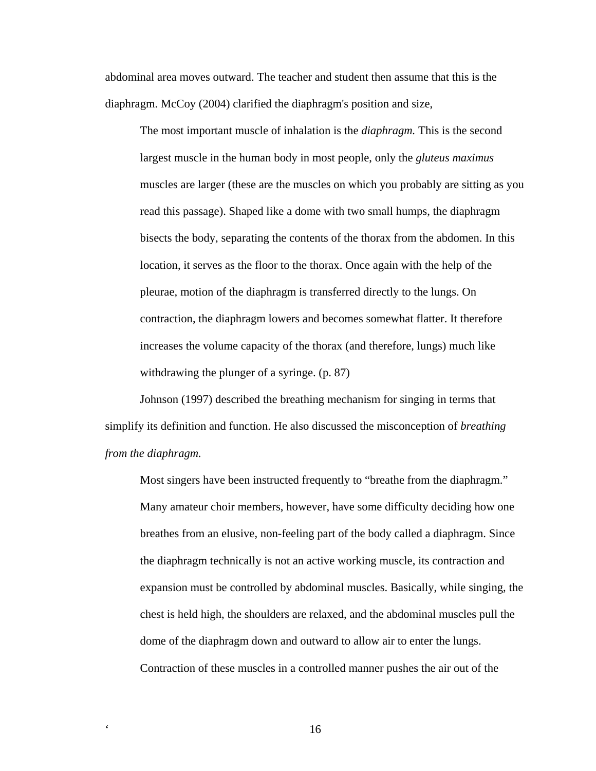abdominal area moves outward. The teacher and student then assume that this is the diaphragm. McCoy (2004) clarified the diaphragm's position and size,

The most important muscle of inhalation is the *diaphragm.* This is the second largest muscle in the human body in most people, only the *gluteus maximus* muscles are larger (these are the muscles on which you probably are sitting as you read this passage). Shaped like a dome with two small humps, the diaphragm bisects the body, separating the contents of the thorax from the abdomen. In this location, it serves as the floor to the thorax. Once again with the help of the pleurae, motion of the diaphragm is transferred directly to the lungs. On contraction, the diaphragm lowers and becomes somewhat flatter. It therefore increases the volume capacity of the thorax (and therefore, lungs) much like withdrawing the plunger of a syringe. (p. 87)

Johnson (1997) described the breathing mechanism for singing in terms that simplify its definition and function. He also discussed the misconception of *breathing from the diaphragm.* 

Most singers have been instructed frequently to "breathe from the diaphragm." Many amateur choir members, however, have some difficulty deciding how one breathes from an elusive, non-feeling part of the body called a diaphragm. Since the diaphragm technically is not an active working muscle, its contraction and expansion must be controlled by abdominal muscles. Basically, while singing, the chest is held high, the shoulders are relaxed, and the abdominal muscles pull the dome of the diaphragm down and outward to allow air to enter the lungs. Contraction of these muscles in a controlled manner pushes the air out of the

' 16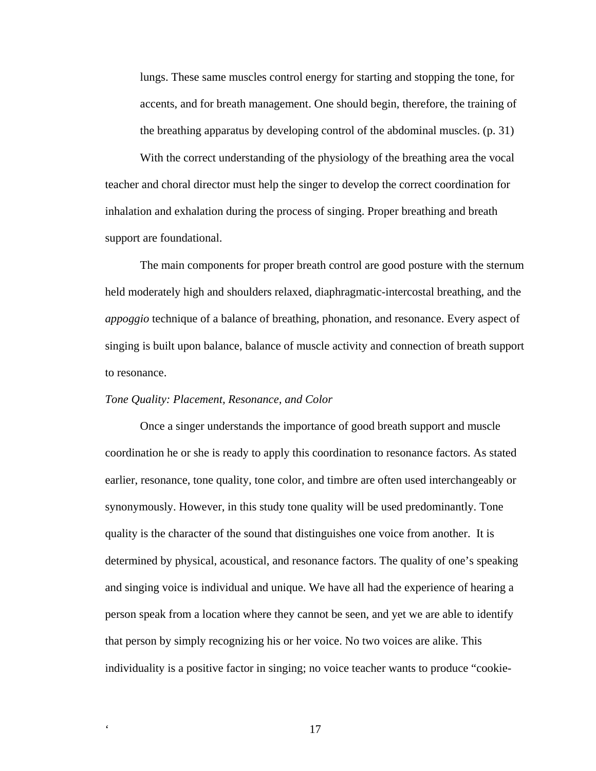lungs. These same muscles control energy for starting and stopping the tone, for accents, and for breath management. One should begin, therefore, the training of the breathing apparatus by developing control of the abdominal muscles. (p. 31)

With the correct understanding of the physiology of the breathing area the vocal teacher and choral director must help the singer to develop the correct coordination for inhalation and exhalation during the process of singing. Proper breathing and breath support are foundational.

The main components for proper breath control are good posture with the sternum held moderately high and shoulders relaxed, diaphragmatic-intercostal breathing, and the *appoggio* technique of a balance of breathing, phonation, and resonance. Every aspect of singing is built upon balance, balance of muscle activity and connection of breath support to resonance.

#### *Tone Quality: Placement, Resonance, and Color*

Once a singer understands the importance of good breath support and muscle coordination he or she is ready to apply this coordination to resonance factors. As stated earlier, resonance, tone quality, tone color, and timbre are often used interchangeably or synonymously. However, in this study tone quality will be used predominantly. Tone quality is the character of the sound that distinguishes one voice from another. It is determined by physical, acoustical, and resonance factors. The quality of one's speaking and singing voice is individual and unique. We have all had the experience of hearing a person speak from a location where they cannot be seen, and yet we are able to identify that person by simply recognizing his or her voice. No two voices are alike. This individuality is a positive factor in singing; no voice teacher wants to produce "cookie-

е процессов произведение с 17 декабря 17 декабря 17 декабря 17 декабря 17 декабря 17 декабря 17 декабря 17 декабря 17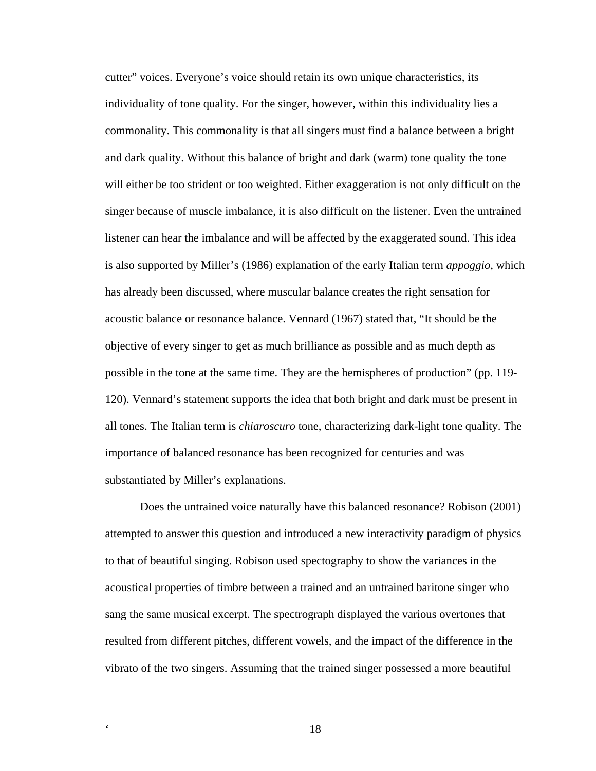cutter" voices. Everyone's voice should retain its own unique characteristics, its individuality of tone quality. For the singer, however, within this individuality lies a commonality. This commonality is that all singers must find a balance between a bright and dark quality. Without this balance of bright and dark (warm) tone quality the tone will either be too strident or too weighted. Either exaggeration is not only difficult on the singer because of muscle imbalance, it is also difficult on the listener. Even the untrained listener can hear the imbalance and will be affected by the exaggerated sound. This idea is also supported by Miller's (1986) explanation of the early Italian term *appoggio,* which has already been discussed, where muscular balance creates the right sensation for acoustic balance or resonance balance. Vennard (1967) stated that, "It should be the objective of every singer to get as much brilliance as possible and as much depth as possible in the tone at the same time. They are the hemispheres of production" (pp. 119- 120). Vennard's statement supports the idea that both bright and dark must be present in all tones. The Italian term is *chiaroscuro* tone, characterizing dark-light tone quality. The importance of balanced resonance has been recognized for centuries and was substantiated by Miller's explanations.

Does the untrained voice naturally have this balanced resonance? Robison (2001) attempted to answer this question and introduced a new interactivity paradigm of physics to that of beautiful singing. Robison used spectography to show the variances in the acoustical properties of timbre between a trained and an untrained baritone singer who sang the same musical excerpt. The spectrograph displayed the various overtones that resulted from different pitches, different vowels, and the impact of the difference in the vibrato of the two singers. Assuming that the trained singer possessed a more beautiful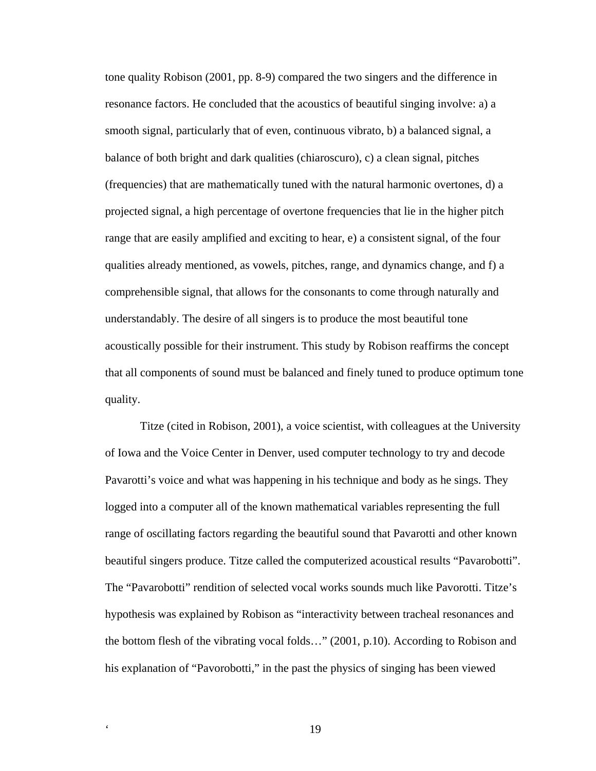tone quality Robison (2001, pp. 8-9) compared the two singers and the difference in resonance factors. He concluded that the acoustics of beautiful singing involve: a) a smooth signal, particularly that of even, continuous vibrato, b) a balanced signal, a balance of both bright and dark qualities (chiaroscuro), c) a clean signal, pitches (frequencies) that are mathematically tuned with the natural harmonic overtones, d) a projected signal, a high percentage of overtone frequencies that lie in the higher pitch range that are easily amplified and exciting to hear, e) a consistent signal, of the four qualities already mentioned, as vowels, pitches, range, and dynamics change, and f) a comprehensible signal, that allows for the consonants to come through naturally and understandably. The desire of all singers is to produce the most beautiful tone acoustically possible for their instrument. This study by Robison reaffirms the concept that all components of sound must be balanced and finely tuned to produce optimum tone quality.

Titze (cited in Robison, 2001), a voice scientist, with colleagues at the University of Iowa and the Voice Center in Denver, used computer technology to try and decode Pavarotti's voice and what was happening in his technique and body as he sings. They logged into a computer all of the known mathematical variables representing the full range of oscillating factors regarding the beautiful sound that Pavarotti and other known beautiful singers produce. Titze called the computerized acoustical results "Pavarobotti". The "Pavarobotti" rendition of selected vocal works sounds much like Pavorotti. Titze's hypothesis was explained by Robison as "interactivity between tracheal resonances and the bottom flesh of the vibrating vocal folds…" (2001, p.10). According to Robison and his explanation of "Pavorobotti," in the past the physics of singing has been viewed

' 19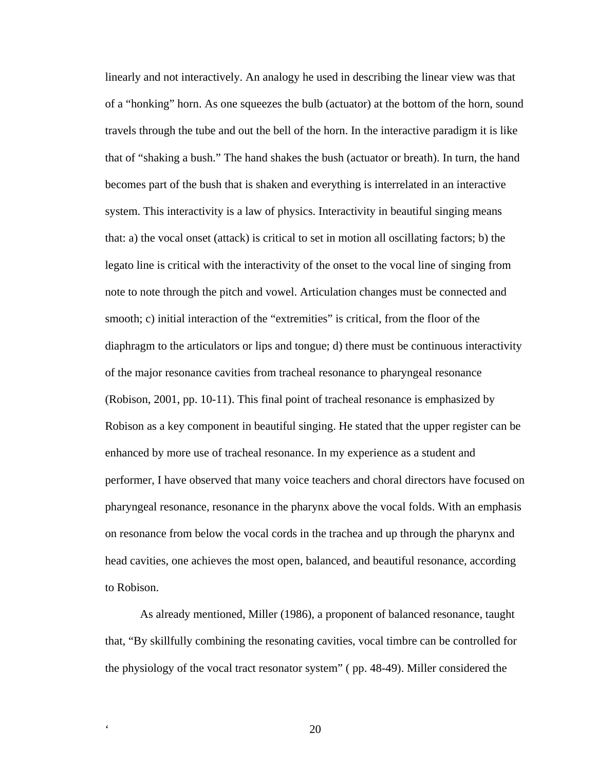linearly and not interactively. An analogy he used in describing the linear view was that of a "honking" horn. As one squeezes the bulb (actuator) at the bottom of the horn, sound travels through the tube and out the bell of the horn. In the interactive paradigm it is like that of "shaking a bush." The hand shakes the bush (actuator or breath). In turn, the hand becomes part of the bush that is shaken and everything is interrelated in an interactive system. This interactivity is a law of physics. Interactivity in beautiful singing means that: a) the vocal onset (attack) is critical to set in motion all oscillating factors; b) the legato line is critical with the interactivity of the onset to the vocal line of singing from note to note through the pitch and vowel. Articulation changes must be connected and smooth; c) initial interaction of the "extremities" is critical, from the floor of the diaphragm to the articulators or lips and tongue; d) there must be continuous interactivity of the major resonance cavities from tracheal resonance to pharyngeal resonance (Robison, 2001, pp. 10-11). This final point of tracheal resonance is emphasized by Robison as a key component in beautiful singing. He stated that the upper register can be enhanced by more use of tracheal resonance. In my experience as a student and performer, I have observed that many voice teachers and choral directors have focused on pharyngeal resonance, resonance in the pharynx above the vocal folds. With an emphasis on resonance from below the vocal cords in the trachea and up through the pharynx and head cavities, one achieves the most open, balanced, and beautiful resonance, according to Robison.

As already mentioned, Miller (1986), a proponent of balanced resonance, taught that, "By skillfully combining the resonating cavities, vocal timbre can be controlled for the physiology of the vocal tract resonator system" ( pp. 48-49). Miller considered the

. **20**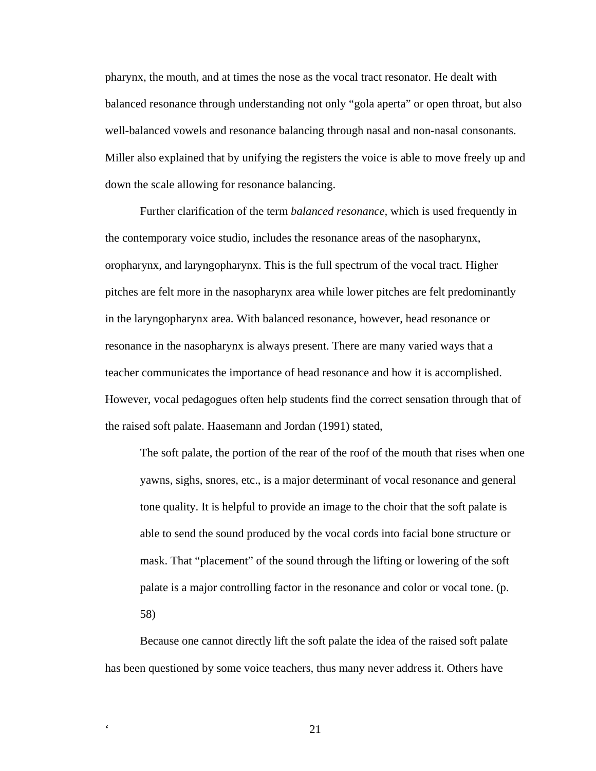pharynx, the mouth, and at times the nose as the vocal tract resonator. He dealt with balanced resonance through understanding not only "gola aperta" or open throat, but also well-balanced vowels and resonance balancing through nasal and non-nasal consonants. Miller also explained that by unifying the registers the voice is able to move freely up and down the scale allowing for resonance balancing.

Further clarification of the term *balanced resonance,* which is used frequently in the contemporary voice studio, includes the resonance areas of the nasopharynx, oropharynx, and laryngopharynx. This is the full spectrum of the vocal tract. Higher pitches are felt more in the nasopharynx area while lower pitches are felt predominantly in the laryngopharynx area. With balanced resonance, however, head resonance or resonance in the nasopharynx is always present. There are many varied ways that a teacher communicates the importance of head resonance and how it is accomplished. However, vocal pedagogues often help students find the correct sensation through that of the raised soft palate. Haasemann and Jordan (1991) stated,

The soft palate, the portion of the rear of the roof of the mouth that rises when one yawns, sighs, snores, etc., is a major determinant of vocal resonance and general tone quality. It is helpful to provide an image to the choir that the soft palate is able to send the sound produced by the vocal cords into facial bone structure or mask. That "placement" of the sound through the lifting or lowering of the soft palate is a major controlling factor in the resonance and color or vocal tone. (p. 58)

Because one cannot directly lift the soft palate the idea of the raised soft palate has been questioned by some voice teachers, thus many never address it. Others have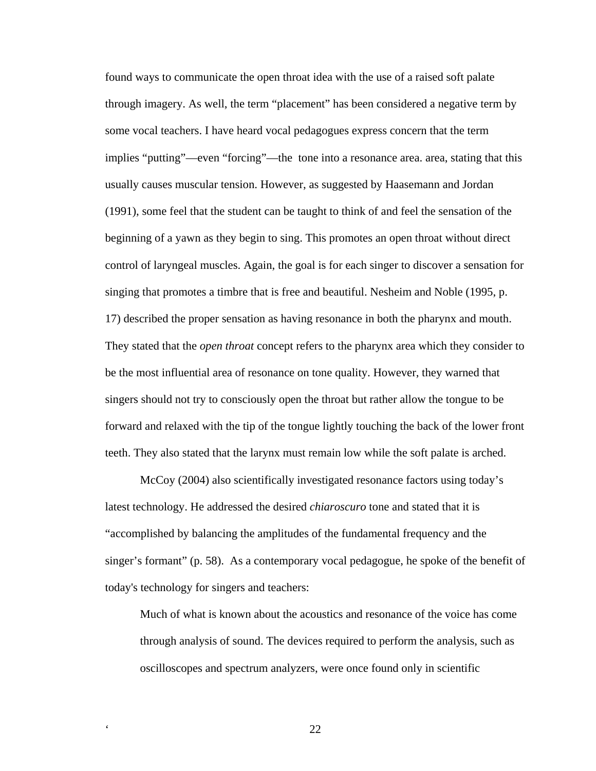found ways to communicate the open throat idea with the use of a raised soft palate through imagery. As well, the term "placement" has been considered a negative term by some vocal teachers. I have heard vocal pedagogues express concern that the term implies "putting"—even "forcing"—the tone into a resonance area. area, stating that this usually causes muscular tension. However, as suggested by Haasemann and Jordan (1991), some feel that the student can be taught to think of and feel the sensation of the beginning of a yawn as they begin to sing. This promotes an open throat without direct control of laryngeal muscles. Again, the goal is for each singer to discover a sensation for singing that promotes a timbre that is free and beautiful. Nesheim and Noble (1995, p. 17) described the proper sensation as having resonance in both the pharynx and mouth. They stated that the *open throat* concept refers to the pharynx area which they consider to be the most influential area of resonance on tone quality. However, they warned that singers should not try to consciously open the throat but rather allow the tongue to be forward and relaxed with the tip of the tongue lightly touching the back of the lower front teeth. They also stated that the larynx must remain low while the soft palate is arched.

McCoy (2004) also scientifically investigated resonance factors using today's latest technology. He addressed the desired *chiaroscuro* tone and stated that it is "accomplished by balancing the amplitudes of the fundamental frequency and the singer's formant" (p. 58). As a contemporary vocal pedagogue, he spoke of the benefit of today's technology for singers and teachers:

Much of what is known about the acoustics and resonance of the voice has come through analysis of sound. The devices required to perform the analysis, such as oscilloscopes and spectrum analyzers, were once found only in scientific

е с поставите с 22 ден в 22 ден в 22 ден в 22 ден в 22 ден в 22 ден в 22 ден в 22 ден в 22 ден в 22 ден в 22 д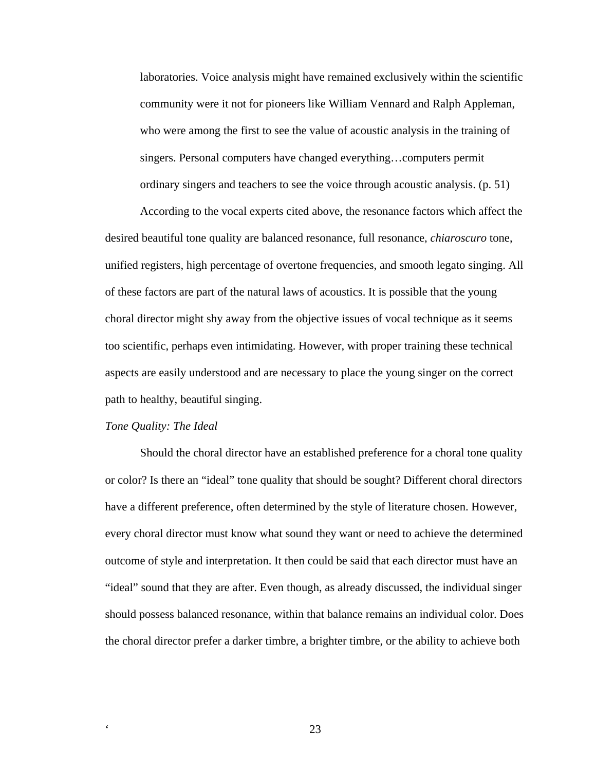laboratories. Voice analysis might have remained exclusively within the scientific community were it not for pioneers like William Vennard and Ralph Appleman, who were among the first to see the value of acoustic analysis in the training of singers. Personal computers have changed everything…computers permit ordinary singers and teachers to see the voice through acoustic analysis. (p. 51)

According to the vocal experts cited above, the resonance factors which affect the desired beautiful tone quality are balanced resonance, full resonance, *chiaroscuro* tone, unified registers, high percentage of overtone frequencies, and smooth legato singing. All of these factors are part of the natural laws of acoustics. It is possible that the young choral director might shy away from the objective issues of vocal technique as it seems too scientific, perhaps even intimidating. However, with proper training these technical aspects are easily understood and are necessary to place the young singer on the correct path to healthy, beautiful singing.

#### *Tone Quality: The Ideal*

Should the choral director have an established preference for a choral tone quality or color? Is there an "ideal" tone quality that should be sought? Different choral directors have a different preference, often determined by the style of literature chosen. However, every choral director must know what sound they want or need to achieve the determined outcome of style and interpretation. It then could be said that each director must have an "ideal" sound that they are after. Even though, as already discussed, the individual singer should possess balanced resonance, within that balance remains an individual color. Does the choral director prefer a darker timbre, a brighter timbre, or the ability to achieve both

е с поставили в 23 деней. В 23 деней в 23 деней в 23 деней в 23 деней в 23 деней в 23 деней в 23 деней в 23 деней в 23 деней в 23 деней в 23 деней в 23 деней в 23 деней в 23 деней в 23 деней в 23 деней в 23 деней в 23 ден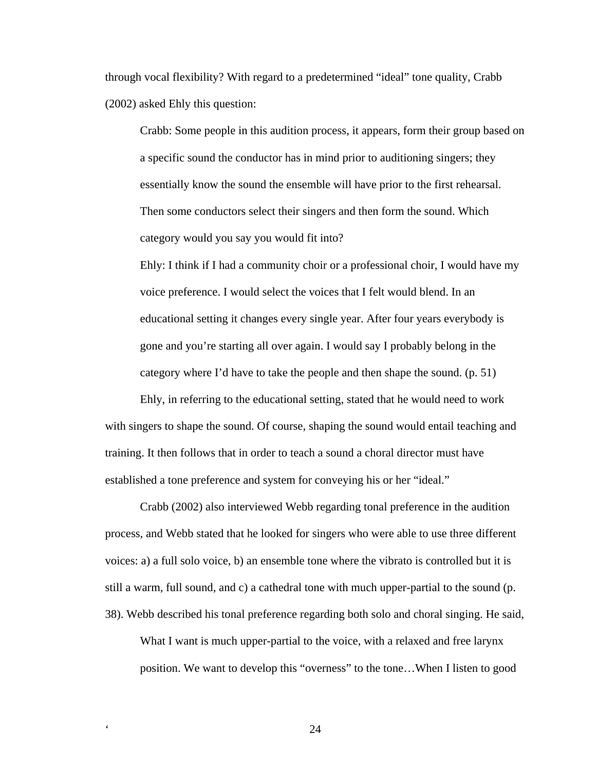through vocal flexibility? With regard to a predetermined "ideal" tone quality, Crabb (2002) asked Ehly this question:

Crabb: Some people in this audition process, it appears, form their group based on a specific sound the conductor has in mind prior to auditioning singers; they essentially know the sound the ensemble will have prior to the first rehearsal. Then some conductors select their singers and then form the sound. Which category would you say you would fit into?

Ehly: I think if I had a community choir or a professional choir, I would have my voice preference. I would select the voices that I felt would blend. In an educational setting it changes every single year. After four years everybody is gone and you're starting all over again. I would say I probably belong in the category where I'd have to take the people and then shape the sound. (p. 51)

Ehly, in referring to the educational setting, stated that he would need to work with singers to shape the sound. Of course, shaping the sound would entail teaching and training. It then follows that in order to teach a sound a choral director must have established a tone preference and system for conveying his or her "ideal."

Crabb (2002) also interviewed Webb regarding tonal preference in the audition process, and Webb stated that he looked for singers who were able to use three different voices: a) a full solo voice, b) an ensemble tone where the vibrato is controlled but it is still a warm, full sound, and c) a cathedral tone with much upper-partial to the sound (p. 38). Webb described his tonal preference regarding both solo and choral singing. He said,

What I want is much upper-partial to the voice, with a relaxed and free larynx position. We want to develop this "overness" to the tone…When I listen to good

е с с 24 денември 24 денември 24 денември 24 денември 24 денември 24 денември 24 денември 24 денември 24 денем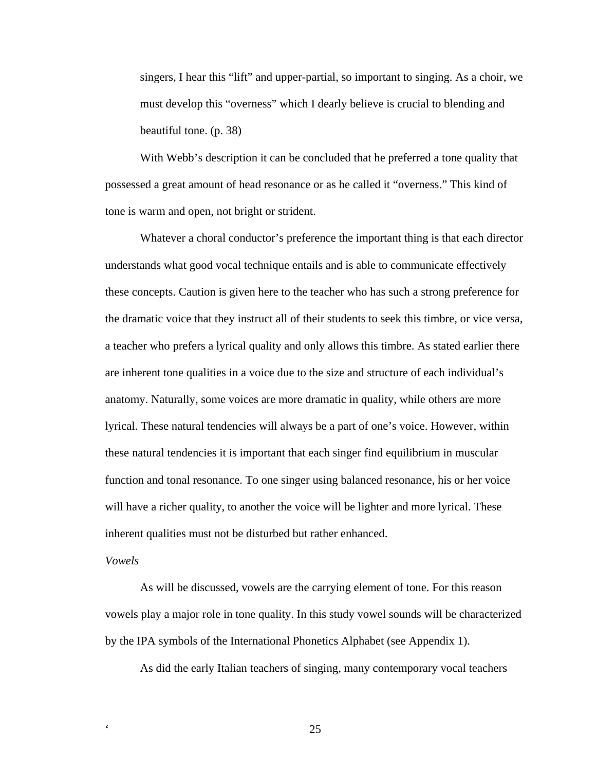singers, I hear this "lift" and upper-partial, so important to singing. As a choir, we must develop this "overness" which I dearly believe is crucial to blending and beautiful tone. (p. 38)

With Webb's description it can be concluded that he preferred a tone quality that possessed a great amount of head resonance or as he called it "overness." This kind of tone is warm and open, not bright or strident.

Whatever a choral conductor's preference the important thing is that each director understands what good vocal technique entails and is able to communicate effectively these concepts. Caution is given here to the teacher who has such a strong preference for the dramatic voice that they instruct all of their students to seek this timbre, or vice versa, a teacher who prefers a lyrical quality and only allows this timbre. As stated earlier there are inherent tone qualities in a voice due to the size and structure of each individual's anatomy. Naturally, some voices are more dramatic in quality, while others are more lyrical. These natural tendencies will always be a part of one's voice. However, within these natural tendencies it is important that each singer find equilibrium in muscular function and tonal resonance. To one singer using balanced resonance, his or her voice will have a richer quality, to another the voice will be lighter and more lyrical. These inherent qualities must not be disturbed but rather enhanced.

## *Vowels*

As will be discussed, vowels are the carrying element of tone. For this reason vowels play a major role in tone quality. In this study vowel sounds will be characterized by the IPA symbols of the International Phonetics Alphabet (see Appendix 1).

As did the early Italian teachers of singing, many contemporary vocal teachers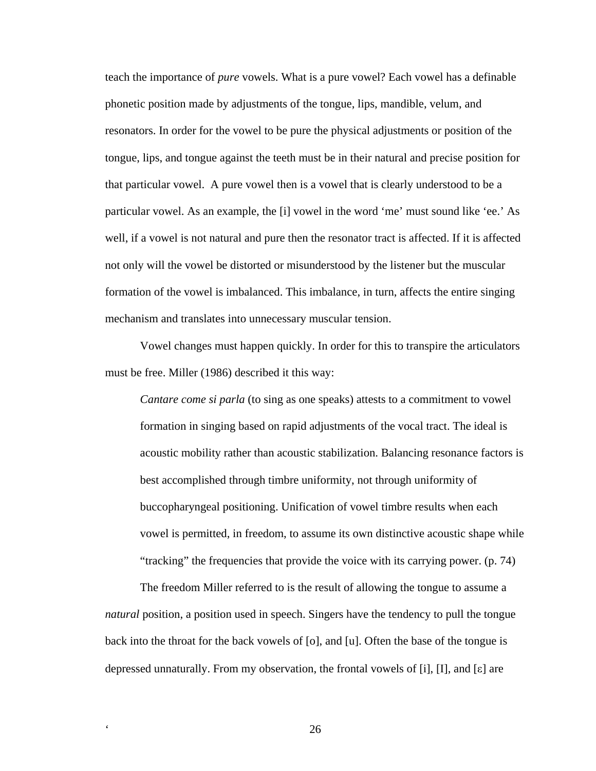teach the importance of *pure* vowels. What is a pure vowel? Each vowel has a definable phonetic position made by adjustments of the tongue, lips, mandible, velum, and resonators. In order for the vowel to be pure the physical adjustments or position of the tongue, lips, and tongue against the teeth must be in their natural and precise position for that particular vowel. A pure vowel then is a vowel that is clearly understood to be a particular vowel. As an example, the [i] vowel in the word 'me' must sound like 'ee.' As well, if a vowel is not natural and pure then the resonator tract is affected. If it is affected not only will the vowel be distorted or misunderstood by the listener but the muscular formation of the vowel is imbalanced. This imbalance, in turn, affects the entire singing mechanism and translates into unnecessary muscular tension.

Vowel changes must happen quickly. In order for this to transpire the articulators must be free. Miller (1986) described it this way:

*Cantare come si parla* (to sing as one speaks) attests to a commitment to vowel formation in singing based on rapid adjustments of the vocal tract. The ideal is acoustic mobility rather than acoustic stabilization. Balancing resonance factors is best accomplished through timbre uniformity, not through uniformity of buccopharyngeal positioning. Unification of vowel timbre results when each vowel is permitted, in freedom, to assume its own distinctive acoustic shape while "tracking" the frequencies that provide the voice with its carrying power. (p. 74)

The freedom Miller referred to is the result of allowing the tongue to assume a *natural* position, a position used in speech. Singers have the tendency to pull the tongue back into the throat for the back vowels of [o], and [u]. Often the base of the tongue is depressed unnaturally. From my observation, the frontal vowels of [i], [I], and  $[\epsilon]$  are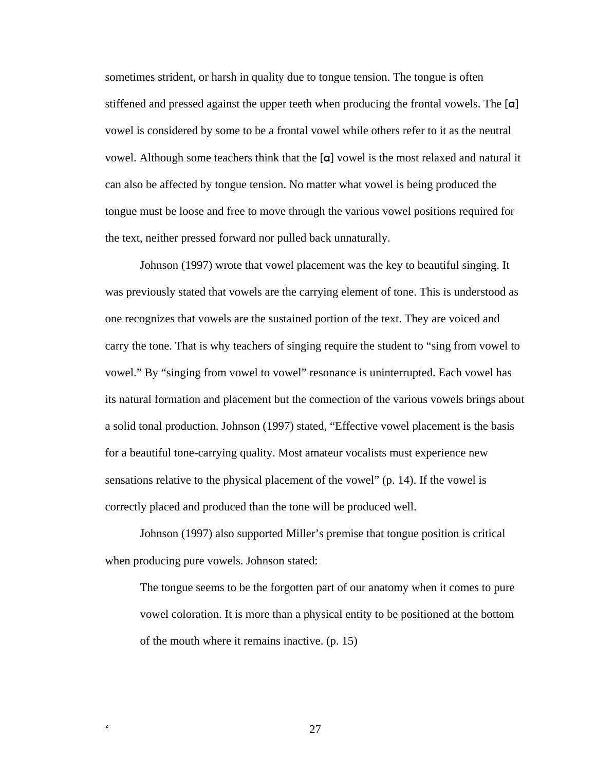sometimes strident, or harsh in quality due to tongue tension. The tongue is often stiffened and pressed against the upper teeth when producing the frontal vowels. The  $[\alpha]$ vowel is considered by some to be a frontal vowel while others refer to it as the neutral vowel. Although some teachers think that the  $\alpha$  vowel is the most relaxed and natural it can also be affected by tongue tension. No matter what vowel is being produced the tongue must be loose and free to move through the various vowel positions required for the text, neither pressed forward nor pulled back unnaturally.

Johnson (1997) wrote that vowel placement was the key to beautiful singing. It was previously stated that vowels are the carrying element of tone. This is understood as one recognizes that vowels are the sustained portion of the text. They are voiced and carry the tone. That is why teachers of singing require the student to "sing from vowel to vowel." By "singing from vowel to vowel" resonance is uninterrupted. Each vowel has its natural formation and placement but the connection of the various vowels brings about a solid tonal production. Johnson (1997) stated, "Effective vowel placement is the basis for a beautiful tone-carrying quality. Most amateur vocalists must experience new sensations relative to the physical placement of the vowel" (p. 14). If the vowel is correctly placed and produced than the tone will be produced well.

Johnson (1997) also supported Miller's premise that tongue position is critical when producing pure vowels. Johnson stated:

The tongue seems to be the forgotten part of our anatomy when it comes to pure vowel coloration. It is more than a physical entity to be positioned at the bottom of the mouth where it remains inactive. (p. 15)

е с последници в село в 27 метата в 27 метата в 27 метата в 27 метата в 27 метата в 27 метата в 27 метата в 27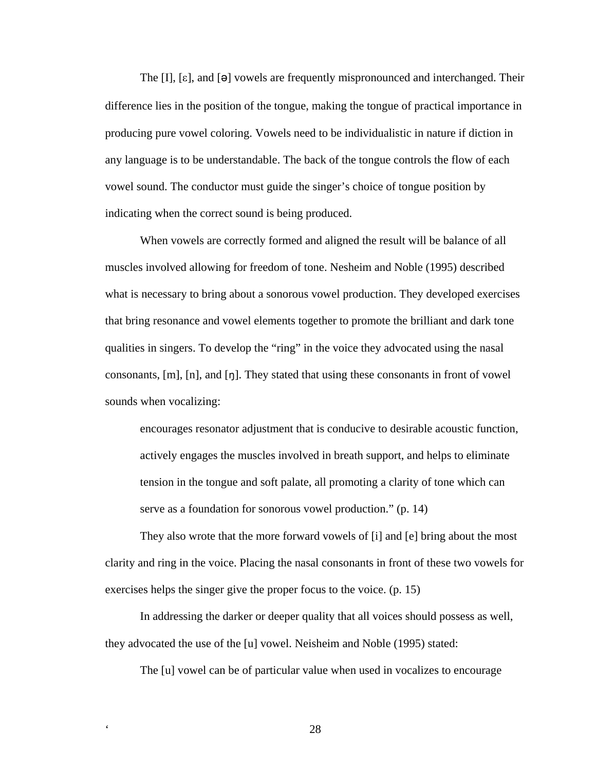The  $[I]$ ,  $[\epsilon]$ , and  $[\Theta]$  vowels are frequently mispronounced and interchanged. Their difference lies in the position of the tongue, making the tongue of practical importance in producing pure vowel coloring. Vowels need to be individualistic in nature if diction in any language is to be understandable. The back of the tongue controls the flow of each vowel sound. The conductor must guide the singer's choice of tongue position by indicating when the correct sound is being produced.

When vowels are correctly formed and aligned the result will be balance of all muscles involved allowing for freedom of tone. Nesheim and Noble (1995) described what is necessary to bring about a sonorous vowel production. They developed exercises that bring resonance and vowel elements together to promote the brilliant and dark tone qualities in singers. To develop the "ring" in the voice they advocated using the nasal consonants, [m], [n], and [ŋ]. They stated that using these consonants in front of vowel sounds when vocalizing:

encourages resonator adjustment that is conducive to desirable acoustic function, actively engages the muscles involved in breath support, and helps to eliminate tension in the tongue and soft palate, all promoting a clarity of tone which can serve as a foundation for sonorous vowel production." (p. 14)

They also wrote that the more forward vowels of [i] and [e] bring about the most clarity and ring in the voice. Placing the nasal consonants in front of these two vowels for exercises helps the singer give the proper focus to the voice. (p. 15)

In addressing the darker or deeper quality that all voices should possess as well, they advocated the use of the [u] vowel. Neisheim and Noble (1995) stated:

The [u] vowel can be of particular value when used in vocalizes to encourage

е с поставите в 28 ден в 28 ден в 28 ден в 28 ден в 28 ден в 28 ден в 28 ден в 28 ден в 28 ден в 28 ден в 28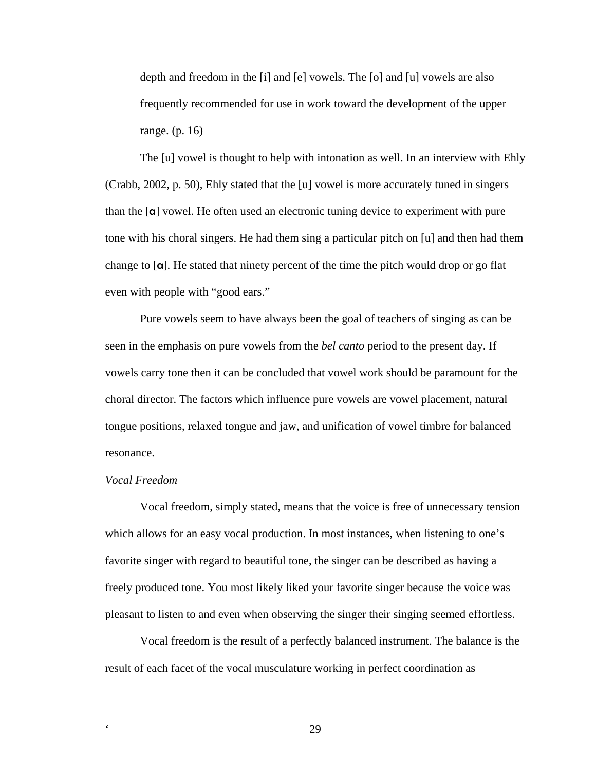depth and freedom in the [i] and [e] vowels. The [o] and [u] vowels are also frequently recommended for use in work toward the development of the upper range. (p. 16)

The [u] vowel is thought to help with intonation as well. In an interview with Ehly (Crabb, 2002, p. 50), Ehly stated that the [u] vowel is more accurately tuned in singers than the [a] vowel. He often used an electronic tuning device to experiment with pure tone with his choral singers. He had them sing a particular pitch on [u] and then had them change to  $[\alpha]$ . He stated that ninety percent of the time the pitch would drop or go flat even with people with "good ears."

Pure vowels seem to have always been the goal of teachers of singing as can be seen in the emphasis on pure vowels from the *bel canto* period to the present day. If vowels carry tone then it can be concluded that vowel work should be paramount for the choral director. The factors which influence pure vowels are vowel placement, natural tongue positions, relaxed tongue and jaw, and unification of vowel timbre for balanced resonance.

# *Vocal Freedom*

Vocal freedom, simply stated, means that the voice is free of unnecessary tension which allows for an easy vocal production. In most instances, when listening to one's favorite singer with regard to beautiful tone, the singer can be described as having a freely produced tone. You most likely liked your favorite singer because the voice was pleasant to listen to and even when observing the singer their singing seemed effortless.

Vocal freedom is the result of a perfectly balanced instrument. The balance is the result of each facet of the vocal musculature working in perfect coordination as

е с последници с 29 деней. В 29 деней в 29 деней в 29 деней в 29 деней в 29 деней в 29 деней в 29 деней в 29 де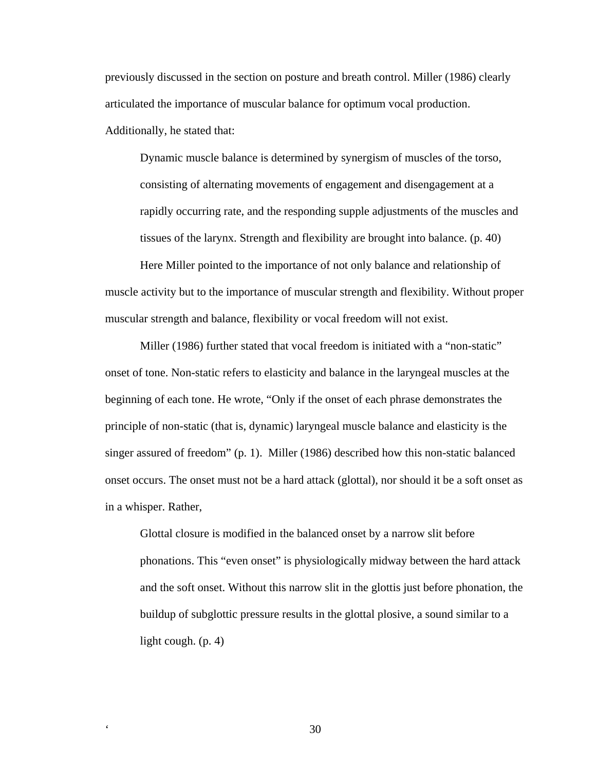previously discussed in the section on posture and breath control. Miller (1986) clearly articulated the importance of muscular balance for optimum vocal production. Additionally, he stated that:

Dynamic muscle balance is determined by synergism of muscles of the torso, consisting of alternating movements of engagement and disengagement at a rapidly occurring rate, and the responding supple adjustments of the muscles and tissues of the larynx. Strength and flexibility are brought into balance. (p. 40)

Here Miller pointed to the importance of not only balance and relationship of muscle activity but to the importance of muscular strength and flexibility. Without proper muscular strength and balance, flexibility or vocal freedom will not exist.

Miller (1986) further stated that vocal freedom is initiated with a "non-static" onset of tone. Non-static refers to elasticity and balance in the laryngeal muscles at the beginning of each tone. He wrote, "Only if the onset of each phrase demonstrates the principle of non-static (that is, dynamic) laryngeal muscle balance and elasticity is the singer assured of freedom" (p. 1). Miller (1986) described how this non-static balanced onset occurs. The onset must not be a hard attack (glottal), nor should it be a soft onset as in a whisper. Rather,

Glottal closure is modified in the balanced onset by a narrow slit before phonations. This "even onset" is physiologically midway between the hard attack and the soft onset. Without this narrow slit in the glottis just before phonation, the buildup of subglottic pressure results in the glottal plosive, a sound similar to a light cough. (p. 4)

<sup>4</sup> 30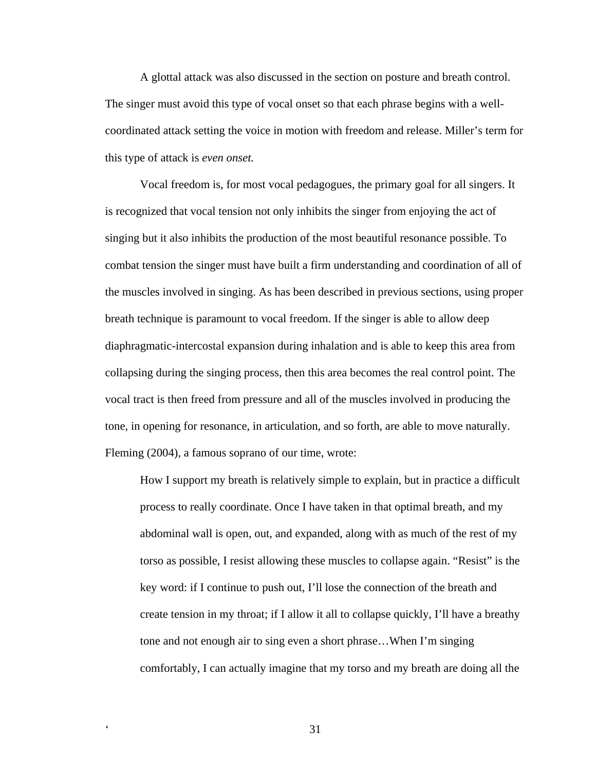A glottal attack was also discussed in the section on posture and breath control. The singer must avoid this type of vocal onset so that each phrase begins with a wellcoordinated attack setting the voice in motion with freedom and release. Miller's term for this type of attack is *even onset.*

Vocal freedom is, for most vocal pedagogues, the primary goal for all singers. It is recognized that vocal tension not only inhibits the singer from enjoying the act of singing but it also inhibits the production of the most beautiful resonance possible. To combat tension the singer must have built a firm understanding and coordination of all of the muscles involved in singing. As has been described in previous sections, using proper breath technique is paramount to vocal freedom. If the singer is able to allow deep diaphragmatic-intercostal expansion during inhalation and is able to keep this area from collapsing during the singing process, then this area becomes the real control point. The vocal tract is then freed from pressure and all of the muscles involved in producing the tone, in opening for resonance, in articulation, and so forth, are able to move naturally. Fleming (2004), a famous soprano of our time, wrote:

How I support my breath is relatively simple to explain, but in practice a difficult process to really coordinate. Once I have taken in that optimal breath, and my abdominal wall is open, out, and expanded, along with as much of the rest of my torso as possible, I resist allowing these muscles to collapse again. "Resist" is the key word: if I continue to push out, I'll lose the connection of the breath and create tension in my throat; if I allow it all to collapse quickly, I'll have a breathy tone and not enough air to sing even a short phrase…When I'm singing comfortably, I can actually imagine that my torso and my breath are doing all the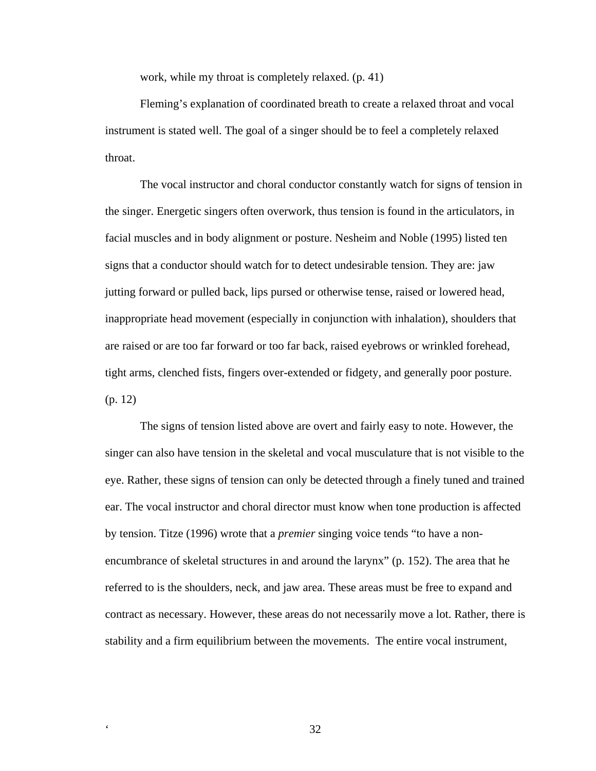work, while my throat is completely relaxed. (p. 41)

Fleming's explanation of coordinated breath to create a relaxed throat and vocal instrument is stated well. The goal of a singer should be to feel a completely relaxed throat.

The vocal instructor and choral conductor constantly watch for signs of tension in the singer. Energetic singers often overwork, thus tension is found in the articulators, in facial muscles and in body alignment or posture. Nesheim and Noble (1995) listed ten signs that a conductor should watch for to detect undesirable tension. They are: jaw jutting forward or pulled back, lips pursed or otherwise tense, raised or lowered head, inappropriate head movement (especially in conjunction with inhalation), shoulders that are raised or are too far forward or too far back, raised eyebrows or wrinkled forehead, tight arms, clenched fists, fingers over-extended or fidgety, and generally poor posture. (p. 12)

The signs of tension listed above are overt and fairly easy to note. However, the singer can also have tension in the skeletal and vocal musculature that is not visible to the eye. Rather, these signs of tension can only be detected through a finely tuned and trained ear. The vocal instructor and choral director must know when tone production is affected by tension. Titze (1996) wrote that a *premier* singing voice tends "to have a nonencumbrance of skeletal structures in and around the larynx" (p. 152). The area that he referred to is the shoulders, neck, and jaw area. These areas must be free to expand and contract as necessary. However, these areas do not necessarily move a lot. Rather, there is stability and a firm equilibrium between the movements. The entire vocal instrument,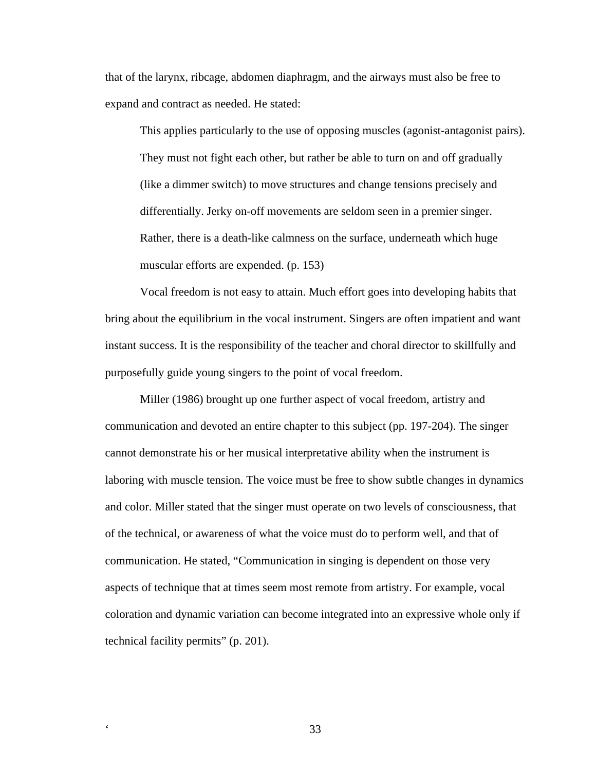that of the larynx, ribcage, abdomen diaphragm, and the airways must also be free to expand and contract as needed. He stated:

This applies particularly to the use of opposing muscles (agonist-antagonist pairs). They must not fight each other, but rather be able to turn on and off gradually (like a dimmer switch) to move structures and change tensions precisely and differentially. Jerky on-off movements are seldom seen in a premier singer. Rather, there is a death-like calmness on the surface, underneath which huge muscular efforts are expended. (p. 153)

Vocal freedom is not easy to attain. Much effort goes into developing habits that bring about the equilibrium in the vocal instrument. Singers are often impatient and want instant success. It is the responsibility of the teacher and choral director to skillfully and purposefully guide young singers to the point of vocal freedom.

Miller (1986) brought up one further aspect of vocal freedom, artistry and communication and devoted an entire chapter to this subject (pp. 197-204). The singer cannot demonstrate his or her musical interpretative ability when the instrument is laboring with muscle tension. The voice must be free to show subtle changes in dynamics and color. Miller stated that the singer must operate on two levels of consciousness, that of the technical, or awareness of what the voice must do to perform well, and that of communication. He stated, "Communication in singing is dependent on those very aspects of technique that at times seem most remote from artistry. For example, vocal coloration and dynamic variation can become integrated into an expressive whole only if technical facility permits" (p. 201).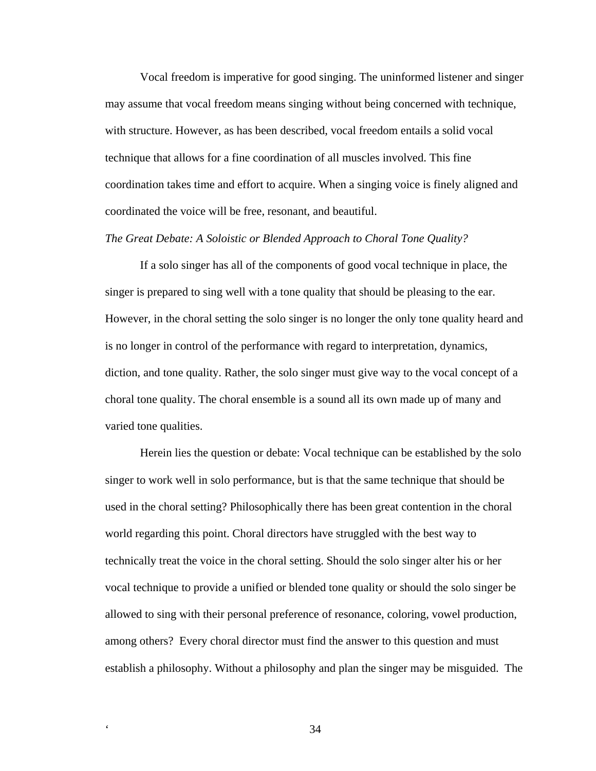Vocal freedom is imperative for good singing. The uninformed listener and singer may assume that vocal freedom means singing without being concerned with technique, with structure. However, as has been described, vocal freedom entails a solid vocal technique that allows for a fine coordination of all muscles involved. This fine coordination takes time and effort to acquire. When a singing voice is finely aligned and coordinated the voice will be free, resonant, and beautiful.

# *The Great Debate: A Soloistic or Blended Approach to Choral Tone Quality?*

If a solo singer has all of the components of good vocal technique in place, the singer is prepared to sing well with a tone quality that should be pleasing to the ear. However, in the choral setting the solo singer is no longer the only tone quality heard and is no longer in control of the performance with regard to interpretation, dynamics, diction, and tone quality. Rather, the solo singer must give way to the vocal concept of a choral tone quality. The choral ensemble is a sound all its own made up of many and varied tone qualities.

Herein lies the question or debate: Vocal technique can be established by the solo singer to work well in solo performance, but is that the same technique that should be used in the choral setting? Philosophically there has been great contention in the choral world regarding this point. Choral directors have struggled with the best way to technically treat the voice in the choral setting. Should the solo singer alter his or her vocal technique to provide a unified or blended tone quality or should the solo singer be allowed to sing with their personal preference of resonance, coloring, vowel production, among others? Every choral director must find the answer to this question and must establish a philosophy. Without a philosophy and plan the singer may be misguided. The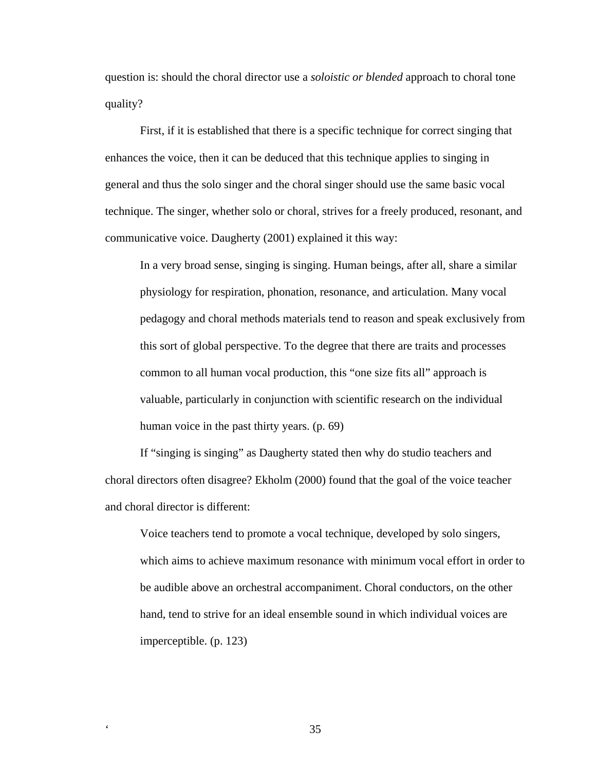question is: should the choral director use a *soloistic or blended* approach to choral tone quality?

First, if it is established that there is a specific technique for correct singing that enhances the voice, then it can be deduced that this technique applies to singing in general and thus the solo singer and the choral singer should use the same basic vocal technique. The singer, whether solo or choral, strives for a freely produced, resonant, and communicative voice. Daugherty (2001) explained it this way:

In a very broad sense, singing is singing. Human beings, after all, share a similar physiology for respiration, phonation, resonance, and articulation. Many vocal pedagogy and choral methods materials tend to reason and speak exclusively from this sort of global perspective. To the degree that there are traits and processes common to all human vocal production, this "one size fits all" approach is valuable, particularly in conjunction with scientific research on the individual human voice in the past thirty years. (p. 69)

If "singing is singing" as Daugherty stated then why do studio teachers and choral directors often disagree? Ekholm (2000) found that the goal of the voice teacher and choral director is different:

Voice teachers tend to promote a vocal technique, developed by solo singers, which aims to achieve maximum resonance with minimum vocal effort in order to be audible above an orchestral accompaniment. Choral conductors, on the other hand, tend to strive for an ideal ensemble sound in which individual voices are imperceptible. (p. 123)

е в село в село в село в 35 million 35 million 35 million 35 million 35 million 35 million 35 million 35 million 35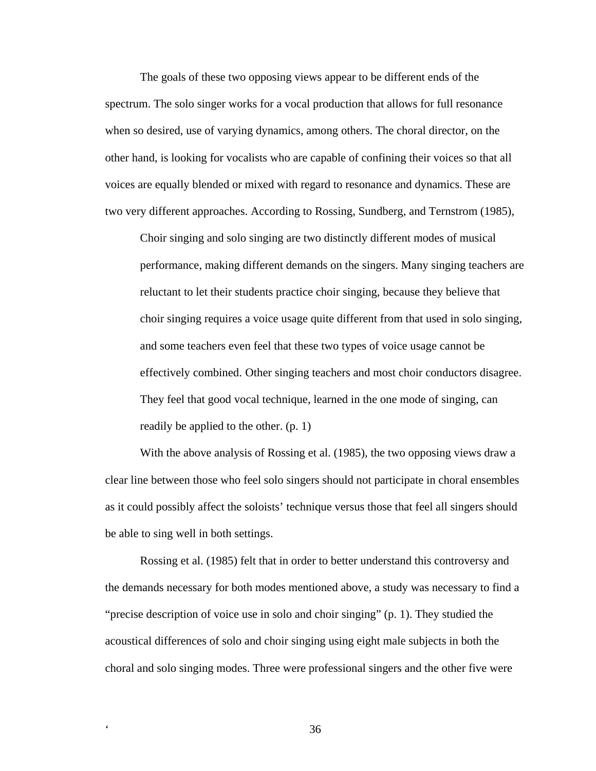The goals of these two opposing views appear to be different ends of the spectrum. The solo singer works for a vocal production that allows for full resonance when so desired, use of varying dynamics, among others. The choral director, on the other hand, is looking for vocalists who are capable of confining their voices so that all voices are equally blended or mixed with regard to resonance and dynamics. These are two very different approaches. According to Rossing, Sundberg, and Ternstrom (1985),

Choir singing and solo singing are two distinctly different modes of musical performance, making different demands on the singers. Many singing teachers are reluctant to let their students practice choir singing, because they believe that choir singing requires a voice usage quite different from that used in solo singing, and some teachers even feel that these two types of voice usage cannot be effectively combined. Other singing teachers and most choir conductors disagree. They feel that good vocal technique, learned in the one mode of singing, can readily be applied to the other. (p. 1)

With the above analysis of Rossing et al. (1985), the two opposing views draw a clear line between those who feel solo singers should not participate in choral ensembles as it could possibly affect the soloists' technique versus those that feel all singers should be able to sing well in both settings.

Rossing et al. (1985) felt that in order to better understand this controversy and the demands necessary for both modes mentioned above, a study was necessary to find a "precise description of voice use in solo and choir singing" (p. 1). They studied the acoustical differences of solo and choir singing using eight male subjects in both the choral and solo singing modes. Three were professional singers and the other five were

е в село в село в село в 36 деней. В 36 деней в село в 36 деней в село в 36 деней в село в 36 деней в село в 1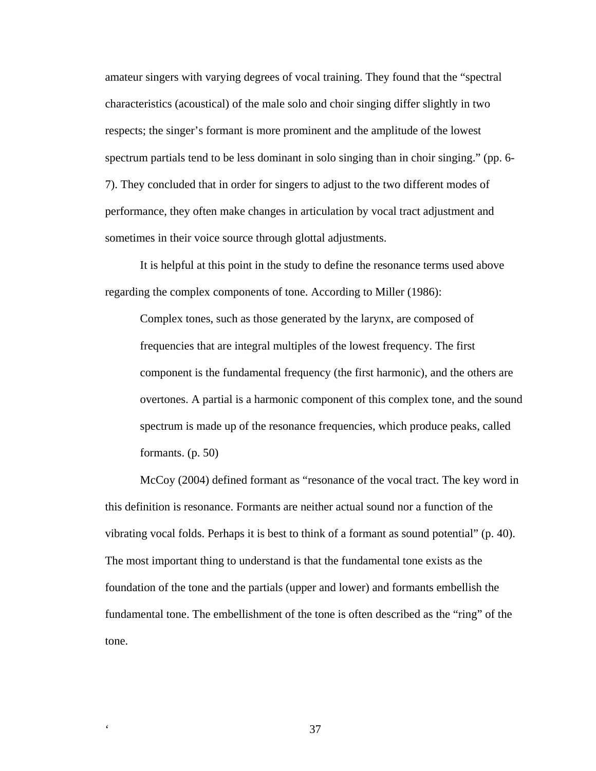amateur singers with varying degrees of vocal training. They found that the "spectral characteristics (acoustical) of the male solo and choir singing differ slightly in two respects; the singer's formant is more prominent and the amplitude of the lowest spectrum partials tend to be less dominant in solo singing than in choir singing." (pp. 6- 7). They concluded that in order for singers to adjust to the two different modes of performance, they often make changes in articulation by vocal tract adjustment and sometimes in their voice source through glottal adjustments.

It is helpful at this point in the study to define the resonance terms used above regarding the complex components of tone. According to Miller (1986):

Complex tones, such as those generated by the larynx, are composed of frequencies that are integral multiples of the lowest frequency. The first component is the fundamental frequency (the first harmonic), and the others are overtones. A partial is a harmonic component of this complex tone, and the sound spectrum is made up of the resonance frequencies, which produce peaks, called formants. (p. 50)

McCoy (2004) defined formant as "resonance of the vocal tract. The key word in this definition is resonance. Formants are neither actual sound nor a function of the vibrating vocal folds. Perhaps it is best to think of a formant as sound potential" (p. 40). The most important thing to understand is that the fundamental tone exists as the foundation of the tone and the partials (upper and lower) and formants embellish the fundamental tone. The embellishment of the tone is often described as the "ring" of the tone.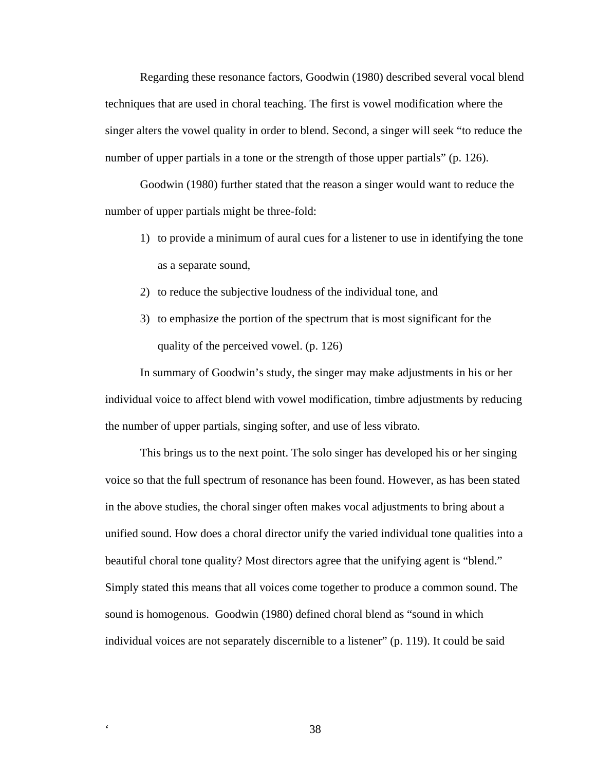Regarding these resonance factors, Goodwin (1980) described several vocal blend techniques that are used in choral teaching. The first is vowel modification where the singer alters the vowel quality in order to blend. Second, a singer will seek "to reduce the number of upper partials in a tone or the strength of those upper partials" (p. 126).

Goodwin (1980) further stated that the reason a singer would want to reduce the number of upper partials might be three-fold:

- 1) to provide a minimum of aural cues for a listener to use in identifying the tone as a separate sound,
- 2) to reduce the subjective loudness of the individual tone, and
- 3) to emphasize the portion of the spectrum that is most significant for the quality of the perceived vowel. (p. 126)

In summary of Goodwin's study, the singer may make adjustments in his or her individual voice to affect blend with vowel modification, timbre adjustments by reducing the number of upper partials, singing softer, and use of less vibrato.

This brings us to the next point. The solo singer has developed his or her singing voice so that the full spectrum of resonance has been found. However, as has been stated in the above studies, the choral singer often makes vocal adjustments to bring about a unified sound. How does a choral director unify the varied individual tone qualities into a beautiful choral tone quality? Most directors agree that the unifying agent is "blend." Simply stated this means that all voices come together to produce a common sound. The sound is homogenous. Goodwin (1980) defined choral blend as "sound in which individual voices are not separately discernible to a listener" (p. 119). It could be said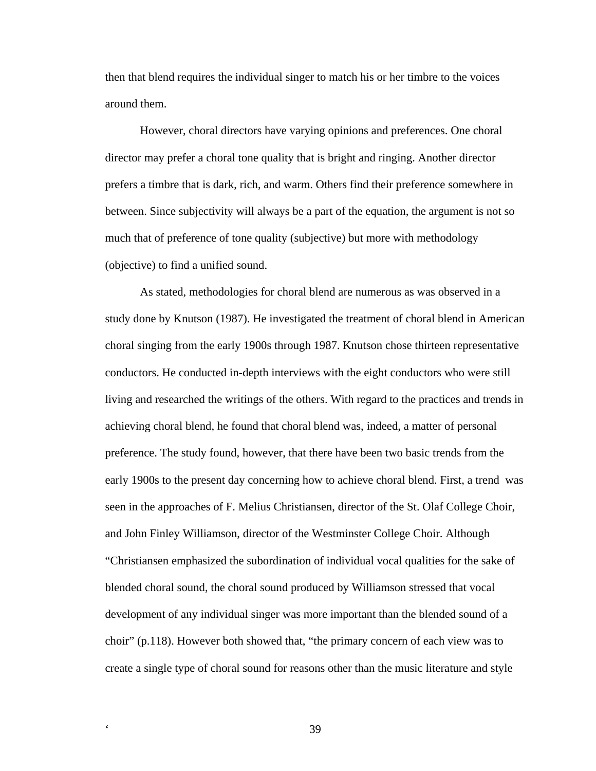then that blend requires the individual singer to match his or her timbre to the voices around them.

However, choral directors have varying opinions and preferences. One choral director may prefer a choral tone quality that is bright and ringing. Another director prefers a timbre that is dark, rich, and warm. Others find their preference somewhere in between. Since subjectivity will always be a part of the equation, the argument is not so much that of preference of tone quality (subjective) but more with methodology (objective) to find a unified sound.

As stated, methodologies for choral blend are numerous as was observed in a study done by Knutson (1987). He investigated the treatment of choral blend in American choral singing from the early 1900s through 1987. Knutson chose thirteen representative conductors. He conducted in-depth interviews with the eight conductors who were still living and researched the writings of the others. With regard to the practices and trends in achieving choral blend, he found that choral blend was, indeed, a matter of personal preference. The study found, however, that there have been two basic trends from the early 1900s to the present day concerning how to achieve choral blend. First, a trend was seen in the approaches of F. Melius Christiansen, director of the St. Olaf College Choir, and John Finley Williamson, director of the Westminster College Choir. Although "Christiansen emphasized the subordination of individual vocal qualities for the sake of blended choral sound, the choral sound produced by Williamson stressed that vocal development of any individual singer was more important than the blended sound of a choir" (p.118). However both showed that, "the primary concern of each view was to create a single type of choral sound for reasons other than the music literature and style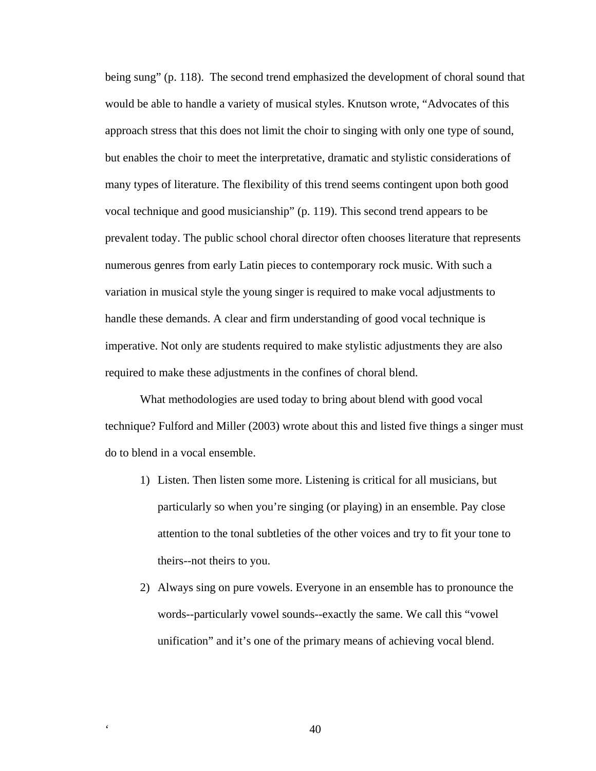being sung" (p. 118). The second trend emphasized the development of choral sound that would be able to handle a variety of musical styles. Knutson wrote, "Advocates of this approach stress that this does not limit the choir to singing with only one type of sound, but enables the choir to meet the interpretative, dramatic and stylistic considerations of many types of literature. The flexibility of this trend seems contingent upon both good vocal technique and good musicianship" (p. 119). This second trend appears to be prevalent today. The public school choral director often chooses literature that represents numerous genres from early Latin pieces to contemporary rock music. With such a variation in musical style the young singer is required to make vocal adjustments to handle these demands. A clear and firm understanding of good vocal technique is imperative. Not only are students required to make stylistic adjustments they are also required to make these adjustments in the confines of choral blend.

What methodologies are used today to bring about blend with good vocal technique? Fulford and Miller (2003) wrote about this and listed five things a singer must do to blend in a vocal ensemble.

- 1) Listen. Then listen some more. Listening is critical for all musicians, but particularly so when you're singing (or playing) in an ensemble. Pay close attention to the tonal subtleties of the other voices and try to fit your tone to theirs--not theirs to you.
- 2) Always sing on pure vowels. Everyone in an ensemble has to pronounce the words--particularly vowel sounds--exactly the same. We call this "vowel unification" and it's one of the primary means of achieving vocal blend.

. **40**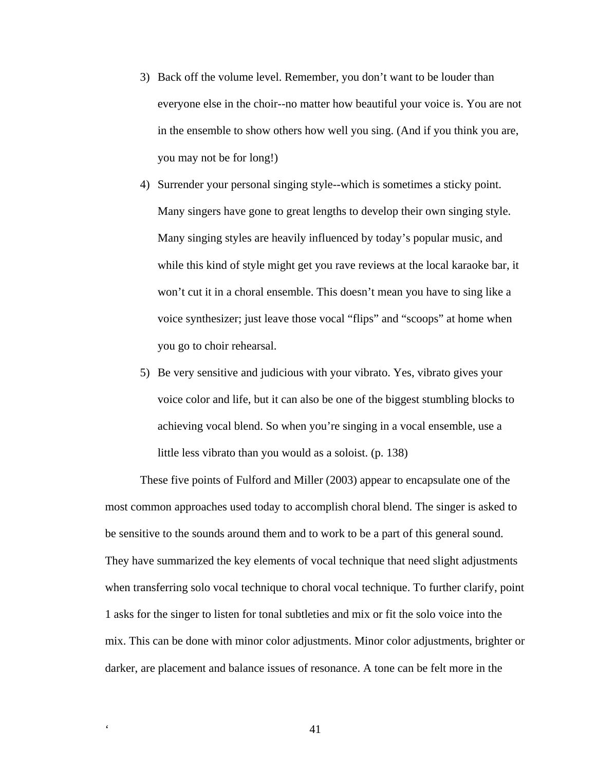- 3) Back off the volume level. Remember, you don't want to be louder than everyone else in the choir--no matter how beautiful your voice is. You are not in the ensemble to show others how well you sing. (And if you think you are, you may not be for long!)
- 4) Surrender your personal singing style--which is sometimes a sticky point. Many singers have gone to great lengths to develop their own singing style. Many singing styles are heavily influenced by today's popular music, and while this kind of style might get you rave reviews at the local karaoke bar, it won't cut it in a choral ensemble. This doesn't mean you have to sing like a voice synthesizer; just leave those vocal "flips" and "scoops" at home when you go to choir rehearsal.
- 5) Be very sensitive and judicious with your vibrato. Yes, vibrato gives your voice color and life, but it can also be one of the biggest stumbling blocks to achieving vocal blend. So when you're singing in a vocal ensemble, use a little less vibrato than you would as a soloist. (p. 138)

These five points of Fulford and Miller (2003) appear to encapsulate one of the most common approaches used today to accomplish choral blend. The singer is asked to be sensitive to the sounds around them and to work to be a part of this general sound. They have summarized the key elements of vocal technique that need slight adjustments when transferring solo vocal technique to choral vocal technique. To further clarify, point 1 asks for the singer to listen for tonal subtleties and mix or fit the solo voice into the mix. This can be done with minor color adjustments. Minor color adjustments, brighter or darker, are placement and balance issues of resonance. A tone can be felt more in the

 $\sim$  41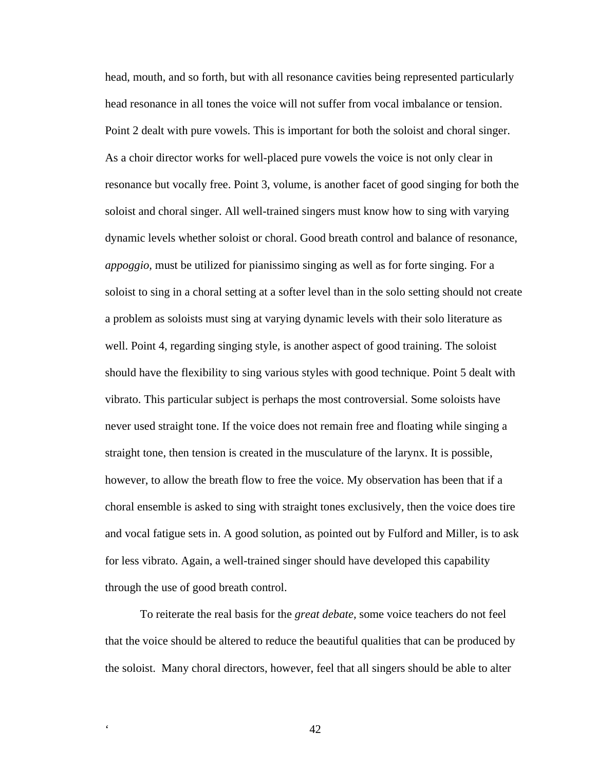head, mouth, and so forth, but with all resonance cavities being represented particularly head resonance in all tones the voice will not suffer from vocal imbalance or tension. Point 2 dealt with pure vowels. This is important for both the soloist and choral singer. As a choir director works for well-placed pure vowels the voice is not only clear in resonance but vocally free. Point 3, volume, is another facet of good singing for both the soloist and choral singer. All well-trained singers must know how to sing with varying dynamic levels whether soloist or choral. Good breath control and balance of resonance, *appoggio,* must be utilized for pianissimo singing as well as for forte singing. For a soloist to sing in a choral setting at a softer level than in the solo setting should not create a problem as soloists must sing at varying dynamic levels with their solo literature as well. Point 4, regarding singing style, is another aspect of good training. The soloist should have the flexibility to sing various styles with good technique. Point 5 dealt with vibrato. This particular subject is perhaps the most controversial. Some soloists have never used straight tone. If the voice does not remain free and floating while singing a straight tone, then tension is created in the musculature of the larynx. It is possible, however, to allow the breath flow to free the voice. My observation has been that if a choral ensemble is asked to sing with straight tones exclusively, then the voice does tire and vocal fatigue sets in. A good solution, as pointed out by Fulford and Miller, is to ask for less vibrato. Again, a well-trained singer should have developed this capability through the use of good breath control.

To reiterate the real basis for the *great debate,* some voice teachers do not feel that the voice should be altered to reduce the beautiful qualities that can be produced by the soloist. Many choral directors, however, feel that all singers should be able to alter

. **42**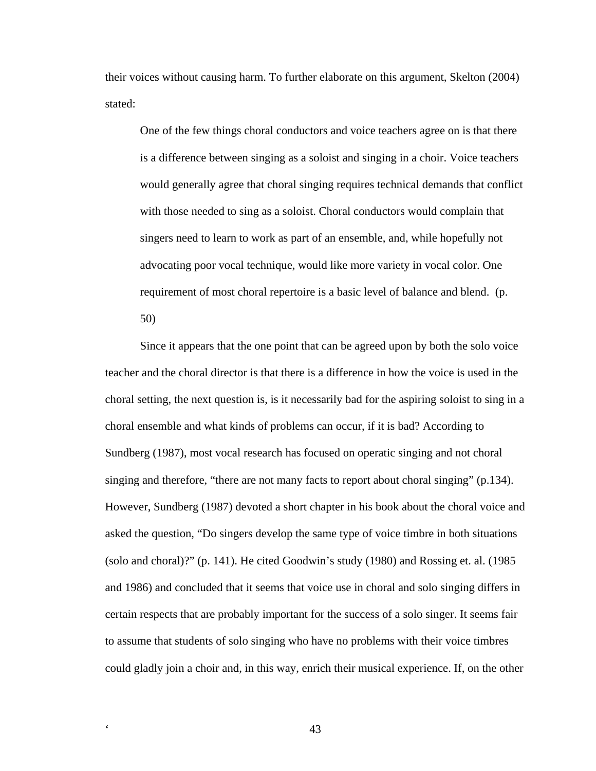their voices without causing harm. To further elaborate on this argument, Skelton (2004) stated:

One of the few things choral conductors and voice teachers agree on is that there is a difference between singing as a soloist and singing in a choir. Voice teachers would generally agree that choral singing requires technical demands that conflict with those needed to sing as a soloist. Choral conductors would complain that singers need to learn to work as part of an ensemble, and, while hopefully not advocating poor vocal technique, would like more variety in vocal color. One requirement of most choral repertoire is a basic level of balance and blend. (p. 50)

Since it appears that the one point that can be agreed upon by both the solo voice teacher and the choral director is that there is a difference in how the voice is used in the choral setting, the next question is, is it necessarily bad for the aspiring soloist to sing in a choral ensemble and what kinds of problems can occur, if it is bad? According to Sundberg (1987), most vocal research has focused on operatic singing and not choral singing and therefore, "there are not many facts to report about choral singing" (p.134). However, Sundberg (1987) devoted a short chapter in his book about the choral voice and asked the question, "Do singers develop the same type of voice timbre in both situations (solo and choral)?" (p. 141). He cited Goodwin's study (1980) and Rossing et. al. (1985 and 1986) and concluded that it seems that voice use in choral and solo singing differs in certain respects that are probably important for the success of a solo singer. It seems fair to assume that students of solo singing who have no problems with their voice timbres could gladly join a choir and, in this way, enrich their musical experience. If, on the other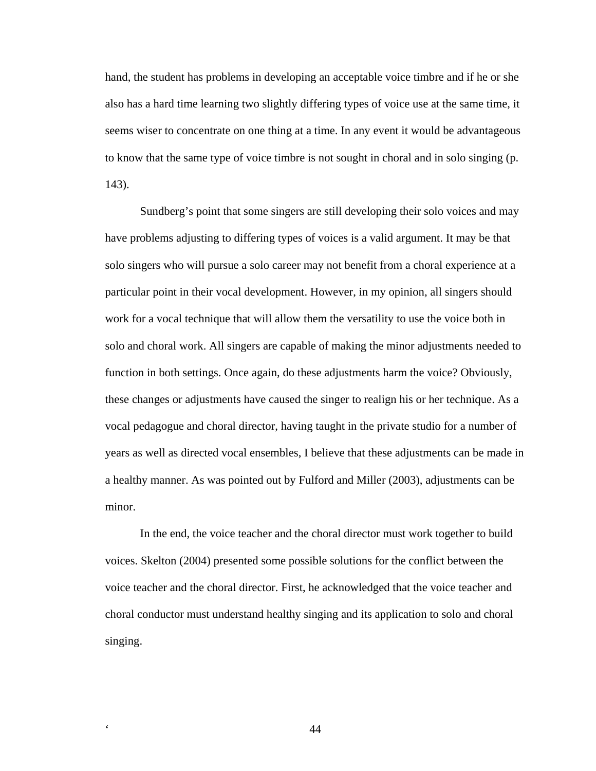hand, the student has problems in developing an acceptable voice timbre and if he or she also has a hard time learning two slightly differing types of voice use at the same time, it seems wiser to concentrate on one thing at a time. In any event it would be advantageous to know that the same type of voice timbre is not sought in choral and in solo singing (p. 143).

Sundberg's point that some singers are still developing their solo voices and may have problems adjusting to differing types of voices is a valid argument. It may be that solo singers who will pursue a solo career may not benefit from a choral experience at a particular point in their vocal development. However, in my opinion, all singers should work for a vocal technique that will allow them the versatility to use the voice both in solo and choral work. All singers are capable of making the minor adjustments needed to function in both settings. Once again, do these adjustments harm the voice? Obviously, these changes or adjustments have caused the singer to realign his or her technique. As a vocal pedagogue and choral director, having taught in the private studio for a number of years as well as directed vocal ensembles, I believe that these adjustments can be made in a healthy manner. As was pointed out by Fulford and Miller (2003), adjustments can be minor.

In the end, the voice teacher and the choral director must work together to build voices. Skelton (2004) presented some possible solutions for the conflict between the voice teacher and the choral director. First, he acknowledged that the voice teacher and choral conductor must understand healthy singing and its application to solo and choral singing.

. **44**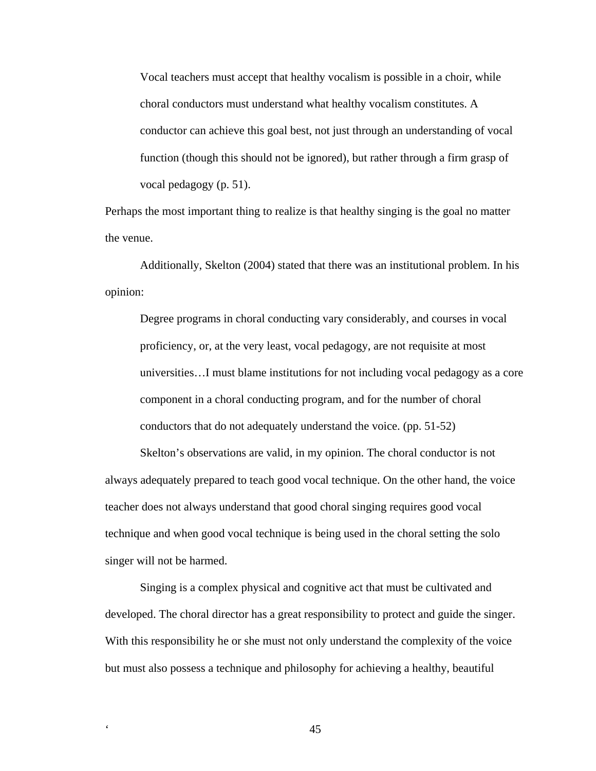Vocal teachers must accept that healthy vocalism is possible in a choir, while choral conductors must understand what healthy vocalism constitutes. A conductor can achieve this goal best, not just through an understanding of vocal function (though this should not be ignored), but rather through a firm grasp of vocal pedagogy (p. 51).

Perhaps the most important thing to realize is that healthy singing is the goal no matter the venue.

Additionally, Skelton (2004) stated that there was an institutional problem. In his opinion:

Degree programs in choral conducting vary considerably, and courses in vocal proficiency, or, at the very least, vocal pedagogy, are not requisite at most universities…I must blame institutions for not including vocal pedagogy as a core component in a choral conducting program, and for the number of choral conductors that do not adequately understand the voice. (pp. 51-52)

Skelton's observations are valid, in my opinion. The choral conductor is not always adequately prepared to teach good vocal technique. On the other hand, the voice teacher does not always understand that good choral singing requires good vocal technique and when good vocal technique is being used in the choral setting the solo singer will not be harmed.

Singing is a complex physical and cognitive act that must be cultivated and developed. The choral director has a great responsibility to protect and guide the singer. With this responsibility he or she must not only understand the complexity of the voice but must also possess a technique and philosophy for achieving a healthy, beautiful

 $\sim$  45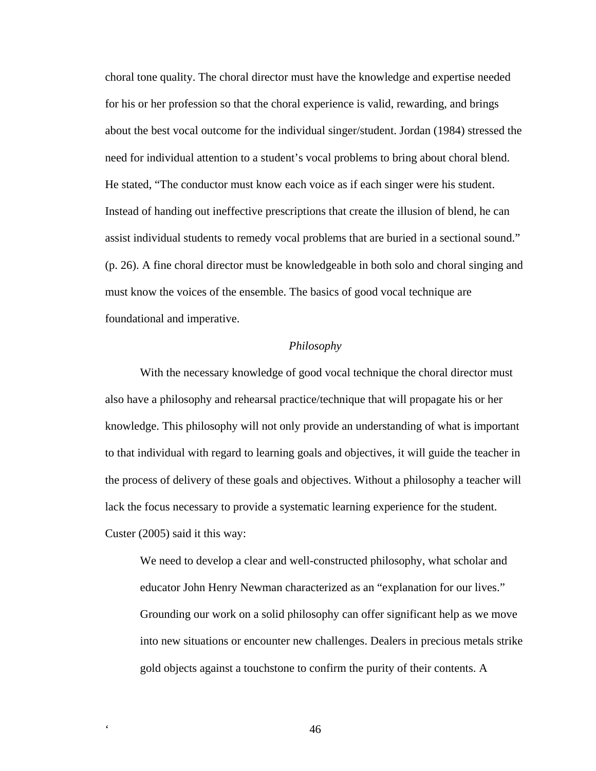choral tone quality. The choral director must have the knowledge and expertise needed for his or her profession so that the choral experience is valid, rewarding, and brings about the best vocal outcome for the individual singer/student. Jordan (1984) stressed the need for individual attention to a student's vocal problems to bring about choral blend. He stated, "The conductor must know each voice as if each singer were his student. Instead of handing out ineffective prescriptions that create the illusion of blend, he can assist individual students to remedy vocal problems that are buried in a sectional sound." (p. 26). A fine choral director must be knowledgeable in both solo and choral singing and must know the voices of the ensemble. The basics of good vocal technique are foundational and imperative.

# *Philosophy*

With the necessary knowledge of good vocal technique the choral director must also have a philosophy and rehearsal practice/technique that will propagate his or her knowledge. This philosophy will not only provide an understanding of what is important to that individual with regard to learning goals and objectives, it will guide the teacher in the process of delivery of these goals and objectives. Without a philosophy a teacher will lack the focus necessary to provide a systematic learning experience for the student. Custer (2005) said it this way:

We need to develop a clear and well-constructed philosophy, what scholar and educator John Henry Newman characterized as an "explanation for our lives." Grounding our work on a solid philosophy can offer significant help as we move into new situations or encounter new challenges. Dealers in precious metals strike gold objects against a touchstone to confirm the purity of their contents. A

. **46**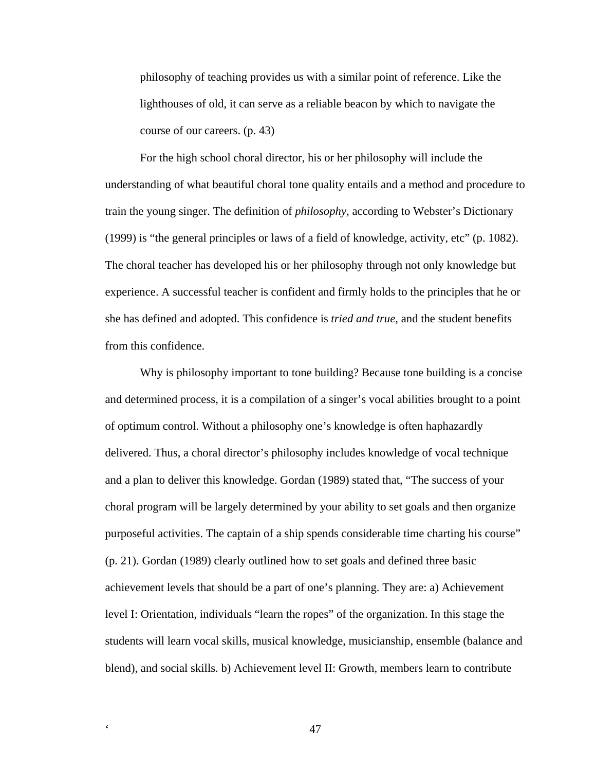philosophy of teaching provides us with a similar point of reference. Like the lighthouses of old, it can serve as a reliable beacon by which to navigate the course of our careers. (p. 43)

For the high school choral director, his or her philosophy will include the understanding of what beautiful choral tone quality entails and a method and procedure to train the young singer. The definition of *philosophy,* according to Webster's Dictionary (1999) is "the general principles or laws of a field of knowledge, activity, etc" (p. 1082). The choral teacher has developed his or her philosophy through not only knowledge but experience. A successful teacher is confident and firmly holds to the principles that he or she has defined and adopted. This confidence is *tried and true,* and the student benefits from this confidence.

Why is philosophy important to tone building? Because tone building is a concise and determined process, it is a compilation of a singer's vocal abilities brought to a point of optimum control. Without a philosophy one's knowledge is often haphazardly delivered. Thus, a choral director's philosophy includes knowledge of vocal technique and a plan to deliver this knowledge. Gordan (1989) stated that, "The success of your choral program will be largely determined by your ability to set goals and then organize purposeful activities. The captain of a ship spends considerable time charting his course" (p. 21). Gordan (1989) clearly outlined how to set goals and defined three basic achievement levels that should be a part of one's planning. They are: a) Achievement level I: Orientation, individuals "learn the ropes" of the organization. In this stage the students will learn vocal skills, musical knowledge, musicianship, ensemble (balance and blend), and social skills. b) Achievement level II: Growth, members learn to contribute

е с процента в 147 године в 147 године в 147 године в 147 године в 147 године в 147 године в 147 године в 147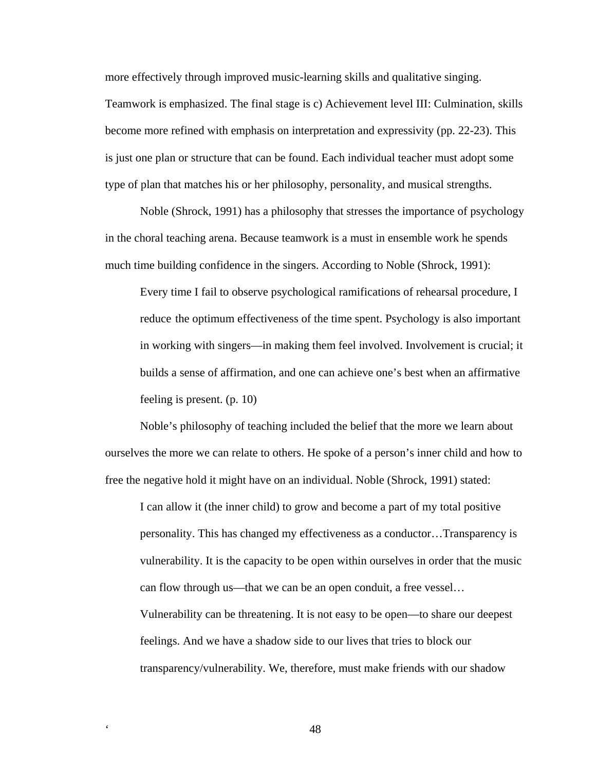more effectively through improved music-learning skills and qualitative singing.

Teamwork is emphasized. The final stage is c) Achievement level III: Culmination, skills become more refined with emphasis on interpretation and expressivity (pp. 22-23). This is just one plan or structure that can be found. Each individual teacher must adopt some type of plan that matches his or her philosophy, personality, and musical strengths.

Noble (Shrock, 1991) has a philosophy that stresses the importance of psychology in the choral teaching arena. Because teamwork is a must in ensemble work he spends much time building confidence in the singers. According to Noble (Shrock, 1991):

Every time I fail to observe psychological ramifications of rehearsal procedure, I reduce the optimum effectiveness of the time spent. Psychology is also important in working with singers—in making them feel involved. Involvement is crucial; it builds a sense of affirmation, and one can achieve one's best when an affirmative feeling is present. (p. 10)

Noble's philosophy of teaching included the belief that the more we learn about ourselves the more we can relate to others. He spoke of a person's inner child and how to free the negative hold it might have on an individual. Noble (Shrock, 1991) stated:

I can allow it (the inner child) to grow and become a part of my total positive personality. This has changed my effectiveness as a conductor…Transparency is vulnerability. It is the capacity to be open within ourselves in order that the music can flow through us—that we can be an open conduit, a free vessel… Vulnerability can be threatening. It is not easy to be open—to share our deepest feelings. And we have a shadow side to our lives that tries to block our transparency/vulnerability. We, therefore, must make friends with our shadow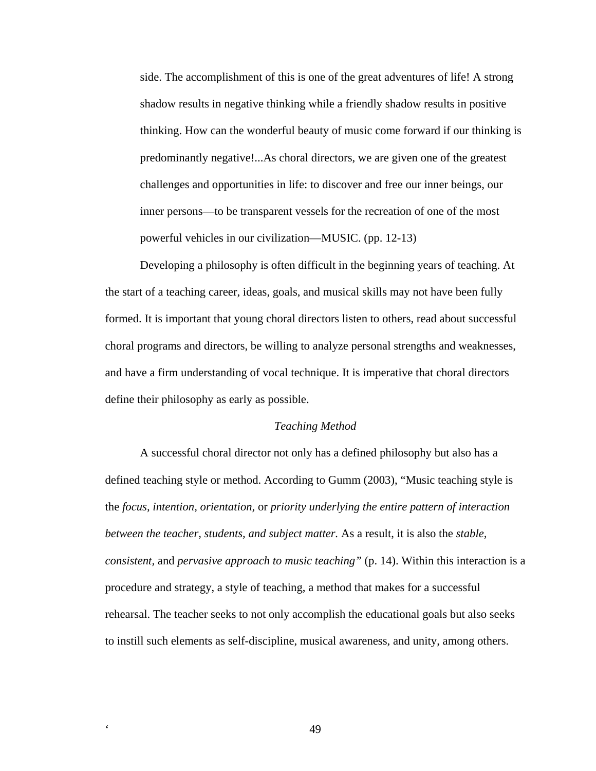side. The accomplishment of this is one of the great adventures of life! A strong shadow results in negative thinking while a friendly shadow results in positive thinking. How can the wonderful beauty of music come forward if our thinking is predominantly negative!...As choral directors, we are given one of the greatest challenges and opportunities in life: to discover and free our inner beings, our inner persons—to be transparent vessels for the recreation of one of the most powerful vehicles in our civilization—MUSIC. (pp. 12-13)

Developing a philosophy is often difficult in the beginning years of teaching. At the start of a teaching career, ideas, goals, and musical skills may not have been fully formed. It is important that young choral directors listen to others, read about successful choral programs and directors, be willing to analyze personal strengths and weaknesses, and have a firm understanding of vocal technique. It is imperative that choral directors define their philosophy as early as possible.

## *Teaching Method*

A successful choral director not only has a defined philosophy but also has a defined teaching style or method. According to Gumm (2003), "Music teaching style is the *focus, intention, orientation,* or *priority underlying the entire pattern of interaction between the teacher, students, and subject matter.* As a result, it is also the *stable, consistent,* and *pervasive approach to music teaching"* (p. 14). Within this interaction is a procedure and strategy, a style of teaching, a method that makes for a successful rehearsal. The teacher seeks to not only accomplish the educational goals but also seeks to instill such elements as self-discipline, musical awareness, and unity, among others.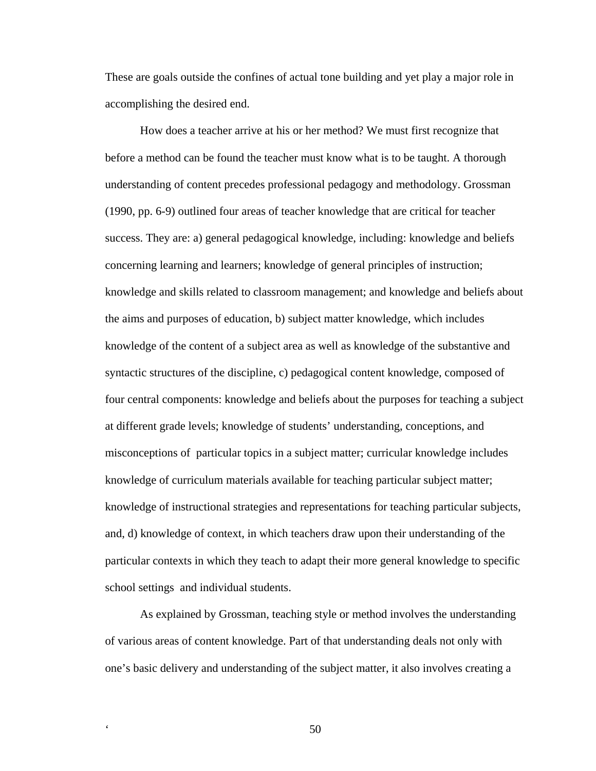These are goals outside the confines of actual tone building and yet play a major role in accomplishing the desired end.

How does a teacher arrive at his or her method? We must first recognize that before a method can be found the teacher must know what is to be taught. A thorough understanding of content precedes professional pedagogy and methodology. Grossman (1990, pp. 6-9) outlined four areas of teacher knowledge that are critical for teacher success. They are: a) general pedagogical knowledge, including: knowledge and beliefs concerning learning and learners; knowledge of general principles of instruction; knowledge and skills related to classroom management; and knowledge and beliefs about the aims and purposes of education, b) subject matter knowledge, which includes knowledge of the content of a subject area as well as knowledge of the substantive and syntactic structures of the discipline, c) pedagogical content knowledge, composed of four central components: knowledge and beliefs about the purposes for teaching a subject at different grade levels; knowledge of students' understanding, conceptions, and misconceptions of particular topics in a subject matter; curricular knowledge includes knowledge of curriculum materials available for teaching particular subject matter; knowledge of instructional strategies and representations for teaching particular subjects, and, d) knowledge of context, in which teachers draw upon their understanding of the particular contexts in which they teach to adapt their more general knowledge to specific school settings and individual students.

As explained by Grossman, teaching style or method involves the understanding of various areas of content knowledge. Part of that understanding deals not only with one's basic delivery and understanding of the subject matter, it also involves creating a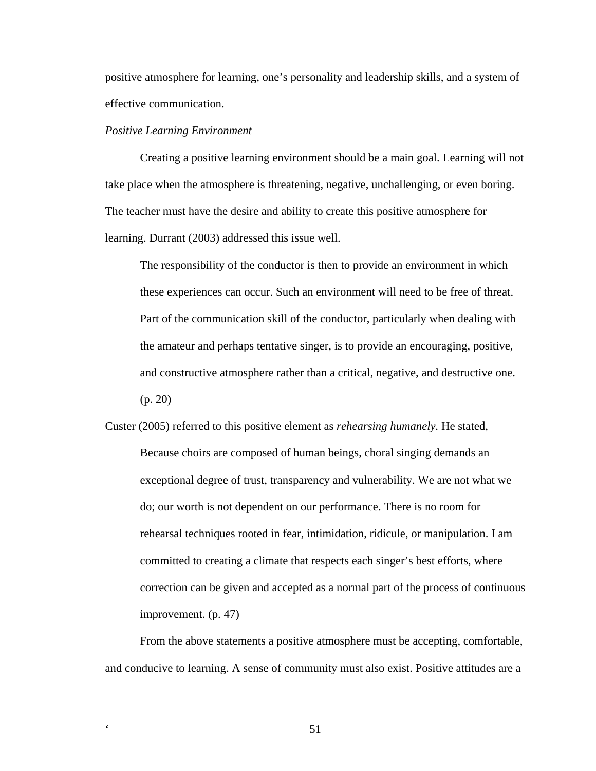positive atmosphere for learning, one's personality and leadership skills, and a system of effective communication.

# *Positive Learning Environment*

Creating a positive learning environment should be a main goal. Learning will not take place when the atmosphere is threatening, negative, unchallenging, or even boring. The teacher must have the desire and ability to create this positive atmosphere for learning. Durrant (2003) addressed this issue well.

The responsibility of the conductor is then to provide an environment in which these experiences can occur. Such an environment will need to be free of threat. Part of the communication skill of the conductor, particularly when dealing with the amateur and perhaps tentative singer, is to provide an encouraging, positive, and constructive atmosphere rather than a critical, negative, and destructive one. (p. 20)

Custer (2005) referred to this positive element as *rehearsing humanely.* He stated, Because choirs are composed of human beings, choral singing demands an exceptional degree of trust, transparency and vulnerability. We are not what we do; our worth is not dependent on our performance. There is no room for rehearsal techniques rooted in fear, intimidation, ridicule, or manipulation. I am committed to creating a climate that respects each singer's best efforts, where correction can be given and accepted as a normal part of the process of continuous improvement. (p. 47)

From the above statements a positive atmosphere must be accepting, comfortable, and conducive to learning. A sense of community must also exist. Positive attitudes are a

 $\sim$  51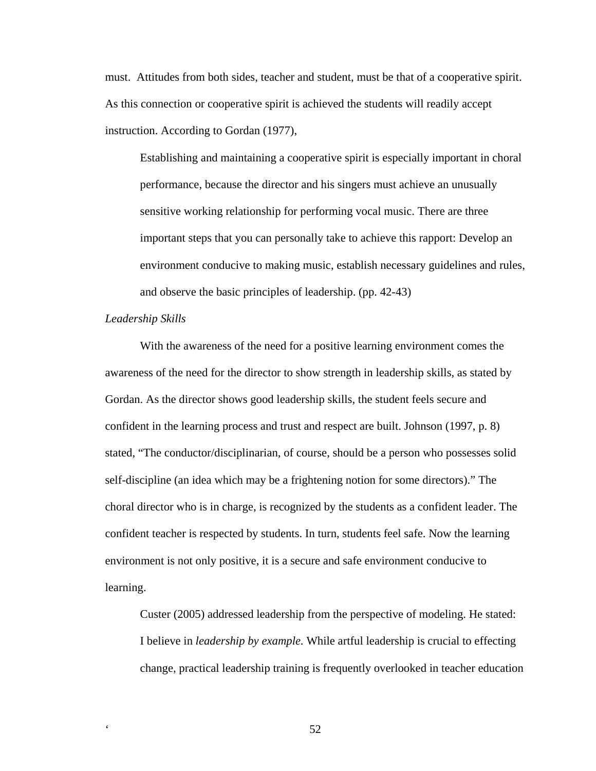must. Attitudes from both sides, teacher and student, must be that of a cooperative spirit. As this connection or cooperative spirit is achieved the students will readily accept instruction. According to Gordan (1977),

Establishing and maintaining a cooperative spirit is especially important in choral performance, because the director and his singers must achieve an unusually sensitive working relationship for performing vocal music. There are three important steps that you can personally take to achieve this rapport: Develop an environment conducive to making music, establish necessary guidelines and rules, and observe the basic principles of leadership. (pp. 42-43)

# *Leadership Skills*

With the awareness of the need for a positive learning environment comes the awareness of the need for the director to show strength in leadership skills, as stated by Gordan. As the director shows good leadership skills, the student feels secure and confident in the learning process and trust and respect are built. Johnson (1997, p. 8) stated, "The conductor/disciplinarian, of course, should be a person who possesses solid self-discipline (an idea which may be a frightening notion for some directors)." The choral director who is in charge, is recognized by the students as a confident leader. The confident teacher is respected by students. In turn, students feel safe. Now the learning environment is not only positive, it is a secure and safe environment conducive to learning.

Custer (2005) addressed leadership from the perspective of modeling. He stated: I believe in *leadership by example.* While artful leadership is crucial to effecting change, practical leadership training is frequently overlooked in teacher education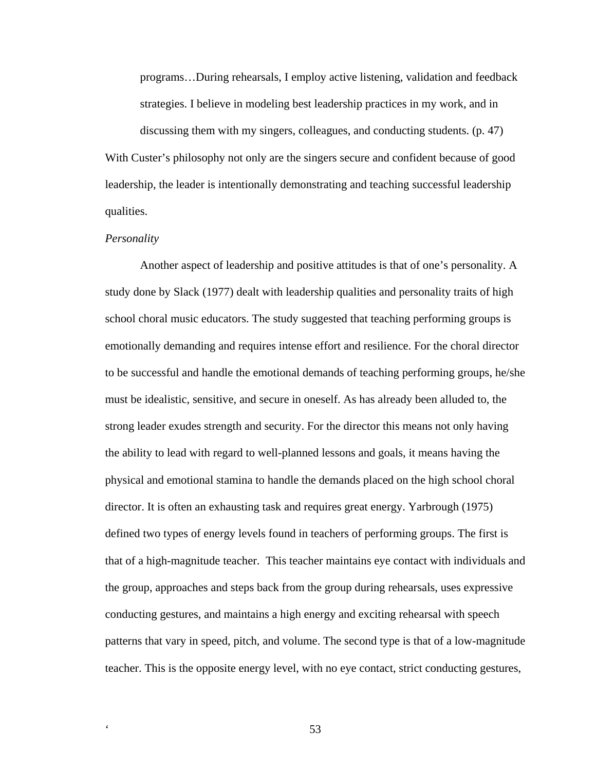programs…During rehearsals, I employ active listening, validation and feedback strategies. I believe in modeling best leadership practices in my work, and in

discussing them with my singers, colleagues, and conducting students. (p. 47) With Custer's philosophy not only are the singers secure and confident because of good leadership, the leader is intentionally demonstrating and teaching successful leadership qualities.

#### *Personality*

Another aspect of leadership and positive attitudes is that of one's personality. A study done by Slack (1977) dealt with leadership qualities and personality traits of high school choral music educators. The study suggested that teaching performing groups is emotionally demanding and requires intense effort and resilience. For the choral director to be successful and handle the emotional demands of teaching performing groups, he/she must be idealistic, sensitive, and secure in oneself. As has already been alluded to, the strong leader exudes strength and security. For the director this means not only having the ability to lead with regard to well-planned lessons and goals, it means having the physical and emotional stamina to handle the demands placed on the high school choral director. It is often an exhausting task and requires great energy. Yarbrough (1975) defined two types of energy levels found in teachers of performing groups. The first is that of a high-magnitude teacher. This teacher maintains eye contact with individuals and the group, approaches and steps back from the group during rehearsals, uses expressive conducting gestures, and maintains a high energy and exciting rehearsal with speech patterns that vary in speed, pitch, and volume. The second type is that of a low-magnitude teacher. This is the opposite energy level, with no eye contact, strict conducting gestures,

 $\sim$  53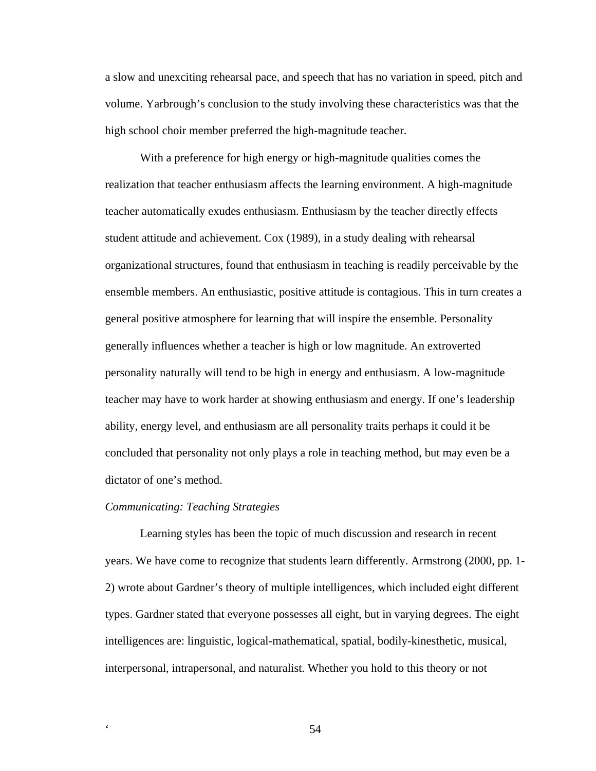a slow and unexciting rehearsal pace, and speech that has no variation in speed, pitch and volume. Yarbrough's conclusion to the study involving these characteristics was that the high school choir member preferred the high-magnitude teacher.

With a preference for high energy or high-magnitude qualities comes the realization that teacher enthusiasm affects the learning environment. A high-magnitude teacher automatically exudes enthusiasm. Enthusiasm by the teacher directly effects student attitude and achievement. Cox (1989), in a study dealing with rehearsal organizational structures, found that enthusiasm in teaching is readily perceivable by the ensemble members. An enthusiastic, positive attitude is contagious. This in turn creates a general positive atmosphere for learning that will inspire the ensemble. Personality generally influences whether a teacher is high or low magnitude. An extroverted personality naturally will tend to be high in energy and enthusiasm. A low-magnitude teacher may have to work harder at showing enthusiasm and energy. If one's leadership ability, energy level, and enthusiasm are all personality traits perhaps it could it be concluded that personality not only plays a role in teaching method, but may even be a dictator of one's method.

### *Communicating: Teaching Strategies*

Learning styles has been the topic of much discussion and research in recent years. We have come to recognize that students learn differently. Armstrong (2000, pp. 1- 2) wrote about Gardner's theory of multiple intelligences, which included eight different types. Gardner stated that everyone possesses all eight, but in varying degrees. The eight intelligences are: linguistic, logical-mathematical, spatial, bodily-kinesthetic, musical, interpersonal, intrapersonal, and naturalist. Whether you hold to this theory or not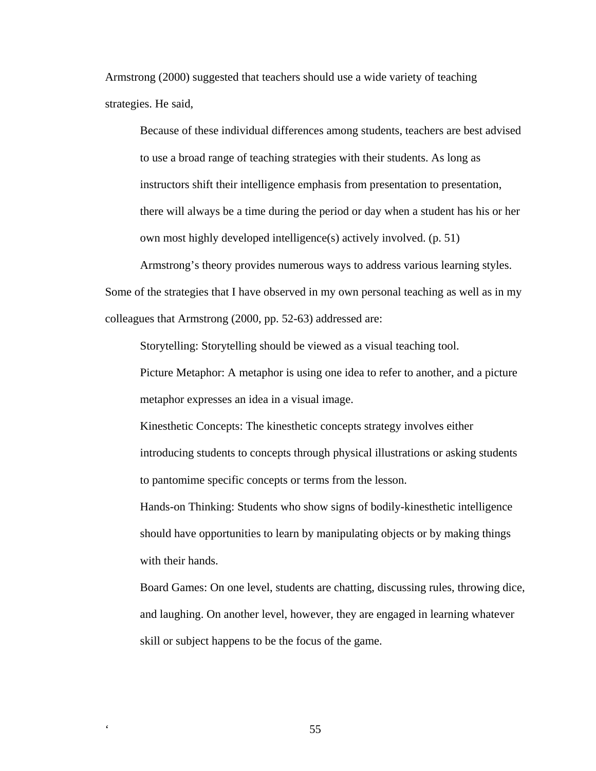Armstrong (2000) suggested that teachers should use a wide variety of teaching strategies. He said,

Because of these individual differences among students, teachers are best advised to use a broad range of teaching strategies with their students. As long as instructors shift their intelligence emphasis from presentation to presentation, there will always be a time during the period or day when a student has his or her own most highly developed intelligence(s) actively involved. (p. 51)

Armstrong's theory provides numerous ways to address various learning styles. Some of the strategies that I have observed in my own personal teaching as well as in my colleagues that Armstrong (2000, pp. 52-63) addressed are:

Storytelling: Storytelling should be viewed as a visual teaching tool.

Picture Metaphor: A metaphor is using one idea to refer to another, and a picture metaphor expresses an idea in a visual image.

Kinesthetic Concepts: The kinesthetic concepts strategy involves either introducing students to concepts through physical illustrations or asking students to pantomime specific concepts or terms from the lesson.

Hands-on Thinking: Students who show signs of bodily-kinesthetic intelligence should have opportunities to learn by manipulating objects or by making things with their hands.

Board Games: On one level, students are chatting, discussing rules, throwing dice, and laughing. On another level, however, they are engaged in learning whatever skill or subject happens to be the focus of the game.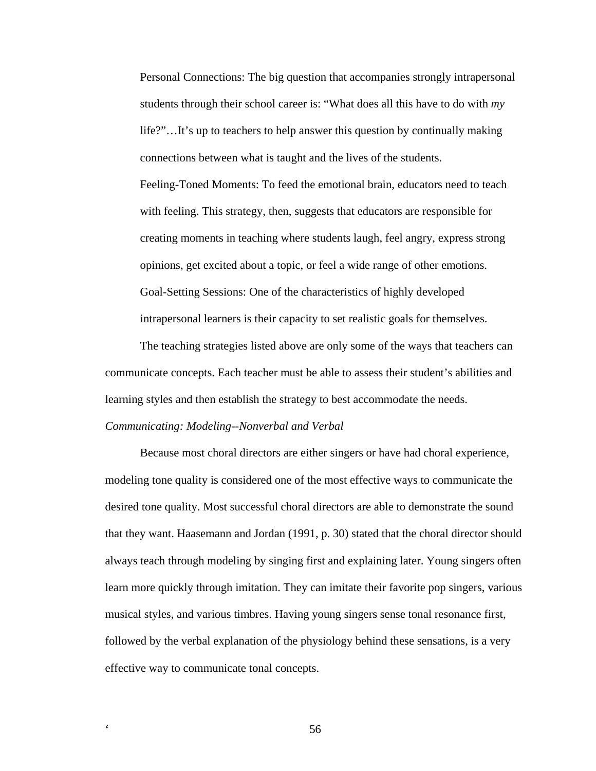Personal Connections: The big question that accompanies strongly intrapersonal students through their school career is: "What does all this have to do with *my*  life?"…It's up to teachers to help answer this question by continually making connections between what is taught and the lives of the students.

Feeling-Toned Moments: To feed the emotional brain, educators need to teach with feeling. This strategy, then, suggests that educators are responsible for creating moments in teaching where students laugh, feel angry, express strong opinions, get excited about a topic, or feel a wide range of other emotions. Goal-Setting Sessions: One of the characteristics of highly developed intrapersonal learners is their capacity to set realistic goals for themselves.

The teaching strategies listed above are only some of the ways that teachers can communicate concepts. Each teacher must be able to assess their student's abilities and learning styles and then establish the strategy to best accommodate the needs.

## *Communicating: Modeling--Nonverbal and Verbal*

Because most choral directors are either singers or have had choral experience, modeling tone quality is considered one of the most effective ways to communicate the desired tone quality. Most successful choral directors are able to demonstrate the sound that they want. Haasemann and Jordan (1991, p. 30) stated that the choral director should always teach through modeling by singing first and explaining later. Young singers often learn more quickly through imitation. They can imitate their favorite pop singers, various musical styles, and various timbres. Having young singers sense tonal resonance first, followed by the verbal explanation of the physiology behind these sensations, is a very effective way to communicate tonal concepts.

 $\sim$  56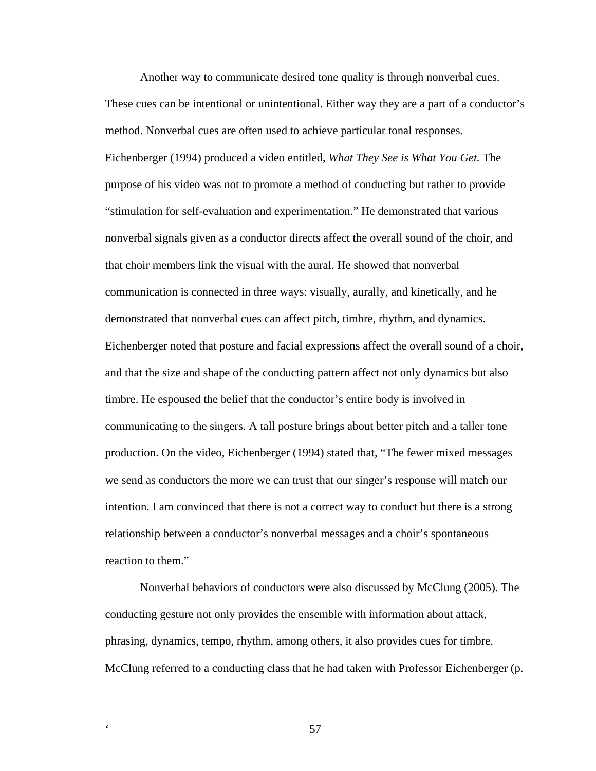Another way to communicate desired tone quality is through nonverbal cues. These cues can be intentional or unintentional. Either way they are a part of a conductor's method. Nonverbal cues are often used to achieve particular tonal responses. Eichenberger (1994) produced a video entitled, *What They See is What You Get.* The purpose of his video was not to promote a method of conducting but rather to provide "stimulation for self-evaluation and experimentation." He demonstrated that various nonverbal signals given as a conductor directs affect the overall sound of the choir, and that choir members link the visual with the aural. He showed that nonverbal communication is connected in three ways: visually, aurally, and kinetically, and he demonstrated that nonverbal cues can affect pitch, timbre, rhythm, and dynamics. Eichenberger noted that posture and facial expressions affect the overall sound of a choir, and that the size and shape of the conducting pattern affect not only dynamics but also timbre. He espoused the belief that the conductor's entire body is involved in communicating to the singers. A tall posture brings about better pitch and a taller tone production. On the video, Eichenberger (1994) stated that, "The fewer mixed messages we send as conductors the more we can trust that our singer's response will match our intention. I am convinced that there is not a correct way to conduct but there is a strong relationship between a conductor's nonverbal messages and a choir's spontaneous reaction to them."

Nonverbal behaviors of conductors were also discussed by McClung (2005). The conducting gesture not only provides the ensemble with information about attack, phrasing, dynamics, tempo, rhythm, among others, it also provides cues for timbre. McClung referred to a conducting class that he had taken with Professor Eichenberger (p.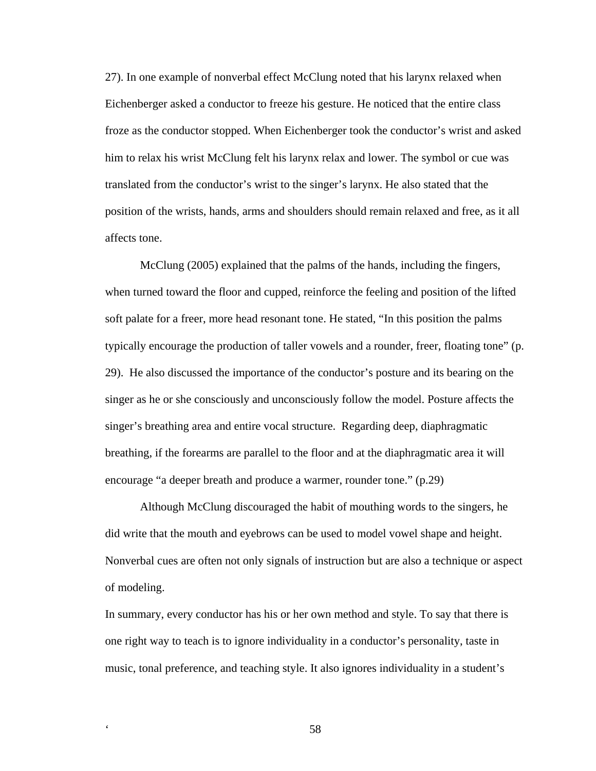27). In one example of nonverbal effect McClung noted that his larynx relaxed when Eichenberger asked a conductor to freeze his gesture. He noticed that the entire class froze as the conductor stopped. When Eichenberger took the conductor's wrist and asked him to relax his wrist McClung felt his larynx relax and lower. The symbol or cue was translated from the conductor's wrist to the singer's larynx. He also stated that the position of the wrists, hands, arms and shoulders should remain relaxed and free, as it all affects tone.

McClung (2005) explained that the palms of the hands, including the fingers, when turned toward the floor and cupped, reinforce the feeling and position of the lifted soft palate for a freer, more head resonant tone. He stated, "In this position the palms typically encourage the production of taller vowels and a rounder, freer, floating tone" (p. 29). He also discussed the importance of the conductor's posture and its bearing on the singer as he or she consciously and unconsciously follow the model. Posture affects the singer's breathing area and entire vocal structure. Regarding deep, diaphragmatic breathing, if the forearms are parallel to the floor and at the diaphragmatic area it will encourage "a deeper breath and produce a warmer, rounder tone." (p.29)

Although McClung discouraged the habit of mouthing words to the singers, he did write that the mouth and eyebrows can be used to model vowel shape and height. Nonverbal cues are often not only signals of instruction but are also a technique or aspect of modeling.

In summary, every conductor has his or her own method and style. To say that there is one right way to teach is to ignore individuality in a conductor's personality, taste in music, tonal preference, and teaching style. It also ignores individuality in a student's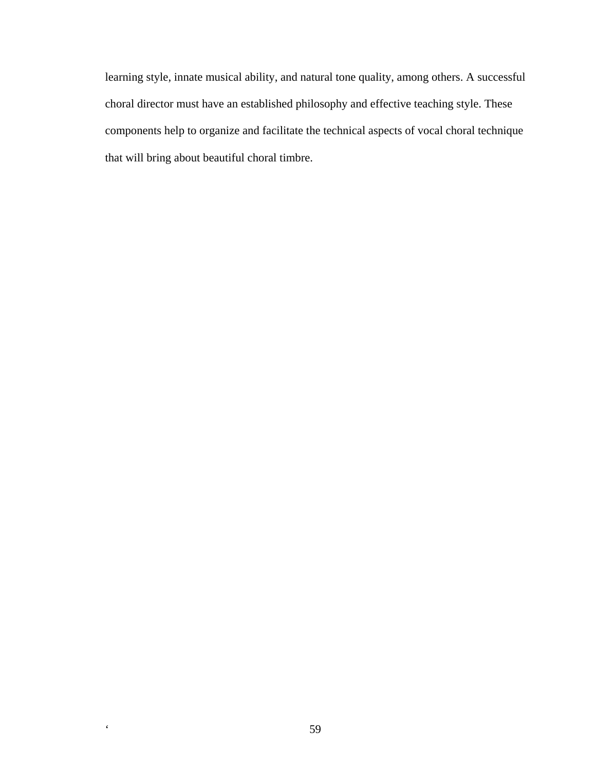learning style, innate musical ability, and natural tone quality, among others. A successful choral director must have an established philosophy and effective teaching style. These components help to organize and facilitate the technical aspects of vocal choral technique that will bring about beautiful choral timbre.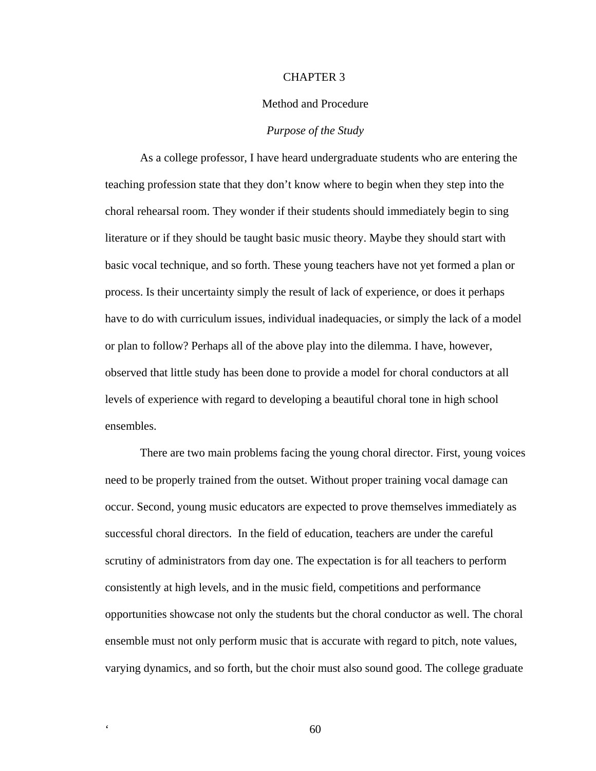# CHAPTER 3

# Method and Procedure

## *Purpose of the Study*

As a college professor, I have heard undergraduate students who are entering the teaching profession state that they don't know where to begin when they step into the choral rehearsal room. They wonder if their students should immediately begin to sing literature or if they should be taught basic music theory. Maybe they should start with basic vocal technique, and so forth. These young teachers have not yet formed a plan or process. Is their uncertainty simply the result of lack of experience, or does it perhaps have to do with curriculum issues, individual inadequacies, or simply the lack of a model or plan to follow? Perhaps all of the above play into the dilemma. I have, however, observed that little study has been done to provide a model for choral conductors at all levels of experience with regard to developing a beautiful choral tone in high school ensembles.

There are two main problems facing the young choral director. First, young voices need to be properly trained from the outset. Without proper training vocal damage can occur. Second, young music educators are expected to prove themselves immediately as successful choral directors. In the field of education, teachers are under the careful scrutiny of administrators from day one. The expectation is for all teachers to perform consistently at high levels, and in the music field, competitions and performance opportunities showcase not only the students but the choral conductor as well. The choral ensemble must not only perform music that is accurate with regard to pitch, note values, varying dynamics, and so forth, but the choir must also sound good. The college graduate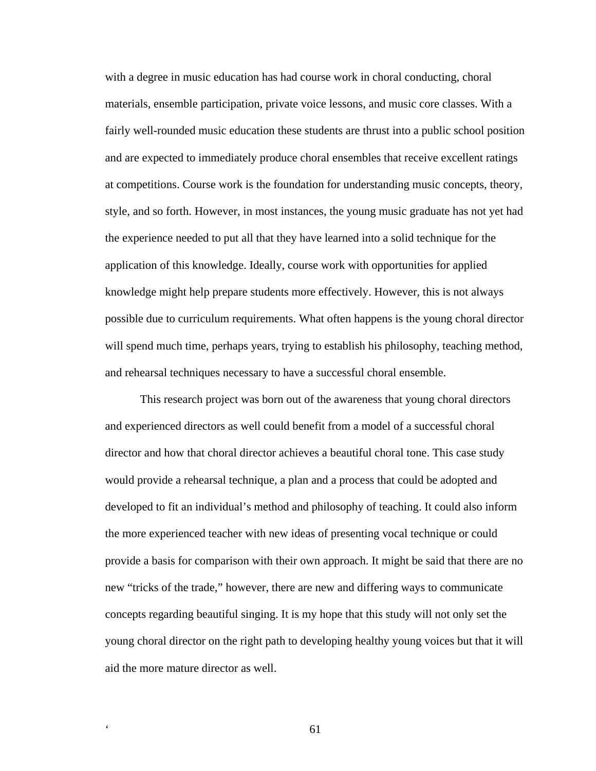with a degree in music education has had course work in choral conducting, choral materials, ensemble participation, private voice lessons, and music core classes. With a fairly well-rounded music education these students are thrust into a public school position and are expected to immediately produce choral ensembles that receive excellent ratings at competitions. Course work is the foundation for understanding music concepts, theory, style, and so forth. However, in most instances, the young music graduate has not yet had the experience needed to put all that they have learned into a solid technique for the application of this knowledge. Ideally, course work with opportunities for applied knowledge might help prepare students more effectively. However, this is not always possible due to curriculum requirements. What often happens is the young choral director will spend much time, perhaps years, trying to establish his philosophy, teaching method, and rehearsal techniques necessary to have a successful choral ensemble.

This research project was born out of the awareness that young choral directors and experienced directors as well could benefit from a model of a successful choral director and how that choral director achieves a beautiful choral tone. This case study would provide a rehearsal technique, a plan and a process that could be adopted and developed to fit an individual's method and philosophy of teaching. It could also inform the more experienced teacher with new ideas of presenting vocal technique or could provide a basis for comparison with their own approach. It might be said that there are no new "tricks of the trade," however, there are new and differing ways to communicate concepts regarding beautiful singing. It is my hope that this study will not only set the young choral director on the right path to developing healthy young voices but that it will aid the more mature director as well.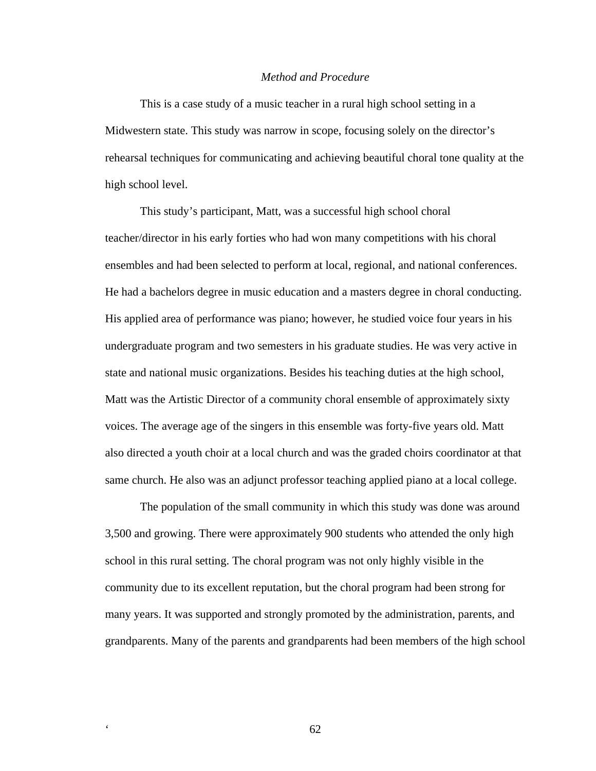# *Method and Procedure*

This is a case study of a music teacher in a rural high school setting in a Midwestern state. This study was narrow in scope, focusing solely on the director's rehearsal techniques for communicating and achieving beautiful choral tone quality at the high school level.

This study's participant, Matt, was a successful high school choral teacher/director in his early forties who had won many competitions with his choral ensembles and had been selected to perform at local, regional, and national conferences. He had a bachelors degree in music education and a masters degree in choral conducting. His applied area of performance was piano; however, he studied voice four years in his undergraduate program and two semesters in his graduate studies. He was very active in state and national music organizations. Besides his teaching duties at the high school, Matt was the Artistic Director of a community choral ensemble of approximately sixty voices. The average age of the singers in this ensemble was forty-five years old. Matt also directed a youth choir at a local church and was the graded choirs coordinator at that same church. He also was an adjunct professor teaching applied piano at a local college.

The population of the small community in which this study was done was around 3,500 and growing. There were approximately 900 students who attended the only high school in this rural setting. The choral program was not only highly visible in the community due to its excellent reputation, but the choral program had been strong for many years. It was supported and strongly promoted by the administration, parents, and grandparents. Many of the parents and grandparents had been members of the high school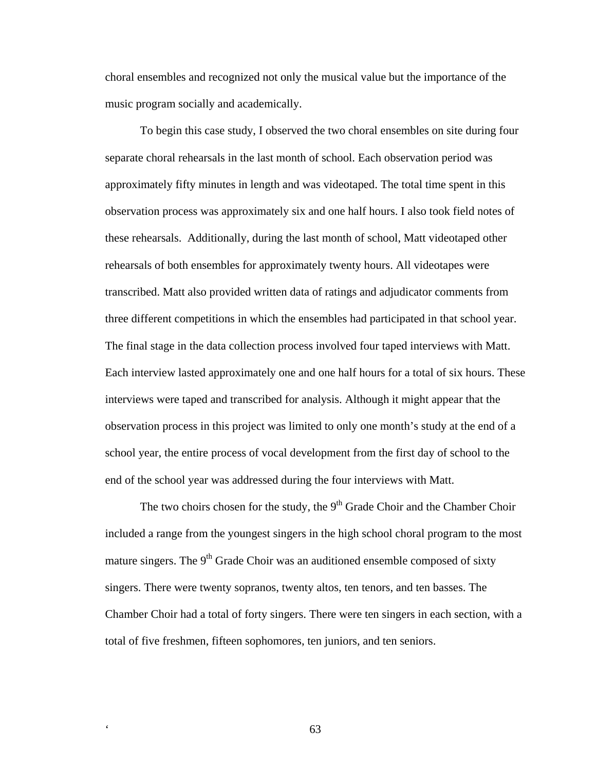choral ensembles and recognized not only the musical value but the importance of the music program socially and academically.

To begin this case study, I observed the two choral ensembles on site during four separate choral rehearsals in the last month of school. Each observation period was approximately fifty minutes in length and was videotaped. The total time spent in this observation process was approximately six and one half hours. I also took field notes of these rehearsals. Additionally, during the last month of school, Matt videotaped other rehearsals of both ensembles for approximately twenty hours. All videotapes were transcribed. Matt also provided written data of ratings and adjudicator comments from three different competitions in which the ensembles had participated in that school year. The final stage in the data collection process involved four taped interviews with Matt. Each interview lasted approximately one and one half hours for a total of six hours. These interviews were taped and transcribed for analysis. Although it might appear that the observation process in this project was limited to only one month's study at the end of a school year, the entire process of vocal development from the first day of school to the end of the school year was addressed during the four interviews with Matt.

The two choirs chosen for the study, the  $9<sup>th</sup>$  Grade Choir and the Chamber Choir included a range from the youngest singers in the high school choral program to the most mature singers. The  $9<sup>th</sup>$  Grade Choir was an auditioned ensemble composed of sixty singers. There were twenty sopranos, twenty altos, ten tenors, and ten basses. The Chamber Choir had a total of forty singers. There were ten singers in each section, with a total of five freshmen, fifteen sophomores, ten juniors, and ten seniors.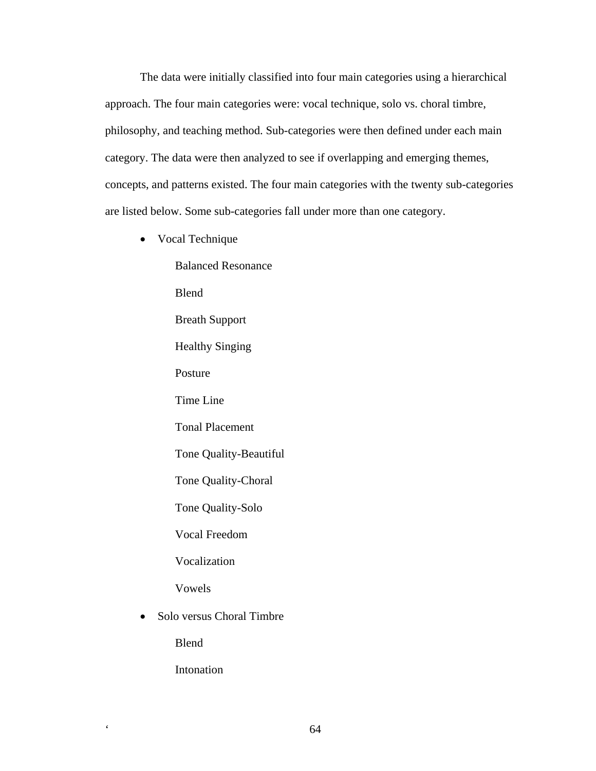The data were initially classified into four main categories using a hierarchical approach. The four main categories were: vocal technique, solo vs. choral timbre, philosophy, and teaching method. Sub-categories were then defined under each main category. The data were then analyzed to see if overlapping and emerging themes, concepts, and patterns existed. The four main categories with the twenty sub-categories are listed below. Some sub-categories fall under more than one category.

• Vocal Technique

Balanced Resonance Blend Breath Support Healthy Singing Posture Time Line Tonal Placement Tone Quality-Beautiful Tone Quality-Choral Tone Quality-Solo Vocal Freedom Vocalization Vowels • Solo versus Choral Timbre Blend

Intonation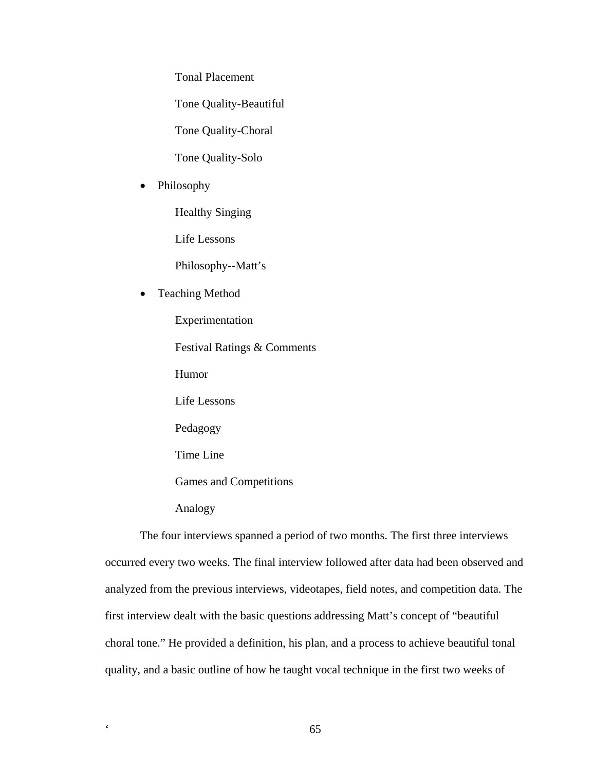Tonal Placement

Tone Quality-Beautiful

Tone Quality-Choral

Tone Quality-Solo

• Philosophy

Healthy Singing

Life Lessons

Philosophy--Matt's

Teaching Method

Experimentation

Festival Ratings & Comments

Humor

Life Lessons

Pedagogy

Time Line

Games and Competitions

Analogy

The four interviews spanned a period of two months. The first three interviews occurred every two weeks. The final interview followed after data had been observed and analyzed from the previous interviews, videotapes, field notes, and competition data. The first interview dealt with the basic questions addressing Matt's concept of "beautiful choral tone." He provided a definition, his plan, and a process to achieve beautiful tonal quality, and a basic outline of how he taught vocal technique in the first two weeks of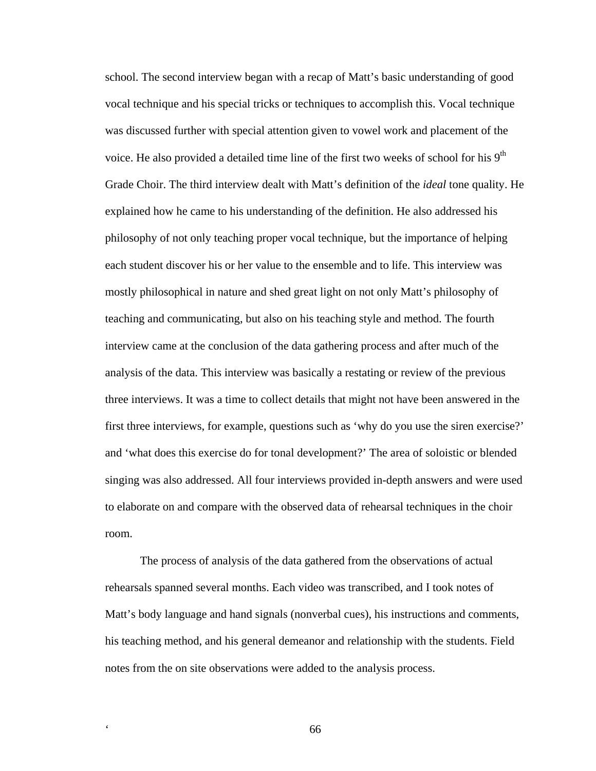school. The second interview began with a recap of Matt's basic understanding of good vocal technique and his special tricks or techniques to accomplish this. Vocal technique was discussed further with special attention given to vowel work and placement of the voice. He also provided a detailed time line of the first two weeks of school for his 9<sup>th</sup> Grade Choir. The third interview dealt with Matt's definition of the *ideal* tone quality. He explained how he came to his understanding of the definition. He also addressed his philosophy of not only teaching proper vocal technique, but the importance of helping each student discover his or her value to the ensemble and to life. This interview was mostly philosophical in nature and shed great light on not only Matt's philosophy of teaching and communicating, but also on his teaching style and method. The fourth interview came at the conclusion of the data gathering process and after much of the analysis of the data. This interview was basically a restating or review of the previous three interviews. It was a time to collect details that might not have been answered in the first three interviews, for example, questions such as 'why do you use the siren exercise?' and 'what does this exercise do for tonal development?' The area of soloistic or blended singing was also addressed. All four interviews provided in-depth answers and were used to elaborate on and compare with the observed data of rehearsal techniques in the choir room.

The process of analysis of the data gathered from the observations of actual rehearsals spanned several months. Each video was transcribed, and I took notes of Matt's body language and hand signals (nonverbal cues), his instructions and comments, his teaching method, and his general demeanor and relationship with the students. Field notes from the on site observations were added to the analysis process.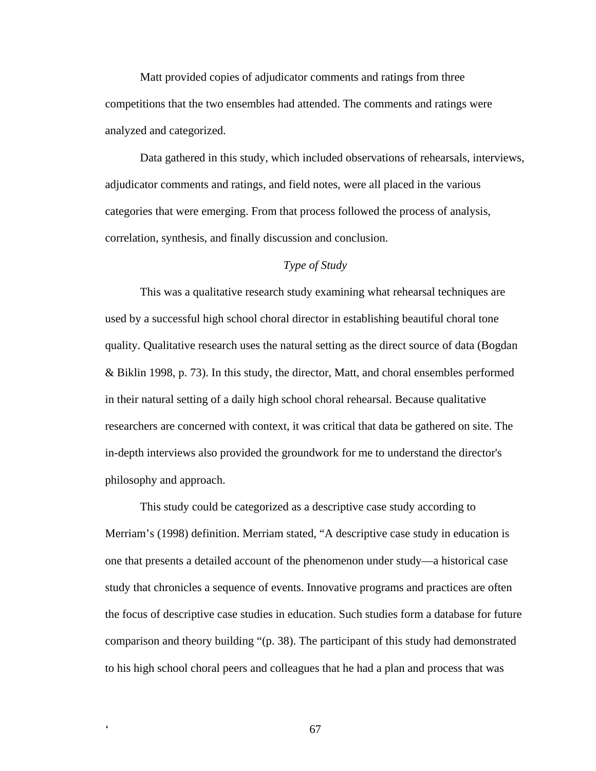Matt provided copies of adjudicator comments and ratings from three competitions that the two ensembles had attended. The comments and ratings were analyzed and categorized.

Data gathered in this study, which included observations of rehearsals, interviews, adjudicator comments and ratings, and field notes, were all placed in the various categories that were emerging. From that process followed the process of analysis, correlation, synthesis, and finally discussion and conclusion.

## *Type of Study*

This was a qualitative research study examining what rehearsal techniques are used by a successful high school choral director in establishing beautiful choral tone quality. Qualitative research uses the natural setting as the direct source of data (Bogdan & Biklin 1998, p. 73). In this study, the director, Matt, and choral ensembles performed in their natural setting of a daily high school choral rehearsal. Because qualitative researchers are concerned with context, it was critical that data be gathered on site. The in-depth interviews also provided the groundwork for me to understand the director's philosophy and approach.

This study could be categorized as a descriptive case study according to Merriam's (1998) definition. Merriam stated, "A descriptive case study in education is one that presents a detailed account of the phenomenon under study—a historical case study that chronicles a sequence of events. Innovative programs and practices are often the focus of descriptive case studies in education. Such studies form a database for future comparison and theory building "(p. 38). The participant of this study had demonstrated to his high school choral peers and colleagues that he had a plan and process that was

. **67**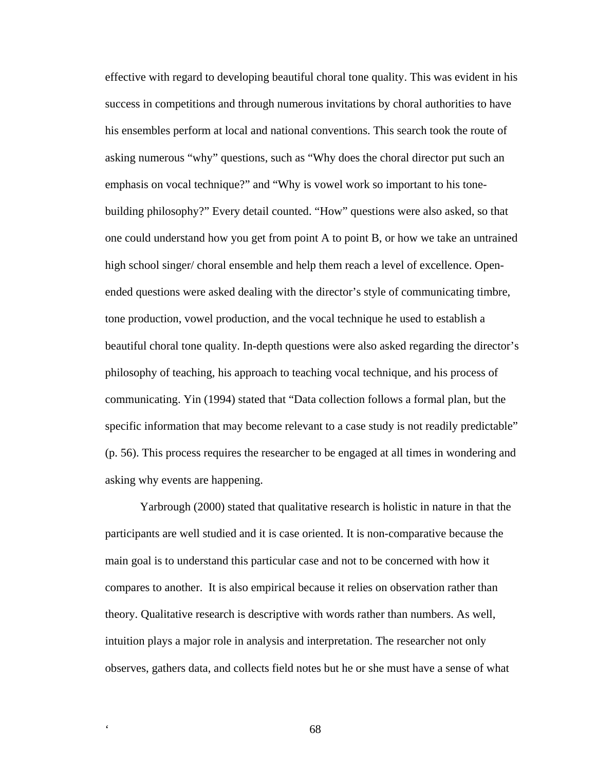effective with regard to developing beautiful choral tone quality. This was evident in his success in competitions and through numerous invitations by choral authorities to have his ensembles perform at local and national conventions. This search took the route of asking numerous "why" questions, such as "Why does the choral director put such an emphasis on vocal technique?" and "Why is vowel work so important to his tonebuilding philosophy?" Every detail counted. "How" questions were also asked, so that one could understand how you get from point A to point B, or how we take an untrained high school singer/ choral ensemble and help them reach a level of excellence. Openended questions were asked dealing with the director's style of communicating timbre, tone production, vowel production, and the vocal technique he used to establish a beautiful choral tone quality. In-depth questions were also asked regarding the director's philosophy of teaching, his approach to teaching vocal technique, and his process of communicating. Yin (1994) stated that "Data collection follows a formal plan, but the specific information that may become relevant to a case study is not readily predictable" (p. 56). This process requires the researcher to be engaged at all times in wondering and asking why events are happening.

Yarbrough (2000) stated that qualitative research is holistic in nature in that the participants are well studied and it is case oriented. It is non-comparative because the main goal is to understand this particular case and not to be concerned with how it compares to another. It is also empirical because it relies on observation rather than theory. Qualitative research is descriptive with words rather than numbers. As well, intuition plays a major role in analysis and interpretation. The researcher not only observes, gathers data, and collects field notes but he or she must have a sense of what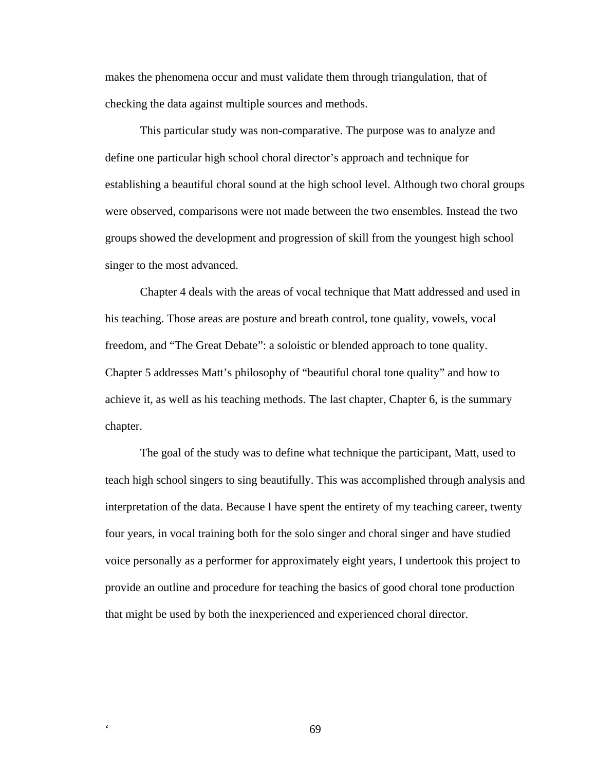makes the phenomena occur and must validate them through triangulation, that of checking the data against multiple sources and methods.

This particular study was non-comparative. The purpose was to analyze and define one particular high school choral director's approach and technique for establishing a beautiful choral sound at the high school level. Although two choral groups were observed, comparisons were not made between the two ensembles. Instead the two groups showed the development and progression of skill from the youngest high school singer to the most advanced.

Chapter 4 deals with the areas of vocal technique that Matt addressed and used in his teaching. Those areas are posture and breath control, tone quality, vowels, vocal freedom, and "The Great Debate": a soloistic or blended approach to tone quality. Chapter 5 addresses Matt's philosophy of "beautiful choral tone quality" and how to achieve it, as well as his teaching methods. The last chapter, Chapter 6, is the summary chapter.

The goal of the study was to define what technique the participant, Matt, used to teach high school singers to sing beautifully. This was accomplished through analysis and interpretation of the data. Because I have spent the entirety of my teaching career, twenty four years, in vocal training both for the solo singer and choral singer and have studied voice personally as a performer for approximately eight years, I undertook this project to provide an outline and procedure for teaching the basics of good choral tone production that might be used by both the inexperienced and experienced choral director.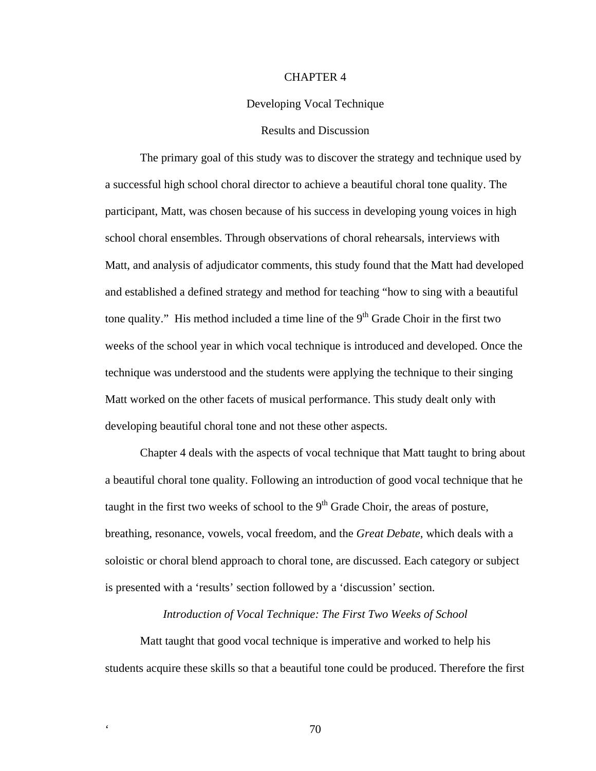### CHAPTER 4

### Developing Vocal Technique

## Results and Discussion

The primary goal of this study was to discover the strategy and technique used by a successful high school choral director to achieve a beautiful choral tone quality. The participant, Matt, was chosen because of his success in developing young voices in high school choral ensembles. Through observations of choral rehearsals, interviews with Matt, and analysis of adjudicator comments, this study found that the Matt had developed and established a defined strategy and method for teaching "how to sing with a beautiful tone quality." His method included a time line of the  $9<sup>th</sup>$  Grade Choir in the first two weeks of the school year in which vocal technique is introduced and developed. Once the technique was understood and the students were applying the technique to their singing Matt worked on the other facets of musical performance. This study dealt only with developing beautiful choral tone and not these other aspects.

Chapter 4 deals with the aspects of vocal technique that Matt taught to bring about a beautiful choral tone quality. Following an introduction of good vocal technique that he taught in the first two weeks of school to the  $9<sup>th</sup>$  Grade Choir, the areas of posture, breathing, resonance, vowels, vocal freedom, and the *Great Debate,* which deals with a soloistic or choral blend approach to choral tone, are discussed. Each category or subject is presented with a 'results' section followed by a 'discussion' section.

### *Introduction of Vocal Technique: The First Two Weeks of School*

Matt taught that good vocal technique is imperative and worked to help his students acquire these skills so that a beautiful tone could be produced. Therefore the first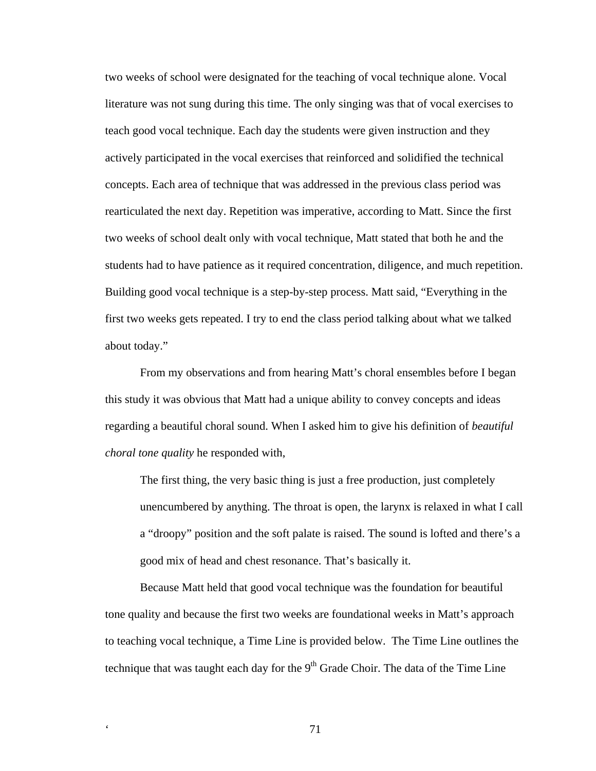two weeks of school were designated for the teaching of vocal technique alone. Vocal literature was not sung during this time. The only singing was that of vocal exercises to teach good vocal technique. Each day the students were given instruction and they actively participated in the vocal exercises that reinforced and solidified the technical concepts. Each area of technique that was addressed in the previous class period was rearticulated the next day. Repetition was imperative, according to Matt. Since the first two weeks of school dealt only with vocal technique, Matt stated that both he and the students had to have patience as it required concentration, diligence, and much repetition. Building good vocal technique is a step-by-step process. Matt said, "Everything in the first two weeks gets repeated. I try to end the class period talking about what we talked about today."

From my observations and from hearing Matt's choral ensembles before I began this study it was obvious that Matt had a unique ability to convey concepts and ideas regarding a beautiful choral sound. When I asked him to give his definition of *beautiful choral tone quality* he responded with,

The first thing, the very basic thing is just a free production, just completely unencumbered by anything. The throat is open, the larynx is relaxed in what I call a "droopy" position and the soft palate is raised. The sound is lofted and there's a good mix of head and chest resonance. That's basically it.

Because Matt held that good vocal technique was the foundation for beautiful tone quality and because the first two weeks are foundational weeks in Matt's approach to teaching vocal technique, a Time Line is provided below. The Time Line outlines the technique that was taught each day for the  $9<sup>th</sup>$  Grade Choir. The data of the Time Line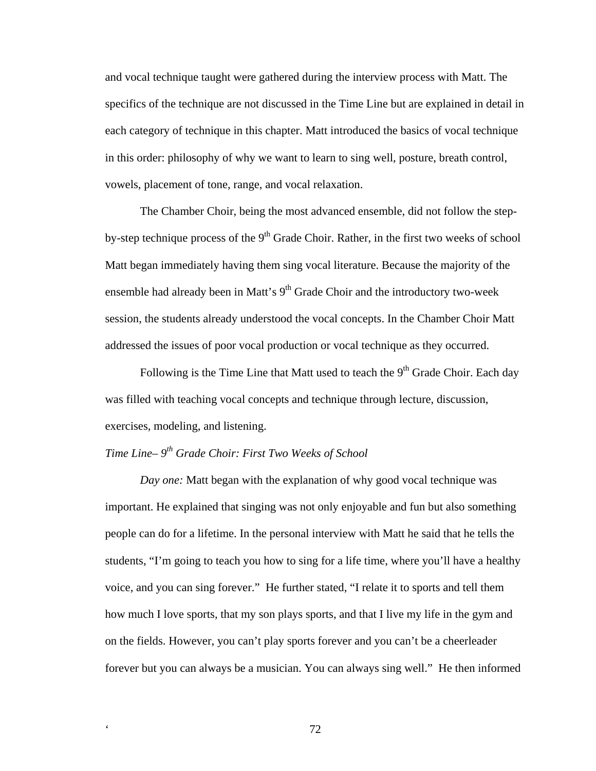and vocal technique taught were gathered during the interview process with Matt. The specifics of the technique are not discussed in the Time Line but are explained in detail in each category of technique in this chapter. Matt introduced the basics of vocal technique in this order: philosophy of why we want to learn to sing well, posture, breath control, vowels, placement of tone, range, and vocal relaxation.

The Chamber Choir, being the most advanced ensemble, did not follow the stepby-step technique process of the 9<sup>th</sup> Grade Choir. Rather, in the first two weeks of school Matt began immediately having them sing vocal literature. Because the majority of the ensemble had already been in Matt's  $9<sup>th</sup>$  Grade Choir and the introductory two-week session, the students already understood the vocal concepts. In the Chamber Choir Matt addressed the issues of poor vocal production or vocal technique as they occurred.

Following is the Time Line that Matt used to teach the  $9<sup>th</sup>$  Grade Choir. Each day was filled with teaching vocal concepts and technique through lecture, discussion, exercises, modeling, and listening.

# *Time Line– 9th Grade Choir: First Two Weeks of School*

*Day one:* Matt began with the explanation of why good vocal technique was important. He explained that singing was not only enjoyable and fun but also something people can do for a lifetime. In the personal interview with Matt he said that he tells the students, "I'm going to teach you how to sing for a life time, where you'll have a healthy voice, and you can sing forever." He further stated, "I relate it to sports and tell them how much I love sports, that my son plays sports, and that I live my life in the gym and on the fields. However, you can't play sports forever and you can't be a cheerleader forever but you can always be a musician. You can always sing well." He then informed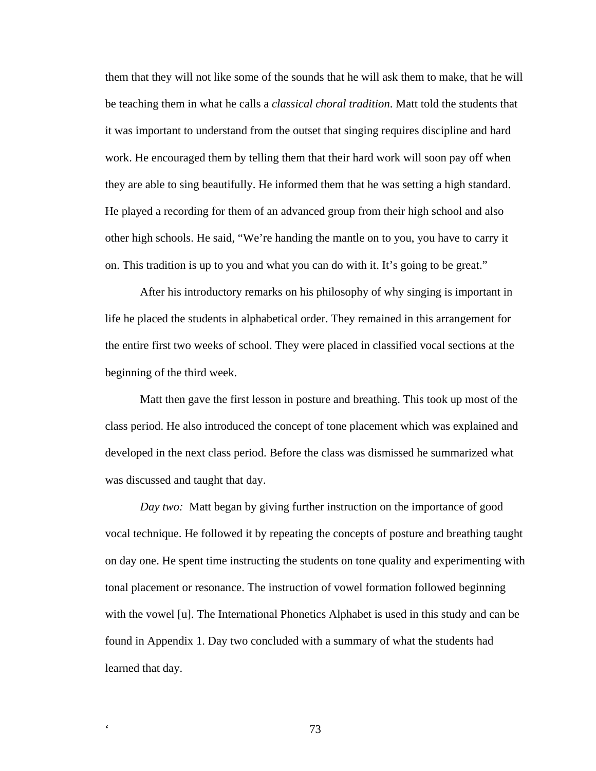them that they will not like some of the sounds that he will ask them to make, that he will be teaching them in what he calls a *classical choral tradition*. Matt told the students that it was important to understand from the outset that singing requires discipline and hard work. He encouraged them by telling them that their hard work will soon pay off when they are able to sing beautifully. He informed them that he was setting a high standard. He played a recording for them of an advanced group from their high school and also other high schools. He said, "We're handing the mantle on to you, you have to carry it on. This tradition is up to you and what you can do with it. It's going to be great."

After his introductory remarks on his philosophy of why singing is important in life he placed the students in alphabetical order. They remained in this arrangement for the entire first two weeks of school. They were placed in classified vocal sections at the beginning of the third week.

Matt then gave the first lesson in posture and breathing. This took up most of the class period. He also introduced the concept of tone placement which was explained and developed in the next class period. Before the class was dismissed he summarized what was discussed and taught that day.

*Day two:* Matt began by giving further instruction on the importance of good vocal technique. He followed it by repeating the concepts of posture and breathing taught on day one. He spent time instructing the students on tone quality and experimenting with tonal placement or resonance. The instruction of vowel formation followed beginning with the vowel [u]. The International Phonetics Alphabet is used in this study and can be found in Appendix 1. Day two concluded with a summary of what the students had learned that day.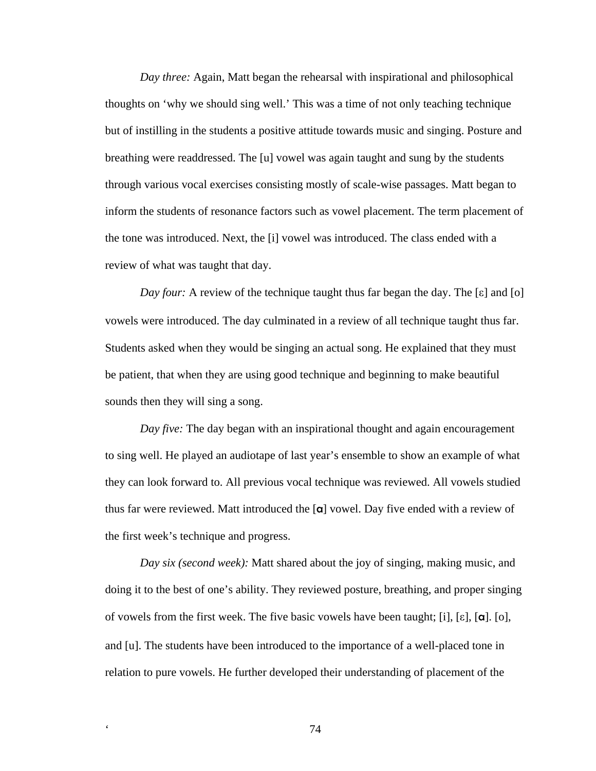*Day three:* Again, Matt began the rehearsal with inspirational and philosophical thoughts on 'why we should sing well.' This was a time of not only teaching technique but of instilling in the students a positive attitude towards music and singing. Posture and breathing were readdressed. The [u] vowel was again taught and sung by the students through various vocal exercises consisting mostly of scale-wise passages. Matt began to inform the students of resonance factors such as vowel placement. The term placement of the tone was introduced. Next, the [i] vowel was introduced. The class ended with a review of what was taught that day.

*Day four:* A review of the technique taught thus far began the day. The  $[\epsilon]$  and  $[0]$ vowels were introduced. The day culminated in a review of all technique taught thus far. Students asked when they would be singing an actual song. He explained that they must be patient, that when they are using good technique and beginning to make beautiful sounds then they will sing a song.

*Day five:* The day began with an inspirational thought and again encouragement to sing well. He played an audiotape of last year's ensemble to show an example of what they can look forward to. All previous vocal technique was reviewed. All vowels studied thus far were reviewed. Matt introduced the [a] vowel. Day five ended with a review of the first week's technique and progress.

*Day six (second week):* Matt shared about the joy of singing, making music, and doing it to the best of one's ability. They reviewed posture, breathing, and proper singing of vowels from the first week. The five basic vowels have been taught; [i], [ $\epsilon$ ], [ $\alpha$ ]. [ $o$ ], and [u]. The students have been introduced to the importance of a well-placed tone in relation to pure vowels. He further developed their understanding of placement of the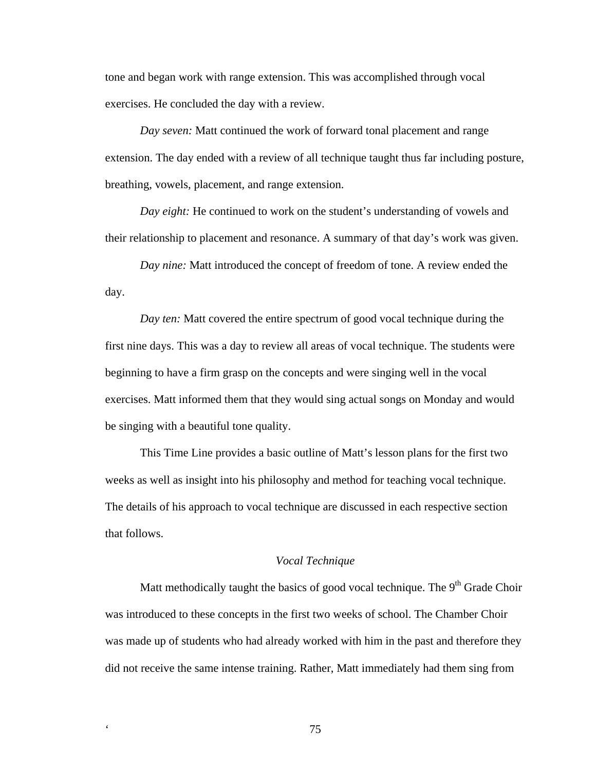tone and began work with range extension. This was accomplished through vocal exercises. He concluded the day with a review.

*Day seven:* Matt continued the work of forward tonal placement and range extension. The day ended with a review of all technique taught thus far including posture, breathing, vowels, placement, and range extension.

*Day eight:* He continued to work on the student's understanding of vowels and their relationship to placement and resonance. A summary of that day's work was given.

*Day nine:* Matt introduced the concept of freedom of tone. A review ended the day.

*Day ten:* Matt covered the entire spectrum of good vocal technique during the first nine days. This was a day to review all areas of vocal technique. The students were beginning to have a firm grasp on the concepts and were singing well in the vocal exercises. Matt informed them that they would sing actual songs on Monday and would be singing with a beautiful tone quality.

This Time Line provides a basic outline of Matt's lesson plans for the first two weeks as well as insight into his philosophy and method for teaching vocal technique. The details of his approach to vocal technique are discussed in each respective section that follows.

#### *Vocal Technique*

Matt methodically taught the basics of good vocal technique. The  $9<sup>th</sup>$  Grade Choir was introduced to these concepts in the first two weeks of school. The Chamber Choir was made up of students who had already worked with him in the past and therefore they did not receive the same intense training. Rather, Matt immediately had them sing from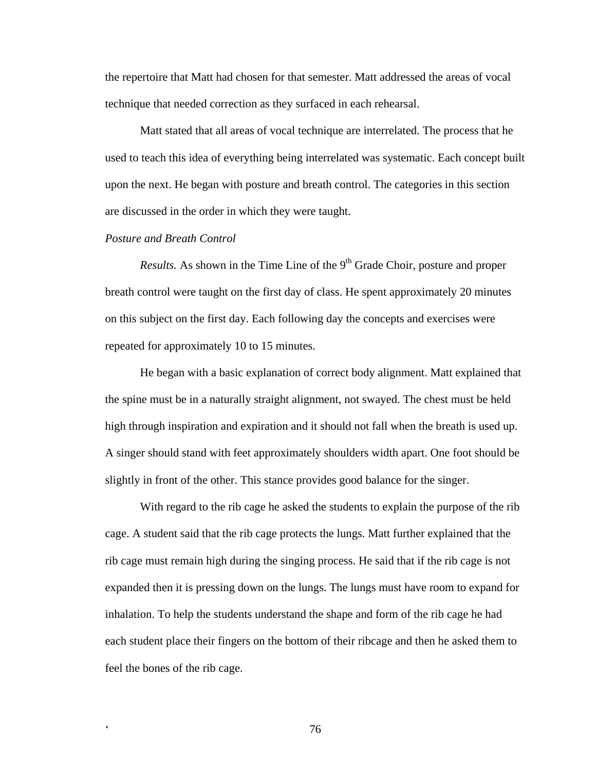the repertoire that Matt had chosen for that semester. Matt addressed the areas of vocal technique that needed correction as they surfaced in each rehearsal.

Matt stated that all areas of vocal technique are interrelated. The process that he used to teach this idea of everything being interrelated was systematic. Each concept built upon the next. He began with posture and breath control. The categories in this section are discussed in the order in which they were taught.

## *Posture and Breath Control*

*Results.* As shown in the Time Line of the 9<sup>th</sup> Grade Choir, posture and proper breath control were taught on the first day of class. He spent approximately 20 minutes on this subject on the first day. Each following day the concepts and exercises were repeated for approximately 10 to 15 minutes.

He began with a basic explanation of correct body alignment. Matt explained that the spine must be in a naturally straight alignment, not swayed. The chest must be held high through inspiration and expiration and it should not fall when the breath is used up. A singer should stand with feet approximately shoulders width apart. One foot should be slightly in front of the other. This stance provides good balance for the singer.

With regard to the rib cage he asked the students to explain the purpose of the rib cage. A student said that the rib cage protects the lungs. Matt further explained that the rib cage must remain high during the singing process. He said that if the rib cage is not expanded then it is pressing down on the lungs. The lungs must have room to expand for inhalation. To help the students understand the shape and form of the rib cage he had each student place their fingers on the bottom of their ribcage and then he asked them to feel the bones of the rib cage.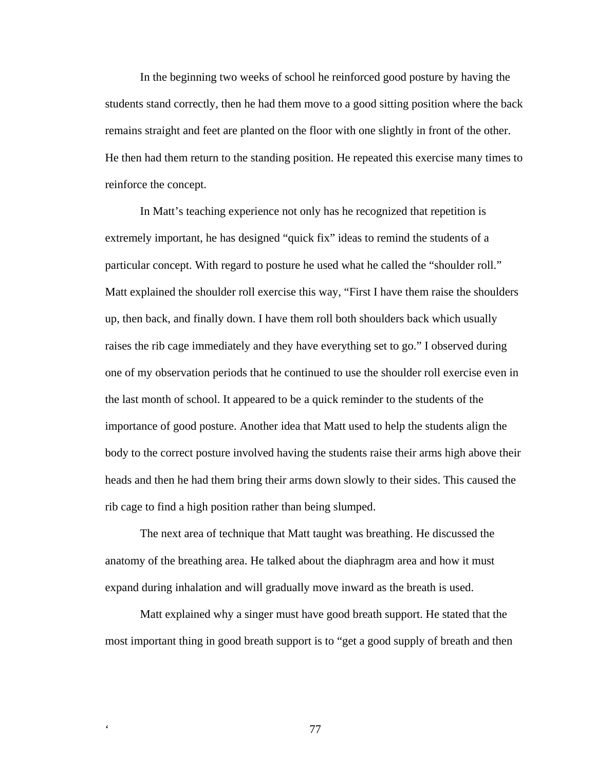In the beginning two weeks of school he reinforced good posture by having the students stand correctly, then he had them move to a good sitting position where the back remains straight and feet are planted on the floor with one slightly in front of the other. He then had them return to the standing position. He repeated this exercise many times to reinforce the concept.

In Matt's teaching experience not only has he recognized that repetition is extremely important, he has designed "quick fix" ideas to remind the students of a particular concept. With regard to posture he used what he called the "shoulder roll." Matt explained the shoulder roll exercise this way, "First I have them raise the shoulders up, then back, and finally down. I have them roll both shoulders back which usually raises the rib cage immediately and they have everything set to go." I observed during one of my observation periods that he continued to use the shoulder roll exercise even in the last month of school. It appeared to be a quick reminder to the students of the importance of good posture. Another idea that Matt used to help the students align the body to the correct posture involved having the students raise their arms high above their heads and then he had them bring their arms down slowly to their sides. This caused the rib cage to find a high position rather than being slumped.

The next area of technique that Matt taught was breathing. He discussed the anatomy of the breathing area. He talked about the diaphragm area and how it must expand during inhalation and will gradually move inward as the breath is used.

Matt explained why a singer must have good breath support. He stated that the most important thing in good breath support is to "get a good supply of breath and then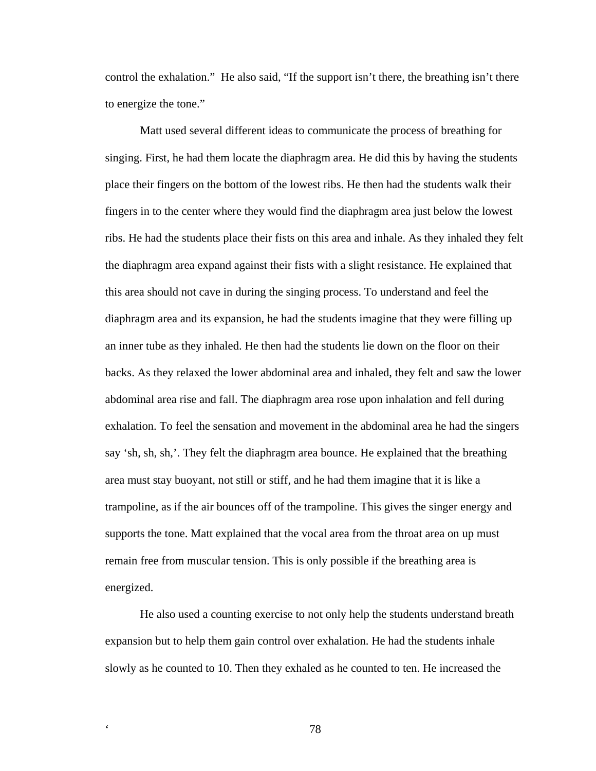control the exhalation." He also said, "If the support isn't there, the breathing isn't there to energize the tone."

Matt used several different ideas to communicate the process of breathing for singing. First, he had them locate the diaphragm area. He did this by having the students place their fingers on the bottom of the lowest ribs. He then had the students walk their fingers in to the center where they would find the diaphragm area just below the lowest ribs. He had the students place their fists on this area and inhale. As they inhaled they felt the diaphragm area expand against their fists with a slight resistance. He explained that this area should not cave in during the singing process. To understand and feel the diaphragm area and its expansion, he had the students imagine that they were filling up an inner tube as they inhaled. He then had the students lie down on the floor on their backs. As they relaxed the lower abdominal area and inhaled, they felt and saw the lower abdominal area rise and fall. The diaphragm area rose upon inhalation and fell during exhalation. To feel the sensation and movement in the abdominal area he had the singers say 'sh, sh, sh,'. They felt the diaphragm area bounce. He explained that the breathing area must stay buoyant, not still or stiff, and he had them imagine that it is like a trampoline, as if the air bounces off of the trampoline. This gives the singer energy and supports the tone. Matt explained that the vocal area from the throat area on up must remain free from muscular tension. This is only possible if the breathing area is energized.

He also used a counting exercise to not only help the students understand breath expansion but to help them gain control over exhalation. He had the students inhale slowly as he counted to 10. Then they exhaled as he counted to ten. He increased the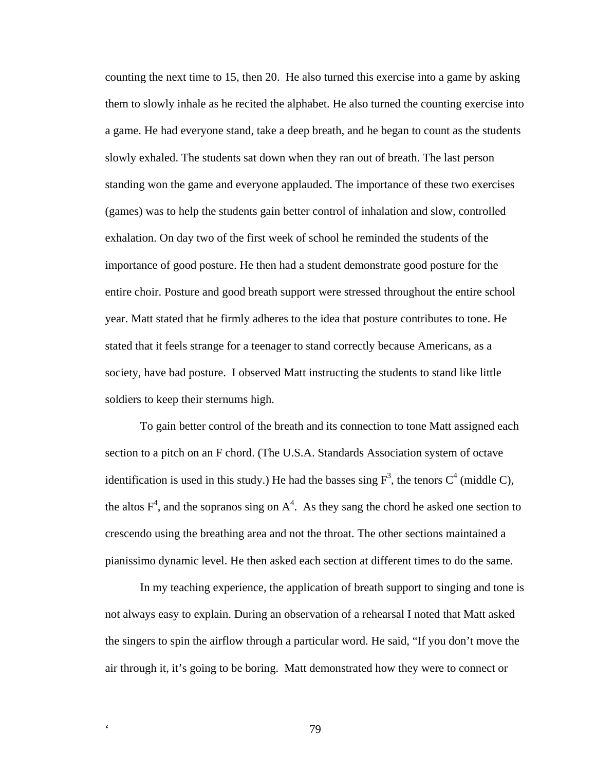counting the next time to 15, then 20. He also turned this exercise into a game by asking them to slowly inhale as he recited the alphabet. He also turned the counting exercise into a game. He had everyone stand, take a deep breath, and he began to count as the students slowly exhaled. The students sat down when they ran out of breath. The last person standing won the game and everyone applauded. The importance of these two exercises (games) was to help the students gain better control of inhalation and slow, controlled exhalation. On day two of the first week of school he reminded the students of the importance of good posture. He then had a student demonstrate good posture for the entire choir. Posture and good breath support were stressed throughout the entire school year. Matt stated that he firmly adheres to the idea that posture contributes to tone. He stated that it feels strange for a teenager to stand correctly because Americans, as a society, have bad posture. I observed Matt instructing the students to stand like little soldiers to keep their sternums high.

To gain better control of the breath and its connection to tone Matt assigned each section to a pitch on an F chord. (The U.S.A. Standards Association system of octave identification is used in this study.) He had the basses sing  $F^3$ , the tenors  $C^4$  (middle C), the altos  $F^4$ , and the sopranos sing on  $A^4$ . As they sang the chord he asked one section to crescendo using the breathing area and not the throat. The other sections maintained a pianissimo dynamic level. He then asked each section at different times to do the same.

In my teaching experience, the application of breath support to singing and tone is not always easy to explain. During an observation of a rehearsal I noted that Matt asked the singers to spin the airflow through a particular word. He said, "If you don't move the air through it, it's going to be boring. Matt demonstrated how they were to connect or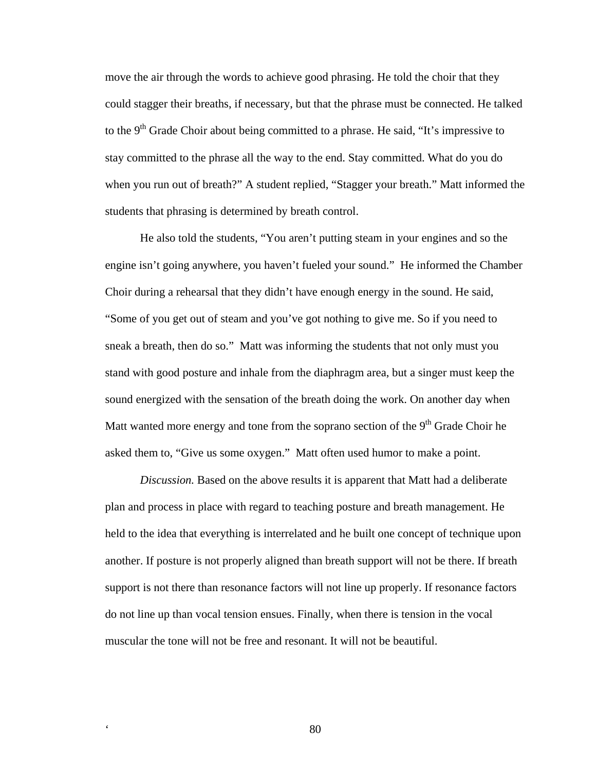move the air through the words to achieve good phrasing. He told the choir that they could stagger their breaths, if necessary, but that the phrase must be connected. He talked to the 9<sup>th</sup> Grade Choir about being committed to a phrase. He said, "It's impressive to stay committed to the phrase all the way to the end. Stay committed. What do you do when you run out of breath?" A student replied, "Stagger your breath." Matt informed the students that phrasing is determined by breath control.

He also told the students, "You aren't putting steam in your engines and so the engine isn't going anywhere, you haven't fueled your sound." He informed the Chamber Choir during a rehearsal that they didn't have enough energy in the sound. He said, "Some of you get out of steam and you've got nothing to give me. So if you need to sneak a breath, then do so." Matt was informing the students that not only must you stand with good posture and inhale from the diaphragm area, but a singer must keep the sound energized with the sensation of the breath doing the work. On another day when Matt wanted more energy and tone from the soprano section of the  $9<sup>th</sup>$  Grade Choir he asked them to, "Give us some oxygen." Matt often used humor to make a point.

*Discussion.* Based on the above results it is apparent that Matt had a deliberate plan and process in place with regard to teaching posture and breath management. He held to the idea that everything is interrelated and he built one concept of technique upon another. If posture is not properly aligned than breath support will not be there. If breath support is not there than resonance factors will not line up properly. If resonance factors do not line up than vocal tension ensues. Finally, when there is tension in the vocal muscular the tone will not be free and resonant. It will not be beautiful.

. 80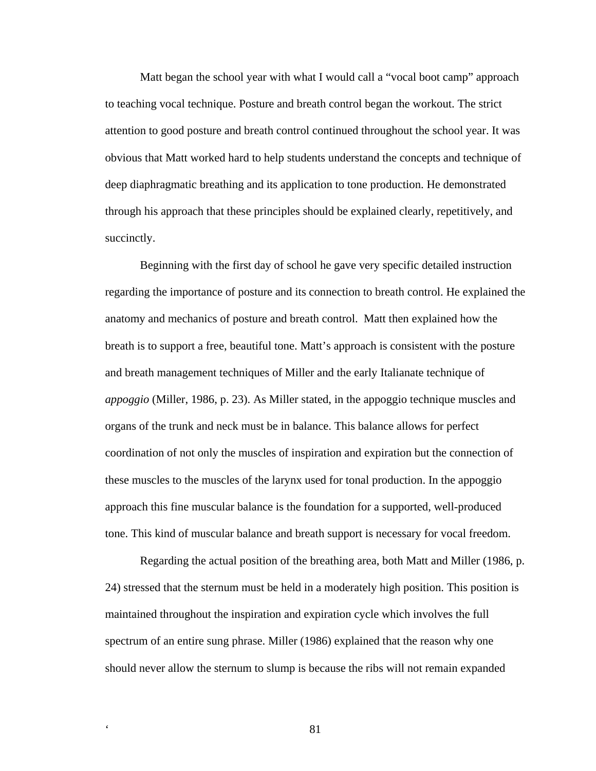Matt began the school year with what I would call a "vocal boot camp" approach to teaching vocal technique. Posture and breath control began the workout. The strict attention to good posture and breath control continued throughout the school year. It was obvious that Matt worked hard to help students understand the concepts and technique of deep diaphragmatic breathing and its application to tone production. He demonstrated through his approach that these principles should be explained clearly, repetitively, and succinctly.

Beginning with the first day of school he gave very specific detailed instruction regarding the importance of posture and its connection to breath control. He explained the anatomy and mechanics of posture and breath control. Matt then explained how the breath is to support a free, beautiful tone. Matt's approach is consistent with the posture and breath management techniques of Miller and the early Italianate technique of *appoggio* (Miller, 1986, p. 23). As Miller stated, in the appoggio technique muscles and organs of the trunk and neck must be in balance. This balance allows for perfect coordination of not only the muscles of inspiration and expiration but the connection of these muscles to the muscles of the larynx used for tonal production. In the appoggio approach this fine muscular balance is the foundation for a supported, well-produced tone. This kind of muscular balance and breath support is necessary for vocal freedom.

Regarding the actual position of the breathing area, both Matt and Miller (1986, p. 24) stressed that the sternum must be held in a moderately high position. This position is maintained throughout the inspiration and expiration cycle which involves the full spectrum of an entire sung phrase. Miller (1986) explained that the reason why one should never allow the sternum to slump is because the ribs will not remain expanded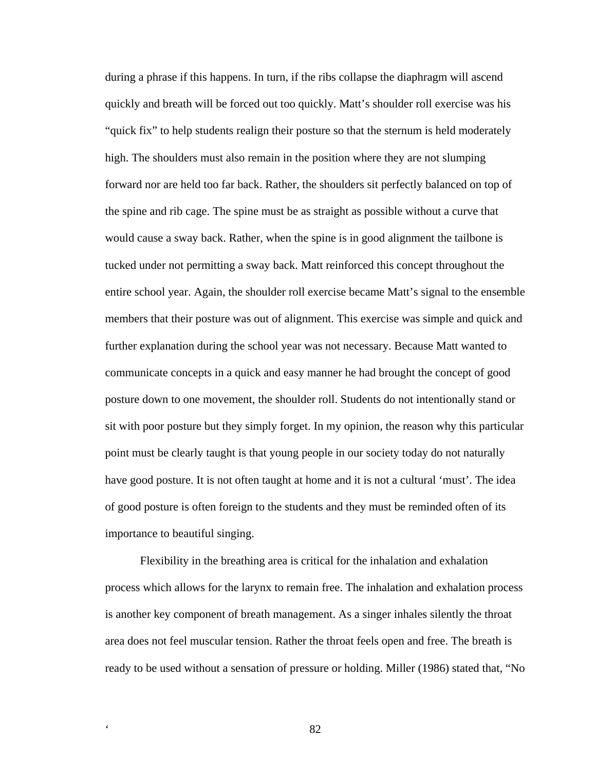during a phrase if this happens. In turn, if the ribs collapse the diaphragm will ascend quickly and breath will be forced out too quickly. Matt's shoulder roll exercise was his "quick fix" to help students realign their posture so that the sternum is held moderately high. The shoulders must also remain in the position where they are not slumping forward nor are held too far back. Rather, the shoulders sit perfectly balanced on top of the spine and rib cage. The spine must be as straight as possible without a curve that would cause a sway back. Rather, when the spine is in good alignment the tailbone is tucked under not permitting a sway back. Matt reinforced this concept throughout the entire school year. Again, the shoulder roll exercise became Matt's signal to the ensemble members that their posture was out of alignment. This exercise was simple and quick and further explanation during the school year was not necessary. Because Matt wanted to communicate concepts in a quick and easy manner he had brought the concept of good posture down to one movement, the shoulder roll. Students do not intentionally stand or sit with poor posture but they simply forget. In my opinion, the reason why this particular point must be clearly taught is that young people in our society today do not naturally have good posture. It is not often taught at home and it is not a cultural 'must'. The idea of good posture is often foreign to the students and they must be reminded often of its importance to beautiful singing.

Flexibility in the breathing area is critical for the inhalation and exhalation process which allows for the larynx to remain free. The inhalation and exhalation process is another key component of breath management. As a singer inhales silently the throat area does not feel muscular tension. Rather the throat feels open and free. The breath is ready to be used without a sensation of pressure or holding. Miller (1986) stated that, "No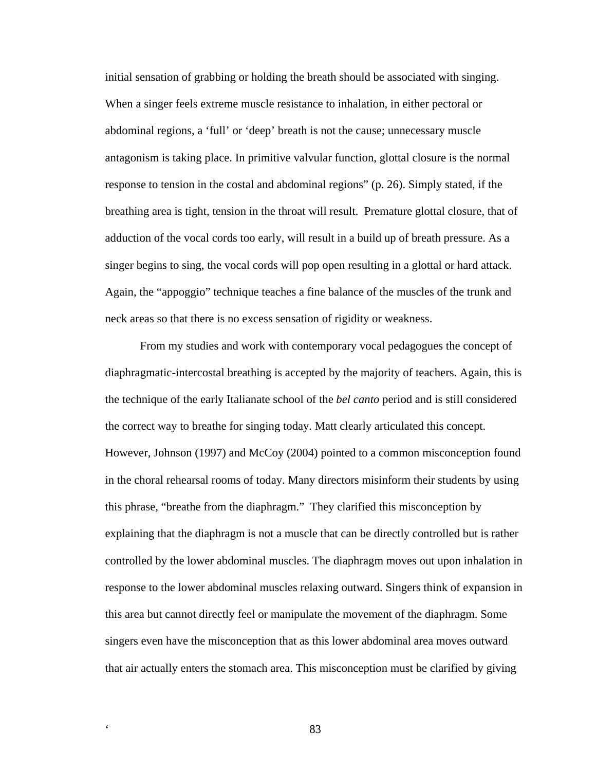initial sensation of grabbing or holding the breath should be associated with singing. When a singer feels extreme muscle resistance to inhalation, in either pectoral or abdominal regions, a 'full' or 'deep' breath is not the cause; unnecessary muscle antagonism is taking place. In primitive valvular function, glottal closure is the normal response to tension in the costal and abdominal regions" (p. 26). Simply stated, if the breathing area is tight, tension in the throat will result. Premature glottal closure, that of adduction of the vocal cords too early, will result in a build up of breath pressure. As a singer begins to sing, the vocal cords will pop open resulting in a glottal or hard attack. Again, the "appoggio" technique teaches a fine balance of the muscles of the trunk and neck areas so that there is no excess sensation of rigidity or weakness.

From my studies and work with contemporary vocal pedagogues the concept of diaphragmatic-intercostal breathing is accepted by the majority of teachers. Again, this is the technique of the early Italianate school of the *bel canto* period and is still considered the correct way to breathe for singing today. Matt clearly articulated this concept. However, Johnson (1997) and McCoy (2004) pointed to a common misconception found in the choral rehearsal rooms of today. Many directors misinform their students by using this phrase, "breathe from the diaphragm." They clarified this misconception by explaining that the diaphragm is not a muscle that can be directly controlled but is rather controlled by the lower abdominal muscles. The diaphragm moves out upon inhalation in response to the lower abdominal muscles relaxing outward. Singers think of expansion in this area but cannot directly feel or manipulate the movement of the diaphragm. Some singers even have the misconception that as this lower abdominal area moves outward that air actually enters the stomach area. This misconception must be clarified by giving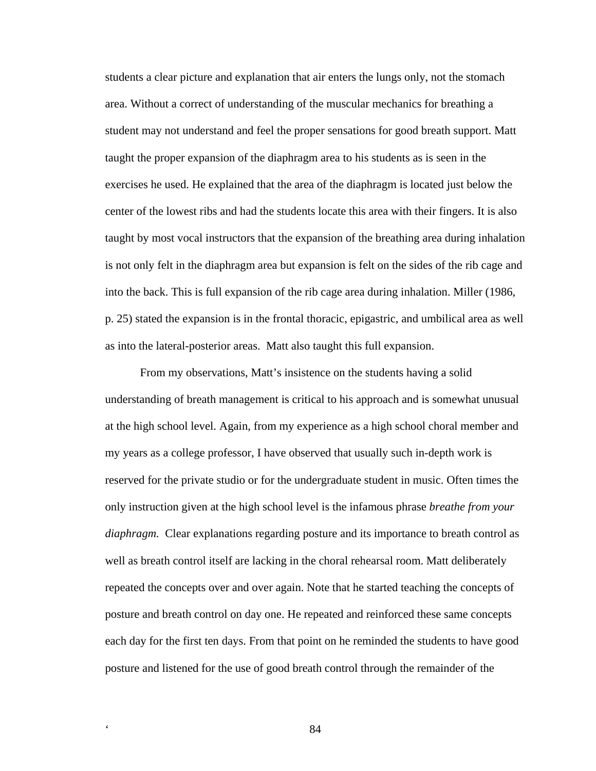students a clear picture and explanation that air enters the lungs only, not the stomach area. Without a correct of understanding of the muscular mechanics for breathing a student may not understand and feel the proper sensations for good breath support. Matt taught the proper expansion of the diaphragm area to his students as is seen in the exercises he used. He explained that the area of the diaphragm is located just below the center of the lowest ribs and had the students locate this area with their fingers. It is also taught by most vocal instructors that the expansion of the breathing area during inhalation is not only felt in the diaphragm area but expansion is felt on the sides of the rib cage and into the back. This is full expansion of the rib cage area during inhalation. Miller (1986, p. 25) stated the expansion is in the frontal thoracic, epigastric, and umbilical area as well as into the lateral-posterior areas. Matt also taught this full expansion.

From my observations, Matt's insistence on the students having a solid understanding of breath management is critical to his approach and is somewhat unusual at the high school level. Again, from my experience as a high school choral member and my years as a college professor, I have observed that usually such in-depth work is reserved for the private studio or for the undergraduate student in music. Often times the only instruction given at the high school level is the infamous phrase *breathe from your diaphragm.* Clear explanations regarding posture and its importance to breath control as well as breath control itself are lacking in the choral rehearsal room. Matt deliberately repeated the concepts over and over again. Note that he started teaching the concepts of posture and breath control on day one. He repeated and reinforced these same concepts each day for the first ten days. From that point on he reminded the students to have good posture and listened for the use of good breath control through the remainder of the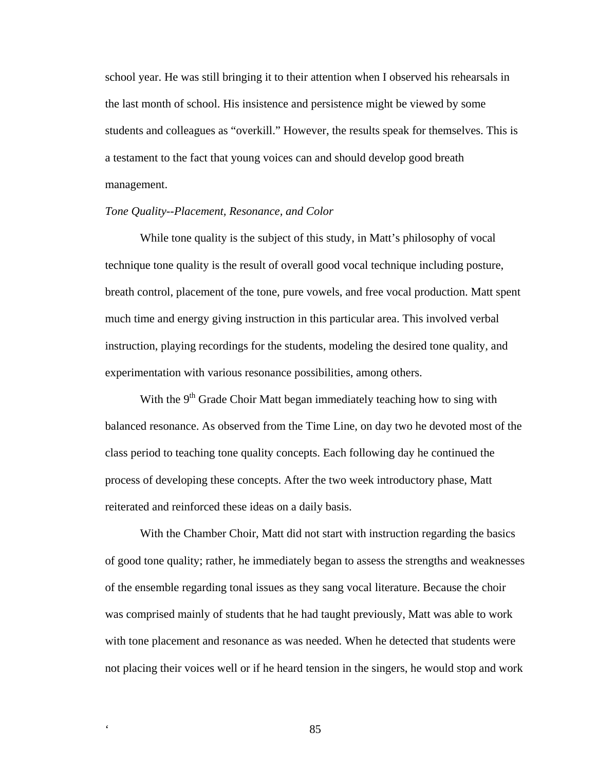school year. He was still bringing it to their attention when I observed his rehearsals in the last month of school. His insistence and persistence might be viewed by some students and colleagues as "overkill." However, the results speak for themselves. This is a testament to the fact that young voices can and should develop good breath management.

## *Tone Quality--Placement, Resonance, and Color*

While tone quality is the subject of this study, in Matt's philosophy of vocal technique tone quality is the result of overall good vocal technique including posture, breath control, placement of the tone, pure vowels, and free vocal production. Matt spent much time and energy giving instruction in this particular area. This involved verbal instruction, playing recordings for the students, modeling the desired tone quality, and experimentation with various resonance possibilities, among others.

With the  $9<sup>th</sup>$  Grade Choir Matt began immediately teaching how to sing with balanced resonance. As observed from the Time Line, on day two he devoted most of the class period to teaching tone quality concepts. Each following day he continued the process of developing these concepts. After the two week introductory phase, Matt reiterated and reinforced these ideas on a daily basis.

With the Chamber Choir, Matt did not start with instruction regarding the basics of good tone quality; rather, he immediately began to assess the strengths and weaknesses of the ensemble regarding tonal issues as they sang vocal literature. Because the choir was comprised mainly of students that he had taught previously, Matt was able to work with tone placement and resonance as was needed. When he detected that students were not placing their voices well or if he heard tension in the singers, he would stop and work

е в село в село в село в село в 85 million в 2006 године в 2006 године в 2006 године в 2006 године в 2014 годин<br>В 2014 године в 2014 године в 2014 године в 2014 године в 2014 године в 2014 године в 2014 године в 2014 годи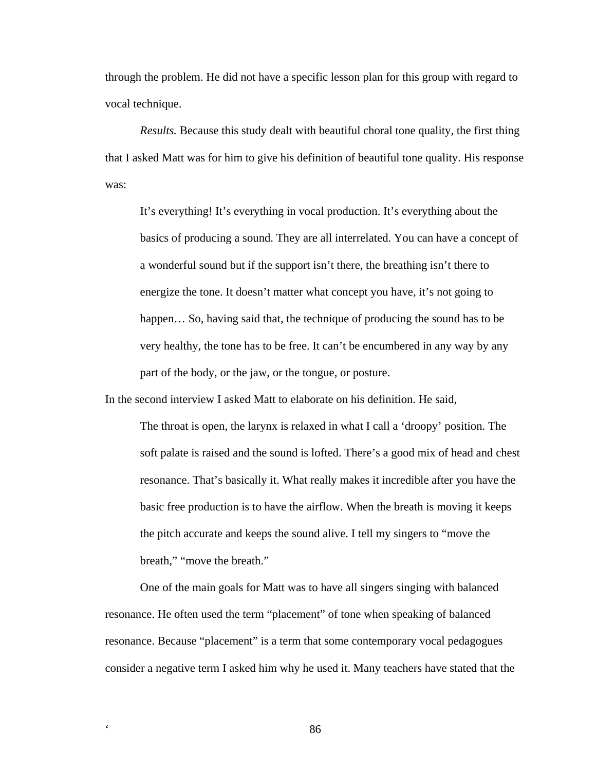through the problem. He did not have a specific lesson plan for this group with regard to vocal technique.

*Results.* Because this study dealt with beautiful choral tone quality, the first thing that I asked Matt was for him to give his definition of beautiful tone quality. His response was:

It's everything! It's everything in vocal production. It's everything about the basics of producing a sound. They are all interrelated. You can have a concept of a wonderful sound but if the support isn't there, the breathing isn't there to energize the tone. It doesn't matter what concept you have, it's not going to happen... So, having said that, the technique of producing the sound has to be very healthy, the tone has to be free. It can't be encumbered in any way by any part of the body, or the jaw, or the tongue, or posture.

In the second interview I asked Matt to elaborate on his definition. He said,

The throat is open, the larynx is relaxed in what I call a 'droopy' position. The soft palate is raised and the sound is lofted. There's a good mix of head and chest resonance. That's basically it. What really makes it incredible after you have the basic free production is to have the airflow. When the breath is moving it keeps the pitch accurate and keeps the sound alive. I tell my singers to "move the breath," "move the breath."

One of the main goals for Matt was to have all singers singing with balanced resonance. He often used the term "placement" of tone when speaking of balanced resonance. Because "placement" is a term that some contemporary vocal pedagogues consider a negative term I asked him why he used it. Many teachers have stated that the

. 86 apr 2012 **. See Section 2013**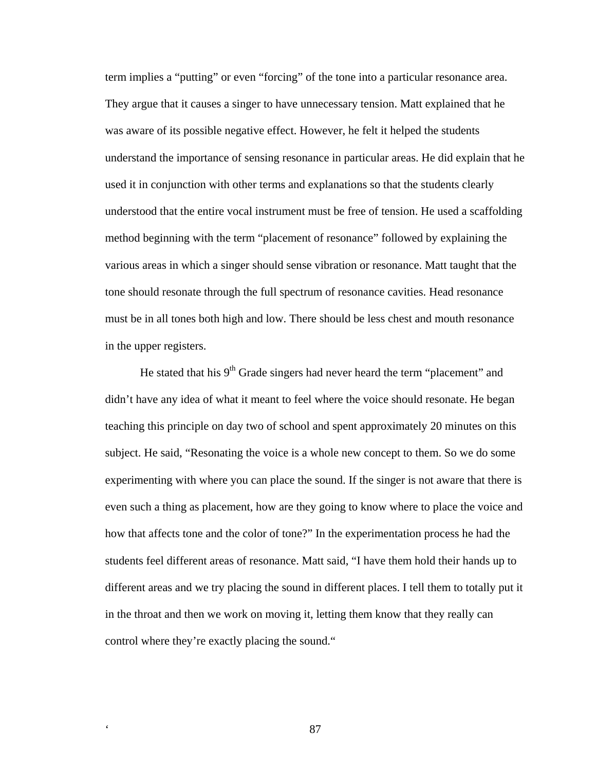term implies a "putting" or even "forcing" of the tone into a particular resonance area. They argue that it causes a singer to have unnecessary tension. Matt explained that he was aware of its possible negative effect. However, he felt it helped the students understand the importance of sensing resonance in particular areas. He did explain that he used it in conjunction with other terms and explanations so that the students clearly understood that the entire vocal instrument must be free of tension. He used a scaffolding method beginning with the term "placement of resonance" followed by explaining the various areas in which a singer should sense vibration or resonance. Matt taught that the tone should resonate through the full spectrum of resonance cavities. Head resonance must be in all tones both high and low. There should be less chest and mouth resonance in the upper registers.

He stated that his  $9<sup>th</sup>$  Grade singers had never heard the term "placement" and didn't have any idea of what it meant to feel where the voice should resonate. He began teaching this principle on day two of school and spent approximately 20 minutes on this subject. He said, "Resonating the voice is a whole new concept to them. So we do some experimenting with where you can place the sound. If the singer is not aware that there is even such a thing as placement, how are they going to know where to place the voice and how that affects tone and the color of tone?" In the experimentation process he had the students feel different areas of resonance. Matt said, "I have them hold their hands up to different areas and we try placing the sound in different places. I tell them to totally put it in the throat and then we work on moving it, letting them know that they really can control where they're exactly placing the sound."

е в село в село в село в село в 87 метали в 2008 године в село в 2008 године в 2014 године в 2014 године в 201<br>После в село в 2014 године в 2014 године в 2014 године в 2014 године в 2014 године в 2014 године в 2014 године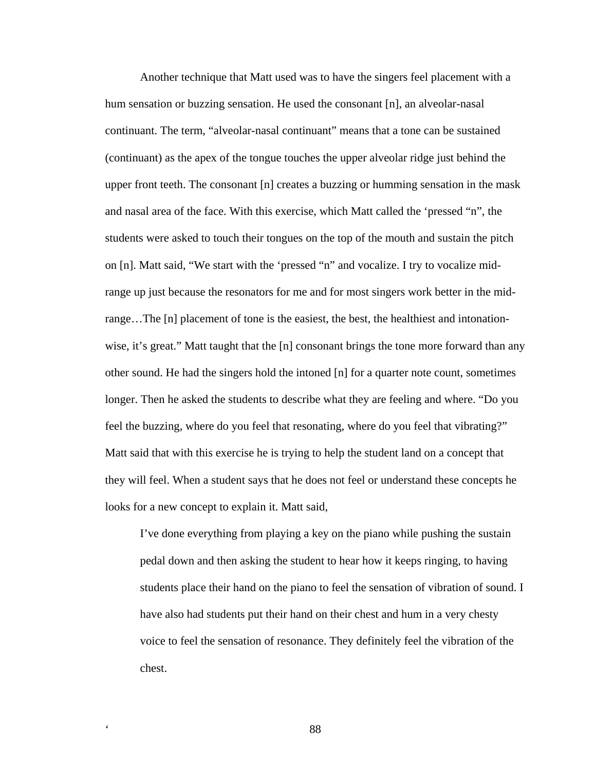Another technique that Matt used was to have the singers feel placement with a hum sensation or buzzing sensation. He used the consonant [n], an alveolar-nasal continuant. The term, "alveolar-nasal continuant" means that a tone can be sustained (continuant) as the apex of the tongue touches the upper alveolar ridge just behind the upper front teeth. The consonant [n] creates a buzzing or humming sensation in the mask and nasal area of the face. With this exercise, which Matt called the 'pressed "n", the students were asked to touch their tongues on the top of the mouth and sustain the pitch on [n]. Matt said, "We start with the 'pressed "n" and vocalize. I try to vocalize midrange up just because the resonators for me and for most singers work better in the midrange…The [n] placement of tone is the easiest, the best, the healthiest and intonationwise, it's great." Matt taught that the [n] consonant brings the tone more forward than any other sound. He had the singers hold the intoned [n] for a quarter note count, sometimes longer. Then he asked the students to describe what they are feeling and where. "Do you feel the buzzing, where do you feel that resonating, where do you feel that vibrating?" Matt said that with this exercise he is trying to help the student land on a concept that they will feel. When a student says that he does not feel or understand these concepts he looks for a new concept to explain it. Matt said,

I've done everything from playing a key on the piano while pushing the sustain pedal down and then asking the student to hear how it keeps ringing, to having students place their hand on the piano to feel the sensation of vibration of sound. I have also had students put their hand on their chest and hum in a very chesty voice to feel the sensation of resonance. They definitely feel the vibration of the chest.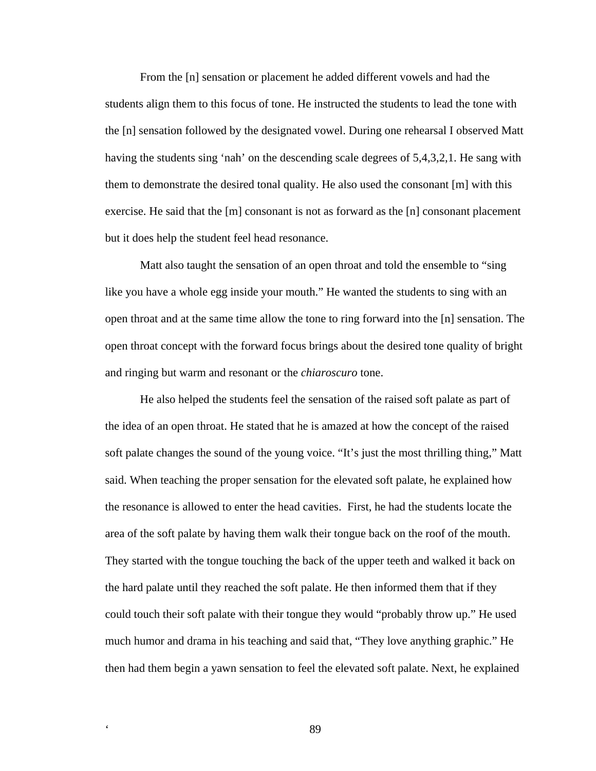From the [n] sensation or placement he added different vowels and had the students align them to this focus of tone. He instructed the students to lead the tone with the [n] sensation followed by the designated vowel. During one rehearsal I observed Matt having the students sing 'nah' on the descending scale degrees of 5,4,3,2,1. He sang with them to demonstrate the desired tonal quality. He also used the consonant [m] with this exercise. He said that the [m] consonant is not as forward as the [n] consonant placement but it does help the student feel head resonance.

Matt also taught the sensation of an open throat and told the ensemble to "sing like you have a whole egg inside your mouth." He wanted the students to sing with an open throat and at the same time allow the tone to ring forward into the [n] sensation. The open throat concept with the forward focus brings about the desired tone quality of bright and ringing but warm and resonant or the *chiaroscuro* tone.

He also helped the students feel the sensation of the raised soft palate as part of the idea of an open throat. He stated that he is amazed at how the concept of the raised soft palate changes the sound of the young voice. "It's just the most thrilling thing," Matt said. When teaching the proper sensation for the elevated soft palate, he explained how the resonance is allowed to enter the head cavities. First, he had the students locate the area of the soft palate by having them walk their tongue back on the roof of the mouth. They started with the tongue touching the back of the upper teeth and walked it back on the hard palate until they reached the soft palate. He then informed them that if they could touch their soft palate with their tongue they would "probably throw up." He used much humor and drama in his teaching and said that, "They love anything graphic." He then had them begin a yawn sensation to feel the elevated soft palate. Next, he explained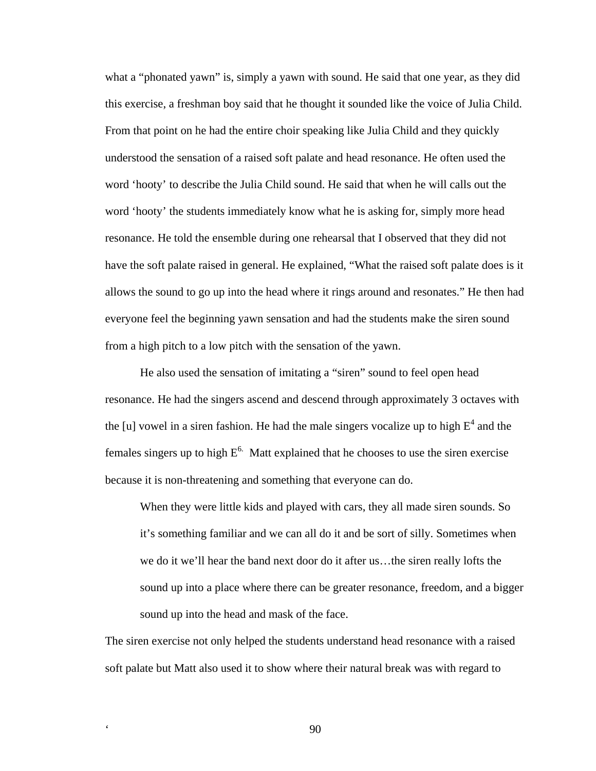what a "phonated yawn" is, simply a yawn with sound. He said that one year, as they did this exercise, a freshman boy said that he thought it sounded like the voice of Julia Child. From that point on he had the entire choir speaking like Julia Child and they quickly understood the sensation of a raised soft palate and head resonance. He often used the word 'hooty' to describe the Julia Child sound. He said that when he will calls out the word 'hooty' the students immediately know what he is asking for, simply more head resonance. He told the ensemble during one rehearsal that I observed that they did not have the soft palate raised in general. He explained, "What the raised soft palate does is it allows the sound to go up into the head where it rings around and resonates." He then had everyone feel the beginning yawn sensation and had the students make the siren sound from a high pitch to a low pitch with the sensation of the yawn.

He also used the sensation of imitating a "siren" sound to feel open head resonance. He had the singers ascend and descend through approximately 3 octaves with the [u] vowel in a siren fashion. He had the male singers vocalize up to high  $E^4$  and the females singers up to high  $E<sup>6</sup>$ . Matt explained that he chooses to use the siren exercise because it is non-threatening and something that everyone can do.

When they were little kids and played with cars, they all made siren sounds. So it's something familiar and we can all do it and be sort of silly. Sometimes when we do it we'll hear the band next door do it after us…the siren really lofts the sound up into a place where there can be greater resonance, freedom, and a bigger sound up into the head and mask of the face.

The siren exercise not only helped the students understand head resonance with a raised soft palate but Matt also used it to show where their natural break was with regard to

. 90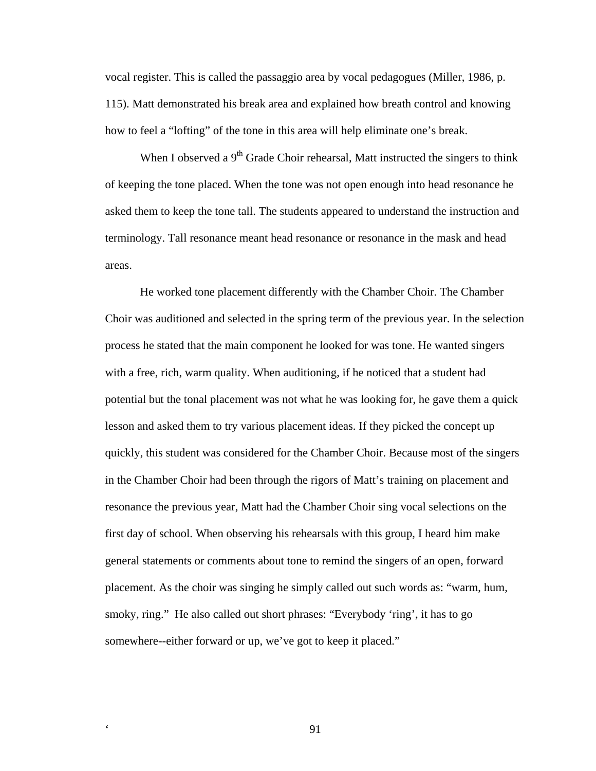vocal register. This is called the passaggio area by vocal pedagogues (Miller, 1986, p. 115). Matt demonstrated his break area and explained how breath control and knowing how to feel a "lofting" of the tone in this area will help eliminate one's break.

When I observed a  $9<sup>th</sup>$  Grade Choir rehearsal, Matt instructed the singers to think of keeping the tone placed. When the tone was not open enough into head resonance he asked them to keep the tone tall. The students appeared to understand the instruction and terminology. Tall resonance meant head resonance or resonance in the mask and head areas.

He worked tone placement differently with the Chamber Choir. The Chamber Choir was auditioned and selected in the spring term of the previous year. In the selection process he stated that the main component he looked for was tone. He wanted singers with a free, rich, warm quality. When auditioning, if he noticed that a student had potential but the tonal placement was not what he was looking for, he gave them a quick lesson and asked them to try various placement ideas. If they picked the concept up quickly, this student was considered for the Chamber Choir. Because most of the singers in the Chamber Choir had been through the rigors of Matt's training on placement and resonance the previous year, Matt had the Chamber Choir sing vocal selections on the first day of school. When observing his rehearsals with this group, I heard him make general statements or comments about tone to remind the singers of an open, forward placement. As the choir was singing he simply called out such words as: "warm, hum, smoky, ring." He also called out short phrases: "Everybody 'ring', it has to go somewhere--either forward or up, we've got to keep it placed."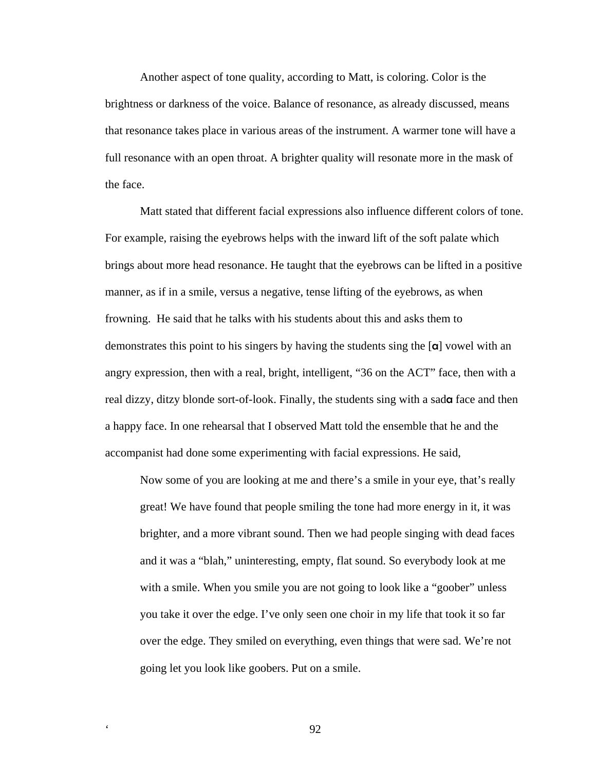Another aspect of tone quality, according to Matt, is coloring. Color is the brightness or darkness of the voice. Balance of resonance, as already discussed, means that resonance takes place in various areas of the instrument. A warmer tone will have a full resonance with an open throat. A brighter quality will resonate more in the mask of the face.

Matt stated that different facial expressions also influence different colors of tone. For example, raising the eyebrows helps with the inward lift of the soft palate which brings about more head resonance. He taught that the eyebrows can be lifted in a positive manner, as if in a smile, versus a negative, tense lifting of the eyebrows, as when frowning. He said that he talks with his students about this and asks them to demonstrates this point to his singers by having the students sing the  $\alpha$  vowel with an angry expression, then with a real, bright, intelligent, "36 on the ACT" face, then with a real dizzy, ditzy blonde sort-of-look. Finally, the students sing with a sada face and then a happy face. In one rehearsal that I observed Matt told the ensemble that he and the accompanist had done some experimenting with facial expressions. He said,

Now some of you are looking at me and there's a smile in your eye, that's really great! We have found that people smiling the tone had more energy in it, it was brighter, and a more vibrant sound. Then we had people singing with dead faces and it was a "blah," uninteresting, empty, flat sound. So everybody look at me with a smile. When you smile you are not going to look like a "goober" unless you take it over the edge. I've only seen one choir in my life that took it so far over the edge. They smiled on everything, even things that were sad. We're not going let you look like goobers. Put on a smile.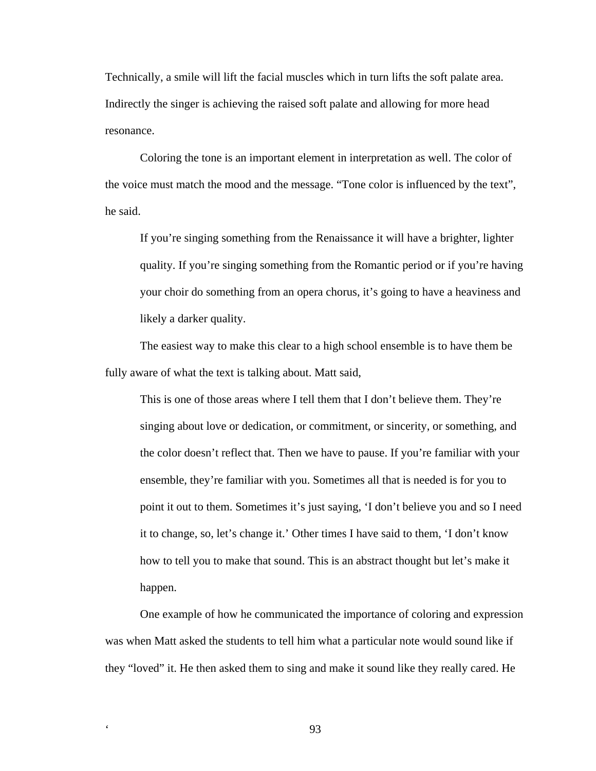Technically, a smile will lift the facial muscles which in turn lifts the soft palate area. Indirectly the singer is achieving the raised soft palate and allowing for more head resonance.

Coloring the tone is an important element in interpretation as well. The color of the voice must match the mood and the message. "Tone color is influenced by the text", he said.

If you're singing something from the Renaissance it will have a brighter, lighter quality. If you're singing something from the Romantic period or if you're having your choir do something from an opera chorus, it's going to have a heaviness and likely a darker quality.

The easiest way to make this clear to a high school ensemble is to have them be fully aware of what the text is talking about. Matt said,

This is one of those areas where I tell them that I don't believe them. They're singing about love or dedication, or commitment, or sincerity, or something, and the color doesn't reflect that. Then we have to pause. If you're familiar with your ensemble, they're familiar with you. Sometimes all that is needed is for you to point it out to them. Sometimes it's just saying, 'I don't believe you and so I need it to change, so, let's change it.' Other times I have said to them, 'I don't know how to tell you to make that sound. This is an abstract thought but let's make it happen.

One example of how he communicated the importance of coloring and expression was when Matt asked the students to tell him what a particular note would sound like if they "loved" it. He then asked them to sing and make it sound like they really cared. He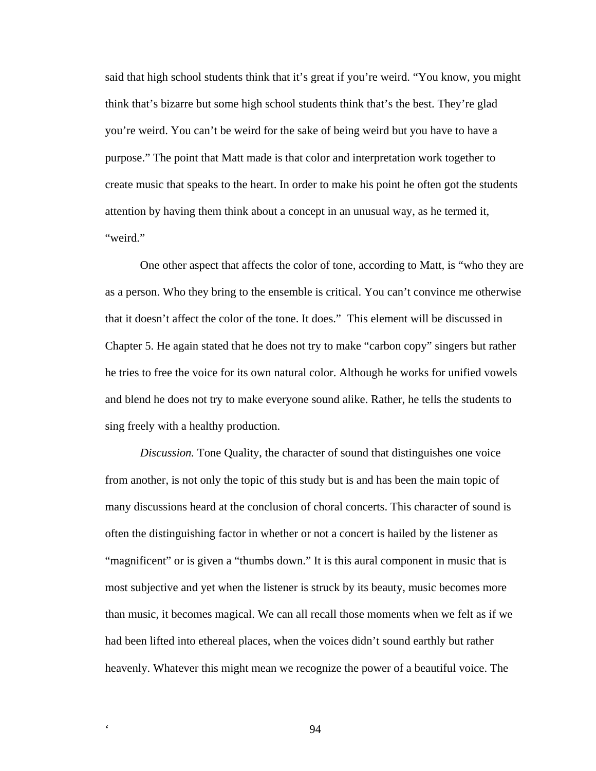said that high school students think that it's great if you're weird. "You know, you might think that's bizarre but some high school students think that's the best. They're glad you're weird. You can't be weird for the sake of being weird but you have to have a purpose." The point that Matt made is that color and interpretation work together to create music that speaks to the heart. In order to make his point he often got the students attention by having them think about a concept in an unusual way, as he termed it, "weird."

One other aspect that affects the color of tone, according to Matt, is "who they are as a person. Who they bring to the ensemble is critical. You can't convince me otherwise that it doesn't affect the color of the tone. It does." This element will be discussed in Chapter 5. He again stated that he does not try to make "carbon copy" singers but rather he tries to free the voice for its own natural color. Although he works for unified vowels and blend he does not try to make everyone sound alike. Rather, he tells the students to sing freely with a healthy production.

*Discussion.* Tone Quality, the character of sound that distinguishes one voice from another, is not only the topic of this study but is and has been the main topic of many discussions heard at the conclusion of choral concerts. This character of sound is often the distinguishing factor in whether or not a concert is hailed by the listener as "magnificent" or is given a "thumbs down." It is this aural component in music that is most subjective and yet when the listener is struck by its beauty, music becomes more than music, it becomes magical. We can all recall those moments when we felt as if we had been lifted into ethereal places, when the voices didn't sound earthly but rather heavenly. Whatever this might mean we recognize the power of a beautiful voice. The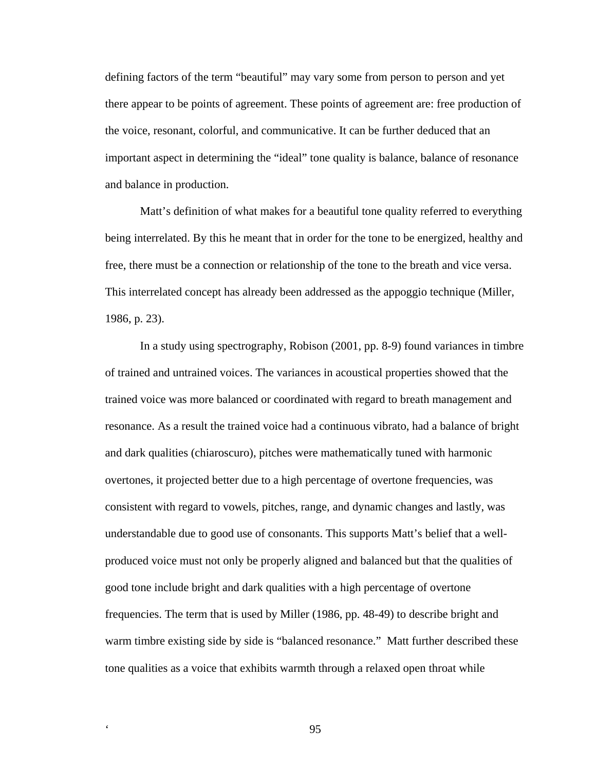defining factors of the term "beautiful" may vary some from person to person and yet there appear to be points of agreement. These points of agreement are: free production of the voice, resonant, colorful, and communicative. It can be further deduced that an important aspect in determining the "ideal" tone quality is balance, balance of resonance and balance in production.

Matt's definition of what makes for a beautiful tone quality referred to everything being interrelated. By this he meant that in order for the tone to be energized, healthy and free, there must be a connection or relationship of the tone to the breath and vice versa. This interrelated concept has already been addressed as the appoggio technique (Miller, 1986, p. 23).

In a study using spectrography, Robison (2001, pp. 8-9) found variances in timbre of trained and untrained voices. The variances in acoustical properties showed that the trained voice was more balanced or coordinated with regard to breath management and resonance. As a result the trained voice had a continuous vibrato, had a balance of bright and dark qualities (chiaroscuro), pitches were mathematically tuned with harmonic overtones, it projected better due to a high percentage of overtone frequencies, was consistent with regard to vowels, pitches, range, and dynamic changes and lastly, was understandable due to good use of consonants. This supports Matt's belief that a wellproduced voice must not only be properly aligned and balanced but that the qualities of good tone include bright and dark qualities with a high percentage of overtone frequencies. The term that is used by Miller (1986, pp. 48-49) to describe bright and warm timbre existing side by side is "balanced resonance." Matt further described these tone qualities as a voice that exhibits warmth through a relaxed open throat while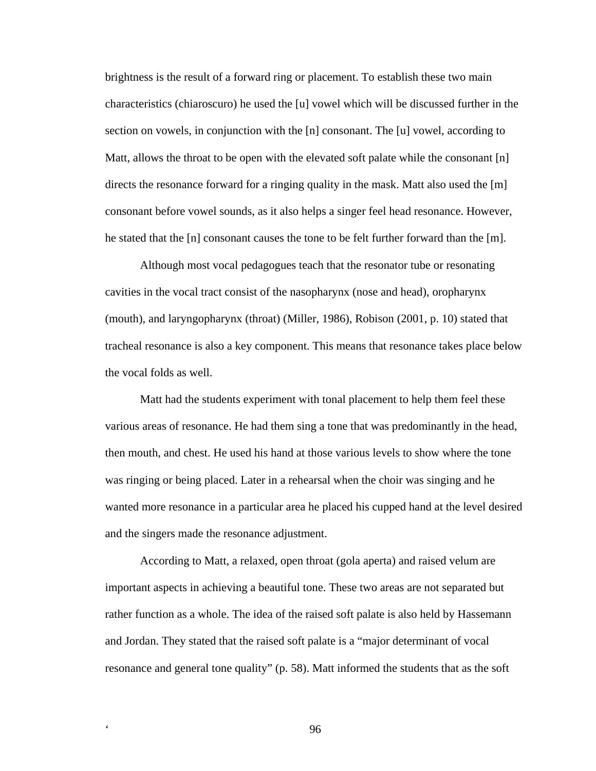brightness is the result of a forward ring or placement. To establish these two main characteristics (chiaroscuro) he used the [u] vowel which will be discussed further in the section on vowels, in conjunction with the [n] consonant. The [u] vowel, according to Matt, allows the throat to be open with the elevated soft palate while the consonant [n] directs the resonance forward for a ringing quality in the mask. Matt also used the [m] consonant before vowel sounds, as it also helps a singer feel head resonance. However, he stated that the [n] consonant causes the tone to be felt further forward than the [m].

Although most vocal pedagogues teach that the resonator tube or resonating cavities in the vocal tract consist of the nasopharynx (nose and head), oropharynx (mouth), and laryngopharynx (throat) (Miller, 1986), Robison (2001, p. 10) stated that tracheal resonance is also a key component. This means that resonance takes place below the vocal folds as well.

Matt had the students experiment with tonal placement to help them feel these various areas of resonance. He had them sing a tone that was predominantly in the head, then mouth, and chest. He used his hand at those various levels to show where the tone was ringing or being placed. Later in a rehearsal when the choir was singing and he wanted more resonance in a particular area he placed his cupped hand at the level desired and the singers made the resonance adjustment.

According to Matt, a relaxed, open throat (gola aperta) and raised velum are important aspects in achieving a beautiful tone. These two areas are not separated but rather function as a whole. The idea of the raised soft palate is also held by Hassemann and Jordan. They stated that the raised soft palate is a "major determinant of vocal resonance and general tone quality" (p. 58). Matt informed the students that as the soft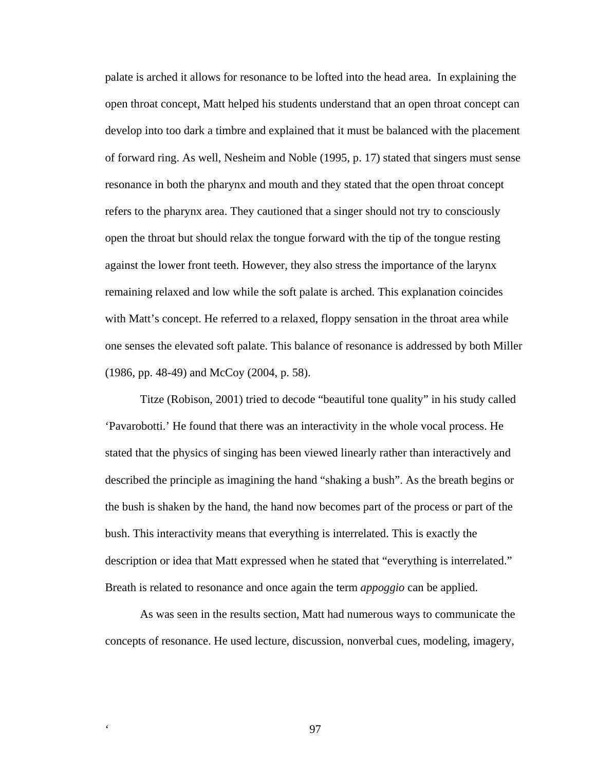palate is arched it allows for resonance to be lofted into the head area. In explaining the open throat concept, Matt helped his students understand that an open throat concept can develop into too dark a timbre and explained that it must be balanced with the placement of forward ring. As well, Nesheim and Noble (1995, p. 17) stated that singers must sense resonance in both the pharynx and mouth and they stated that the open throat concept refers to the pharynx area. They cautioned that a singer should not try to consciously open the throat but should relax the tongue forward with the tip of the tongue resting against the lower front teeth. However, they also stress the importance of the larynx remaining relaxed and low while the soft palate is arched. This explanation coincides with Matt's concept. He referred to a relaxed, floppy sensation in the throat area while one senses the elevated soft palate. This balance of resonance is addressed by both Miller (1986, pp. 48-49) and McCoy (2004, p. 58).

Titze (Robison, 2001) tried to decode "beautiful tone quality" in his study called 'Pavarobotti.' He found that there was an interactivity in the whole vocal process. He stated that the physics of singing has been viewed linearly rather than interactively and described the principle as imagining the hand "shaking a bush". As the breath begins or the bush is shaken by the hand, the hand now becomes part of the process or part of the bush. This interactivity means that everything is interrelated. This is exactly the description or idea that Matt expressed when he stated that "everything is interrelated." Breath is related to resonance and once again the term *appoggio* can be applied.

As was seen in the results section, Matt had numerous ways to communicate the concepts of resonance. He used lecture, discussion, nonverbal cues, modeling, imagery,

. **97**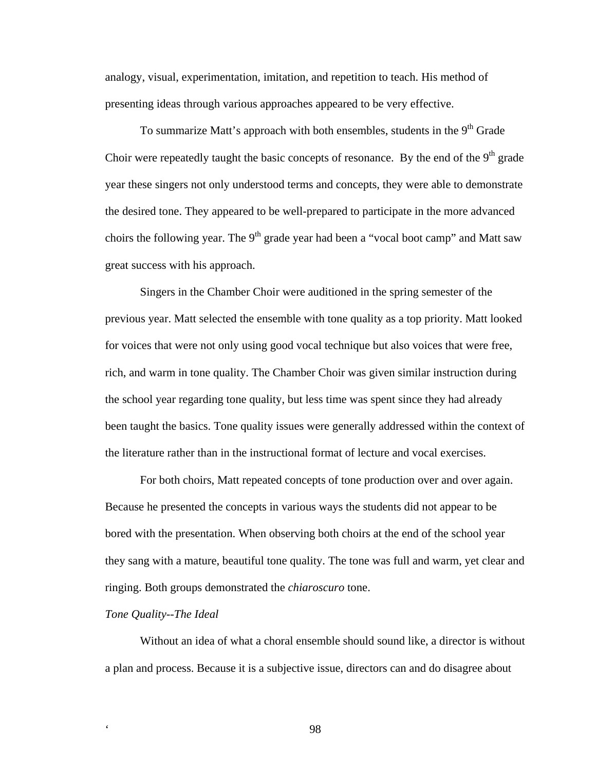analogy, visual, experimentation, imitation, and repetition to teach. His method of presenting ideas through various approaches appeared to be very effective.

To summarize Matt's approach with both ensembles, students in the  $9<sup>th</sup>$  Grade Choir were repeatedly taught the basic concepts of resonance. By the end of the  $9<sup>th</sup>$  grade year these singers not only understood terms and concepts, they were able to demonstrate the desired tone. They appeared to be well-prepared to participate in the more advanced choirs the following year. The  $9<sup>th</sup>$  grade year had been a "vocal boot camp" and Matt saw great success with his approach.

Singers in the Chamber Choir were auditioned in the spring semester of the previous year. Matt selected the ensemble with tone quality as a top priority. Matt looked for voices that were not only using good vocal technique but also voices that were free, rich, and warm in tone quality. The Chamber Choir was given similar instruction during the school year regarding tone quality, but less time was spent since they had already been taught the basics. Tone quality issues were generally addressed within the context of the literature rather than in the instructional format of lecture and vocal exercises.

For both choirs, Matt repeated concepts of tone production over and over again. Because he presented the concepts in various ways the students did not appear to be bored with the presentation. When observing both choirs at the end of the school year they sang with a mature, beautiful tone quality. The tone was full and warm, yet clear and ringing. Both groups demonstrated the *chiaroscuro* tone.

### *Tone Quality--The Ideal*

Without an idea of what a choral ensemble should sound like, a director is without a plan and process. Because it is a subjective issue, directors can and do disagree about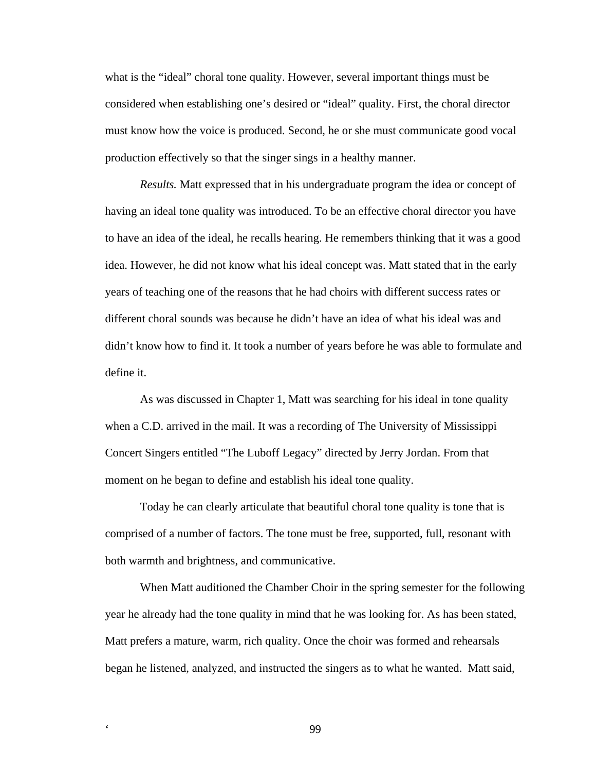what is the "ideal" choral tone quality. However, several important things must be considered when establishing one's desired or "ideal" quality. First, the choral director must know how the voice is produced. Second, he or she must communicate good vocal production effectively so that the singer sings in a healthy manner.

*Results.* Matt expressed that in his undergraduate program the idea or concept of having an ideal tone quality was introduced. To be an effective choral director you have to have an idea of the ideal, he recalls hearing. He remembers thinking that it was a good idea. However, he did not know what his ideal concept was. Matt stated that in the early years of teaching one of the reasons that he had choirs with different success rates or different choral sounds was because he didn't have an idea of what his ideal was and didn't know how to find it. It took a number of years before he was able to formulate and define it.

As was discussed in Chapter 1, Matt was searching for his ideal in tone quality when a C.D. arrived in the mail. It was a recording of The University of Mississippi Concert Singers entitled "The Luboff Legacy" directed by Jerry Jordan. From that moment on he began to define and establish his ideal tone quality.

Today he can clearly articulate that beautiful choral tone quality is tone that is comprised of a number of factors. The tone must be free, supported, full, resonant with both warmth and brightness, and communicative.

When Matt auditioned the Chamber Choir in the spring semester for the following year he already had the tone quality in mind that he was looking for. As has been stated, Matt prefers a mature, warm, rich quality. Once the choir was formed and rehearsals began he listened, analyzed, and instructed the singers as to what he wanted. Matt said,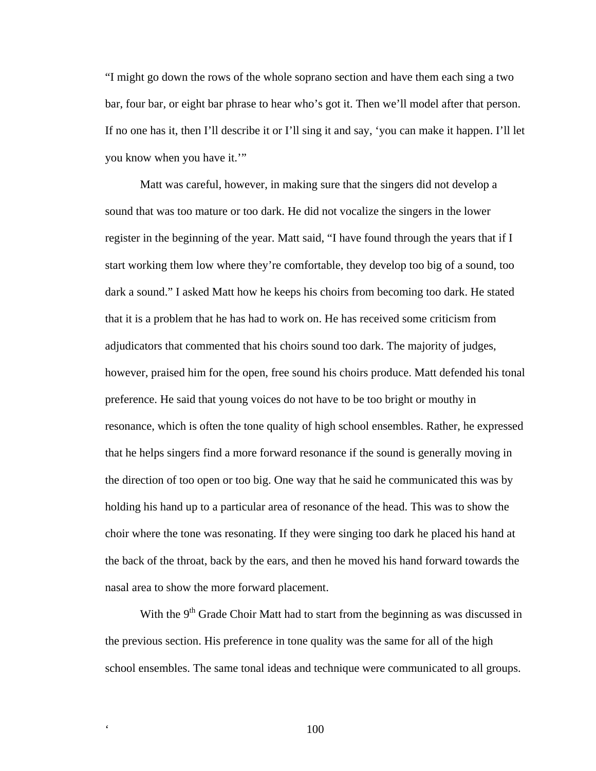"I might go down the rows of the whole soprano section and have them each sing a two bar, four bar, or eight bar phrase to hear who's got it. Then we'll model after that person. If no one has it, then I'll describe it or I'll sing it and say, 'you can make it happen. I'll let you know when you have it.'"

Matt was careful, however, in making sure that the singers did not develop a sound that was too mature or too dark. He did not vocalize the singers in the lower register in the beginning of the year. Matt said, "I have found through the years that if I start working them low where they're comfortable, they develop too big of a sound, too dark a sound." I asked Matt how he keeps his choirs from becoming too dark. He stated that it is a problem that he has had to work on. He has received some criticism from adjudicators that commented that his choirs sound too dark. The majority of judges, however, praised him for the open, free sound his choirs produce. Matt defended his tonal preference. He said that young voices do not have to be too bright or mouthy in resonance, which is often the tone quality of high school ensembles. Rather, he expressed that he helps singers find a more forward resonance if the sound is generally moving in the direction of too open or too big. One way that he said he communicated this was by holding his hand up to a particular area of resonance of the head. This was to show the choir where the tone was resonating. If they were singing too dark he placed his hand at the back of the throat, back by the ears, and then he moved his hand forward towards the nasal area to show the more forward placement.

With the 9<sup>th</sup> Grade Choir Matt had to start from the beginning as was discussed in the previous section. His preference in tone quality was the same for all of the high school ensembles. The same tonal ideas and technique were communicated to all groups.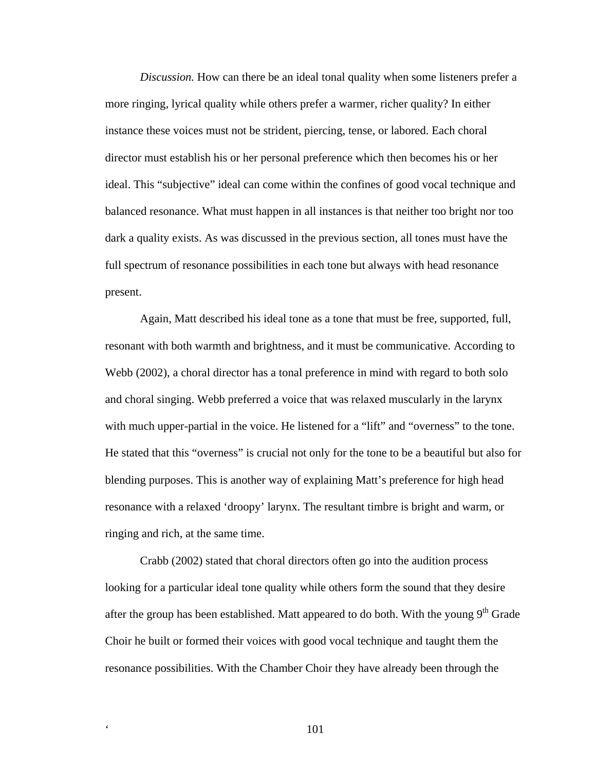*Discussion.* How can there be an ideal tonal quality when some listeners prefer a more ringing, lyrical quality while others prefer a warmer, richer quality? In either instance these voices must not be strident, piercing, tense, or labored. Each choral director must establish his or her personal preference which then becomes his or her ideal. This "subjective" ideal can come within the confines of good vocal technique and balanced resonance. What must happen in all instances is that neither too bright nor too dark a quality exists. As was discussed in the previous section, all tones must have the full spectrum of resonance possibilities in each tone but always with head resonance present.

Again, Matt described his ideal tone as a tone that must be free, supported, full, resonant with both warmth and brightness, and it must be communicative. According to Webb (2002), a choral director has a tonal preference in mind with regard to both solo and choral singing. Webb preferred a voice that was relaxed muscularly in the larynx with much upper-partial in the voice. He listened for a "lift" and "overness" to the tone. He stated that this "overness" is crucial not only for the tone to be a beautiful but also for blending purposes. This is another way of explaining Matt's preference for high head resonance with a relaxed 'droopy' larynx. The resultant timbre is bright and warm, or ringing and rich, at the same time.

Crabb (2002) stated that choral directors often go into the audition process looking for a particular ideal tone quality while others form the sound that they desire after the group has been established. Matt appeared to do both. With the young 9<sup>th</sup> Grade Choir he built or formed their voices with good vocal technique and taught them the resonance possibilities. With the Chamber Choir they have already been through the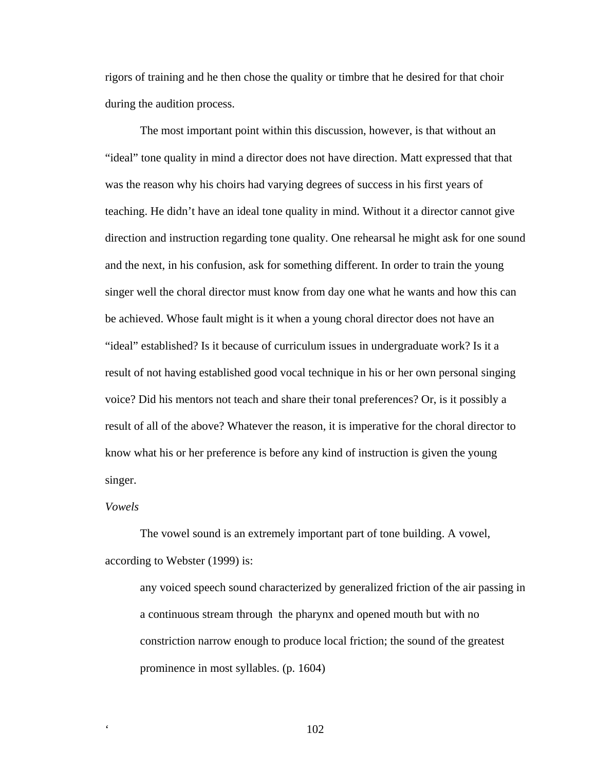rigors of training and he then chose the quality or timbre that he desired for that choir during the audition process.

The most important point within this discussion, however, is that without an "ideal" tone quality in mind a director does not have direction. Matt expressed that that was the reason why his choirs had varying degrees of success in his first years of teaching. He didn't have an ideal tone quality in mind. Without it a director cannot give direction and instruction regarding tone quality. One rehearsal he might ask for one sound and the next, in his confusion, ask for something different. In order to train the young singer well the choral director must know from day one what he wants and how this can be achieved. Whose fault might is it when a young choral director does not have an "ideal" established? Is it because of curriculum issues in undergraduate work? Is it a result of not having established good vocal technique in his or her own personal singing voice? Did his mentors not teach and share their tonal preferences? Or, is it possibly a result of all of the above? Whatever the reason, it is imperative for the choral director to know what his or her preference is before any kind of instruction is given the young singer.

### *Vowels*

The vowel sound is an extremely important part of tone building. A vowel, according to Webster (1999) is:

any voiced speech sound characterized by generalized friction of the air passing in a continuous stream through the pharynx and opened mouth but with no constriction narrow enough to produce local friction; the sound of the greatest prominence in most syllables. (p. 1604)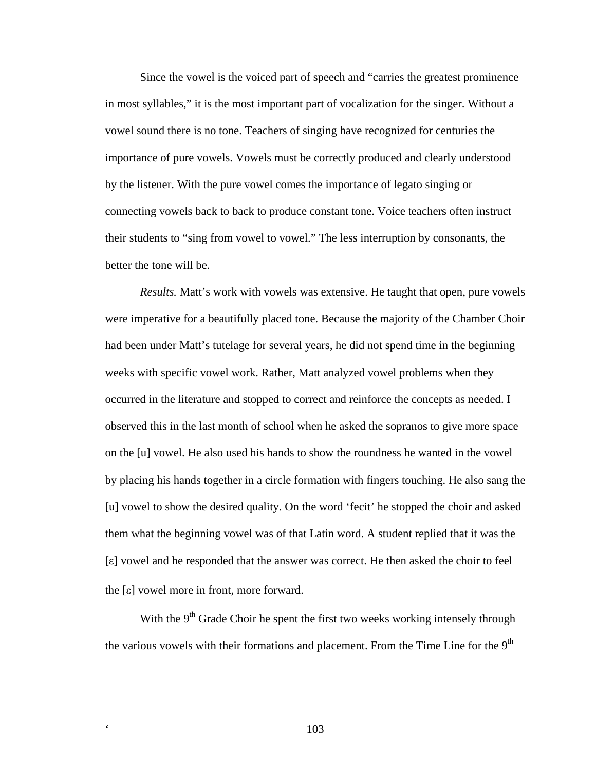Since the vowel is the voiced part of speech and "carries the greatest prominence in most syllables," it is the most important part of vocalization for the singer. Without a vowel sound there is no tone. Teachers of singing have recognized for centuries the importance of pure vowels. Vowels must be correctly produced and clearly understood by the listener. With the pure vowel comes the importance of legato singing or connecting vowels back to back to produce constant tone. Voice teachers often instruct their students to "sing from vowel to vowel." The less interruption by consonants, the better the tone will be.

*Results.* Matt's work with vowels was extensive. He taught that open, pure vowels were imperative for a beautifully placed tone. Because the majority of the Chamber Choir had been under Matt's tutelage for several years, he did not spend time in the beginning weeks with specific vowel work. Rather, Matt analyzed vowel problems when they occurred in the literature and stopped to correct and reinforce the concepts as needed. I observed this in the last month of school when he asked the sopranos to give more space on the [u] vowel. He also used his hands to show the roundness he wanted in the vowel by placing his hands together in a circle formation with fingers touching. He also sang the [u] vowel to show the desired quality. On the word 'fecit' he stopped the choir and asked them what the beginning vowel was of that Latin word. A student replied that it was the [ $\epsilon$ ] vowel and he responded that the answer was correct. He then asked the choir to feel the  $\lceil \varepsilon \rceil$  vowel more in front, more forward.

With the  $9<sup>th</sup>$  Grade Choir he spent the first two weeks working intensely through the various vowels with their formations and placement. From the Time Line for the  $9<sup>th</sup>$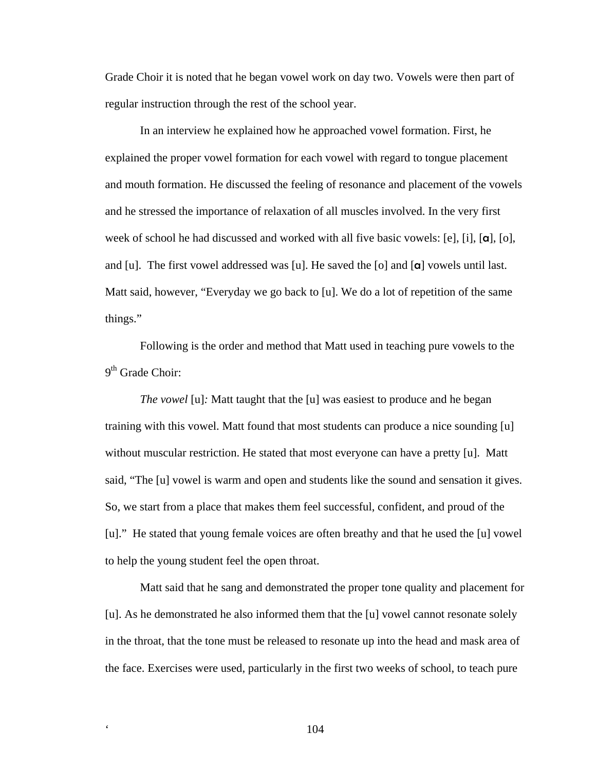Grade Choir it is noted that he began vowel work on day two. Vowels were then part of regular instruction through the rest of the school year.

In an interview he explained how he approached vowel formation. First, he explained the proper vowel formation for each vowel with regard to tongue placement and mouth formation. He discussed the feeling of resonance and placement of the vowels and he stressed the importance of relaxation of all muscles involved. In the very first week of school he had discussed and worked with all five basic vowels: [e], [i],  $[\alpha]$ ,  $[\alpha]$ , [o], and [u]. The first vowel addressed was [u]. He saved the [o] and  $\alpha$ ] vowels until last. Matt said, however, "Everyday we go back to [u]. We do a lot of repetition of the same things."

Following is the order and method that Matt used in teaching pure vowels to the  $9<sup>th</sup>$  Grade Choir:

*The vowel* [u]: Matt taught that the [u] was easiest to produce and he began training with this vowel. Matt found that most students can produce a nice sounding [u] without muscular restriction. He stated that most everyone can have a pretty [u]. Matt said, "The [u] vowel is warm and open and students like the sound and sensation it gives. So, we start from a place that makes them feel successful, confident, and proud of the [u]." He stated that young female voices are often breathy and that he used the [u] vowel to help the young student feel the open throat.

Matt said that he sang and demonstrated the proper tone quality and placement for [u]. As he demonstrated he also informed them that the [u] vowel cannot resonate solely in the throat, that the tone must be released to resonate up into the head and mask area of the face. Exercises were used, particularly in the first two weeks of school, to teach pure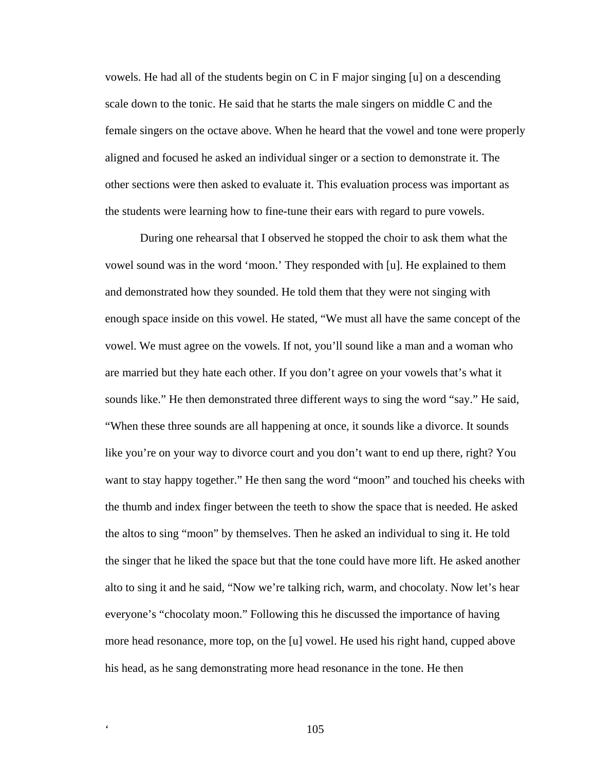vowels. He had all of the students begin on C in F major singing [u] on a descending scale down to the tonic. He said that he starts the male singers on middle C and the female singers on the octave above. When he heard that the vowel and tone were properly aligned and focused he asked an individual singer or a section to demonstrate it. The other sections were then asked to evaluate it. This evaluation process was important as the students were learning how to fine-tune their ears with regard to pure vowels.

During one rehearsal that I observed he stopped the choir to ask them what the vowel sound was in the word 'moon.' They responded with [u]. He explained to them and demonstrated how they sounded. He told them that they were not singing with enough space inside on this vowel. He stated, "We must all have the same concept of the vowel. We must agree on the vowels. If not, you'll sound like a man and a woman who are married but they hate each other. If you don't agree on your vowels that's what it sounds like." He then demonstrated three different ways to sing the word "say." He said, "When these three sounds are all happening at once, it sounds like a divorce. It sounds like you're on your way to divorce court and you don't want to end up there, right? You want to stay happy together." He then sang the word "moon" and touched his cheeks with the thumb and index finger between the teeth to show the space that is needed. He asked the altos to sing "moon" by themselves. Then he asked an individual to sing it. He told the singer that he liked the space but that the tone could have more lift. He asked another alto to sing it and he said, "Now we're talking rich, warm, and chocolaty. Now let's hear everyone's "chocolaty moon." Following this he discussed the importance of having more head resonance, more top, on the [u] vowel. He used his right hand, cupped above his head, as he sang demonstrating more head resonance in the tone. He then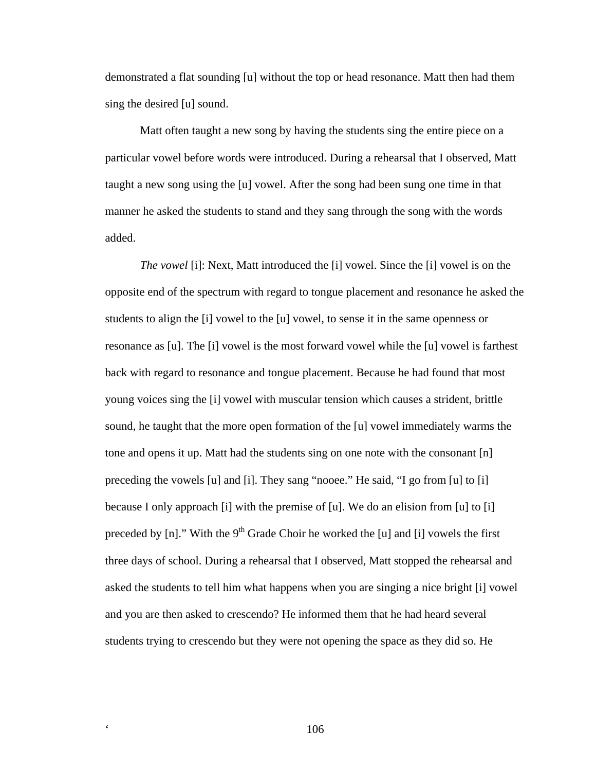demonstrated a flat sounding [u] without the top or head resonance. Matt then had them sing the desired [u] sound.

Matt often taught a new song by having the students sing the entire piece on a particular vowel before words were introduced. During a rehearsal that I observed, Matt taught a new song using the [u] vowel. After the song had been sung one time in that manner he asked the students to stand and they sang through the song with the words added.

*The vowel* [i]: Next, Matt introduced the [i] vowel. Since the [i] vowel is on the opposite end of the spectrum with regard to tongue placement and resonance he asked the students to align the [i] vowel to the [u] vowel, to sense it in the same openness or resonance as [u]. The [i] vowel is the most forward vowel while the [u] vowel is farthest back with regard to resonance and tongue placement. Because he had found that most young voices sing the [i] vowel with muscular tension which causes a strident, brittle sound, he taught that the more open formation of the [u] vowel immediately warms the tone and opens it up. Matt had the students sing on one note with the consonant [n] preceding the vowels [u] and [i]. They sang "nooee." He said, "I go from [u] to [i] because I only approach [i] with the premise of [u]. We do an elision from [u] to [i] preceded by [n]." With the 9<sup>th</sup> Grade Choir he worked the [u] and [i] vowels the first three days of school. During a rehearsal that I observed, Matt stopped the rehearsal and asked the students to tell him what happens when you are singing a nice bright [i] vowel and you are then asked to crescendo? He informed them that he had heard several students trying to crescendo but they were not opening the space as they did so. He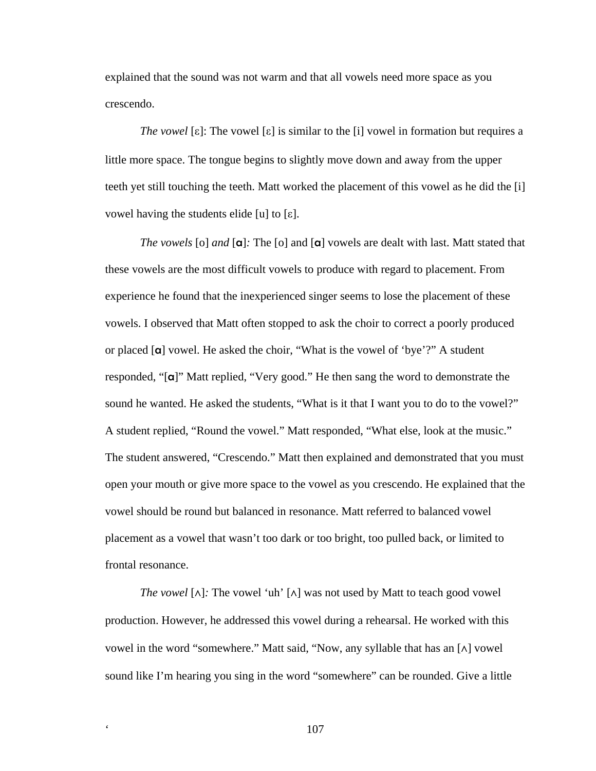explained that the sound was not warm and that all vowels need more space as you crescendo.

*The vowel* [ $\epsilon$ ]: The vowel  $\epsilon$ ] is similar to the [i] vowel in formation but requires a little more space. The tongue begins to slightly move down and away from the upper teeth yet still touching the teeth. Matt worked the placement of this vowel as he did the [i] vowel having the students elide [u] to [ $\epsilon$ ].

*The vowels* [o] *and* [**a**]*:* The [o] and [**a**] vowels are dealt with last. Matt stated that these vowels are the most difficult vowels to produce with regard to placement. From experience he found that the inexperienced singer seems to lose the placement of these vowels. I observed that Matt often stopped to ask the choir to correct a poorly produced or placed [a] vowel. He asked the choir, "What is the vowel of 'bye'?" A student responded, "[a]" Matt replied, "Very good." He then sang the word to demonstrate the sound he wanted. He asked the students, "What is it that I want you to do to the vowel?" A student replied, "Round the vowel." Matt responded, "What else, look at the music." The student answered, "Crescendo." Matt then explained and demonstrated that you must open your mouth or give more space to the vowel as you crescendo. He explained that the vowel should be round but balanced in resonance. Matt referred to balanced vowel placement as a vowel that wasn't too dark or too bright, too pulled back, or limited to frontal resonance.

*The vowel* [ $\land$ ]: The vowel 'uh' [ $\land$ ] was not used by Matt to teach good vowel production. However, he addressed this vowel during a rehearsal. He worked with this vowel in the word "somewhere." Matt said, "Now, any syllable that has an [ $\land$ ] vowel sound like I'm hearing you sing in the word "somewhere" can be rounded. Give a little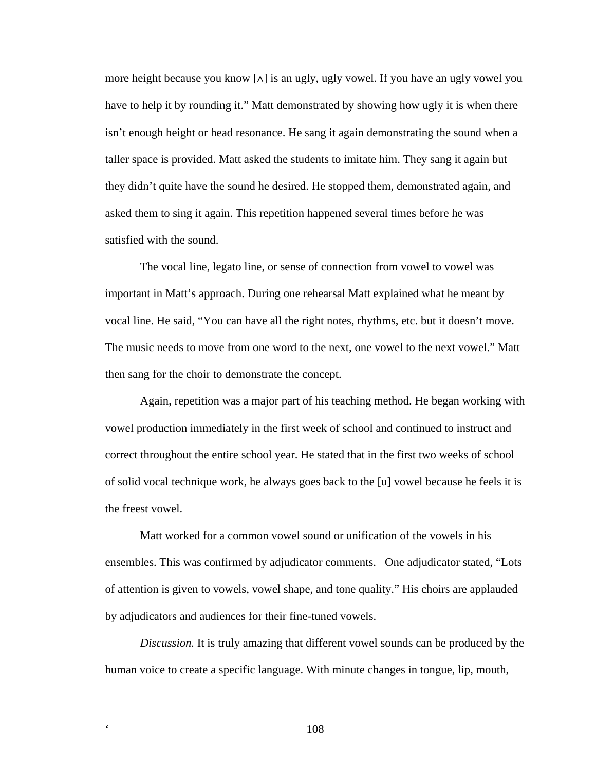more height because you know [∧] is an ugly, ugly vowel. If you have an ugly vowel you have to help it by rounding it." Matt demonstrated by showing how ugly it is when there isn't enough height or head resonance. He sang it again demonstrating the sound when a taller space is provided. Matt asked the students to imitate him. They sang it again but they didn't quite have the sound he desired. He stopped them, demonstrated again, and asked them to sing it again. This repetition happened several times before he was satisfied with the sound.

The vocal line, legato line, or sense of connection from vowel to vowel was important in Matt's approach. During one rehearsal Matt explained what he meant by vocal line. He said, "You can have all the right notes, rhythms, etc. but it doesn't move. The music needs to move from one word to the next, one vowel to the next vowel." Matt then sang for the choir to demonstrate the concept.

Again, repetition was a major part of his teaching method. He began working with vowel production immediately in the first week of school and continued to instruct and correct throughout the entire school year. He stated that in the first two weeks of school of solid vocal technique work, he always goes back to the [u] vowel because he feels it is the freest vowel.

Matt worked for a common vowel sound or unification of the vowels in his ensembles. This was confirmed by adjudicator comments. One adjudicator stated, "Lots of attention is given to vowels, vowel shape, and tone quality." His choirs are applauded by adjudicators and audiences for their fine-tuned vowels.

*Discussion.* It is truly amazing that different vowel sounds can be produced by the human voice to create a specific language. With minute changes in tongue, lip, mouth,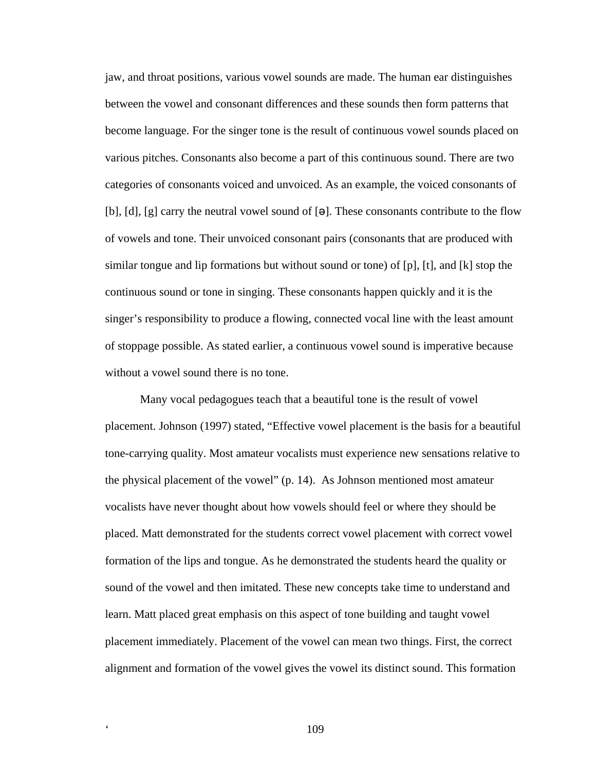jaw, and throat positions, various vowel sounds are made. The human ear distinguishes between the vowel and consonant differences and these sounds then form patterns that become language. For the singer tone is the result of continuous vowel sounds placed on various pitches. Consonants also become a part of this continuous sound. There are two categories of consonants voiced and unvoiced. As an example, the voiced consonants of [b], [d], [g] carry the neutral vowel sound of [ə]. These consonants contribute to the flow of vowels and tone. Their unvoiced consonant pairs (consonants that are produced with similar tongue and lip formations but without sound or tone) of [p], [t], and [k] stop the continuous sound or tone in singing. These consonants happen quickly and it is the singer's responsibility to produce a flowing, connected vocal line with the least amount of stoppage possible. As stated earlier, a continuous vowel sound is imperative because without a vowel sound there is no tone.

Many vocal pedagogues teach that a beautiful tone is the result of vowel placement. Johnson (1997) stated, "Effective vowel placement is the basis for a beautiful tone-carrying quality. Most amateur vocalists must experience new sensations relative to the physical placement of the vowel" (p. 14). As Johnson mentioned most amateur vocalists have never thought about how vowels should feel or where they should be placed. Matt demonstrated for the students correct vowel placement with correct vowel formation of the lips and tongue. As he demonstrated the students heard the quality or sound of the vowel and then imitated. These new concepts take time to understand and learn. Matt placed great emphasis on this aspect of tone building and taught vowel placement immediately. Placement of the vowel can mean two things. First, the correct alignment and formation of the vowel gives the vowel its distinct sound. This formation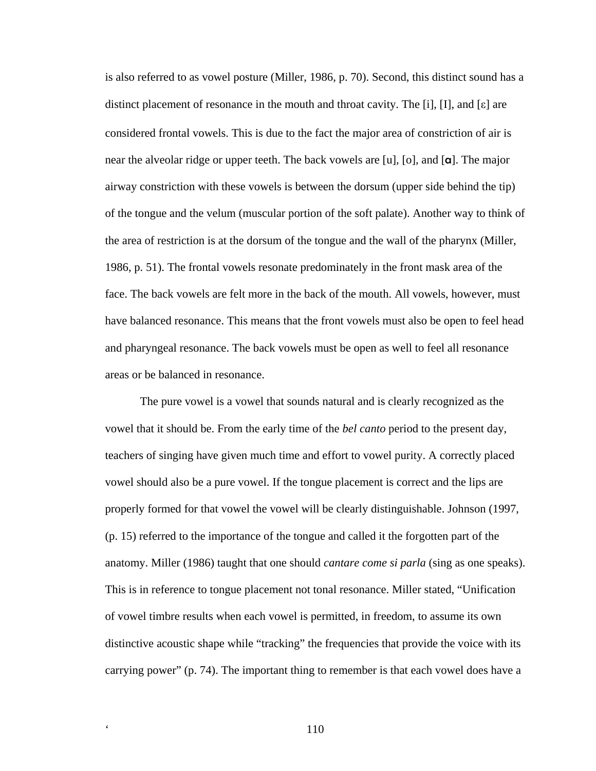is also referred to as vowel posture (Miller, 1986, p. 70). Second, this distinct sound has a distinct placement of resonance in the mouth and throat cavity. The [i], [I], and  $[\epsilon]$  are considered frontal vowels. This is due to the fact the major area of constriction of air is near the alveolar ridge or upper teeth. The back vowels are [u], [o], and [a]. The major airway constriction with these vowels is between the dorsum (upper side behind the tip) of the tongue and the velum (muscular portion of the soft palate). Another way to think of the area of restriction is at the dorsum of the tongue and the wall of the pharynx (Miller, 1986, p. 51). The frontal vowels resonate predominately in the front mask area of the face. The back vowels are felt more in the back of the mouth. All vowels, however, must have balanced resonance. This means that the front vowels must also be open to feel head and pharyngeal resonance. The back vowels must be open as well to feel all resonance areas or be balanced in resonance.

The pure vowel is a vowel that sounds natural and is clearly recognized as the vowel that it should be. From the early time of the *bel canto* period to the present day, teachers of singing have given much time and effort to vowel purity. A correctly placed vowel should also be a pure vowel. If the tongue placement is correct and the lips are properly formed for that vowel the vowel will be clearly distinguishable. Johnson (1997, (p. 15) referred to the importance of the tongue and called it the forgotten part of the anatomy. Miller (1986) taught that one should *cantare come si parla* (sing as one speaks). This is in reference to tongue placement not tonal resonance. Miller stated, "Unification of vowel timbre results when each vowel is permitted, in freedom, to assume its own distinctive acoustic shape while "tracking" the frequencies that provide the voice with its carrying power" (p. 74). The important thing to remember is that each vowel does have a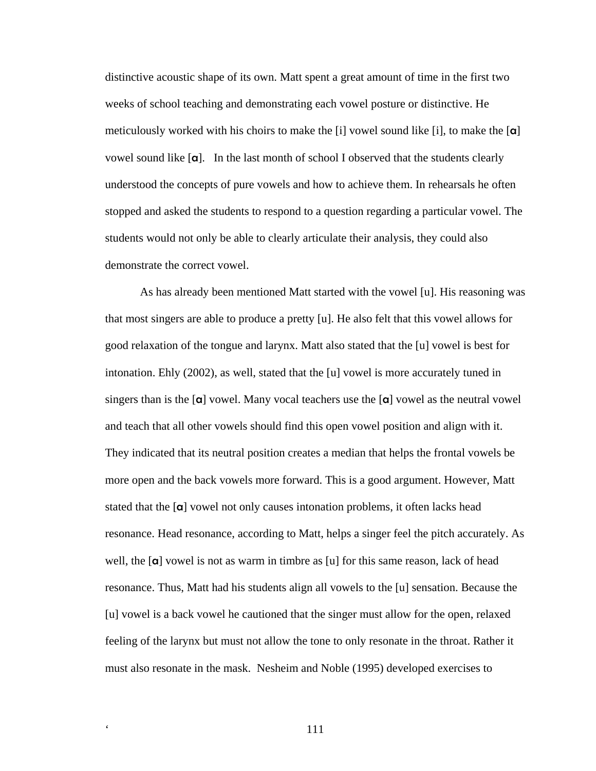distinctive acoustic shape of its own. Matt spent a great amount of time in the first two weeks of school teaching and demonstrating each vowel posture or distinctive. He meticulously worked with his choirs to make the [i] vowel sound like [i], to make the  $[\alpha]$ vowel sound like  $[\alpha]$ . In the last month of school I observed that the students clearly understood the concepts of pure vowels and how to achieve them. In rehearsals he often stopped and asked the students to respond to a question regarding a particular vowel. The students would not only be able to clearly articulate their analysis, they could also demonstrate the correct vowel.

As has already been mentioned Matt started with the vowel [u]. His reasoning was that most singers are able to produce a pretty [u]. He also felt that this vowel allows for good relaxation of the tongue and larynx. Matt also stated that the [u] vowel is best for intonation. Ehly (2002), as well, stated that the [u] vowel is more accurately tuned in singers than is the  $\lceil \alpha \rceil$  vowel. Many vocal teachers use the  $\lceil \alpha \rceil$  vowel as the neutral vowel and teach that all other vowels should find this open vowel position and align with it. They indicated that its neutral position creates a median that helps the frontal vowels be more open and the back vowels more forward. This is a good argument. However, Matt stated that the  $\lceil \alpha \rceil$  vowel not only causes intonation problems, it often lacks head resonance. Head resonance, according to Matt, helps a singer feel the pitch accurately. As well, the  $\lceil \alpha \rceil$  vowel is not as warm in timbre as  $\lceil u \rceil$  for this same reason, lack of head resonance. Thus, Matt had his students align all vowels to the [u] sensation. Because the [u] vowel is a back vowel he cautioned that the singer must allow for the open, relaxed feeling of the larynx but must not allow the tone to only resonate in the throat. Rather it must also resonate in the mask. Nesheim and Noble (1995) developed exercises to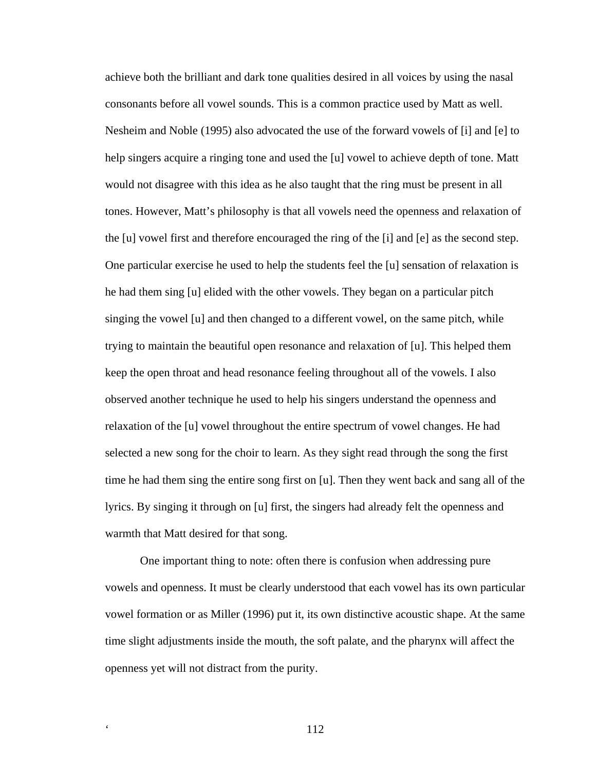achieve both the brilliant and dark tone qualities desired in all voices by using the nasal consonants before all vowel sounds. This is a common practice used by Matt as well. Nesheim and Noble (1995) also advocated the use of the forward vowels of [i] and [e] to help singers acquire a ringing tone and used the [u] vowel to achieve depth of tone. Matt would not disagree with this idea as he also taught that the ring must be present in all tones. However, Matt's philosophy is that all vowels need the openness and relaxation of the [u] vowel first and therefore encouraged the ring of the [i] and [e] as the second step. One particular exercise he used to help the students feel the [u] sensation of relaxation is he had them sing [u] elided with the other vowels. They began on a particular pitch singing the vowel [u] and then changed to a different vowel, on the same pitch, while trying to maintain the beautiful open resonance and relaxation of [u]. This helped them keep the open throat and head resonance feeling throughout all of the vowels. I also observed another technique he used to help his singers understand the openness and relaxation of the [u] vowel throughout the entire spectrum of vowel changes. He had selected a new song for the choir to learn. As they sight read through the song the first time he had them sing the entire song first on [u]. Then they went back and sang all of the lyrics. By singing it through on [u] first, the singers had already felt the openness and warmth that Matt desired for that song.

One important thing to note: often there is confusion when addressing pure vowels and openness. It must be clearly understood that each vowel has its own particular vowel formation or as Miller (1996) put it, its own distinctive acoustic shape. At the same time slight adjustments inside the mouth, the soft palate, and the pharynx will affect the openness yet will not distract from the purity.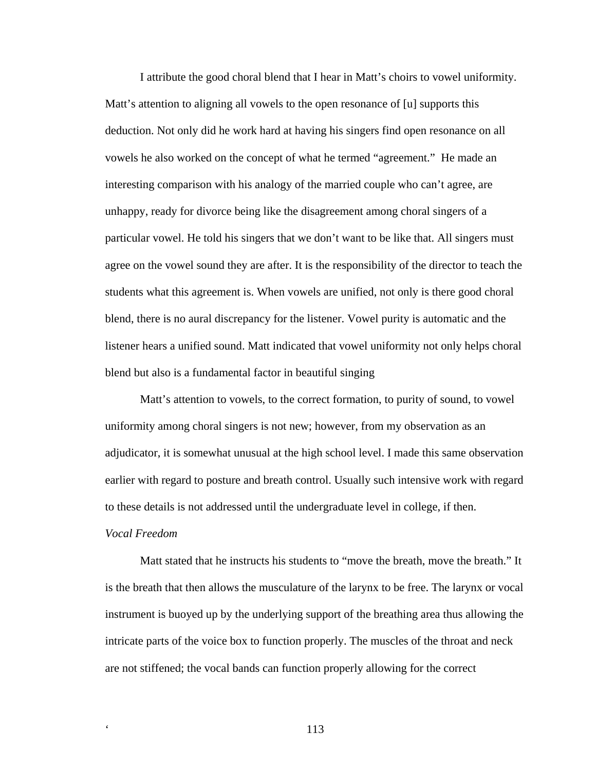I attribute the good choral blend that I hear in Matt's choirs to vowel uniformity. Matt's attention to aligning all vowels to the open resonance of [u] supports this deduction. Not only did he work hard at having his singers find open resonance on all vowels he also worked on the concept of what he termed "agreement." He made an interesting comparison with his analogy of the married couple who can't agree, are unhappy, ready for divorce being like the disagreement among choral singers of a particular vowel. He told his singers that we don't want to be like that. All singers must agree on the vowel sound they are after. It is the responsibility of the director to teach the students what this agreement is. When vowels are unified, not only is there good choral blend, there is no aural discrepancy for the listener. Vowel purity is automatic and the listener hears a unified sound. Matt indicated that vowel uniformity not only helps choral blend but also is a fundamental factor in beautiful singing

Matt's attention to vowels, to the correct formation, to purity of sound, to vowel uniformity among choral singers is not new; however, from my observation as an adjudicator, it is somewhat unusual at the high school level. I made this same observation earlier with regard to posture and breath control. Usually such intensive work with regard to these details is not addressed until the undergraduate level in college, if then.

# *Vocal Freedom*

Matt stated that he instructs his students to "move the breath, move the breath." It is the breath that then allows the musculature of the larynx to be free. The larynx or vocal instrument is buoyed up by the underlying support of the breathing area thus allowing the intricate parts of the voice box to function properly. The muscles of the throat and neck are not stiffened; the vocal bands can function properly allowing for the correct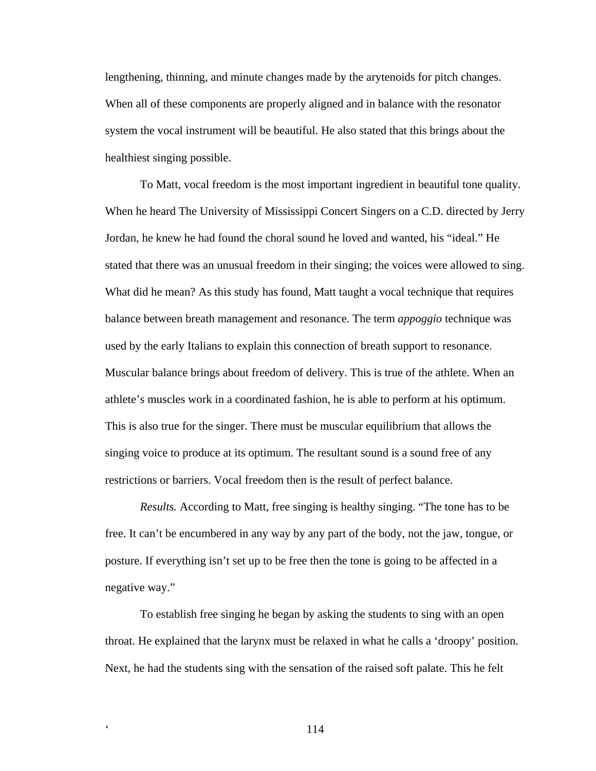lengthening, thinning, and minute changes made by the arytenoids for pitch changes. When all of these components are properly aligned and in balance with the resonator system the vocal instrument will be beautiful. He also stated that this brings about the healthiest singing possible.

To Matt, vocal freedom is the most important ingredient in beautiful tone quality. When he heard The University of Mississippi Concert Singers on a C.D. directed by Jerry Jordan, he knew he had found the choral sound he loved and wanted, his "ideal." He stated that there was an unusual freedom in their singing; the voices were allowed to sing. What did he mean? As this study has found, Matt taught a vocal technique that requires balance between breath management and resonance. The term *appoggio* technique was used by the early Italians to explain this connection of breath support to resonance. Muscular balance brings about freedom of delivery. This is true of the athlete. When an athlete's muscles work in a coordinated fashion, he is able to perform at his optimum. This is also true for the singer. There must be muscular equilibrium that allows the singing voice to produce at its optimum. The resultant sound is a sound free of any restrictions or barriers. Vocal freedom then is the result of perfect balance.

 *Results.* According to Matt, free singing is healthy singing. "The tone has to be free. It can't be encumbered in any way by any part of the body, not the jaw, tongue, or posture. If everything isn't set up to be free then the tone is going to be affected in a negative way."

To establish free singing he began by asking the students to sing with an open throat. He explained that the larynx must be relaxed in what he calls a 'droopy' position. Next, he had the students sing with the sensation of the raised soft palate. This he felt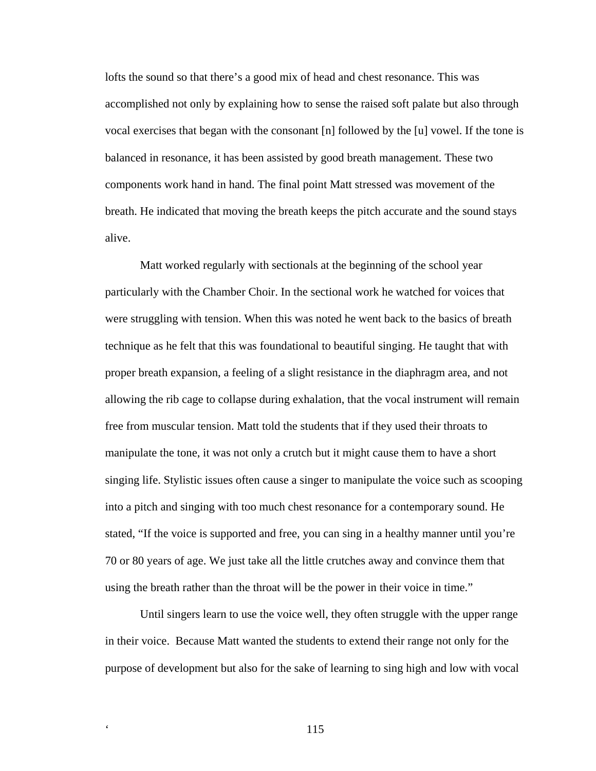lofts the sound so that there's a good mix of head and chest resonance. This was accomplished not only by explaining how to sense the raised soft palate but also through vocal exercises that began with the consonant [n] followed by the [u] vowel. If the tone is balanced in resonance, it has been assisted by good breath management. These two components work hand in hand. The final point Matt stressed was movement of the breath. He indicated that moving the breath keeps the pitch accurate and the sound stays alive.

Matt worked regularly with sectionals at the beginning of the school year particularly with the Chamber Choir. In the sectional work he watched for voices that were struggling with tension. When this was noted he went back to the basics of breath technique as he felt that this was foundational to beautiful singing. He taught that with proper breath expansion, a feeling of a slight resistance in the diaphragm area, and not allowing the rib cage to collapse during exhalation, that the vocal instrument will remain free from muscular tension. Matt told the students that if they used their throats to manipulate the tone, it was not only a crutch but it might cause them to have a short singing life. Stylistic issues often cause a singer to manipulate the voice such as scooping into a pitch and singing with too much chest resonance for a contemporary sound. He stated, "If the voice is supported and free, you can sing in a healthy manner until you're 70 or 80 years of age. We just take all the little crutches away and convince them that using the breath rather than the throat will be the power in their voice in time."

Until singers learn to use the voice well, they often struggle with the upper range in their voice. Because Matt wanted the students to extend their range not only for the purpose of development but also for the sake of learning to sing high and low with vocal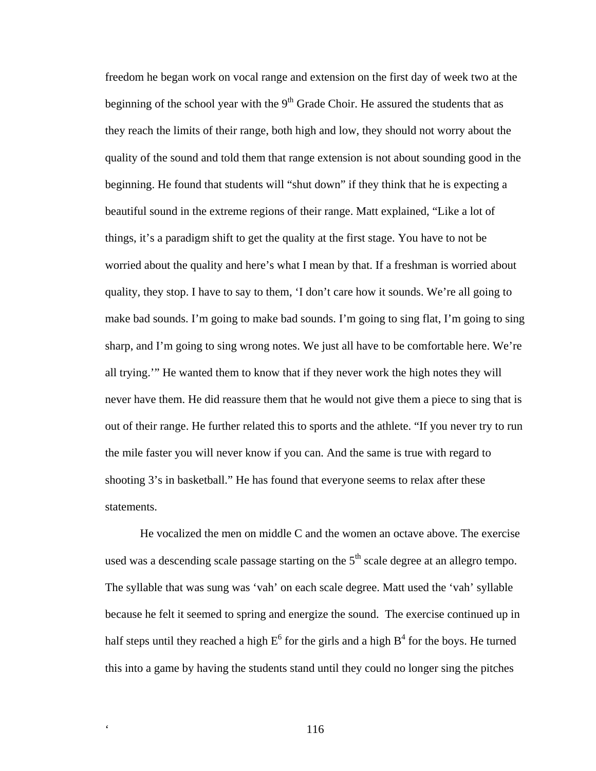freedom he began work on vocal range and extension on the first day of week two at the beginning of the school year with the  $9<sup>th</sup>$  Grade Choir. He assured the students that as they reach the limits of their range, both high and low, they should not worry about the quality of the sound and told them that range extension is not about sounding good in the beginning. He found that students will "shut down" if they think that he is expecting a beautiful sound in the extreme regions of their range. Matt explained, "Like a lot of things, it's a paradigm shift to get the quality at the first stage. You have to not be worried about the quality and here's what I mean by that. If a freshman is worried about quality, they stop. I have to say to them, 'I don't care how it sounds. We're all going to make bad sounds. I'm going to make bad sounds. I'm going to sing flat, I'm going to sing sharp, and I'm going to sing wrong notes. We just all have to be comfortable here. We're all trying.'" He wanted them to know that if they never work the high notes they will never have them. He did reassure them that he would not give them a piece to sing that is out of their range. He further related this to sports and the athlete. "If you never try to run the mile faster you will never know if you can. And the same is true with regard to shooting 3's in basketball." He has found that everyone seems to relax after these statements.

He vocalized the men on middle C and the women an octave above. The exercise used was a descending scale passage starting on the  $5<sup>th</sup>$  scale degree at an allegro tempo. The syllable that was sung was 'vah' on each scale degree. Matt used the 'vah' syllable because he felt it seemed to spring and energize the sound. The exercise continued up in half steps until they reached a high  $E^6$  for the girls and a high  $B^4$  for the boys. He turned this into a game by having the students stand until they could no longer sing the pitches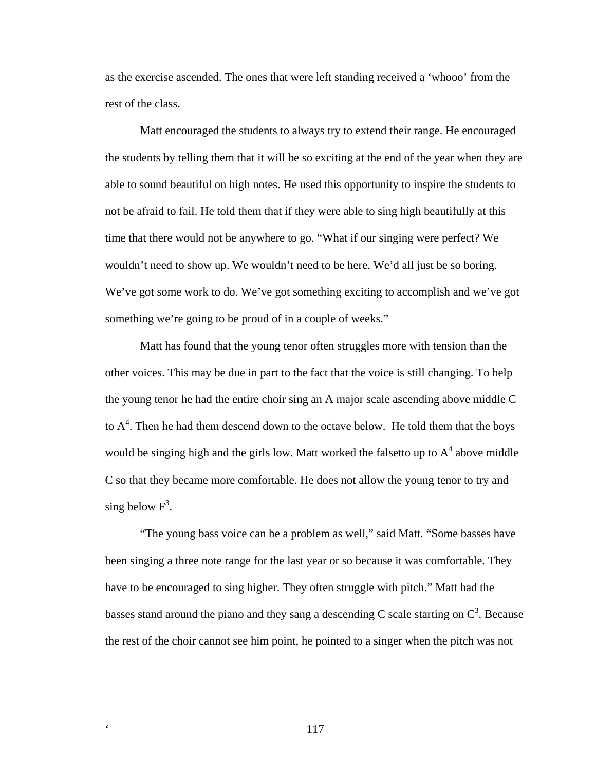as the exercise ascended. The ones that were left standing received a 'whooo' from the rest of the class.

Matt encouraged the students to always try to extend their range. He encouraged the students by telling them that it will be so exciting at the end of the year when they are able to sound beautiful on high notes. He used this opportunity to inspire the students to not be afraid to fail. He told them that if they were able to sing high beautifully at this time that there would not be anywhere to go. "What if our singing were perfect? We wouldn't need to show up. We wouldn't need to be here. We'd all just be so boring. We've got some work to do. We've got something exciting to accomplish and we've got something we're going to be proud of in a couple of weeks."

Matt has found that the young tenor often struggles more with tension than the other voices. This may be due in part to the fact that the voice is still changing. To help the young tenor he had the entire choir sing an A major scale ascending above middle C to  $A<sup>4</sup>$ . Then he had them descend down to the octave below. He told them that the boys would be singing high and the girls low. Matt worked the falsetto up to  $A<sup>4</sup>$  above middle C so that they became more comfortable. He does not allow the young tenor to try and sing below  $F^3$ .

"The young bass voice can be a problem as well," said Matt. "Some basses have been singing a three note range for the last year or so because it was comfortable. They have to be encouraged to sing higher. They often struggle with pitch." Matt had the basses stand around the piano and they sang a descending C scale starting on  $C^3$ . Because the rest of the choir cannot see him point, he pointed to a singer when the pitch was not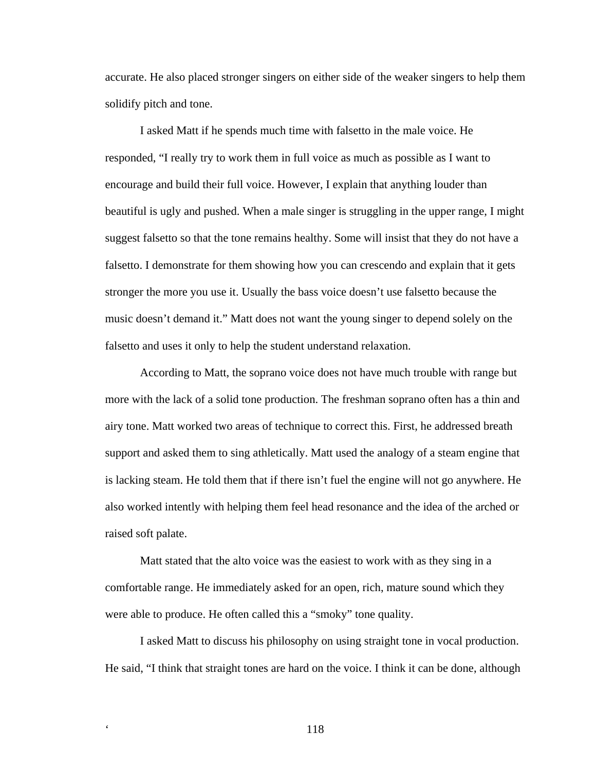accurate. He also placed stronger singers on either side of the weaker singers to help them solidify pitch and tone.

I asked Matt if he spends much time with falsetto in the male voice. He responded, "I really try to work them in full voice as much as possible as I want to encourage and build their full voice. However, I explain that anything louder than beautiful is ugly and pushed. When a male singer is struggling in the upper range, I might suggest falsetto so that the tone remains healthy. Some will insist that they do not have a falsetto. I demonstrate for them showing how you can crescendo and explain that it gets stronger the more you use it. Usually the bass voice doesn't use falsetto because the music doesn't demand it." Matt does not want the young singer to depend solely on the falsetto and uses it only to help the student understand relaxation.

According to Matt, the soprano voice does not have much trouble with range but more with the lack of a solid tone production. The freshman soprano often has a thin and airy tone. Matt worked two areas of technique to correct this. First, he addressed breath support and asked them to sing athletically. Matt used the analogy of a steam engine that is lacking steam. He told them that if there isn't fuel the engine will not go anywhere. He also worked intently with helping them feel head resonance and the idea of the arched or raised soft palate.

Matt stated that the alto voice was the easiest to work with as they sing in a comfortable range. He immediately asked for an open, rich, mature sound which they were able to produce. He often called this a "smoky" tone quality.

I asked Matt to discuss his philosophy on using straight tone in vocal production. He said, "I think that straight tones are hard on the voice. I think it can be done, although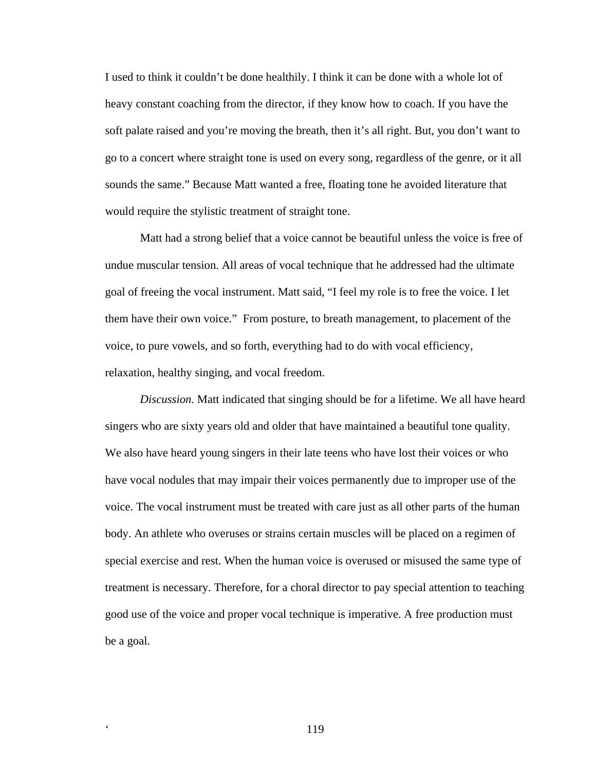I used to think it couldn't be done healthily. I think it can be done with a whole lot of heavy constant coaching from the director, if they know how to coach. If you have the soft palate raised and you're moving the breath, then it's all right. But, you don't want to go to a concert where straight tone is used on every song, regardless of the genre, or it all sounds the same." Because Matt wanted a free, floating tone he avoided literature that would require the stylistic treatment of straight tone.

Matt had a strong belief that a voice cannot be beautiful unless the voice is free of undue muscular tension. All areas of vocal technique that he addressed had the ultimate goal of freeing the vocal instrument. Matt said, "I feel my role is to free the voice. I let them have their own voice." From posture, to breath management, to placement of the voice, to pure vowels, and so forth, everything had to do with vocal efficiency, relaxation, healthy singing, and vocal freedom.

*Discussion.* Matt indicated that singing should be for a lifetime. We all have heard singers who are sixty years old and older that have maintained a beautiful tone quality. We also have heard young singers in their late teens who have lost their voices or who have vocal nodules that may impair their voices permanently due to improper use of the voice. The vocal instrument must be treated with care just as all other parts of the human body. An athlete who overuses or strains certain muscles will be placed on a regimen of special exercise and rest. When the human voice is overused or misused the same type of treatment is necessary. Therefore, for a choral director to pay special attention to teaching good use of the voice and proper vocal technique is imperative. A free production must be a goal.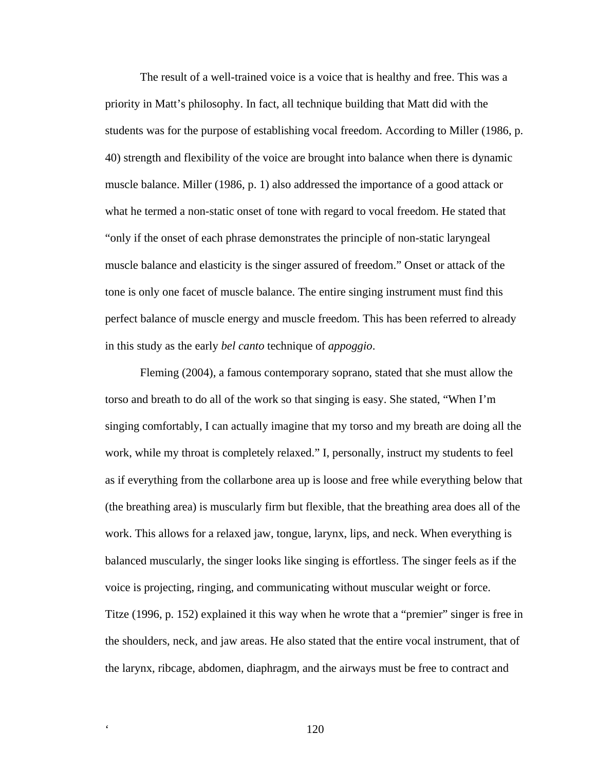The result of a well-trained voice is a voice that is healthy and free. This was a priority in Matt's philosophy. In fact, all technique building that Matt did with the students was for the purpose of establishing vocal freedom. According to Miller (1986, p. 40) strength and flexibility of the voice are brought into balance when there is dynamic muscle balance. Miller (1986, p. 1) also addressed the importance of a good attack or what he termed a non-static onset of tone with regard to vocal freedom. He stated that "only if the onset of each phrase demonstrates the principle of non-static laryngeal muscle balance and elasticity is the singer assured of freedom." Onset or attack of the tone is only one facet of muscle balance. The entire singing instrument must find this perfect balance of muscle energy and muscle freedom. This has been referred to already in this study as the early *bel canto* technique of *appoggio*.

Fleming (2004), a famous contemporary soprano, stated that she must allow the torso and breath to do all of the work so that singing is easy. She stated, "When I'm singing comfortably, I can actually imagine that my torso and my breath are doing all the work, while my throat is completely relaxed." I, personally, instruct my students to feel as if everything from the collarbone area up is loose and free while everything below that (the breathing area) is muscularly firm but flexible, that the breathing area does all of the work. This allows for a relaxed jaw, tongue, larynx, lips, and neck. When everything is balanced muscularly, the singer looks like singing is effortless. The singer feels as if the voice is projecting, ringing, and communicating without muscular weight or force. Titze (1996, p. 152) explained it this way when he wrote that a "premier" singer is free in the shoulders, neck, and jaw areas. He also stated that the entire vocal instrument, that of the larynx, ribcage, abdomen, diaphragm, and the airways must be free to contract and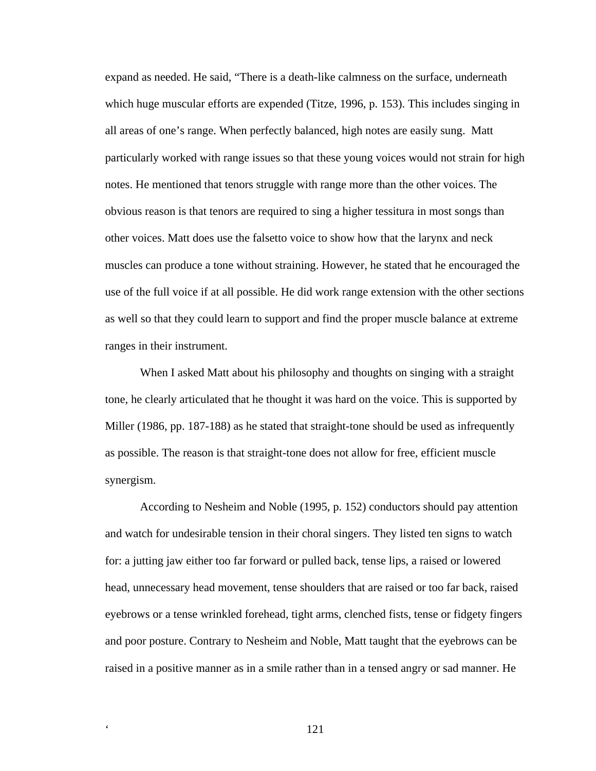expand as needed. He said, "There is a death-like calmness on the surface, underneath which huge muscular efforts are expended (Titze, 1996, p. 153). This includes singing in all areas of one's range. When perfectly balanced, high notes are easily sung. Matt particularly worked with range issues so that these young voices would not strain for high notes. He mentioned that tenors struggle with range more than the other voices. The obvious reason is that tenors are required to sing a higher tessitura in most songs than other voices. Matt does use the falsetto voice to show how that the larynx and neck muscles can produce a tone without straining. However, he stated that he encouraged the use of the full voice if at all possible. He did work range extension with the other sections as well so that they could learn to support and find the proper muscle balance at extreme ranges in their instrument.

When I asked Matt about his philosophy and thoughts on singing with a straight tone, he clearly articulated that he thought it was hard on the voice. This is supported by Miller (1986, pp. 187-188) as he stated that straight-tone should be used as infrequently as possible. The reason is that straight-tone does not allow for free, efficient muscle synergism.

According to Nesheim and Noble (1995, p. 152) conductors should pay attention and watch for undesirable tension in their choral singers. They listed ten signs to watch for: a jutting jaw either too far forward or pulled back, tense lips, a raised or lowered head, unnecessary head movement, tense shoulders that are raised or too far back, raised eyebrows or a tense wrinkled forehead, tight arms, clenched fists, tense or fidgety fingers and poor posture. Contrary to Nesheim and Noble, Matt taught that the eyebrows can be raised in a positive manner as in a smile rather than in a tensed angry or sad manner. He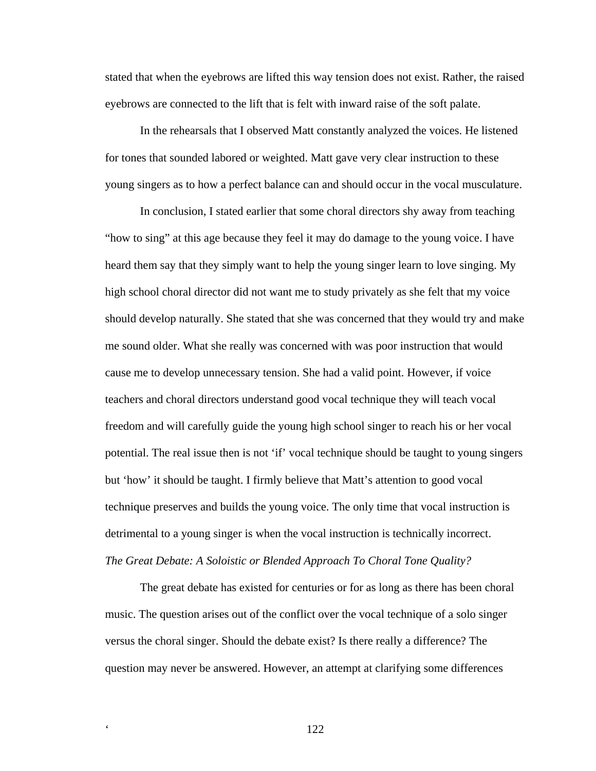stated that when the eyebrows are lifted this way tension does not exist. Rather, the raised eyebrows are connected to the lift that is felt with inward raise of the soft palate.

In the rehearsals that I observed Matt constantly analyzed the voices. He listened for tones that sounded labored or weighted. Matt gave very clear instruction to these young singers as to how a perfect balance can and should occur in the vocal musculature.

In conclusion, I stated earlier that some choral directors shy away from teaching "how to sing" at this age because they feel it may do damage to the young voice. I have heard them say that they simply want to help the young singer learn to love singing. My high school choral director did not want me to study privately as she felt that my voice should develop naturally. She stated that she was concerned that they would try and make me sound older. What she really was concerned with was poor instruction that would cause me to develop unnecessary tension. She had a valid point. However, if voice teachers and choral directors understand good vocal technique they will teach vocal freedom and will carefully guide the young high school singer to reach his or her vocal potential. The real issue then is not 'if' vocal technique should be taught to young singers but 'how' it should be taught. I firmly believe that Matt's attention to good vocal technique preserves and builds the young voice. The only time that vocal instruction is detrimental to a young singer is when the vocal instruction is technically incorrect. *The Great Debate: A Soloistic or Blended Approach To Choral Tone Quality?* 

The great debate has existed for centuries or for as long as there has been choral music. The question arises out of the conflict over the vocal technique of a solo singer versus the choral singer. Should the debate exist? Is there really a difference? The question may never be answered. However, an attempt at clarifying some differences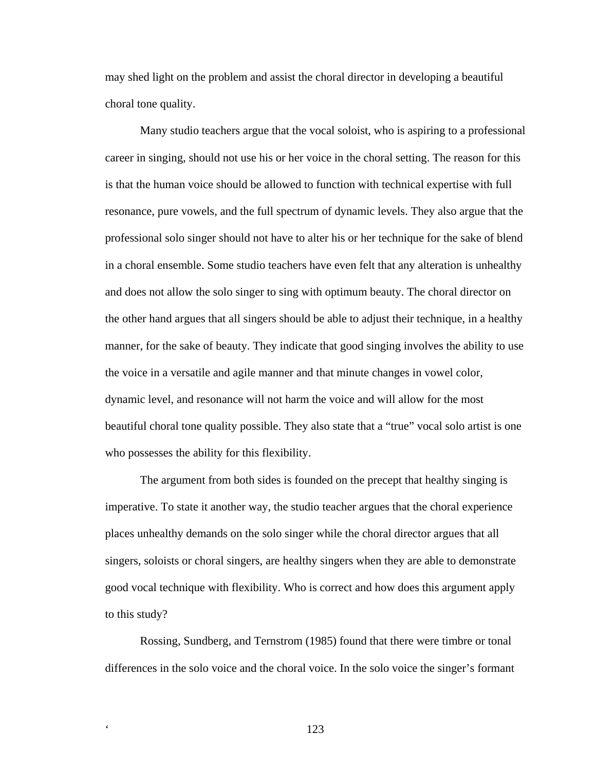may shed light on the problem and assist the choral director in developing a beautiful choral tone quality.

Many studio teachers argue that the vocal soloist, who is aspiring to a professional career in singing, should not use his or her voice in the choral setting. The reason for this is that the human voice should be allowed to function with technical expertise with full resonance, pure vowels, and the full spectrum of dynamic levels. They also argue that the professional solo singer should not have to alter his or her technique for the sake of blend in a choral ensemble. Some studio teachers have even felt that any alteration is unhealthy and does not allow the solo singer to sing with optimum beauty. The choral director on the other hand argues that all singers should be able to adjust their technique, in a healthy manner, for the sake of beauty. They indicate that good singing involves the ability to use the voice in a versatile and agile manner and that minute changes in vowel color, dynamic level, and resonance will not harm the voice and will allow for the most beautiful choral tone quality possible. They also state that a "true" vocal solo artist is one who possesses the ability for this flexibility.

The argument from both sides is founded on the precept that healthy singing is imperative. To state it another way, the studio teacher argues that the choral experience places unhealthy demands on the solo singer while the choral director argues that all singers, soloists or choral singers, are healthy singers when they are able to demonstrate good vocal technique with flexibility. Who is correct and how does this argument apply to this study?

Rossing, Sundberg, and Ternstrom (1985) found that there were timbre or tonal differences in the solo voice and the choral voice. In the solo voice the singer's formant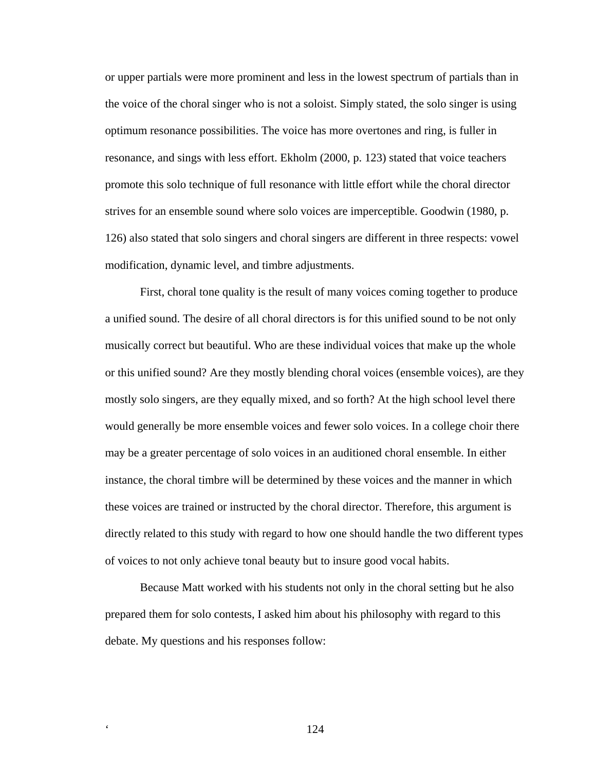or upper partials were more prominent and less in the lowest spectrum of partials than in the voice of the choral singer who is not a soloist. Simply stated, the solo singer is using optimum resonance possibilities. The voice has more overtones and ring, is fuller in resonance, and sings with less effort. Ekholm (2000, p. 123) stated that voice teachers promote this solo technique of full resonance with little effort while the choral director strives for an ensemble sound where solo voices are imperceptible. Goodwin (1980, p. 126) also stated that solo singers and choral singers are different in three respects: vowel modification, dynamic level, and timbre adjustments.

First, choral tone quality is the result of many voices coming together to produce a unified sound. The desire of all choral directors is for this unified sound to be not only musically correct but beautiful. Who are these individual voices that make up the whole or this unified sound? Are they mostly blending choral voices (ensemble voices), are they mostly solo singers, are they equally mixed, and so forth? At the high school level there would generally be more ensemble voices and fewer solo voices. In a college choir there may be a greater percentage of solo voices in an auditioned choral ensemble. In either instance, the choral timbre will be determined by these voices and the manner in which these voices are trained or instructed by the choral director. Therefore, this argument is directly related to this study with regard to how one should handle the two different types of voices to not only achieve tonal beauty but to insure good vocal habits.

Because Matt worked with his students not only in the choral setting but he also prepared them for solo contests, I asked him about his philosophy with regard to this debate. My questions and his responses follow: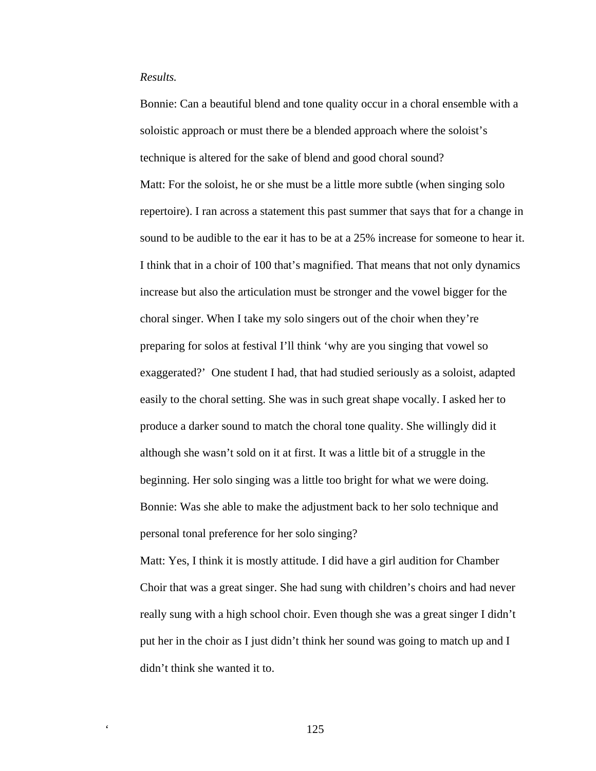# *Results.*

Bonnie: Can a beautiful blend and tone quality occur in a choral ensemble with a soloistic approach or must there be a blended approach where the soloist's technique is altered for the sake of blend and good choral sound? Matt: For the soloist, he or she must be a little more subtle (when singing solo repertoire). I ran across a statement this past summer that says that for a change in sound to be audible to the ear it has to be at a 25% increase for someone to hear it. I think that in a choir of 100 that's magnified. That means that not only dynamics increase but also the articulation must be stronger and the vowel bigger for the choral singer. When I take my solo singers out of the choir when they're preparing for solos at festival I'll think 'why are you singing that vowel so exaggerated?' One student I had, that had studied seriously as a soloist, adapted easily to the choral setting. She was in such great shape vocally. I asked her to produce a darker sound to match the choral tone quality. She willingly did it although she wasn't sold on it at first. It was a little bit of a struggle in the beginning. Her solo singing was a little too bright for what we were doing. Bonnie: Was she able to make the adjustment back to her solo technique and personal tonal preference for her solo singing?

Matt: Yes, I think it is mostly attitude. I did have a girl audition for Chamber Choir that was a great singer. She had sung with children's choirs and had never really sung with a high school choir. Even though she was a great singer I didn't put her in the choir as I just didn't think her sound was going to match up and I didn't think she wanted it to.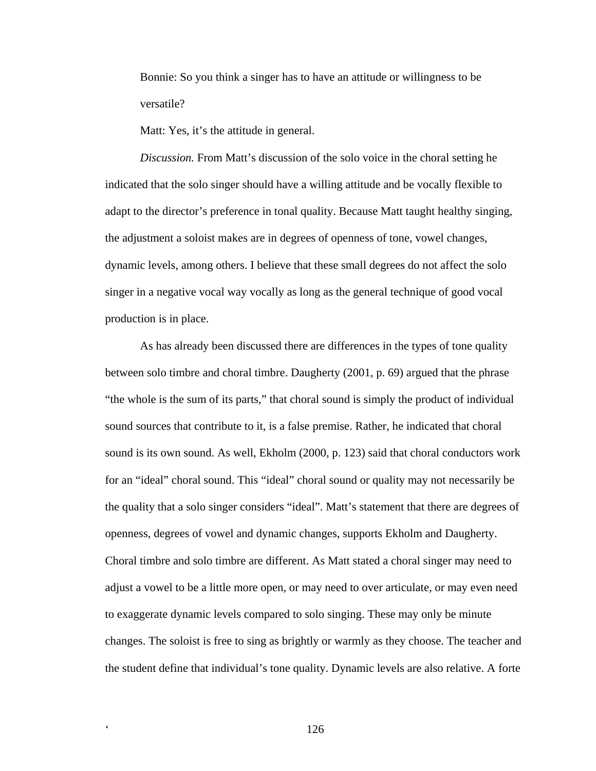Bonnie: So you think a singer has to have an attitude or willingness to be versatile?

Matt: Yes, it's the attitude in general.

 *Discussion.* From Matt's discussion of the solo voice in the choral setting he indicated that the solo singer should have a willing attitude and be vocally flexible to adapt to the director's preference in tonal quality. Because Matt taught healthy singing, the adjustment a soloist makes are in degrees of openness of tone, vowel changes, dynamic levels, among others. I believe that these small degrees do not affect the solo singer in a negative vocal way vocally as long as the general technique of good vocal production is in place.

As has already been discussed there are differences in the types of tone quality between solo timbre and choral timbre. Daugherty (2001, p. 69) argued that the phrase "the whole is the sum of its parts," that choral sound is simply the product of individual sound sources that contribute to it, is a false premise. Rather, he indicated that choral sound is its own sound. As well, Ekholm (2000, p. 123) said that choral conductors work for an "ideal" choral sound. This "ideal" choral sound or quality may not necessarily be the quality that a solo singer considers "ideal". Matt's statement that there are degrees of openness, degrees of vowel and dynamic changes, supports Ekholm and Daugherty. Choral timbre and solo timbre are different. As Matt stated a choral singer may need to adjust a vowel to be a little more open, or may need to over articulate, or may even need to exaggerate dynamic levels compared to solo singing. These may only be minute changes. The soloist is free to sing as brightly or warmly as they choose. The teacher and the student define that individual's tone quality. Dynamic levels are also relative. A forte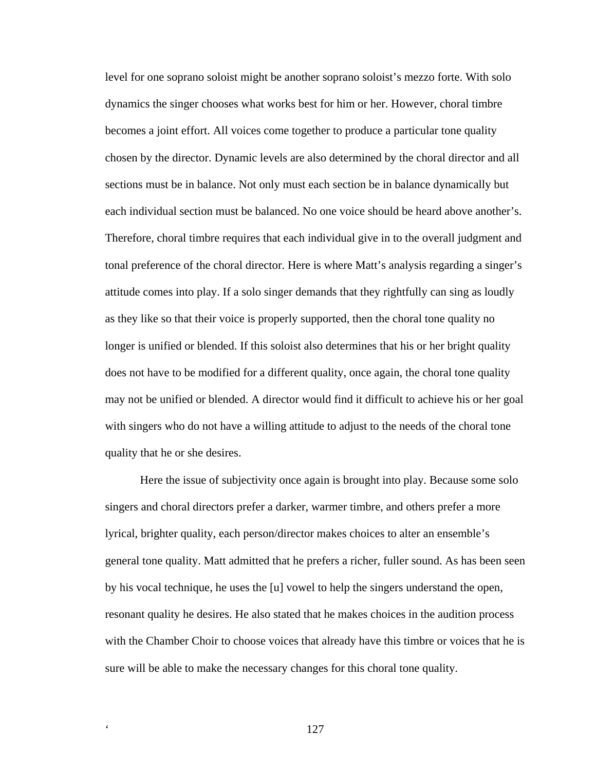level for one soprano soloist might be another soprano soloist's mezzo forte. With solo dynamics the singer chooses what works best for him or her. However, choral timbre becomes a joint effort. All voices come together to produce a particular tone quality chosen by the director. Dynamic levels are also determined by the choral director and all sections must be in balance. Not only must each section be in balance dynamically but each individual section must be balanced. No one voice should be heard above another's. Therefore, choral timbre requires that each individual give in to the overall judgment and tonal preference of the choral director. Here is where Matt's analysis regarding a singer's attitude comes into play. If a solo singer demands that they rightfully can sing as loudly as they like so that their voice is properly supported, then the choral tone quality no longer is unified or blended. If this soloist also determines that his or her bright quality does not have to be modified for a different quality, once again, the choral tone quality may not be unified or blended. A director would find it difficult to achieve his or her goal with singers who do not have a willing attitude to adjust to the needs of the choral tone quality that he or she desires.

Here the issue of subjectivity once again is brought into play. Because some solo singers and choral directors prefer a darker, warmer timbre, and others prefer a more lyrical, brighter quality, each person/director makes choices to alter an ensemble's general tone quality. Matt admitted that he prefers a richer, fuller sound. As has been seen by his vocal technique, he uses the [u] vowel to help the singers understand the open, resonant quality he desires. He also stated that he makes choices in the audition process with the Chamber Choir to choose voices that already have this timbre or voices that he is sure will be able to make the necessary changes for this choral tone quality.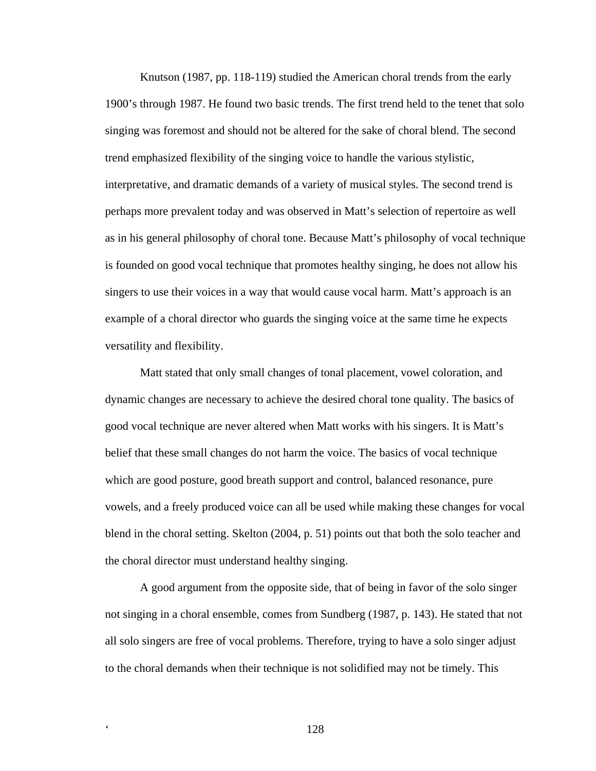Knutson (1987, pp. 118-119) studied the American choral trends from the early 1900's through 1987. He found two basic trends. The first trend held to the tenet that solo singing was foremost and should not be altered for the sake of choral blend. The second trend emphasized flexibility of the singing voice to handle the various stylistic, interpretative, and dramatic demands of a variety of musical styles. The second trend is perhaps more prevalent today and was observed in Matt's selection of repertoire as well as in his general philosophy of choral tone. Because Matt's philosophy of vocal technique is founded on good vocal technique that promotes healthy singing, he does not allow his singers to use their voices in a way that would cause vocal harm. Matt's approach is an example of a choral director who guards the singing voice at the same time he expects versatility and flexibility.

Matt stated that only small changes of tonal placement, vowel coloration, and dynamic changes are necessary to achieve the desired choral tone quality. The basics of good vocal technique are never altered when Matt works with his singers. It is Matt's belief that these small changes do not harm the voice. The basics of vocal technique which are good posture, good breath support and control, balanced resonance, pure vowels, and a freely produced voice can all be used while making these changes for vocal blend in the choral setting. Skelton (2004, p. 51) points out that both the solo teacher and the choral director must understand healthy singing.

A good argument from the opposite side, that of being in favor of the solo singer not singing in a choral ensemble, comes from Sundberg (1987, p. 143). He stated that not all solo singers are free of vocal problems. Therefore, trying to have a solo singer adjust to the choral demands when their technique is not solidified may not be timely. This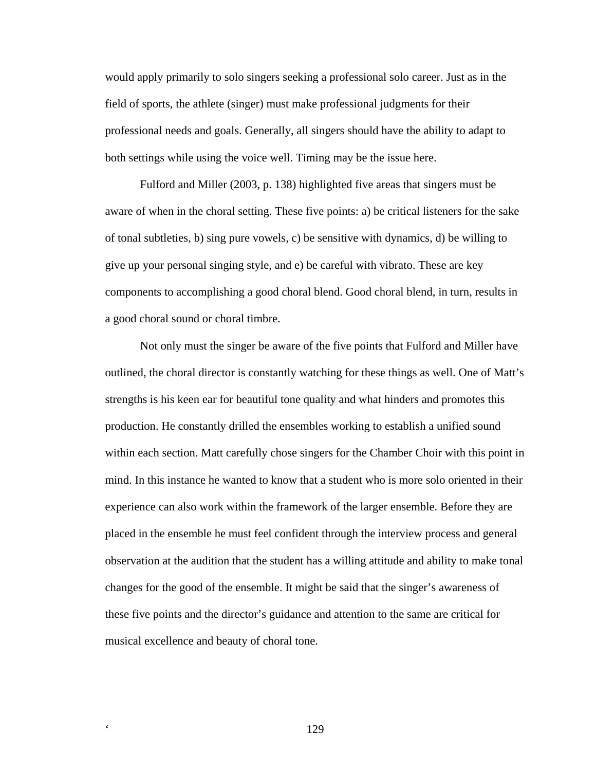would apply primarily to solo singers seeking a professional solo career. Just as in the field of sports, the athlete (singer) must make professional judgments for their professional needs and goals. Generally, all singers should have the ability to adapt to both settings while using the voice well. Timing may be the issue here.

Fulford and Miller (2003, p. 138) highlighted five areas that singers must be aware of when in the choral setting. These five points: a) be critical listeners for the sake of tonal subtleties, b) sing pure vowels, c) be sensitive with dynamics, d) be willing to give up your personal singing style, and e) be careful with vibrato. These are key components to accomplishing a good choral blend. Good choral blend, in turn, results in a good choral sound or choral timbre.

Not only must the singer be aware of the five points that Fulford and Miller have outlined, the choral director is constantly watching for these things as well. One of Matt's strengths is his keen ear for beautiful tone quality and what hinders and promotes this production. He constantly drilled the ensembles working to establish a unified sound within each section. Matt carefully chose singers for the Chamber Choir with this point in mind. In this instance he wanted to know that a student who is more solo oriented in their experience can also work within the framework of the larger ensemble. Before they are placed in the ensemble he must feel confident through the interview process and general observation at the audition that the student has a willing attitude and ability to make tonal changes for the good of the ensemble. It might be said that the singer's awareness of these five points and the director's guidance and attention to the same are critical for musical excellence and beauty of choral tone.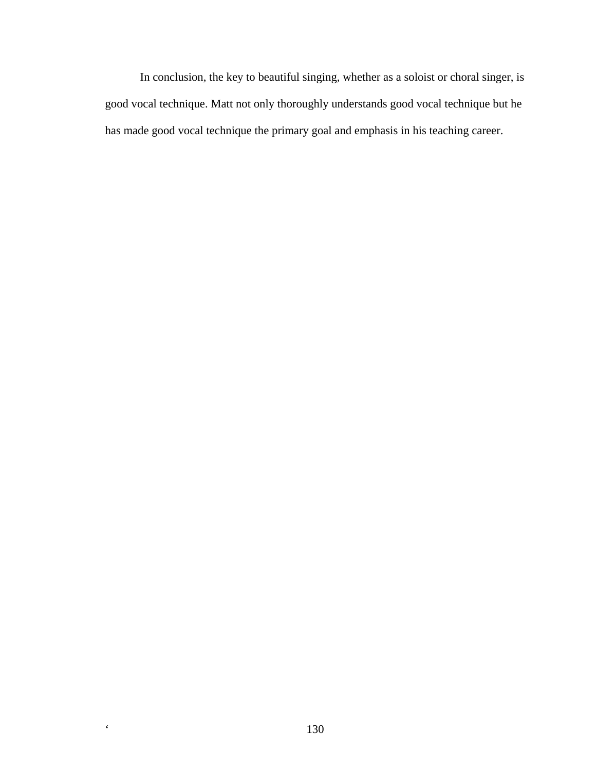In conclusion, the key to beautiful singing, whether as a soloist or choral singer, is good vocal technique. Matt not only thoroughly understands good vocal technique but he has made good vocal technique the primary goal and emphasis in his teaching career.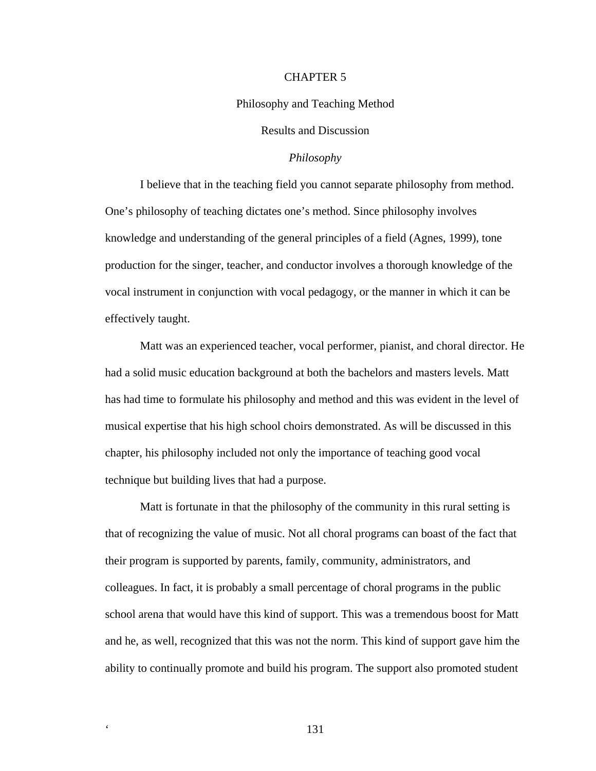#### CHAPTER 5

### Philosophy and Teaching Method

# Results and Discussion

## *Philosophy*

I believe that in the teaching field you cannot separate philosophy from method. One's philosophy of teaching dictates one's method. Since philosophy involves knowledge and understanding of the general principles of a field (Agnes, 1999), tone production for the singer, teacher, and conductor involves a thorough knowledge of the vocal instrument in conjunction with vocal pedagogy, or the manner in which it can be effectively taught.

Matt was an experienced teacher, vocal performer, pianist, and choral director. He had a solid music education background at both the bachelors and masters levels. Matt has had time to formulate his philosophy and method and this was evident in the level of musical expertise that his high school choirs demonstrated. As will be discussed in this chapter, his philosophy included not only the importance of teaching good vocal technique but building lives that had a purpose.

Matt is fortunate in that the philosophy of the community in this rural setting is that of recognizing the value of music. Not all choral programs can boast of the fact that their program is supported by parents, family, community, administrators, and colleagues. In fact, it is probably a small percentage of choral programs in the public school arena that would have this kind of support. This was a tremendous boost for Matt and he, as well, recognized that this was not the norm. This kind of support gave him the ability to continually promote and build his program. The support also promoted student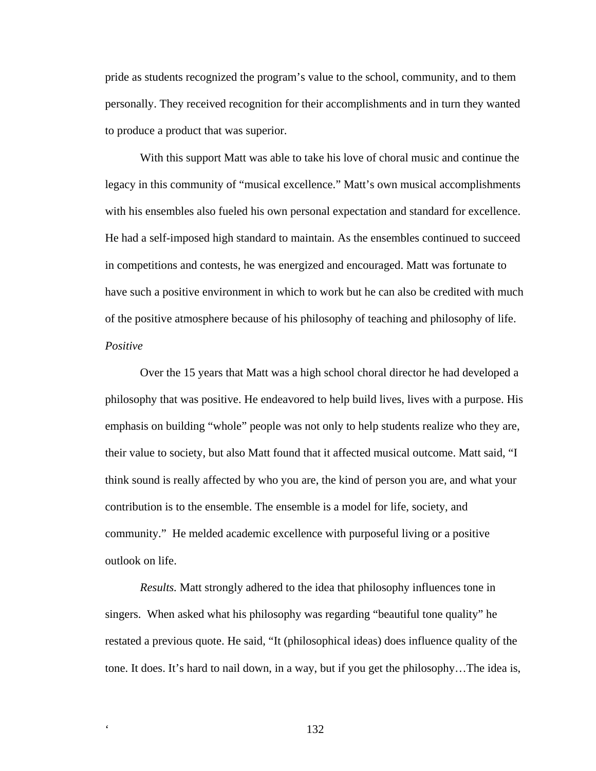pride as students recognized the program's value to the school, community, and to them personally. They received recognition for their accomplishments and in turn they wanted to produce a product that was superior.

With this support Matt was able to take his love of choral music and continue the legacy in this community of "musical excellence." Matt's own musical accomplishments with his ensembles also fueled his own personal expectation and standard for excellence. He had a self-imposed high standard to maintain. As the ensembles continued to succeed in competitions and contests, he was energized and encouraged. Matt was fortunate to have such a positive environment in which to work but he can also be credited with much of the positive atmosphere because of his philosophy of teaching and philosophy of life. *Positive* 

Over the 15 years that Matt was a high school choral director he had developed a philosophy that was positive. He endeavored to help build lives, lives with a purpose. His emphasis on building "whole" people was not only to help students realize who they are, their value to society, but also Matt found that it affected musical outcome. Matt said, "I think sound is really affected by who you are, the kind of person you are, and what your contribution is to the ensemble. The ensemble is a model for life, society, and community." He melded academic excellence with purposeful living or a positive outlook on life.

*Results.* Matt strongly adhered to the idea that philosophy influences tone in singers. When asked what his philosophy was regarding "beautiful tone quality" he restated a previous quote. He said, "It (philosophical ideas) does influence quality of the tone. It does. It's hard to nail down, in a way, but if you get the philosophy…The idea is,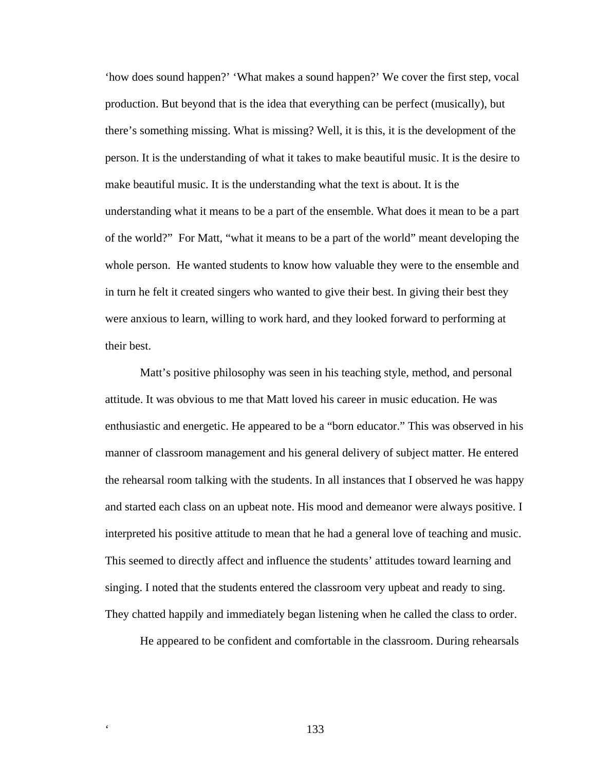'how does sound happen?' 'What makes a sound happen?' We cover the first step, vocal production. But beyond that is the idea that everything can be perfect (musically), but there's something missing. What is missing? Well, it is this, it is the development of the person. It is the understanding of what it takes to make beautiful music. It is the desire to make beautiful music. It is the understanding what the text is about. It is the understanding what it means to be a part of the ensemble. What does it mean to be a part of the world?" For Matt, "what it means to be a part of the world" meant developing the whole person. He wanted students to know how valuable they were to the ensemble and in turn he felt it created singers who wanted to give their best. In giving their best they were anxious to learn, willing to work hard, and they looked forward to performing at their best.

Matt's positive philosophy was seen in his teaching style, method, and personal attitude. It was obvious to me that Matt loved his career in music education. He was enthusiastic and energetic. He appeared to be a "born educator." This was observed in his manner of classroom management and his general delivery of subject matter. He entered the rehearsal room talking with the students. In all instances that I observed he was happy and started each class on an upbeat note. His mood and demeanor were always positive. I interpreted his positive attitude to mean that he had a general love of teaching and music. This seemed to directly affect and influence the students' attitudes toward learning and singing. I noted that the students entered the classroom very upbeat and ready to sing. They chatted happily and immediately began listening when he called the class to order.

He appeared to be confident and comfortable in the classroom. During rehearsals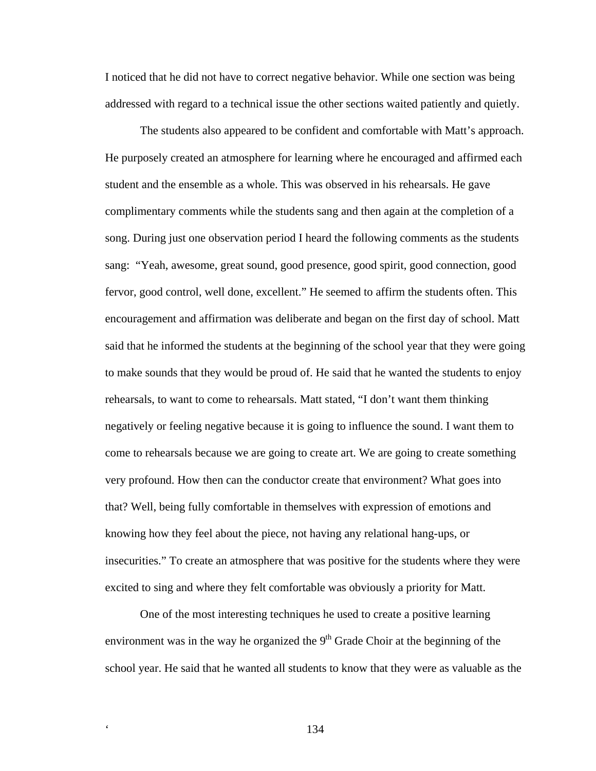I noticed that he did not have to correct negative behavior. While one section was being addressed with regard to a technical issue the other sections waited patiently and quietly.

The students also appeared to be confident and comfortable with Matt's approach. He purposely created an atmosphere for learning where he encouraged and affirmed each student and the ensemble as a whole. This was observed in his rehearsals. He gave complimentary comments while the students sang and then again at the completion of a song. During just one observation period I heard the following comments as the students sang: "Yeah, awesome, great sound, good presence, good spirit, good connection, good fervor, good control, well done, excellent." He seemed to affirm the students often. This encouragement and affirmation was deliberate and began on the first day of school. Matt said that he informed the students at the beginning of the school year that they were going to make sounds that they would be proud of. He said that he wanted the students to enjoy rehearsals, to want to come to rehearsals. Matt stated, "I don't want them thinking negatively or feeling negative because it is going to influence the sound. I want them to come to rehearsals because we are going to create art. We are going to create something very profound. How then can the conductor create that environment? What goes into that? Well, being fully comfortable in themselves with expression of emotions and knowing how they feel about the piece, not having any relational hang-ups, or insecurities." To create an atmosphere that was positive for the students where they were excited to sing and where they felt comfortable was obviously a priority for Matt.

One of the most interesting techniques he used to create a positive learning environment was in the way he organized the  $9<sup>th</sup>$  Grade Choir at the beginning of the school year. He said that he wanted all students to know that they were as valuable as the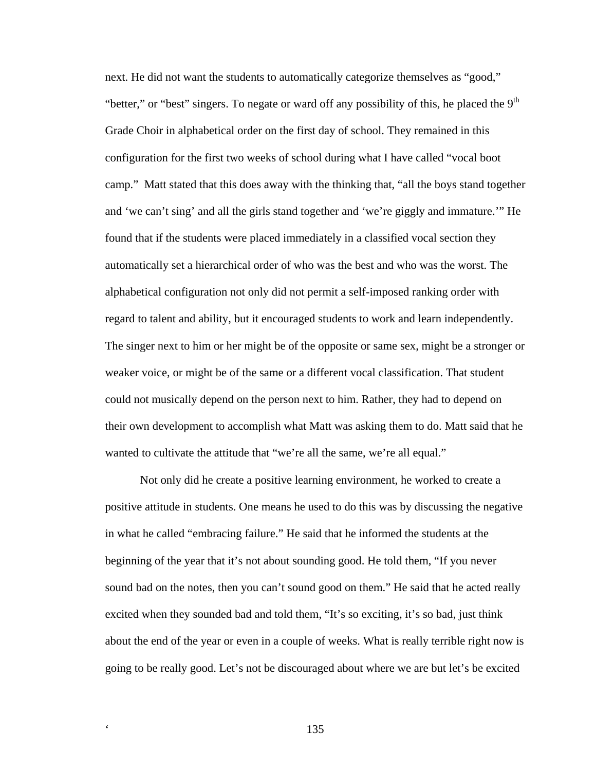next. He did not want the students to automatically categorize themselves as "good," "better," or "best" singers. To negate or ward off any possibility of this, he placed the  $9<sup>th</sup>$ Grade Choir in alphabetical order on the first day of school. They remained in this configuration for the first two weeks of school during what I have called "vocal boot camp." Matt stated that this does away with the thinking that, "all the boys stand together and 'we can't sing' and all the girls stand together and 'we're giggly and immature.'" He found that if the students were placed immediately in a classified vocal section they automatically set a hierarchical order of who was the best and who was the worst. The alphabetical configuration not only did not permit a self-imposed ranking order with regard to talent and ability, but it encouraged students to work and learn independently. The singer next to him or her might be of the opposite or same sex, might be a stronger or weaker voice, or might be of the same or a different vocal classification. That student could not musically depend on the person next to him. Rather, they had to depend on their own development to accomplish what Matt was asking them to do. Matt said that he wanted to cultivate the attitude that "we're all the same, we're all equal."

Not only did he create a positive learning environment, he worked to create a positive attitude in students. One means he used to do this was by discussing the negative in what he called "embracing failure." He said that he informed the students at the beginning of the year that it's not about sounding good. He told them, "If you never sound bad on the notes, then you can't sound good on them." He said that he acted really excited when they sounded bad and told them, "It's so exciting, it's so bad, just think about the end of the year or even in a couple of weeks. What is really terrible right now is going to be really good. Let's not be discouraged about where we are but let's be excited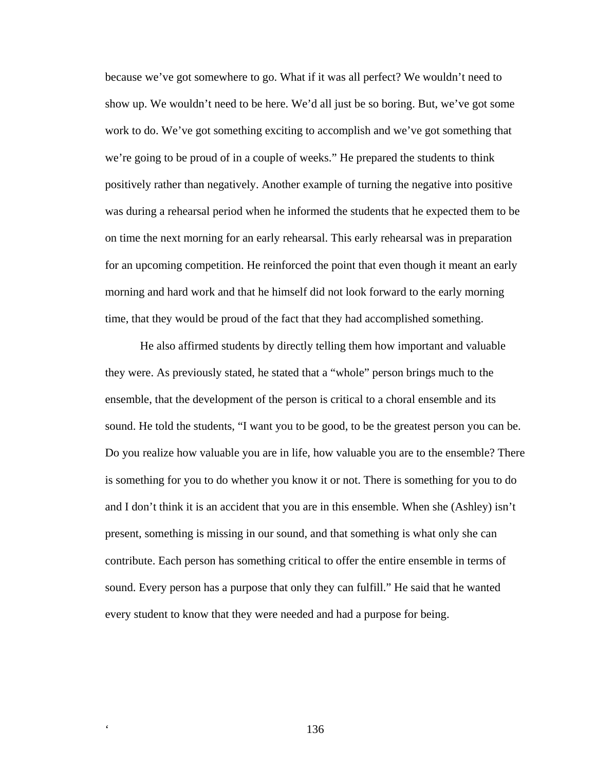because we've got somewhere to go. What if it was all perfect? We wouldn't need to show up. We wouldn't need to be here. We'd all just be so boring. But, we've got some work to do. We've got something exciting to accomplish and we've got something that we're going to be proud of in a couple of weeks." He prepared the students to think positively rather than negatively. Another example of turning the negative into positive was during a rehearsal period when he informed the students that he expected them to be on time the next morning for an early rehearsal. This early rehearsal was in preparation for an upcoming competition. He reinforced the point that even though it meant an early morning and hard work and that he himself did not look forward to the early morning time, that they would be proud of the fact that they had accomplished something.

He also affirmed students by directly telling them how important and valuable they were. As previously stated, he stated that a "whole" person brings much to the ensemble, that the development of the person is critical to a choral ensemble and its sound. He told the students, "I want you to be good, to be the greatest person you can be. Do you realize how valuable you are in life, how valuable you are to the ensemble? There is something for you to do whether you know it or not. There is something for you to do and I don't think it is an accident that you are in this ensemble. When she (Ashley) isn't present, something is missing in our sound, and that something is what only she can contribute. Each person has something critical to offer the entire ensemble in terms of sound. Every person has a purpose that only they can fulfill." He said that he wanted every student to know that they were needed and had a purpose for being.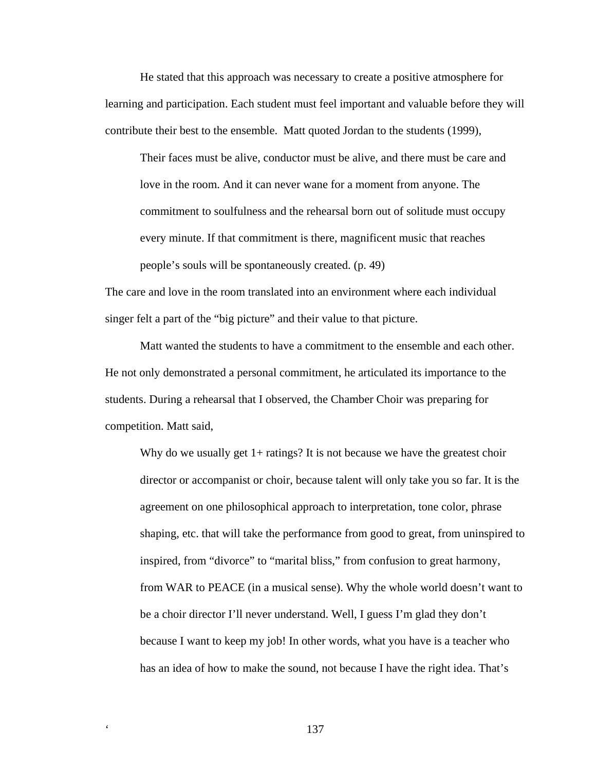He stated that this approach was necessary to create a positive atmosphere for learning and participation. Each student must feel important and valuable before they will contribute their best to the ensemble. Matt quoted Jordan to the students (1999),

Their faces must be alive, conductor must be alive, and there must be care and love in the room. And it can never wane for a moment from anyone. The commitment to soulfulness and the rehearsal born out of solitude must occupy every minute. If that commitment is there, magnificent music that reaches people's souls will be spontaneously created. (p. 49)

The care and love in the room translated into an environment where each individual singer felt a part of the "big picture" and their value to that picture.

Matt wanted the students to have a commitment to the ensemble and each other. He not only demonstrated a personal commitment, he articulated its importance to the students. During a rehearsal that I observed, the Chamber Choir was preparing for competition. Matt said,

Why do we usually get 1+ ratings? It is not because we have the greatest choir director or accompanist or choir, because talent will only take you so far. It is the agreement on one philosophical approach to interpretation, tone color, phrase shaping, etc. that will take the performance from good to great, from uninspired to inspired, from "divorce" to "marital bliss," from confusion to great harmony, from WAR to PEACE (in a musical sense). Why the whole world doesn't want to be a choir director I'll never understand. Well, I guess I'm glad they don't because I want to keep my job! In other words, what you have is a teacher who has an idea of how to make the sound, not because I have the right idea. That's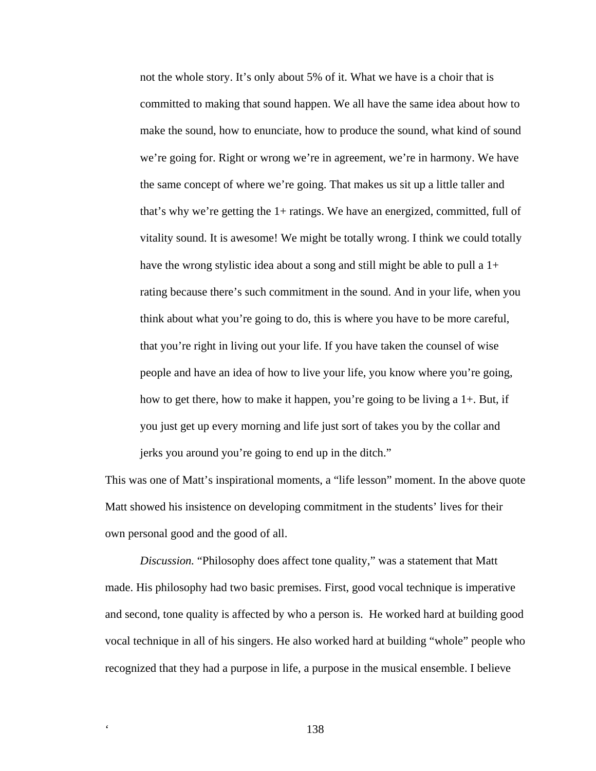not the whole story. It's only about 5% of it. What we have is a choir that is committed to making that sound happen. We all have the same idea about how to make the sound, how to enunciate, how to produce the sound, what kind of sound we're going for. Right or wrong we're in agreement, we're in harmony. We have the same concept of where we're going. That makes us sit up a little taller and that's why we're getting the 1+ ratings. We have an energized, committed, full of vitality sound. It is awesome! We might be totally wrong. I think we could totally have the wrong stylistic idea about a song and still might be able to pull a 1+ rating because there's such commitment in the sound. And in your life, when you think about what you're going to do, this is where you have to be more careful, that you're right in living out your life. If you have taken the counsel of wise people and have an idea of how to live your life, you know where you're going, how to get there, how to make it happen, you're going to be living a  $1+$ . But, if you just get up every morning and life just sort of takes you by the collar and jerks you around you're going to end up in the ditch."

This was one of Matt's inspirational moments, a "life lesson" moment. In the above quote Matt showed his insistence on developing commitment in the students' lives for their own personal good and the good of all.

 *Discussion.* "Philosophy does affect tone quality," was a statement that Matt made. His philosophy had two basic premises. First, good vocal technique is imperative and second, tone quality is affected by who a person is. He worked hard at building good vocal technique in all of his singers. He also worked hard at building "whole" people who recognized that they had a purpose in life, a purpose in the musical ensemble. I believe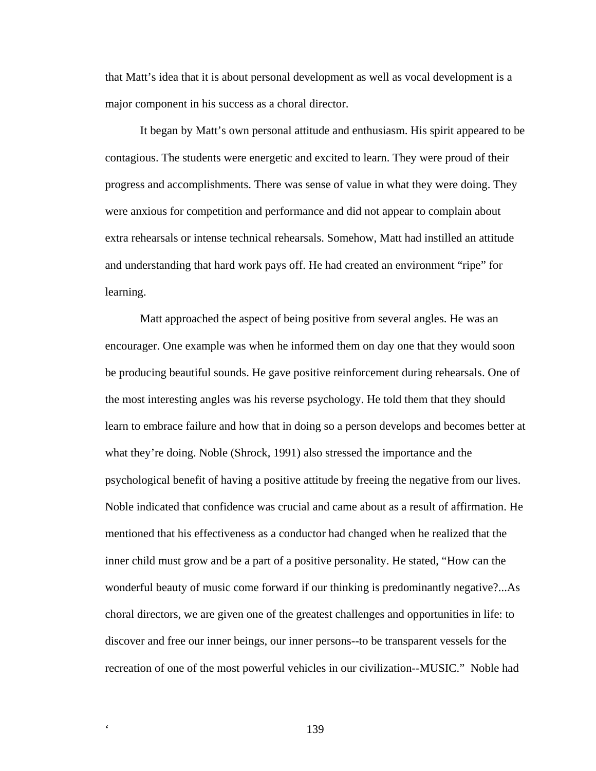that Matt's idea that it is about personal development as well as vocal development is a major component in his success as a choral director.

It began by Matt's own personal attitude and enthusiasm. His spirit appeared to be contagious. The students were energetic and excited to learn. They were proud of their progress and accomplishments. There was sense of value in what they were doing. They were anxious for competition and performance and did not appear to complain about extra rehearsals or intense technical rehearsals. Somehow, Matt had instilled an attitude and understanding that hard work pays off. He had created an environment "ripe" for learning.

Matt approached the aspect of being positive from several angles. He was an encourager. One example was when he informed them on day one that they would soon be producing beautiful sounds. He gave positive reinforcement during rehearsals. One of the most interesting angles was his reverse psychology. He told them that they should learn to embrace failure and how that in doing so a person develops and becomes better at what they're doing. Noble (Shrock, 1991) also stressed the importance and the psychological benefit of having a positive attitude by freeing the negative from our lives. Noble indicated that confidence was crucial and came about as a result of affirmation. He mentioned that his effectiveness as a conductor had changed when he realized that the inner child must grow and be a part of a positive personality. He stated, "How can the wonderful beauty of music come forward if our thinking is predominantly negative?...As choral directors, we are given one of the greatest challenges and opportunities in life: to discover and free our inner beings, our inner persons--to be transparent vessels for the recreation of one of the most powerful vehicles in our civilization--MUSIC." Noble had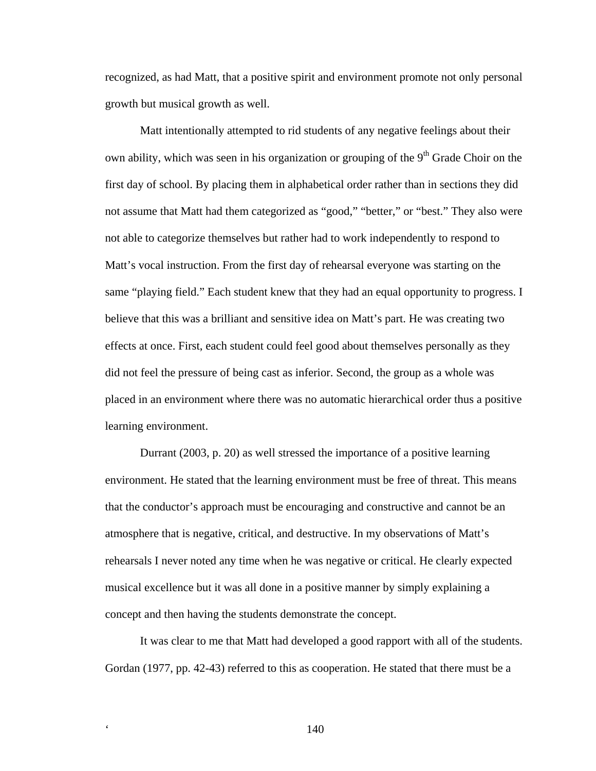recognized, as had Matt, that a positive spirit and environment promote not only personal growth but musical growth as well.

Matt intentionally attempted to rid students of any negative feelings about their own ability, which was seen in his organization or grouping of the 9<sup>th</sup> Grade Choir on the first day of school. By placing them in alphabetical order rather than in sections they did not assume that Matt had them categorized as "good," "better," or "best." They also were not able to categorize themselves but rather had to work independently to respond to Matt's vocal instruction. From the first day of rehearsal everyone was starting on the same "playing field." Each student knew that they had an equal opportunity to progress. I believe that this was a brilliant and sensitive idea on Matt's part. He was creating two effects at once. First, each student could feel good about themselves personally as they did not feel the pressure of being cast as inferior. Second, the group as a whole was placed in an environment where there was no automatic hierarchical order thus a positive learning environment.

Durrant (2003, p. 20) as well stressed the importance of a positive learning environment. He stated that the learning environment must be free of threat. This means that the conductor's approach must be encouraging and constructive and cannot be an atmosphere that is negative, critical, and destructive. In my observations of Matt's rehearsals I never noted any time when he was negative or critical. He clearly expected musical excellence but it was all done in a positive manner by simply explaining a concept and then having the students demonstrate the concept.

It was clear to me that Matt had developed a good rapport with all of the students. Gordan (1977, pp. 42-43) referred to this as cooperation. He stated that there must be a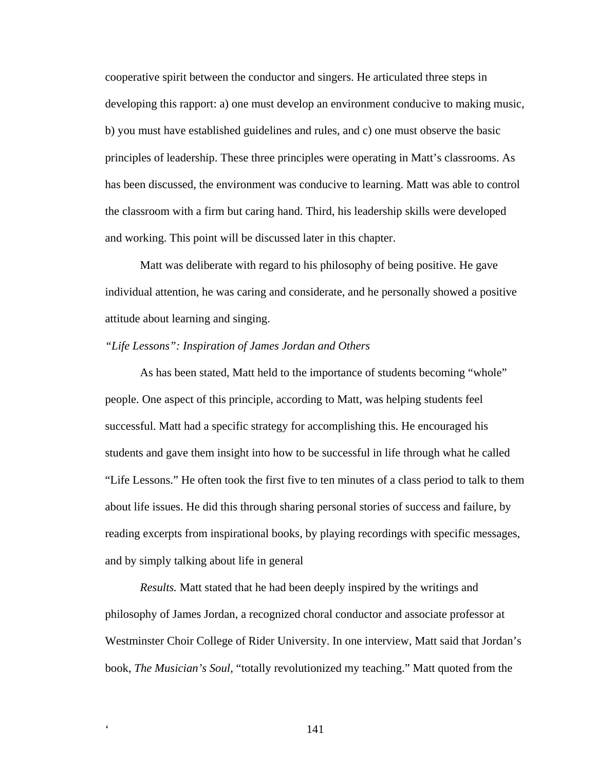cooperative spirit between the conductor and singers. He articulated three steps in developing this rapport: a) one must develop an environment conducive to making music, b) you must have established guidelines and rules, and c) one must observe the basic principles of leadership. These three principles were operating in Matt's classrooms. As has been discussed, the environment was conducive to learning. Matt was able to control the classroom with a firm but caring hand. Third, his leadership skills were developed and working. This point will be discussed later in this chapter.

Matt was deliberate with regard to his philosophy of being positive. He gave individual attention, he was caring and considerate, and he personally showed a positive attitude about learning and singing.

### *"Life Lessons": Inspiration of James Jordan and Others*

As has been stated, Matt held to the importance of students becoming "whole" people. One aspect of this principle, according to Matt, was helping students feel successful. Matt had a specific strategy for accomplishing this. He encouraged his students and gave them insight into how to be successful in life through what he called "Life Lessons." He often took the first five to ten minutes of a class period to talk to them about life issues. He did this through sharing personal stories of success and failure, by reading excerpts from inspirational books, by playing recordings with specific messages, and by simply talking about life in general

*Results.* Matt stated that he had been deeply inspired by the writings and philosophy of James Jordan, a recognized choral conductor and associate professor at Westminster Choir College of Rider University. In one interview, Matt said that Jordan's book, *The Musician's Soul*, "totally revolutionized my teaching." Matt quoted from the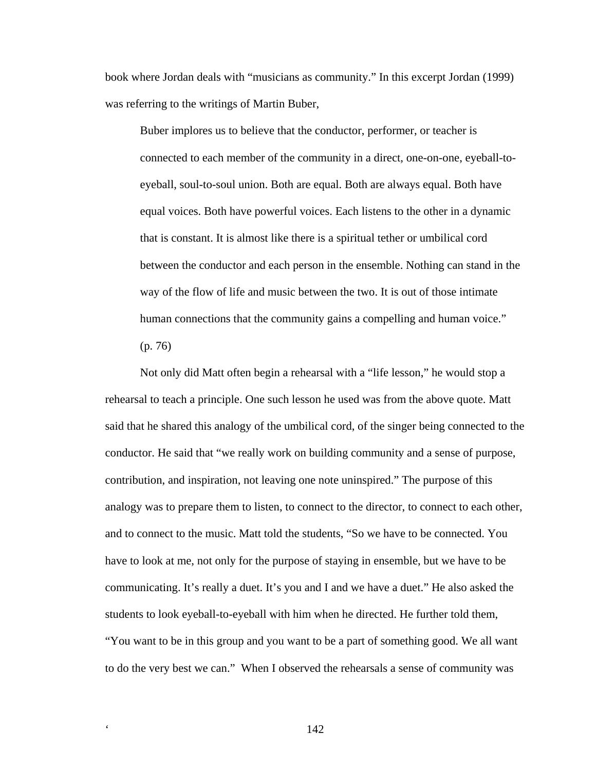book where Jordan deals with "musicians as community." In this excerpt Jordan (1999) was referring to the writings of Martin Buber,

Buber implores us to believe that the conductor, performer, or teacher is connected to each member of the community in a direct, one-on-one, eyeball-toeyeball, soul-to-soul union. Both are equal. Both are always equal. Both have equal voices. Both have powerful voices. Each listens to the other in a dynamic that is constant. It is almost like there is a spiritual tether or umbilical cord between the conductor and each person in the ensemble. Nothing can stand in the way of the flow of life and music between the two. It is out of those intimate human connections that the community gains a compelling and human voice." (p. 76)

Not only did Matt often begin a rehearsal with a "life lesson," he would stop a rehearsal to teach a principle. One such lesson he used was from the above quote. Matt said that he shared this analogy of the umbilical cord, of the singer being connected to the conductor. He said that "we really work on building community and a sense of purpose, contribution, and inspiration, not leaving one note uninspired." The purpose of this analogy was to prepare them to listen, to connect to the director, to connect to each other, and to connect to the music. Matt told the students, "So we have to be connected. You have to look at me, not only for the purpose of staying in ensemble, but we have to be communicating. It's really a duet. It's you and I and we have a duet." He also asked the students to look eyeball-to-eyeball with him when he directed. He further told them, "You want to be in this group and you want to be a part of something good. We all want to do the very best we can." When I observed the rehearsals a sense of community was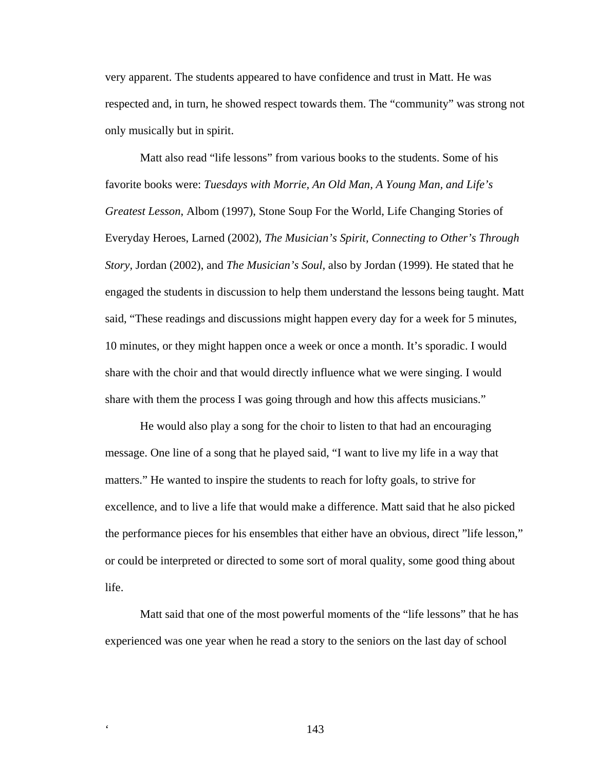very apparent. The students appeared to have confidence and trust in Matt. He was respected and, in turn, he showed respect towards them. The "community" was strong not only musically but in spirit.

Matt also read "life lessons" from various books to the students. Some of his favorite books were: *Tuesdays with Morrie, An Old Man, A Young Man, and Life's Greatest Lesson*, Albom (1997), Stone Soup For the World, Life Changing Stories of Everyday Heroes, Larned (2002), *The Musician's Spirit, Connecting to Other's Through Story,* Jordan (2002), and *The Musician's Soul,* also by Jordan (1999). He stated that he engaged the students in discussion to help them understand the lessons being taught. Matt said, "These readings and discussions might happen every day for a week for 5 minutes, 10 minutes, or they might happen once a week or once a month. It's sporadic. I would share with the choir and that would directly influence what we were singing. I would share with them the process I was going through and how this affects musicians."

He would also play a song for the choir to listen to that had an encouraging message. One line of a song that he played said, "I want to live my life in a way that matters." He wanted to inspire the students to reach for lofty goals, to strive for excellence, and to live a life that would make a difference. Matt said that he also picked the performance pieces for his ensembles that either have an obvious, direct "life lesson," or could be interpreted or directed to some sort of moral quality, some good thing about life.

Matt said that one of the most powerful moments of the "life lessons" that he has experienced was one year when he read a story to the seniors on the last day of school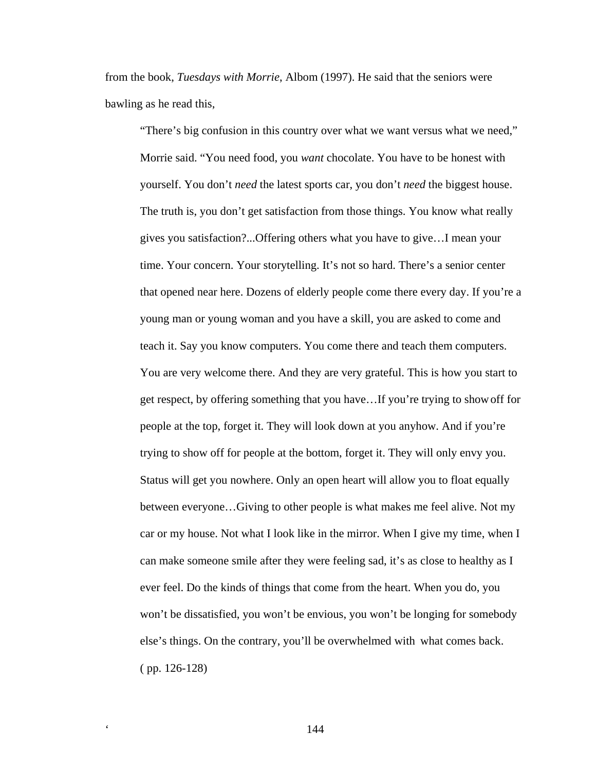from the book, *Tuesdays with Morrie*, Albom (1997). He said that the seniors were bawling as he read this,

"There's big confusion in this country over what we want versus what we need," Morrie said. "You need food, you *want* chocolate. You have to be honest with yourself. You don't *need* the latest sports car, you don't *need* the biggest house. The truth is, you don't get satisfaction from those things. You know what really gives you satisfaction?...Offering others what you have to give…I mean your time. Your concern. Your storytelling. It's not so hard. There's a senior center that opened near here. Dozens of elderly people come there every day. If you're a young man or young woman and you have a skill, you are asked to come and teach it. Say you know computers. You come there and teach them computers. You are very welcome there. And they are very grateful. This is how you start to get respect, by offering something that you have…If you're trying to show off for people at the top, forget it. They will look down at you anyhow. And if you're trying to show off for people at the bottom, forget it. They will only envy you. Status will get you nowhere. Only an open heart will allow you to float equally between everyone…Giving to other people is what makes me feel alive. Not my car or my house. Not what I look like in the mirror. When I give my time, when I can make someone smile after they were feeling sad, it's as close to healthy as I ever feel. Do the kinds of things that come from the heart. When you do, you won't be dissatisfied, you won't be envious, you won't be longing for somebody else's things. On the contrary, you'll be overwhelmed with what comes back. ( pp. 126-128)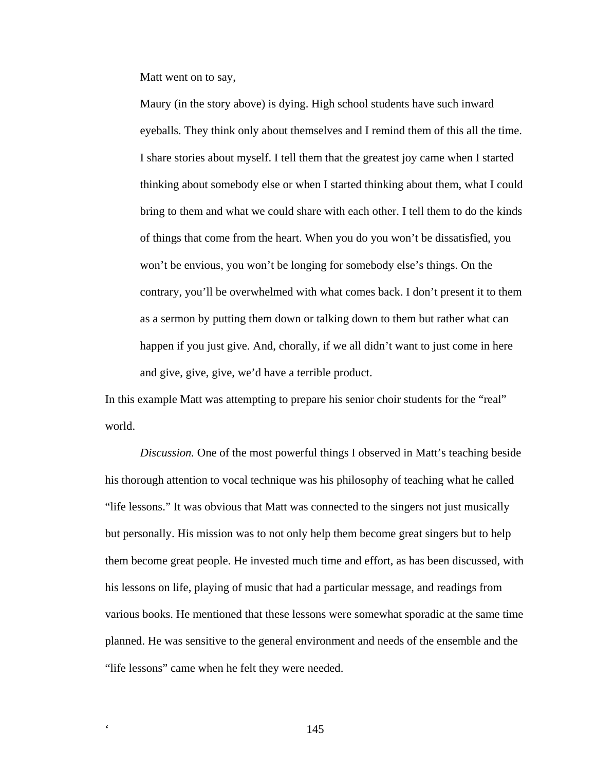Matt went on to say,

Maury (in the story above) is dying. High school students have such inward eyeballs. They think only about themselves and I remind them of this all the time. I share stories about myself. I tell them that the greatest joy came when I started thinking about somebody else or when I started thinking about them, what I could bring to them and what we could share with each other. I tell them to do the kinds of things that come from the heart. When you do you won't be dissatisfied, you won't be envious, you won't be longing for somebody else's things. On the contrary, you'll be overwhelmed with what comes back. I don't present it to them as a sermon by putting them down or talking down to them but rather what can happen if you just give. And, chorally, if we all didn't want to just come in here and give, give, give, we'd have a terrible product.

In this example Matt was attempting to prepare his senior choir students for the "real" world.

*Discussion.* One of the most powerful things I observed in Matt's teaching beside his thorough attention to vocal technique was his philosophy of teaching what he called "life lessons." It was obvious that Matt was connected to the singers not just musically but personally. His mission was to not only help them become great singers but to help them become great people. He invested much time and effort, as has been discussed, with his lessons on life, playing of music that had a particular message, and readings from various books. He mentioned that these lessons were somewhat sporadic at the same time planned. He was sensitive to the general environment and needs of the ensemble and the "life lessons" came when he felt they were needed.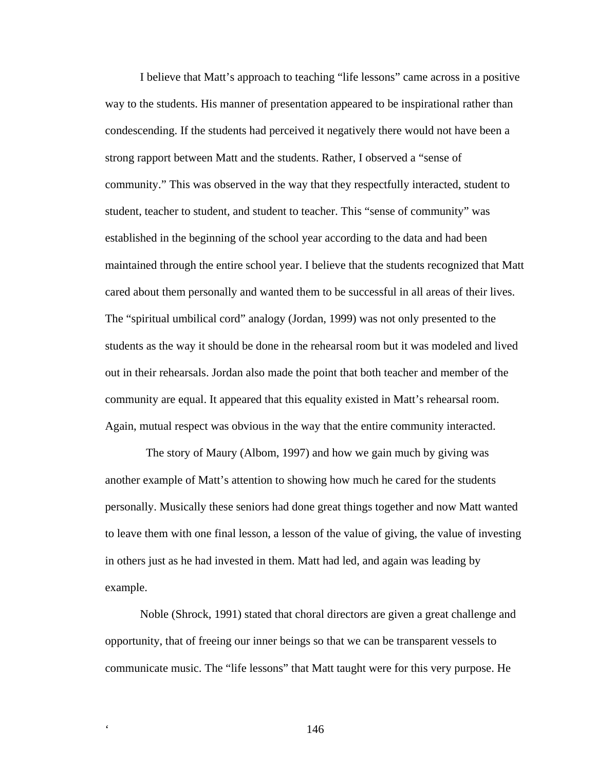I believe that Matt's approach to teaching "life lessons" came across in a positive way to the students. His manner of presentation appeared to be inspirational rather than condescending. If the students had perceived it negatively there would not have been a strong rapport between Matt and the students. Rather, I observed a "sense of community." This was observed in the way that they respectfully interacted, student to student, teacher to student, and student to teacher. This "sense of community" was established in the beginning of the school year according to the data and had been maintained through the entire school year. I believe that the students recognized that Matt cared about them personally and wanted them to be successful in all areas of their lives. The "spiritual umbilical cord" analogy (Jordan, 1999) was not only presented to the students as the way it should be done in the rehearsal room but it was modeled and lived out in their rehearsals. Jordan also made the point that both teacher and member of the community are equal. It appeared that this equality existed in Matt's rehearsal room. Again, mutual respect was obvious in the way that the entire community interacted.

 The story of Maury (Albom, 1997) and how we gain much by giving was another example of Matt's attention to showing how much he cared for the students personally. Musically these seniors had done great things together and now Matt wanted to leave them with one final lesson, a lesson of the value of giving, the value of investing in others just as he had invested in them. Matt had led, and again was leading by example.

Noble (Shrock, 1991) stated that choral directors are given a great challenge and opportunity, that of freeing our inner beings so that we can be transparent vessels to communicate music. The "life lessons" that Matt taught were for this very purpose. He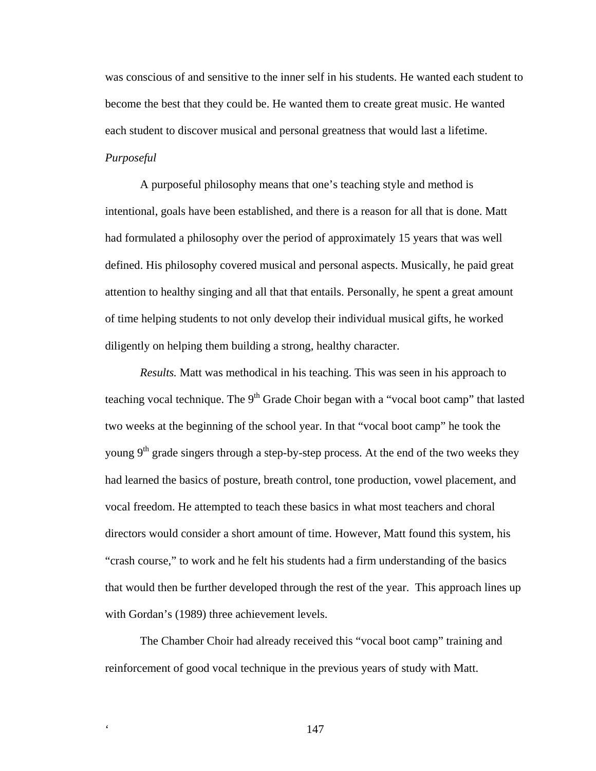was conscious of and sensitive to the inner self in his students. He wanted each student to become the best that they could be. He wanted them to create great music. He wanted each student to discover musical and personal greatness that would last a lifetime. *Purposeful* 

A purposeful philosophy means that one's teaching style and method is intentional, goals have been established, and there is a reason for all that is done. Matt had formulated a philosophy over the period of approximately 15 years that was well defined. His philosophy covered musical and personal aspects. Musically, he paid great attention to healthy singing and all that that entails. Personally, he spent a great amount of time helping students to not only develop their individual musical gifts, he worked diligently on helping them building a strong, healthy character.

*Results.* Matt was methodical in his teaching. This was seen in his approach to teaching vocal technique. The  $9<sup>th</sup>$  Grade Choir began with a "vocal boot camp" that lasted two weeks at the beginning of the school year. In that "vocal boot camp" he took the young  $9<sup>th</sup>$  grade singers through a step-by-step process. At the end of the two weeks they had learned the basics of posture, breath control, tone production, vowel placement, and vocal freedom. He attempted to teach these basics in what most teachers and choral directors would consider a short amount of time. However, Matt found this system, his "crash course," to work and he felt his students had a firm understanding of the basics that would then be further developed through the rest of the year. This approach lines up with Gordan's (1989) three achievement levels.

The Chamber Choir had already received this "vocal boot camp" training and reinforcement of good vocal technique in the previous years of study with Matt.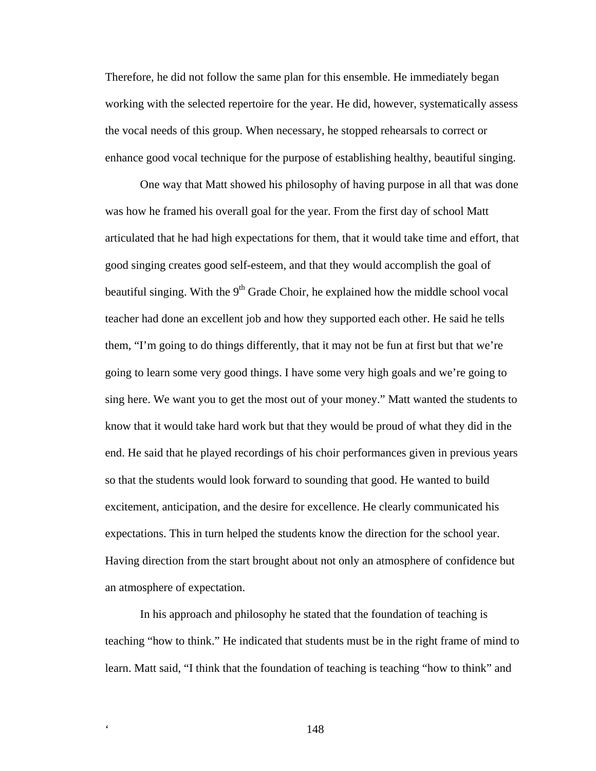Therefore, he did not follow the same plan for this ensemble. He immediately began working with the selected repertoire for the year. He did, however, systematically assess the vocal needs of this group. When necessary, he stopped rehearsals to correct or enhance good vocal technique for the purpose of establishing healthy, beautiful singing.

One way that Matt showed his philosophy of having purpose in all that was done was how he framed his overall goal for the year. From the first day of school Matt articulated that he had high expectations for them, that it would take time and effort, that good singing creates good self-esteem, and that they would accomplish the goal of beautiful singing. With the  $9<sup>th</sup>$  Grade Choir, he explained how the middle school vocal teacher had done an excellent job and how they supported each other. He said he tells them, "I'm going to do things differently, that it may not be fun at first but that we're going to learn some very good things. I have some very high goals and we're going to sing here. We want you to get the most out of your money." Matt wanted the students to know that it would take hard work but that they would be proud of what they did in the end. He said that he played recordings of his choir performances given in previous years so that the students would look forward to sounding that good. He wanted to build excitement, anticipation, and the desire for excellence. He clearly communicated his expectations. This in turn helped the students know the direction for the school year. Having direction from the start brought about not only an atmosphere of confidence but an atmosphere of expectation.

In his approach and philosophy he stated that the foundation of teaching is teaching "how to think." He indicated that students must be in the right frame of mind to learn. Matt said, "I think that the foundation of teaching is teaching "how to think" and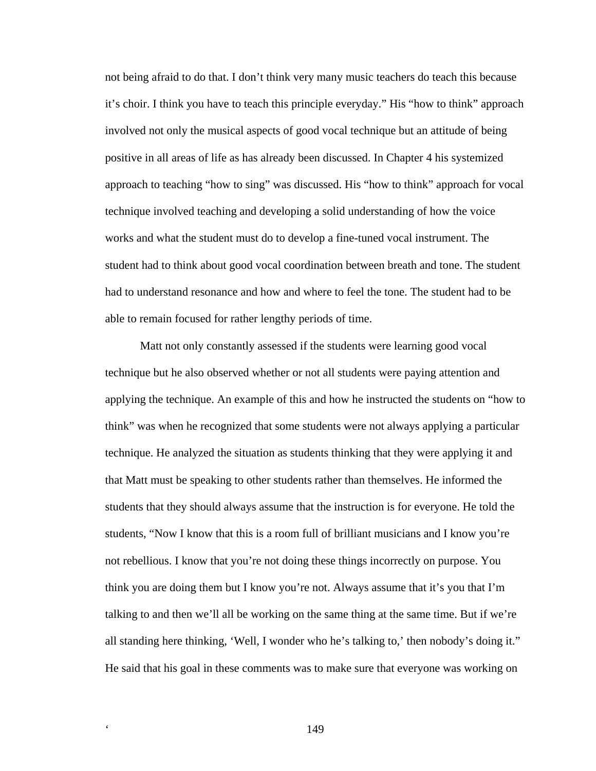not being afraid to do that. I don't think very many music teachers do teach this because it's choir. I think you have to teach this principle everyday." His "how to think" approach involved not only the musical aspects of good vocal technique but an attitude of being positive in all areas of life as has already been discussed. In Chapter 4 his systemized approach to teaching "how to sing" was discussed. His "how to think" approach for vocal technique involved teaching and developing a solid understanding of how the voice works and what the student must do to develop a fine-tuned vocal instrument. The student had to think about good vocal coordination between breath and tone. The student had to understand resonance and how and where to feel the tone. The student had to be able to remain focused for rather lengthy periods of time.

Matt not only constantly assessed if the students were learning good vocal technique but he also observed whether or not all students were paying attention and applying the technique. An example of this and how he instructed the students on "how to think" was when he recognized that some students were not always applying a particular technique. He analyzed the situation as students thinking that they were applying it and that Matt must be speaking to other students rather than themselves. He informed the students that they should always assume that the instruction is for everyone. He told the students, "Now I know that this is a room full of brilliant musicians and I know you're not rebellious. I know that you're not doing these things incorrectly on purpose. You think you are doing them but I know you're not. Always assume that it's you that I'm talking to and then we'll all be working on the same thing at the same time. But if we're all standing here thinking, 'Well, I wonder who he's talking to,' then nobody's doing it." He said that his goal in these comments was to make sure that everyone was working on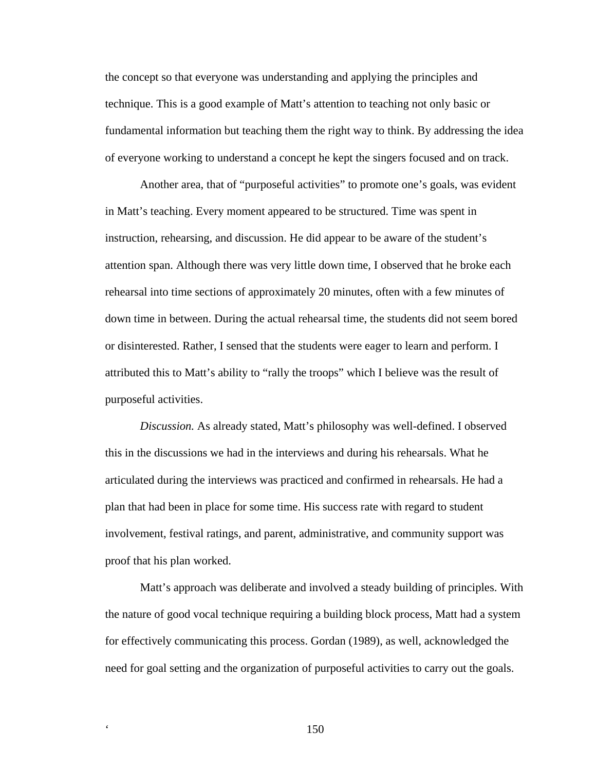the concept so that everyone was understanding and applying the principles and technique. This is a good example of Matt's attention to teaching not only basic or fundamental information but teaching them the right way to think. By addressing the idea of everyone working to understand a concept he kept the singers focused and on track.

Another area, that of "purposeful activities" to promote one's goals, was evident in Matt's teaching. Every moment appeared to be structured. Time was spent in instruction, rehearsing, and discussion. He did appear to be aware of the student's attention span. Although there was very little down time, I observed that he broke each rehearsal into time sections of approximately 20 minutes, often with a few minutes of down time in between. During the actual rehearsal time, the students did not seem bored or disinterested. Rather, I sensed that the students were eager to learn and perform. I attributed this to Matt's ability to "rally the troops" which I believe was the result of purposeful activities.

*Discussion.* As already stated, Matt's philosophy was well-defined. I observed this in the discussions we had in the interviews and during his rehearsals. What he articulated during the interviews was practiced and confirmed in rehearsals. He had a plan that had been in place for some time. His success rate with regard to student involvement, festival ratings, and parent, administrative, and community support was proof that his plan worked.

Matt's approach was deliberate and involved a steady building of principles. With the nature of good vocal technique requiring a building block process, Matt had a system for effectively communicating this process. Gordan (1989), as well, acknowledged the need for goal setting and the organization of purposeful activities to carry out the goals.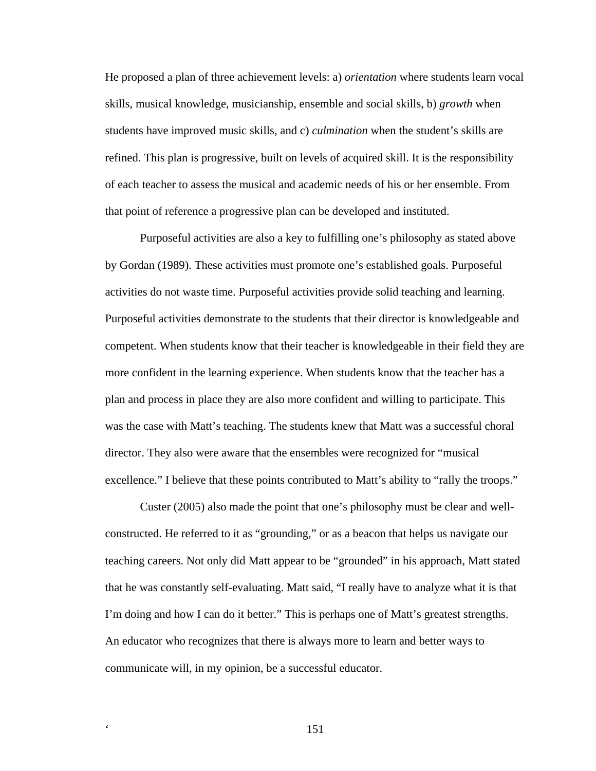He proposed a plan of three achievement levels: a) *orientation* where students learn vocal skills, musical knowledge, musicianship, ensemble and social skills, b) *growth* when students have improved music skills, and c) *culmination* when the student's skills are refined. This plan is progressive, built on levels of acquired skill. It is the responsibility of each teacher to assess the musical and academic needs of his or her ensemble. From that point of reference a progressive plan can be developed and instituted.

Purposeful activities are also a key to fulfilling one's philosophy as stated above by Gordan (1989). These activities must promote one's established goals. Purposeful activities do not waste time. Purposeful activities provide solid teaching and learning. Purposeful activities demonstrate to the students that their director is knowledgeable and competent. When students know that their teacher is knowledgeable in their field they are more confident in the learning experience. When students know that the teacher has a plan and process in place they are also more confident and willing to participate. This was the case with Matt's teaching. The students knew that Matt was a successful choral director. They also were aware that the ensembles were recognized for "musical excellence." I believe that these points contributed to Matt's ability to "rally the troops."

Custer (2005) also made the point that one's philosophy must be clear and wellconstructed. He referred to it as "grounding," or as a beacon that helps us navigate our teaching careers. Not only did Matt appear to be "grounded" in his approach, Matt stated that he was constantly self-evaluating. Matt said, "I really have to analyze what it is that I'm doing and how I can do it better." This is perhaps one of Matt's greatest strengths. An educator who recognizes that there is always more to learn and better ways to communicate will, in my opinion, be a successful educator.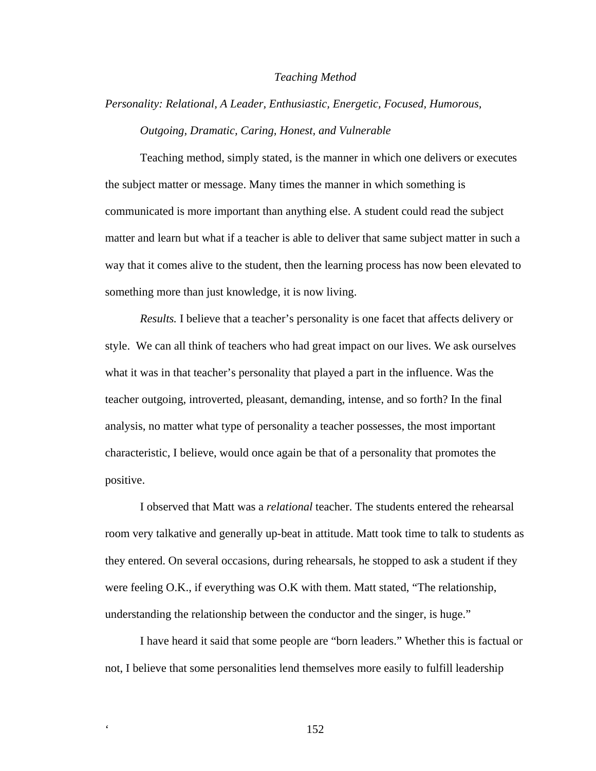#### *Teaching Method*

# *Personality: Relational, A Leader, Enthusiastic, Energetic, Focused, Humorous, Outgoing, Dramatic, Caring, Honest, and Vulnerable*

Teaching method, simply stated, is the manner in which one delivers or executes the subject matter or message. Many times the manner in which something is communicated is more important than anything else. A student could read the subject matter and learn but what if a teacher is able to deliver that same subject matter in such a way that it comes alive to the student, then the learning process has now been elevated to something more than just knowledge, it is now living.

*Results.* I believe that a teacher's personality is one facet that affects delivery or style. We can all think of teachers who had great impact on our lives. We ask ourselves what it was in that teacher's personality that played a part in the influence. Was the teacher outgoing, introverted, pleasant, demanding, intense, and so forth? In the final analysis, no matter what type of personality a teacher possesses, the most important characteristic, I believe, would once again be that of a personality that promotes the positive.

I observed that Matt was a *relational* teacher. The students entered the rehearsal room very talkative and generally up-beat in attitude. Matt took time to talk to students as they entered. On several occasions, during rehearsals, he stopped to ask a student if they were feeling O.K., if everything was O.K with them. Matt stated, "The relationship, understanding the relationship between the conductor and the singer, is huge."

I have heard it said that some people are "born leaders." Whether this is factual or not, I believe that some personalities lend themselves more easily to fulfill leadership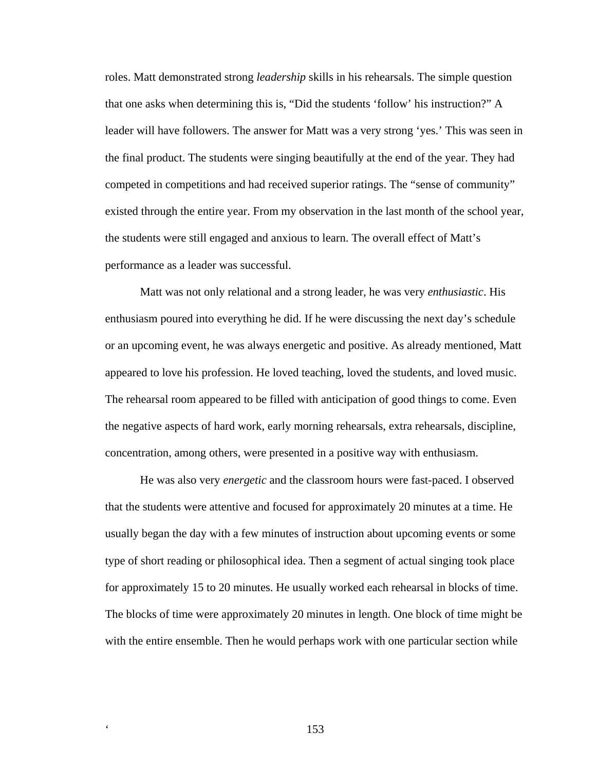roles. Matt demonstrated strong *leadership* skills in his rehearsals. The simple question that one asks when determining this is, "Did the students 'follow' his instruction?" A leader will have followers. The answer for Matt was a very strong 'yes.' This was seen in the final product. The students were singing beautifully at the end of the year. They had competed in competitions and had received superior ratings. The "sense of community" existed through the entire year. From my observation in the last month of the school year, the students were still engaged and anxious to learn. The overall effect of Matt's performance as a leader was successful.

Matt was not only relational and a strong leader, he was very *enthusiastic*. His enthusiasm poured into everything he did. If he were discussing the next day's schedule or an upcoming event, he was always energetic and positive. As already mentioned, Matt appeared to love his profession. He loved teaching, loved the students, and loved music. The rehearsal room appeared to be filled with anticipation of good things to come. Even the negative aspects of hard work, early morning rehearsals, extra rehearsals, discipline, concentration, among others, were presented in a positive way with enthusiasm.

He was also very *energetic* and the classroom hours were fast-paced. I observed that the students were attentive and focused for approximately 20 minutes at a time. He usually began the day with a few minutes of instruction about upcoming events or some type of short reading or philosophical idea. Then a segment of actual singing took place for approximately 15 to 20 minutes. He usually worked each rehearsal in blocks of time. The blocks of time were approximately 20 minutes in length. One block of time might be with the entire ensemble. Then he would perhaps work with one particular section while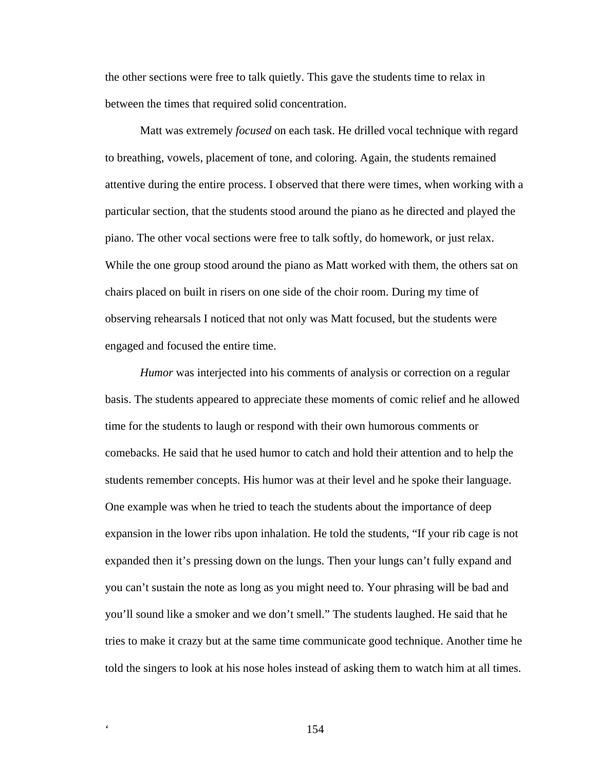the other sections were free to talk quietly. This gave the students time to relax in between the times that required solid concentration.

Matt was extremely *focused* on each task. He drilled vocal technique with regard to breathing, vowels, placement of tone, and coloring. Again, the students remained attentive during the entire process. I observed that there were times, when working with a particular section, that the students stood around the piano as he directed and played the piano. The other vocal sections were free to talk softly, do homework, or just relax. While the one group stood around the piano as Matt worked with them, the others sat on chairs placed on built in risers on one side of the choir room. During my time of observing rehearsals I noticed that not only was Matt focused, but the students were engaged and focused the entire time.

*Humor* was interjected into his comments of analysis or correction on a regular basis. The students appeared to appreciate these moments of comic relief and he allowed time for the students to laugh or respond with their own humorous comments or comebacks. He said that he used humor to catch and hold their attention and to help the students remember concepts. His humor was at their level and he spoke their language. One example was when he tried to teach the students about the importance of deep expansion in the lower ribs upon inhalation. He told the students, "If your rib cage is not expanded then it's pressing down on the lungs. Then your lungs can't fully expand and you can't sustain the note as long as you might need to. Your phrasing will be bad and you'll sound like a smoker and we don't smell." The students laughed. He said that he tries to make it crazy but at the same time communicate good technique. Another time he told the singers to look at his nose holes instead of asking them to watch him at all times.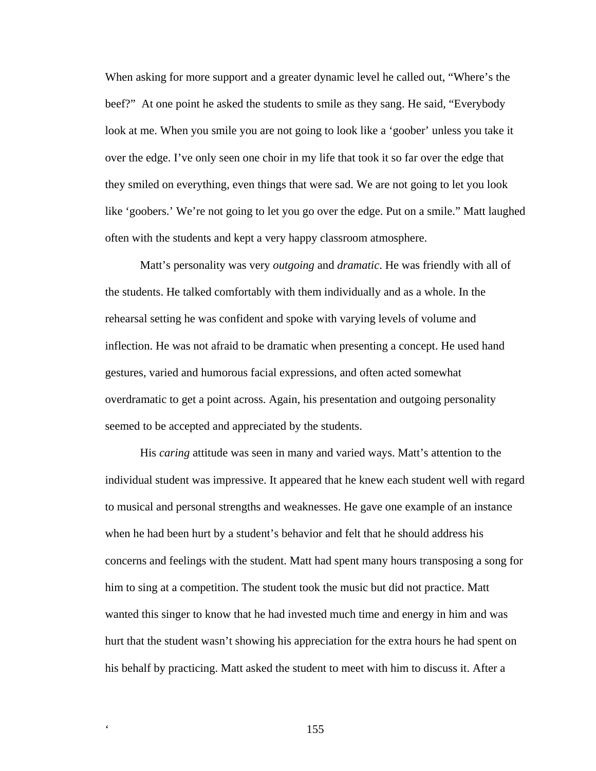When asking for more support and a greater dynamic level he called out, "Where's the beef?" At one point he asked the students to smile as they sang. He said, "Everybody look at me. When you smile you are not going to look like a 'goober' unless you take it over the edge. I've only seen one choir in my life that took it so far over the edge that they smiled on everything, even things that were sad. We are not going to let you look like 'goobers.' We're not going to let you go over the edge. Put on a smile." Matt laughed often with the students and kept a very happy classroom atmosphere.

Matt's personality was very *outgoing* and *dramatic*. He was friendly with all of the students. He talked comfortably with them individually and as a whole. In the rehearsal setting he was confident and spoke with varying levels of volume and inflection. He was not afraid to be dramatic when presenting a concept. He used hand gestures, varied and humorous facial expressions, and often acted somewhat overdramatic to get a point across. Again, his presentation and outgoing personality seemed to be accepted and appreciated by the students.

His *caring* attitude was seen in many and varied ways. Matt's attention to the individual student was impressive. It appeared that he knew each student well with regard to musical and personal strengths and weaknesses. He gave one example of an instance when he had been hurt by a student's behavior and felt that he should address his concerns and feelings with the student. Matt had spent many hours transposing a song for him to sing at a competition. The student took the music but did not practice. Matt wanted this singer to know that he had invested much time and energy in him and was hurt that the student wasn't showing his appreciation for the extra hours he had spent on his behalf by practicing. Matt asked the student to meet with him to discuss it. After a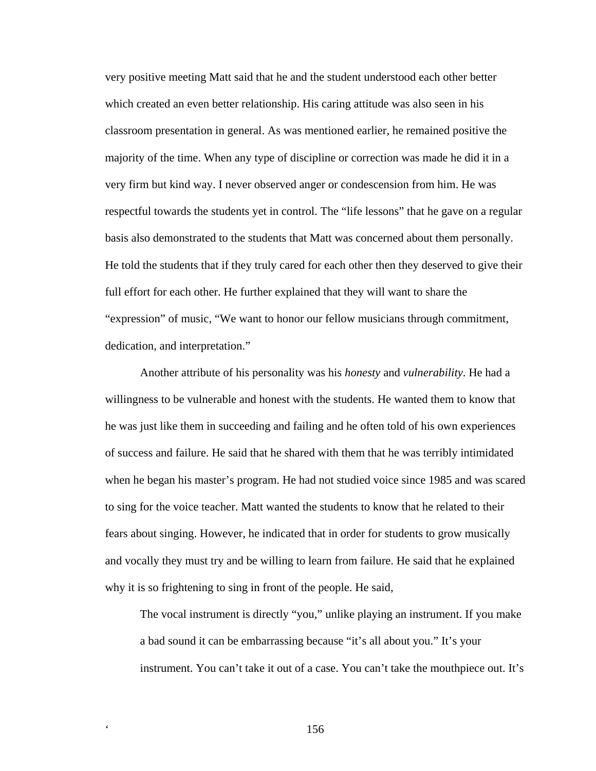very positive meeting Matt said that he and the student understood each other better which created an even better relationship. His caring attitude was also seen in his classroom presentation in general. As was mentioned earlier, he remained positive the majority of the time. When any type of discipline or correction was made he did it in a very firm but kind way. I never observed anger or condescension from him. He was respectful towards the students yet in control. The "life lessons" that he gave on a regular basis also demonstrated to the students that Matt was concerned about them personally. He told the students that if they truly cared for each other then they deserved to give their full effort for each other. He further explained that they will want to share the "expression" of music, "We want to honor our fellow musicians through commitment, dedication, and interpretation."

Another attribute of his personality was his *honesty* and *vulnerability*. He had a willingness to be vulnerable and honest with the students. He wanted them to know that he was just like them in succeeding and failing and he often told of his own experiences of success and failure. He said that he shared with them that he was terribly intimidated when he began his master's program. He had not studied voice since 1985 and was scared to sing for the voice teacher. Matt wanted the students to know that he related to their fears about singing. However, he indicated that in order for students to grow musically and vocally they must try and be willing to learn from failure. He said that he explained why it is so frightening to sing in front of the people. He said,

The vocal instrument is directly "you," unlike playing an instrument. If you make a bad sound it can be embarrassing because "it's all about you." It's your instrument. You can't take it out of a case. You can't take the mouthpiece out. It's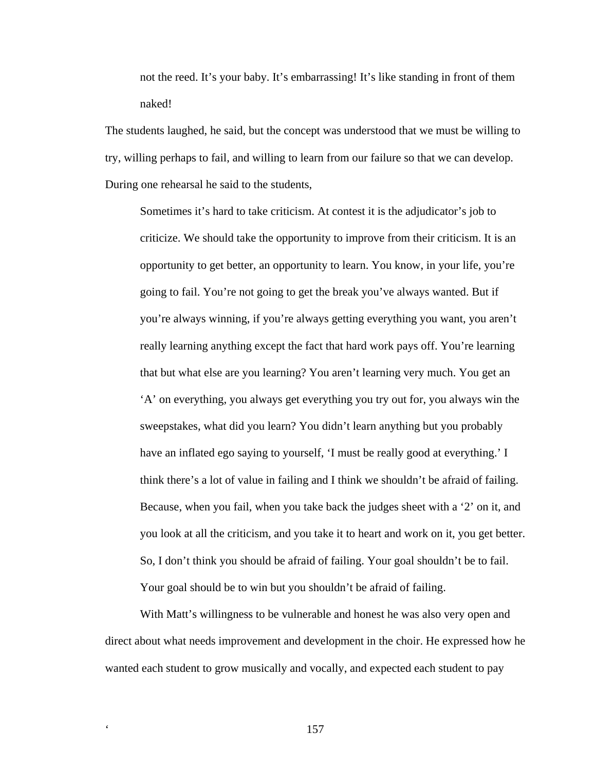not the reed. It's your baby. It's embarrassing! It's like standing in front of them naked!

The students laughed, he said, but the concept was understood that we must be willing to try, willing perhaps to fail, and willing to learn from our failure so that we can develop. During one rehearsal he said to the students,

Sometimes it's hard to take criticism. At contest it is the adjudicator's job to criticize. We should take the opportunity to improve from their criticism. It is an opportunity to get better, an opportunity to learn. You know, in your life, you're going to fail. You're not going to get the break you've always wanted. But if you're always winning, if you're always getting everything you want, you aren't really learning anything except the fact that hard work pays off. You're learning that but what else are you learning? You aren't learning very much. You get an 'A' on everything, you always get everything you try out for, you always win the sweepstakes, what did you learn? You didn't learn anything but you probably have an inflated ego saying to yourself, 'I must be really good at everything.' I think there's a lot of value in failing and I think we shouldn't be afraid of failing. Because, when you fail, when you take back the judges sheet with a '2' on it, and you look at all the criticism, and you take it to heart and work on it, you get better. So, I don't think you should be afraid of failing. Your goal shouldn't be to fail. Your goal should be to win but you shouldn't be afraid of failing.

With Matt's willingness to be vulnerable and honest he was also very open and direct about what needs improvement and development in the choir. He expressed how he wanted each student to grow musically and vocally, and expected each student to pay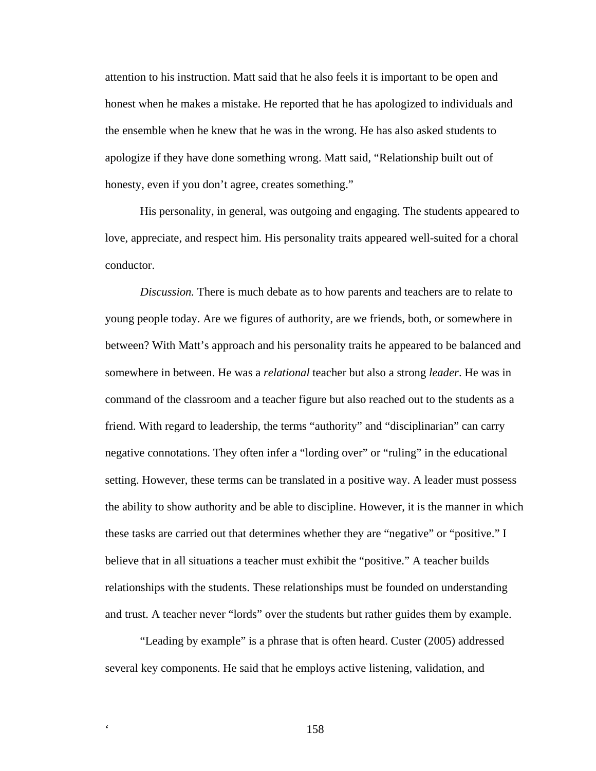attention to his instruction. Matt said that he also feels it is important to be open and honest when he makes a mistake. He reported that he has apologized to individuals and the ensemble when he knew that he was in the wrong. He has also asked students to apologize if they have done something wrong. Matt said, "Relationship built out of honesty, even if you don't agree, creates something."

His personality, in general, was outgoing and engaging. The students appeared to love, appreciate, and respect him. His personality traits appeared well-suited for a choral conductor.

*Discussion.* There is much debate as to how parents and teachers are to relate to young people today. Are we figures of authority, are we friends, both, or somewhere in between? With Matt's approach and his personality traits he appeared to be balanced and somewhere in between. He was a *relational* teacher but also a strong *leader*. He was in command of the classroom and a teacher figure but also reached out to the students as a friend. With regard to leadership, the terms "authority" and "disciplinarian" can carry negative connotations. They often infer a "lording over" or "ruling" in the educational setting. However, these terms can be translated in a positive way. A leader must possess the ability to show authority and be able to discipline. However, it is the manner in which these tasks are carried out that determines whether they are "negative" or "positive." I believe that in all situations a teacher must exhibit the "positive." A teacher builds relationships with the students. These relationships must be founded on understanding and trust. A teacher never "lords" over the students but rather guides them by example.

"Leading by example" is a phrase that is often heard. Custer (2005) addressed several key components. He said that he employs active listening, validation, and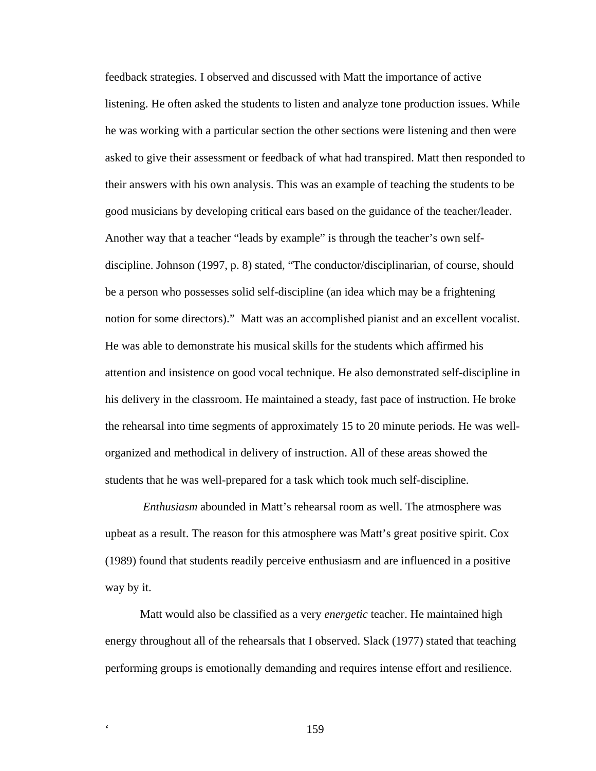feedback strategies. I observed and discussed with Matt the importance of active listening. He often asked the students to listen and analyze tone production issues. While he was working with a particular section the other sections were listening and then were asked to give their assessment or feedback of what had transpired. Matt then responded to their answers with his own analysis. This was an example of teaching the students to be good musicians by developing critical ears based on the guidance of the teacher/leader. Another way that a teacher "leads by example" is through the teacher's own selfdiscipline. Johnson (1997, p. 8) stated, "The conductor/disciplinarian, of course, should be a person who possesses solid self-discipline (an idea which may be a frightening notion for some directors)." Matt was an accomplished pianist and an excellent vocalist. He was able to demonstrate his musical skills for the students which affirmed his attention and insistence on good vocal technique. He also demonstrated self-discipline in his delivery in the classroom. He maintained a steady, fast pace of instruction. He broke the rehearsal into time segments of approximately 15 to 20 minute periods. He was wellorganized and methodical in delivery of instruction. All of these areas showed the students that he was well-prepared for a task which took much self-discipline.

*Enthusiasm* abounded in Matt's rehearsal room as well. The atmosphere was upbeat as a result. The reason for this atmosphere was Matt's great positive spirit. Cox (1989) found that students readily perceive enthusiasm and are influenced in a positive way by it.

Matt would also be classified as a very *energetic* teacher. He maintained high energy throughout all of the rehearsals that I observed. Slack (1977) stated that teaching performing groups is emotionally demanding and requires intense effort and resilience.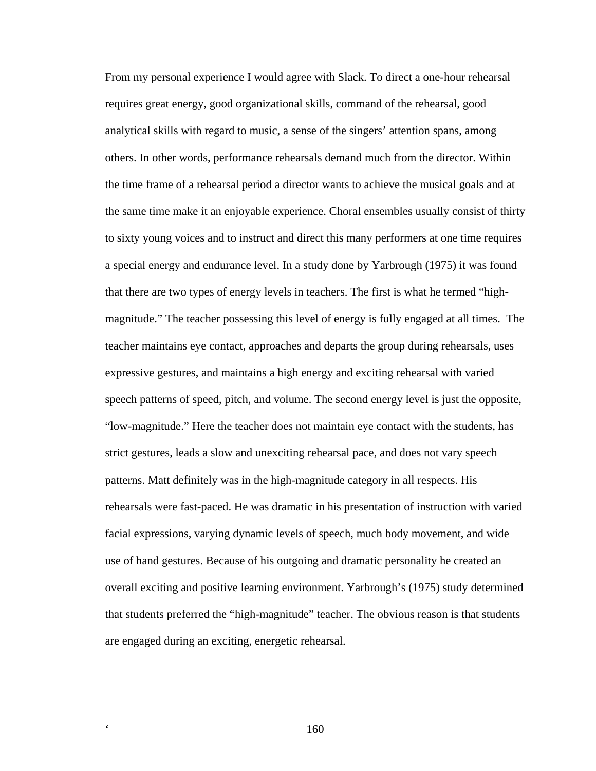From my personal experience I would agree with Slack. To direct a one-hour rehearsal requires great energy, good organizational skills, command of the rehearsal, good analytical skills with regard to music, a sense of the singers' attention spans, among others. In other words, performance rehearsals demand much from the director. Within the time frame of a rehearsal period a director wants to achieve the musical goals and at the same time make it an enjoyable experience. Choral ensembles usually consist of thirty to sixty young voices and to instruct and direct this many performers at one time requires a special energy and endurance level. In a study done by Yarbrough (1975) it was found that there are two types of energy levels in teachers. The first is what he termed "highmagnitude." The teacher possessing this level of energy is fully engaged at all times. The teacher maintains eye contact, approaches and departs the group during rehearsals, uses expressive gestures, and maintains a high energy and exciting rehearsal with varied speech patterns of speed, pitch, and volume. The second energy level is just the opposite, "low-magnitude." Here the teacher does not maintain eye contact with the students, has strict gestures, leads a slow and unexciting rehearsal pace, and does not vary speech patterns. Matt definitely was in the high-magnitude category in all respects. His rehearsals were fast-paced. He was dramatic in his presentation of instruction with varied facial expressions, varying dynamic levels of speech, much body movement, and wide use of hand gestures. Because of his outgoing and dramatic personality he created an overall exciting and positive learning environment. Yarbrough's (1975) study determined that students preferred the "high-magnitude" teacher. The obvious reason is that students are engaged during an exciting, energetic rehearsal.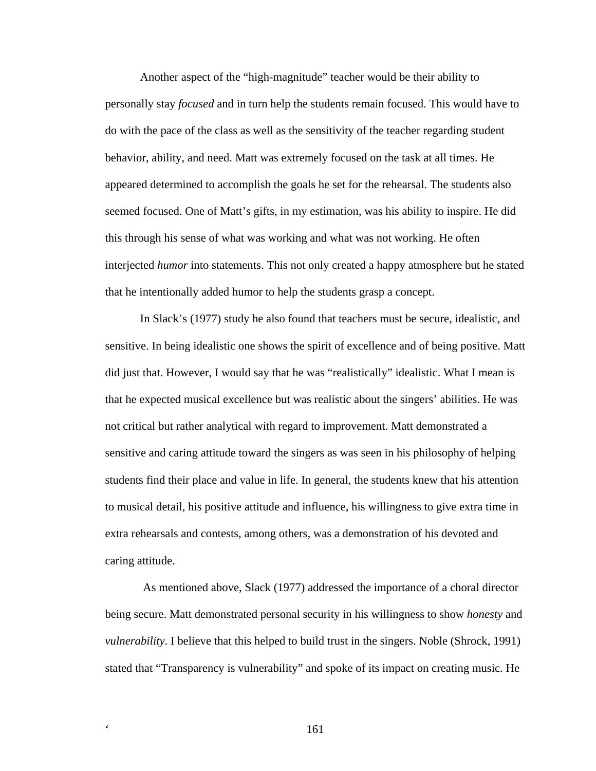Another aspect of the "high-magnitude" teacher would be their ability to personally stay *focused* and in turn help the students remain focused. This would have to do with the pace of the class as well as the sensitivity of the teacher regarding student behavior, ability, and need. Matt was extremely focused on the task at all times. He appeared determined to accomplish the goals he set for the rehearsal. The students also seemed focused. One of Matt's gifts, in my estimation, was his ability to inspire. He did this through his sense of what was working and what was not working. He often interjected *humor* into statements. This not only created a happy atmosphere but he stated that he intentionally added humor to help the students grasp a concept.

In Slack's (1977) study he also found that teachers must be secure, idealistic, and sensitive. In being idealistic one shows the spirit of excellence and of being positive. Matt did just that. However, I would say that he was "realistically" idealistic. What I mean is that he expected musical excellence but was realistic about the singers' abilities. He was not critical but rather analytical with regard to improvement. Matt demonstrated a sensitive and caring attitude toward the singers as was seen in his philosophy of helping students find their place and value in life. In general, the students knew that his attention to musical detail, his positive attitude and influence, his willingness to give extra time in extra rehearsals and contests, among others, was a demonstration of his devoted and caring attitude.

 As mentioned above, Slack (1977) addressed the importance of a choral director being secure. Matt demonstrated personal security in his willingness to show *honesty* and *vulnerability*. I believe that this helped to build trust in the singers. Noble (Shrock, 1991) stated that "Transparency is vulnerability" and spoke of its impact on creating music. He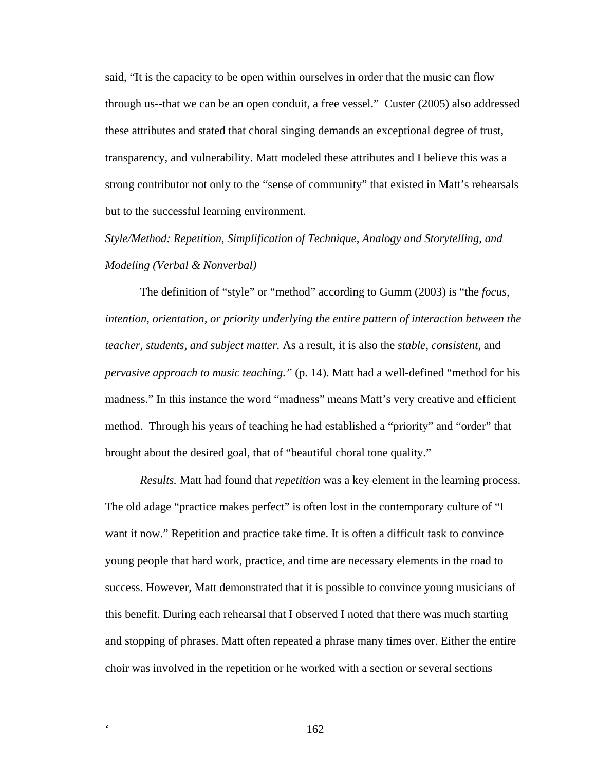said, "It is the capacity to be open within ourselves in order that the music can flow through us--that we can be an open conduit, a free vessel." Custer (2005) also addressed these attributes and stated that choral singing demands an exceptional degree of trust, transparency, and vulnerability. Matt modeled these attributes and I believe this was a strong contributor not only to the "sense of community" that existed in Matt's rehearsals but to the successful learning environment.

## *Style/Method: Repetition, Simplification of Technique, Analogy and Storytelling, and Modeling (Verbal & Nonverbal)*

The definition of "style" or "method" according to Gumm (2003) is "the *focus, intention, orientation, or priority underlying the entire pattern of interaction between the teacher, students, and subject matter.* As a result, it is also the *stable, consistent,* and *pervasive approach to music teaching."* (p. 14). Matt had a well-defined "method for his madness." In this instance the word "madness" means Matt's very creative and efficient method. Through his years of teaching he had established a "priority" and "order" that brought about the desired goal, that of "beautiful choral tone quality."

*Results.* Matt had found that *repetition* was a key element in the learning process. The old adage "practice makes perfect" is often lost in the contemporary culture of "I want it now." Repetition and practice take time. It is often a difficult task to convince young people that hard work, practice, and time are necessary elements in the road to success. However, Matt demonstrated that it is possible to convince young musicians of this benefit. During each rehearsal that I observed I noted that there was much starting and stopping of phrases. Matt often repeated a phrase many times over. Either the entire choir was involved in the repetition or he worked with a section or several sections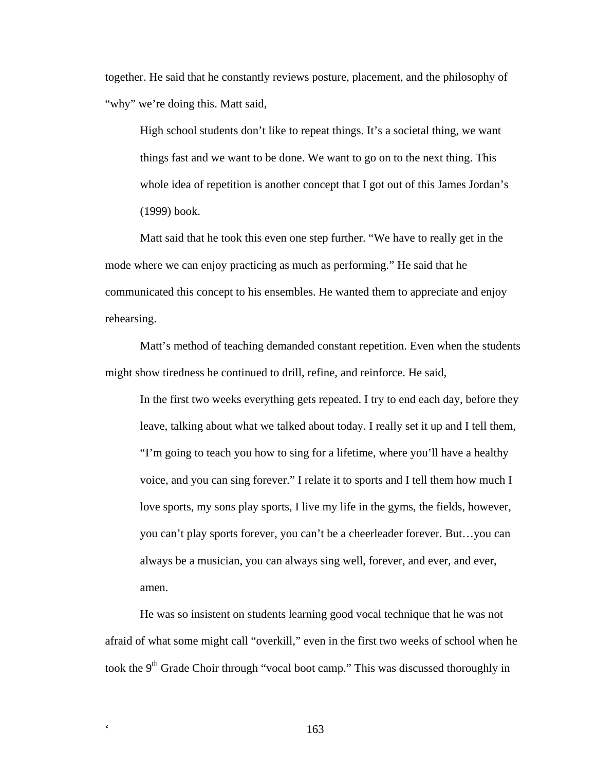together. He said that he constantly reviews posture, placement, and the philosophy of "why" we're doing this. Matt said,

High school students don't like to repeat things. It's a societal thing, we want things fast and we want to be done. We want to go on to the next thing. This whole idea of repetition is another concept that I got out of this James Jordan's (1999) book.

Matt said that he took this even one step further. "We have to really get in the mode where we can enjoy practicing as much as performing." He said that he communicated this concept to his ensembles. He wanted them to appreciate and enjoy rehearsing.

Matt's method of teaching demanded constant repetition. Even when the students might show tiredness he continued to drill, refine, and reinforce. He said,

In the first two weeks everything gets repeated. I try to end each day, before they leave, talking about what we talked about today. I really set it up and I tell them, "I'm going to teach you how to sing for a lifetime, where you'll have a healthy voice, and you can sing forever." I relate it to sports and I tell them how much I love sports, my sons play sports, I live my life in the gyms, the fields, however, you can't play sports forever, you can't be a cheerleader forever. But…you can always be a musician, you can always sing well, forever, and ever, and ever, amen.

He was so insistent on students learning good vocal technique that he was not afraid of what some might call "overkill," even in the first two weeks of school when he took the 9<sup>th</sup> Grade Choir through "vocal boot camp." This was discussed thoroughly in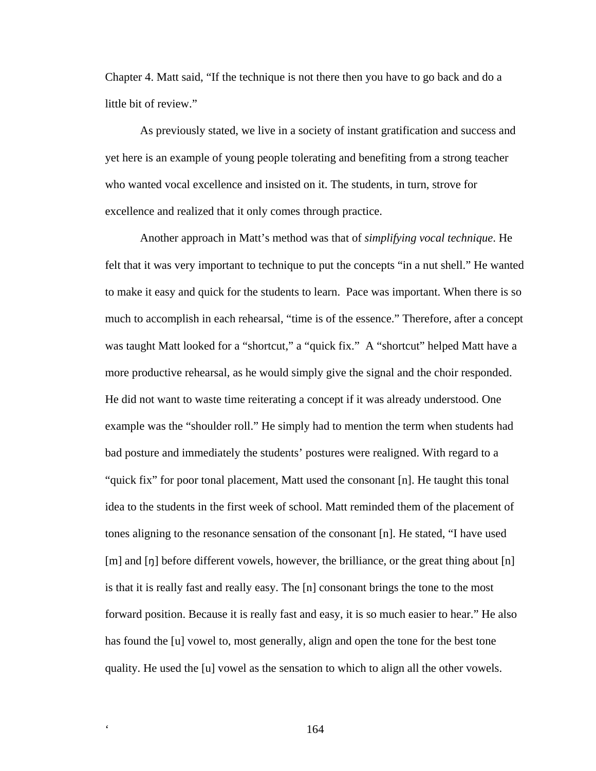Chapter 4. Matt said, "If the technique is not there then you have to go back and do a little bit of review."

As previously stated, we live in a society of instant gratification and success and yet here is an example of young people tolerating and benefiting from a strong teacher who wanted vocal excellence and insisted on it. The students, in turn, strove for excellence and realized that it only comes through practice.

Another approach in Matt's method was that of *simplifying vocal technique*. He felt that it was very important to technique to put the concepts "in a nut shell." He wanted to make it easy and quick for the students to learn. Pace was important. When there is so much to accomplish in each rehearsal, "time is of the essence." Therefore, after a concept was taught Matt looked for a "shortcut," a "quick fix." A "shortcut" helped Matt have a more productive rehearsal, as he would simply give the signal and the choir responded. He did not want to waste time reiterating a concept if it was already understood. One example was the "shoulder roll." He simply had to mention the term when students had bad posture and immediately the students' postures were realigned. With regard to a "quick fix" for poor tonal placement, Matt used the consonant [n]. He taught this tonal idea to the students in the first week of school. Matt reminded them of the placement of tones aligning to the resonance sensation of the consonant [n]. He stated, "I have used [m] and [ŋ] before different vowels, however, the brilliance, or the great thing about [n] is that it is really fast and really easy. The [n] consonant brings the tone to the most forward position. Because it is really fast and easy, it is so much easier to hear." He also has found the [u] vowel to, most generally, align and open the tone for the best tone quality. He used the [u] vowel as the sensation to which to align all the other vowels.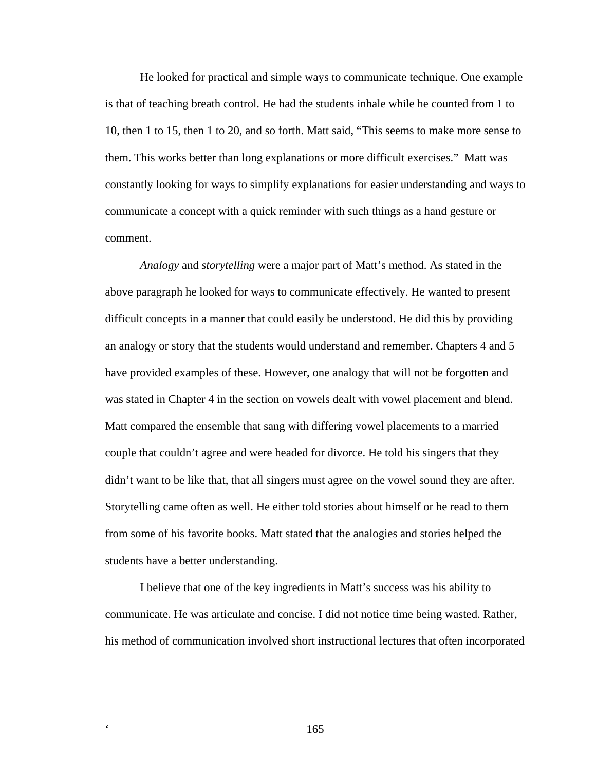He looked for practical and simple ways to communicate technique. One example is that of teaching breath control. He had the students inhale while he counted from 1 to 10, then 1 to 15, then 1 to 20, and so forth. Matt said, "This seems to make more sense to them. This works better than long explanations or more difficult exercises." Matt was constantly looking for ways to simplify explanations for easier understanding and ways to communicate a concept with a quick reminder with such things as a hand gesture or comment.

*Analogy* and *storytelling* were a major part of Matt's method. As stated in the above paragraph he looked for ways to communicate effectively. He wanted to present difficult concepts in a manner that could easily be understood. He did this by providing an analogy or story that the students would understand and remember. Chapters 4 and 5 have provided examples of these. However, one analogy that will not be forgotten and was stated in Chapter 4 in the section on vowels dealt with vowel placement and blend. Matt compared the ensemble that sang with differing vowel placements to a married couple that couldn't agree and were headed for divorce. He told his singers that they didn't want to be like that, that all singers must agree on the vowel sound they are after. Storytelling came often as well. He either told stories about himself or he read to them from some of his favorite books. Matt stated that the analogies and stories helped the students have a better understanding.

I believe that one of the key ingredients in Matt's success was his ability to communicate. He was articulate and concise. I did not notice time being wasted. Rather, his method of communication involved short instructional lectures that often incorporated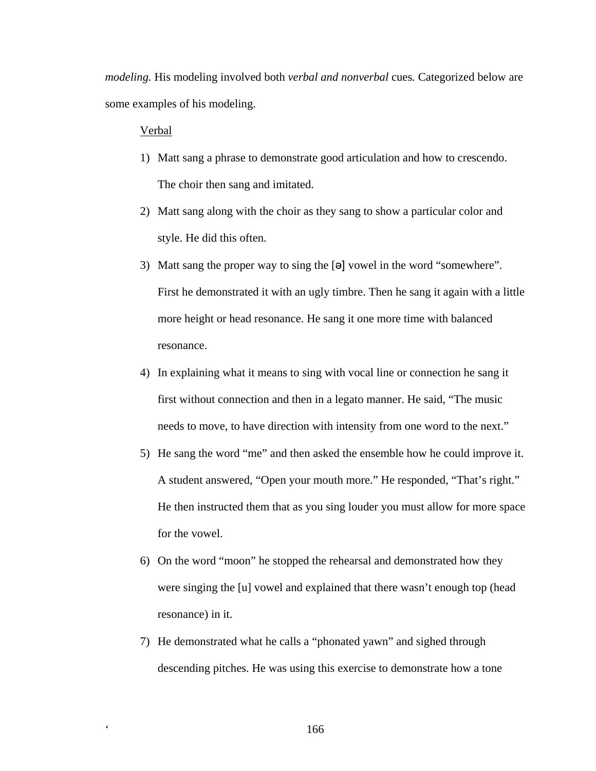*modeling.* His modeling involved both *verbal and nonverbal* cues*.* Categorized below are some examples of his modeling.

### Verbal

- 1) Matt sang a phrase to demonstrate good articulation and how to crescendo. The choir then sang and imitated.
- 2) Matt sang along with the choir as they sang to show a particular color and style. He did this often.
- 3) Matt sang the proper way to sing the [ə] vowel in the word "somewhere". First he demonstrated it with an ugly timbre. Then he sang it again with a little more height or head resonance. He sang it one more time with balanced resonance.
- 4) In explaining what it means to sing with vocal line or connection he sang it first without connection and then in a legato manner. He said, "The music needs to move, to have direction with intensity from one word to the next."
- 5) He sang the word "me" and then asked the ensemble how he could improve it. A student answered, "Open your mouth more." He responded, "That's right." He then instructed them that as you sing louder you must allow for more space for the vowel.
- 6) On the word "moon" he stopped the rehearsal and demonstrated how they were singing the [u] vowel and explained that there wasn't enough top (head resonance) in it.
- 7) He demonstrated what he calls a "phonated yawn" and sighed through descending pitches. He was using this exercise to demonstrate how a tone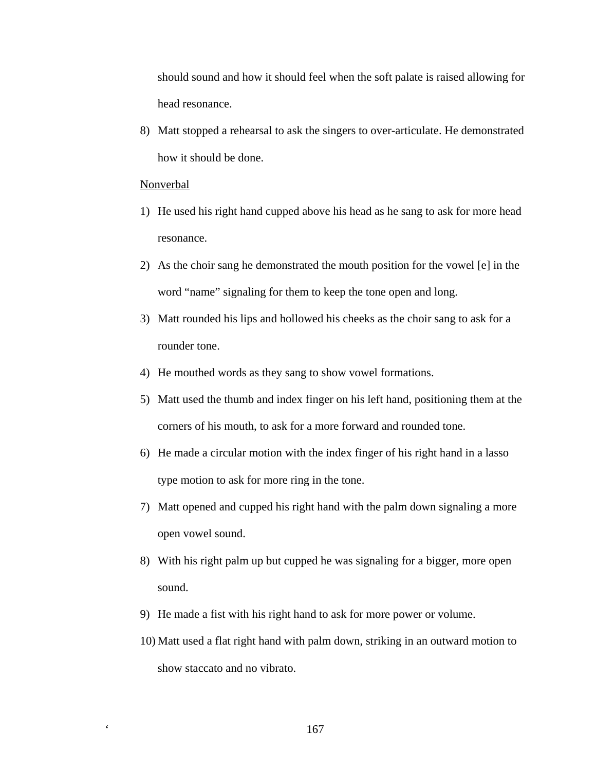should sound and how it should feel when the soft palate is raised allowing for head resonance.

8) Matt stopped a rehearsal to ask the singers to over-articulate. He demonstrated how it should be done.

### Nonverbal

- 1) He used his right hand cupped above his head as he sang to ask for more head resonance.
- 2) As the choir sang he demonstrated the mouth position for the vowel [e] in the word "name" signaling for them to keep the tone open and long.
- 3) Matt rounded his lips and hollowed his cheeks as the choir sang to ask for a rounder tone.
- 4) He mouthed words as they sang to show vowel formations.
- 5) Matt used the thumb and index finger on his left hand, positioning them at the corners of his mouth, to ask for a more forward and rounded tone.
- 6) He made a circular motion with the index finger of his right hand in a lasso type motion to ask for more ring in the tone.
- 7) Matt opened and cupped his right hand with the palm down signaling a more open vowel sound.
- 8) With his right palm up but cupped he was signaling for a bigger, more open sound.
- 9) He made a fist with his right hand to ask for more power or volume.
- 10) Matt used a flat right hand with palm down, striking in an outward motion to show staccato and no vibrato.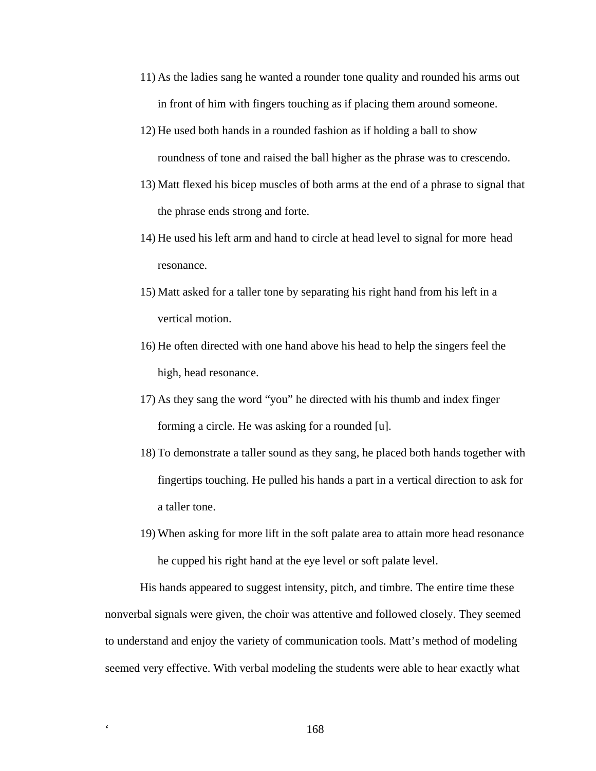- 11) As the ladies sang he wanted a rounder tone quality and rounded his arms out in front of him with fingers touching as if placing them around someone.
- 12) He used both hands in a rounded fashion as if holding a ball to show roundness of tone and raised the ball higher as the phrase was to crescendo.
- 13) Matt flexed his bicep muscles of both arms at the end of a phrase to signal that the phrase ends strong and forte.
- 14) He used his left arm and hand to circle at head level to signal for more head resonance.
- 15) Matt asked for a taller tone by separating his right hand from his left in a vertical motion.
- 16) He often directed with one hand above his head to help the singers feel the high, head resonance.
- 17) As they sang the word "you" he directed with his thumb and index finger forming a circle. He was asking for a rounded [u].
- 18) To demonstrate a taller sound as they sang, he placed both hands together with fingertips touching. He pulled his hands a part in a vertical direction to ask for a taller tone.
- 19) When asking for more lift in the soft palate area to attain more head resonance he cupped his right hand at the eye level or soft palate level.

His hands appeared to suggest intensity, pitch, and timbre. The entire time these nonverbal signals were given, the choir was attentive and followed closely. They seemed to understand and enjoy the variety of communication tools. Matt's method of modeling seemed very effective. With verbal modeling the students were able to hear exactly what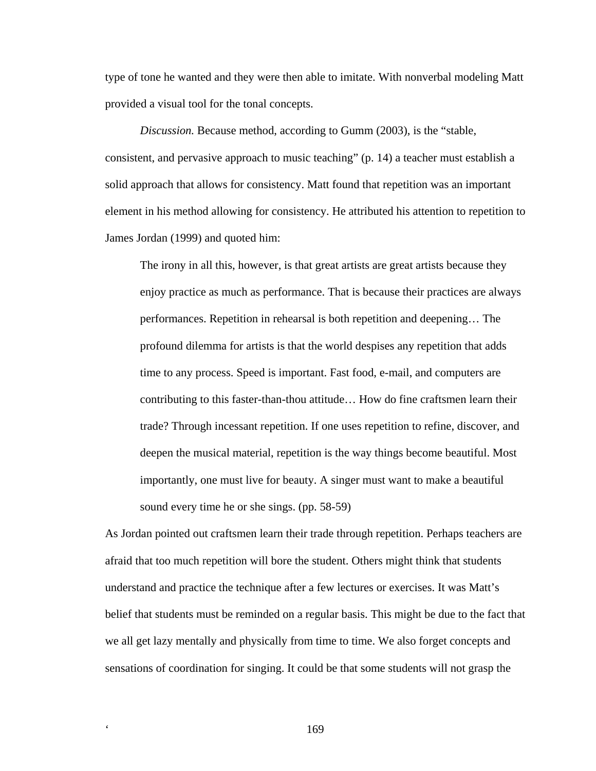type of tone he wanted and they were then able to imitate. With nonverbal modeling Matt provided a visual tool for the tonal concepts.

 *Discussion.* Because method, according to Gumm (2003), is the "stable, consistent, and pervasive approach to music teaching" (p. 14) a teacher must establish a solid approach that allows for consistency. Matt found that repetition was an important element in his method allowing for consistency. He attributed his attention to repetition to James Jordan (1999) and quoted him:

The irony in all this, however, is that great artists are great artists because they enjoy practice as much as performance. That is because their practices are always performances. Repetition in rehearsal is both repetition and deepening… The profound dilemma for artists is that the world despises any repetition that adds time to any process. Speed is important. Fast food, e-mail, and computers are contributing to this faster-than-thou attitude… How do fine craftsmen learn their trade? Through incessant repetition. If one uses repetition to refine, discover, and deepen the musical material, repetition is the way things become beautiful. Most importantly, one must live for beauty. A singer must want to make a beautiful sound every time he or she sings. (pp. 58-59)

As Jordan pointed out craftsmen learn their trade through repetition. Perhaps teachers are afraid that too much repetition will bore the student. Others might think that students understand and practice the technique after a few lectures or exercises. It was Matt's belief that students must be reminded on a regular basis. This might be due to the fact that we all get lazy mentally and physically from time to time. We also forget concepts and sensations of coordination for singing. It could be that some students will not grasp the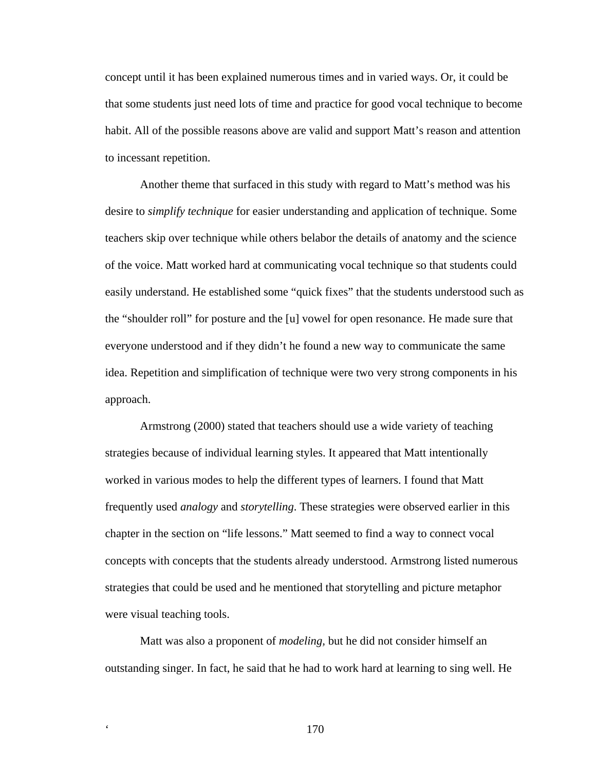concept until it has been explained numerous times and in varied ways. Or, it could be that some students just need lots of time and practice for good vocal technique to become habit. All of the possible reasons above are valid and support Matt's reason and attention to incessant repetition.

Another theme that surfaced in this study with regard to Matt's method was his desire to *simplify technique* for easier understanding and application of technique. Some teachers skip over technique while others belabor the details of anatomy and the science of the voice. Matt worked hard at communicating vocal technique so that students could easily understand. He established some "quick fixes" that the students understood such as the "shoulder roll" for posture and the [u] vowel for open resonance. He made sure that everyone understood and if they didn't he found a new way to communicate the same idea. Repetition and simplification of technique were two very strong components in his approach.

Armstrong (2000) stated that teachers should use a wide variety of teaching strategies because of individual learning styles. It appeared that Matt intentionally worked in various modes to help the different types of learners. I found that Matt frequently used *analogy* and *storytelling*. These strategies were observed earlier in this chapter in the section on "life lessons." Matt seemed to find a way to connect vocal concepts with concepts that the students already understood. Armstrong listed numerous strategies that could be used and he mentioned that storytelling and picture metaphor were visual teaching tools.

Matt was also a proponent of *modeling,* but he did not consider himself an outstanding singer. In fact, he said that he had to work hard at learning to sing well. He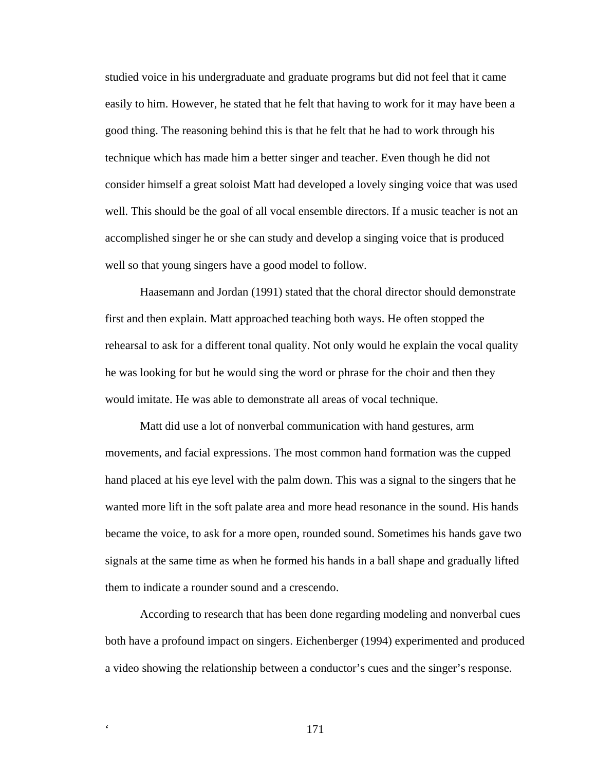studied voice in his undergraduate and graduate programs but did not feel that it came easily to him. However, he stated that he felt that having to work for it may have been a good thing. The reasoning behind this is that he felt that he had to work through his technique which has made him a better singer and teacher. Even though he did not consider himself a great soloist Matt had developed a lovely singing voice that was used well. This should be the goal of all vocal ensemble directors. If a music teacher is not an accomplished singer he or she can study and develop a singing voice that is produced well so that young singers have a good model to follow.

Haasemann and Jordan (1991) stated that the choral director should demonstrate first and then explain. Matt approached teaching both ways. He often stopped the rehearsal to ask for a different tonal quality. Not only would he explain the vocal quality he was looking for but he would sing the word or phrase for the choir and then they would imitate. He was able to demonstrate all areas of vocal technique.

Matt did use a lot of nonverbal communication with hand gestures, arm movements, and facial expressions. The most common hand formation was the cupped hand placed at his eye level with the palm down. This was a signal to the singers that he wanted more lift in the soft palate area and more head resonance in the sound. His hands became the voice, to ask for a more open, rounded sound. Sometimes his hands gave two signals at the same time as when he formed his hands in a ball shape and gradually lifted them to indicate a rounder sound and a crescendo.

According to research that has been done regarding modeling and nonverbal cues both have a profound impact on singers. Eichenberger (1994) experimented and produced a video showing the relationship between a conductor's cues and the singer's response.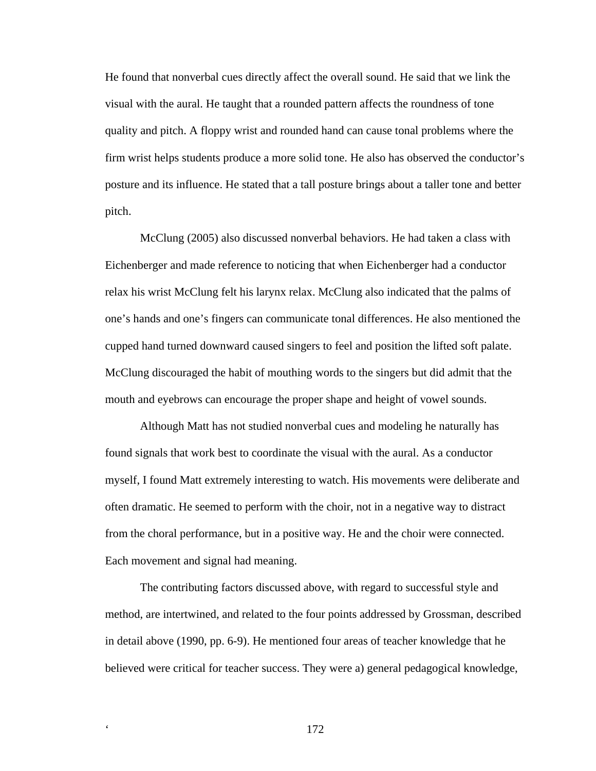He found that nonverbal cues directly affect the overall sound. He said that we link the visual with the aural. He taught that a rounded pattern affects the roundness of tone quality and pitch. A floppy wrist and rounded hand can cause tonal problems where the firm wrist helps students produce a more solid tone. He also has observed the conductor's posture and its influence. He stated that a tall posture brings about a taller tone and better pitch.

McClung (2005) also discussed nonverbal behaviors. He had taken a class with Eichenberger and made reference to noticing that when Eichenberger had a conductor relax his wrist McClung felt his larynx relax. McClung also indicated that the palms of one's hands and one's fingers can communicate tonal differences. He also mentioned the cupped hand turned downward caused singers to feel and position the lifted soft palate. McClung discouraged the habit of mouthing words to the singers but did admit that the mouth and eyebrows can encourage the proper shape and height of vowel sounds.

Although Matt has not studied nonverbal cues and modeling he naturally has found signals that work best to coordinate the visual with the aural. As a conductor myself, I found Matt extremely interesting to watch. His movements were deliberate and often dramatic. He seemed to perform with the choir, not in a negative way to distract from the choral performance, but in a positive way. He and the choir were connected. Each movement and signal had meaning.

The contributing factors discussed above, with regard to successful style and method, are intertwined, and related to the four points addressed by Grossman, described in detail above (1990, pp. 6-9). He mentioned four areas of teacher knowledge that he believed were critical for teacher success. They were a) general pedagogical knowledge,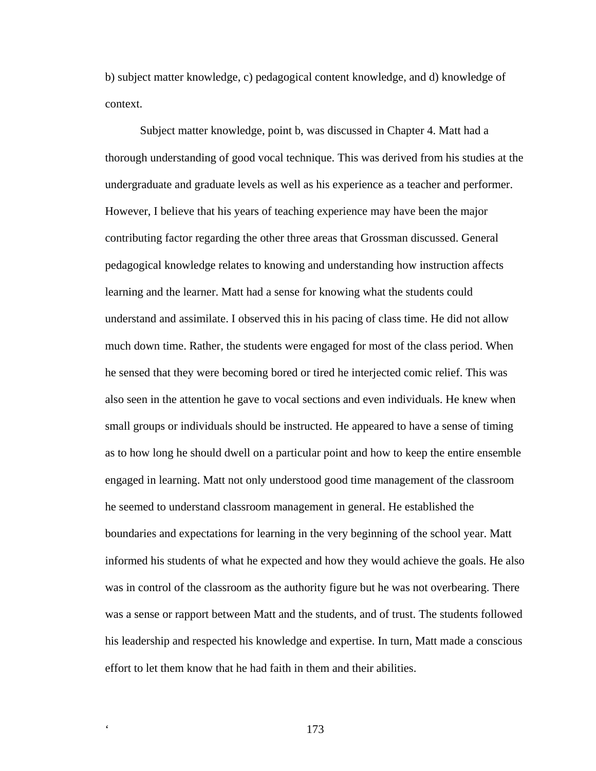b) subject matter knowledge, c) pedagogical content knowledge, and d) knowledge of context.

Subject matter knowledge, point b, was discussed in Chapter 4. Matt had a thorough understanding of good vocal technique. This was derived from his studies at the undergraduate and graduate levels as well as his experience as a teacher and performer. However, I believe that his years of teaching experience may have been the major contributing factor regarding the other three areas that Grossman discussed. General pedagogical knowledge relates to knowing and understanding how instruction affects learning and the learner. Matt had a sense for knowing what the students could understand and assimilate. I observed this in his pacing of class time. He did not allow much down time. Rather, the students were engaged for most of the class period. When he sensed that they were becoming bored or tired he interjected comic relief. This was also seen in the attention he gave to vocal sections and even individuals. He knew when small groups or individuals should be instructed. He appeared to have a sense of timing as to how long he should dwell on a particular point and how to keep the entire ensemble engaged in learning. Matt not only understood good time management of the classroom he seemed to understand classroom management in general. He established the boundaries and expectations for learning in the very beginning of the school year. Matt informed his students of what he expected and how they would achieve the goals. He also was in control of the classroom as the authority figure but he was not overbearing. There was a sense or rapport between Matt and the students, and of trust. The students followed his leadership and respected his knowledge and expertise. In turn, Matt made a conscious effort to let them know that he had faith in them and their abilities.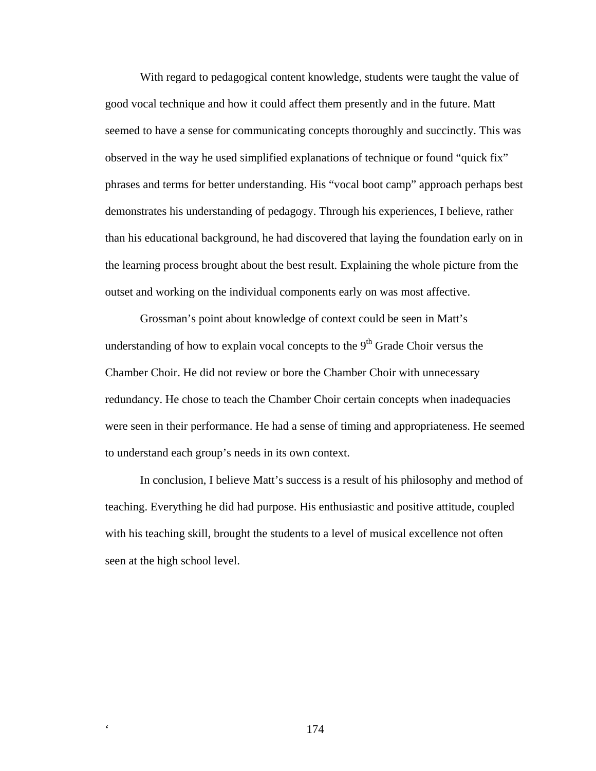With regard to pedagogical content knowledge, students were taught the value of good vocal technique and how it could affect them presently and in the future. Matt seemed to have a sense for communicating concepts thoroughly and succinctly. This was observed in the way he used simplified explanations of technique or found "quick fix" phrases and terms for better understanding. His "vocal boot camp" approach perhaps best demonstrates his understanding of pedagogy. Through his experiences, I believe, rather than his educational background, he had discovered that laying the foundation early on in the learning process brought about the best result. Explaining the whole picture from the outset and working on the individual components early on was most affective.

Grossman's point about knowledge of context could be seen in Matt's understanding of how to explain vocal concepts to the  $9<sup>th</sup>$  Grade Choir versus the Chamber Choir. He did not review or bore the Chamber Choir with unnecessary redundancy. He chose to teach the Chamber Choir certain concepts when inadequacies were seen in their performance. He had a sense of timing and appropriateness. He seemed to understand each group's needs in its own context.

In conclusion, I believe Matt's success is a result of his philosophy and method of teaching. Everything he did had purpose. His enthusiastic and positive attitude, coupled with his teaching skill, brought the students to a level of musical excellence not often seen at the high school level.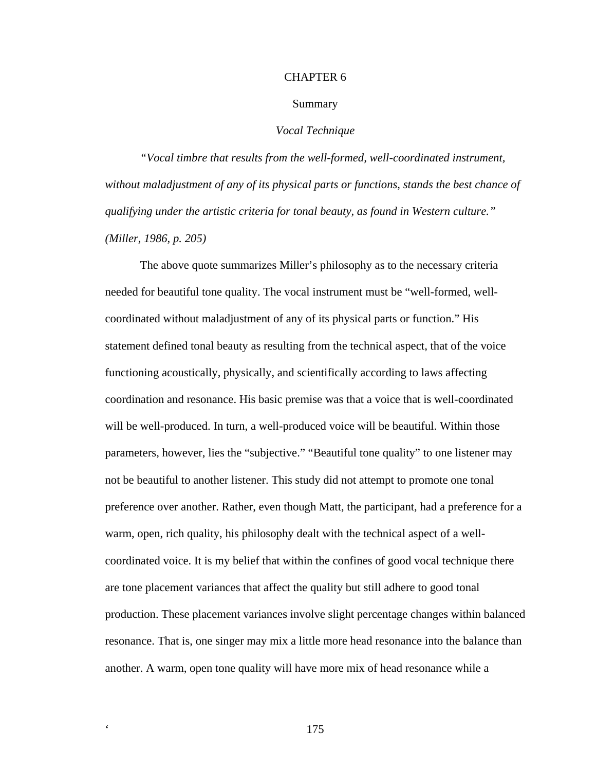#### CHAPTER 6

#### Summary

#### *Vocal Technique*

*"Vocal timbre that results from the well-formed, well-coordinated instrument, without maladjustment of any of its physical parts or functions, stands the best chance of qualifying under the artistic criteria for tonal beauty, as found in Western culture." (Miller, 1986, p. 205)* 

The above quote summarizes Miller's philosophy as to the necessary criteria needed for beautiful tone quality. The vocal instrument must be "well-formed, wellcoordinated without maladjustment of any of its physical parts or function." His statement defined tonal beauty as resulting from the technical aspect, that of the voice functioning acoustically, physically, and scientifically according to laws affecting coordination and resonance. His basic premise was that a voice that is well-coordinated will be well-produced. In turn, a well-produced voice will be beautiful. Within those parameters, however, lies the "subjective." "Beautiful tone quality" to one listener may not be beautiful to another listener. This study did not attempt to promote one tonal preference over another. Rather, even though Matt, the participant, had a preference for a warm, open, rich quality, his philosophy dealt with the technical aspect of a wellcoordinated voice. It is my belief that within the confines of good vocal technique there are tone placement variances that affect the quality but still adhere to good tonal production. These placement variances involve slight percentage changes within balanced resonance. That is, one singer may mix a little more head resonance into the balance than another. A warm, open tone quality will have more mix of head resonance while a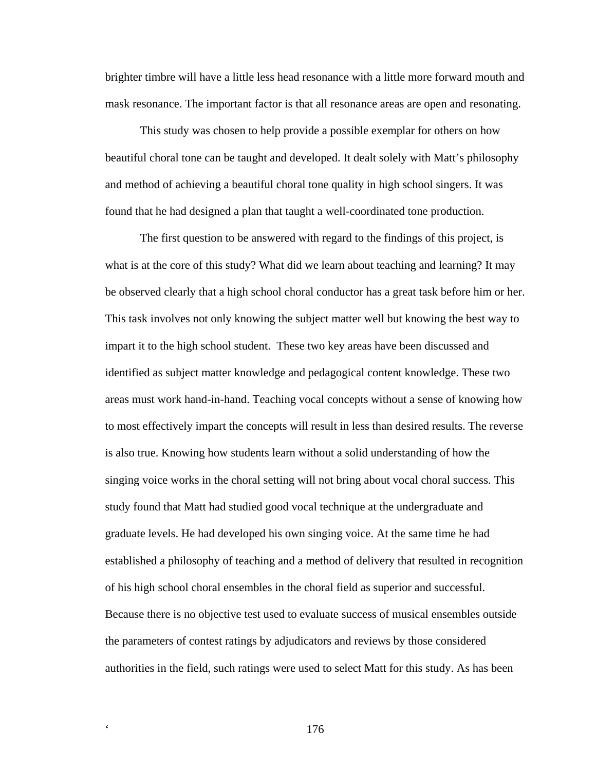brighter timbre will have a little less head resonance with a little more forward mouth and mask resonance. The important factor is that all resonance areas are open and resonating.

This study was chosen to help provide a possible exemplar for others on how beautiful choral tone can be taught and developed. It dealt solely with Matt's philosophy and method of achieving a beautiful choral tone quality in high school singers. It was found that he had designed a plan that taught a well-coordinated tone production.

The first question to be answered with regard to the findings of this project, is what is at the core of this study? What did we learn about teaching and learning? It may be observed clearly that a high school choral conductor has a great task before him or her. This task involves not only knowing the subject matter well but knowing the best way to impart it to the high school student. These two key areas have been discussed and identified as subject matter knowledge and pedagogical content knowledge. These two areas must work hand-in-hand. Teaching vocal concepts without a sense of knowing how to most effectively impart the concepts will result in less than desired results. The reverse is also true. Knowing how students learn without a solid understanding of how the singing voice works in the choral setting will not bring about vocal choral success. This study found that Matt had studied good vocal technique at the undergraduate and graduate levels. He had developed his own singing voice. At the same time he had established a philosophy of teaching and a method of delivery that resulted in recognition of his high school choral ensembles in the choral field as superior and successful. Because there is no objective test used to evaluate success of musical ensembles outside the parameters of contest ratings by adjudicators and reviews by those considered authorities in the field, such ratings were used to select Matt for this study. As has been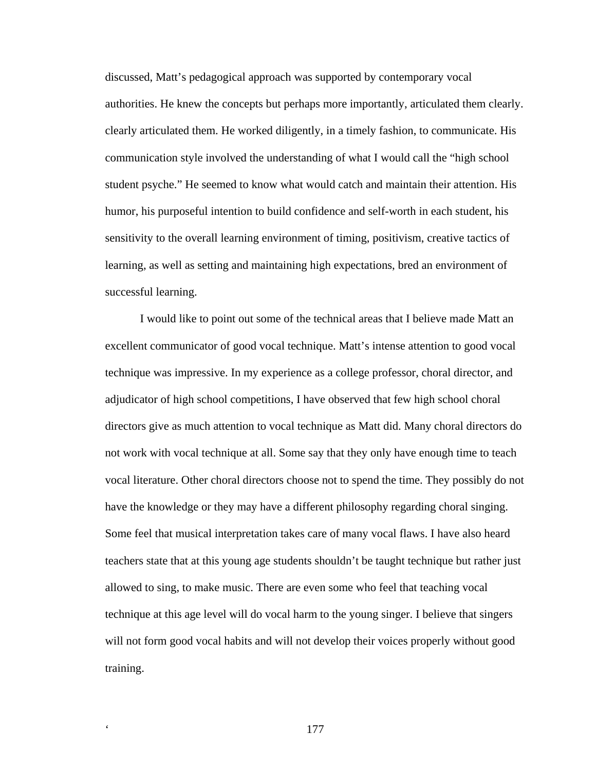discussed, Matt's pedagogical approach was supported by contemporary vocal authorities. He knew the concepts but perhaps more importantly, articulated them clearly. clearly articulated them. He worked diligently, in a timely fashion, to communicate. His communication style involved the understanding of what I would call the "high school student psyche." He seemed to know what would catch and maintain their attention. His humor, his purposeful intention to build confidence and self-worth in each student, his sensitivity to the overall learning environment of timing, positivism, creative tactics of learning, as well as setting and maintaining high expectations, bred an environment of successful learning.

I would like to point out some of the technical areas that I believe made Matt an excellent communicator of good vocal technique. Matt's intense attention to good vocal technique was impressive. In my experience as a college professor, choral director, and adjudicator of high school competitions, I have observed that few high school choral directors give as much attention to vocal technique as Matt did. Many choral directors do not work with vocal technique at all. Some say that they only have enough time to teach vocal literature. Other choral directors choose not to spend the time. They possibly do not have the knowledge or they may have a different philosophy regarding choral singing. Some feel that musical interpretation takes care of many vocal flaws. I have also heard teachers state that at this young age students shouldn't be taught technique but rather just allowed to sing, to make music. There are even some who feel that teaching vocal technique at this age level will do vocal harm to the young singer. I believe that singers will not form good vocal habits and will not develop their voices properly without good training.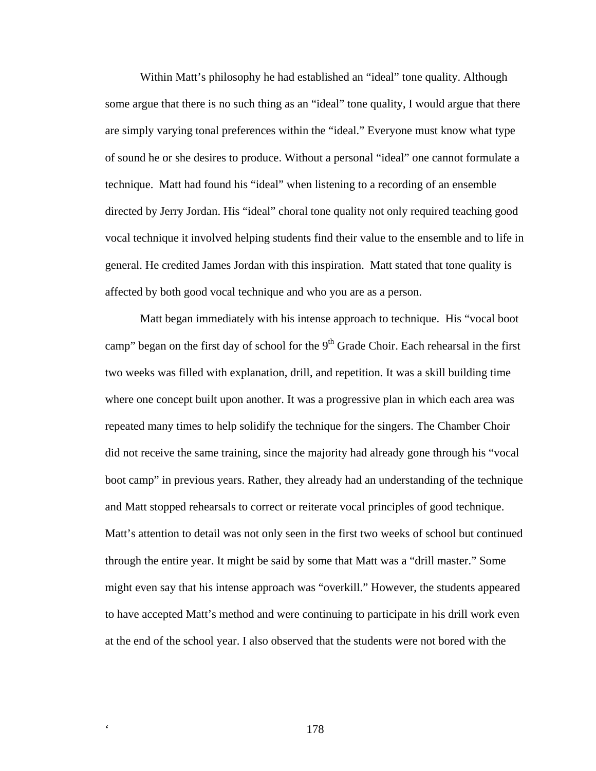Within Matt's philosophy he had established an "ideal" tone quality. Although some argue that there is no such thing as an "ideal" tone quality, I would argue that there are simply varying tonal preferences within the "ideal." Everyone must know what type of sound he or she desires to produce. Without a personal "ideal" one cannot formulate a technique. Matt had found his "ideal" when listening to a recording of an ensemble directed by Jerry Jordan. His "ideal" choral tone quality not only required teaching good vocal technique it involved helping students find their value to the ensemble and to life in general. He credited James Jordan with this inspiration. Matt stated that tone quality is affected by both good vocal technique and who you are as a person.

Matt began immediately with his intense approach to technique. His "vocal boot camp" began on the first day of school for the  $9<sup>th</sup>$  Grade Choir. Each rehearsal in the first two weeks was filled with explanation, drill, and repetition. It was a skill building time where one concept built upon another. It was a progressive plan in which each area was repeated many times to help solidify the technique for the singers. The Chamber Choir did not receive the same training, since the majority had already gone through his "vocal boot camp" in previous years. Rather, they already had an understanding of the technique and Matt stopped rehearsals to correct or reiterate vocal principles of good technique. Matt's attention to detail was not only seen in the first two weeks of school but continued through the entire year. It might be said by some that Matt was a "drill master." Some might even say that his intense approach was "overkill." However, the students appeared to have accepted Matt's method and were continuing to participate in his drill work even at the end of the school year. I also observed that the students were not bored with the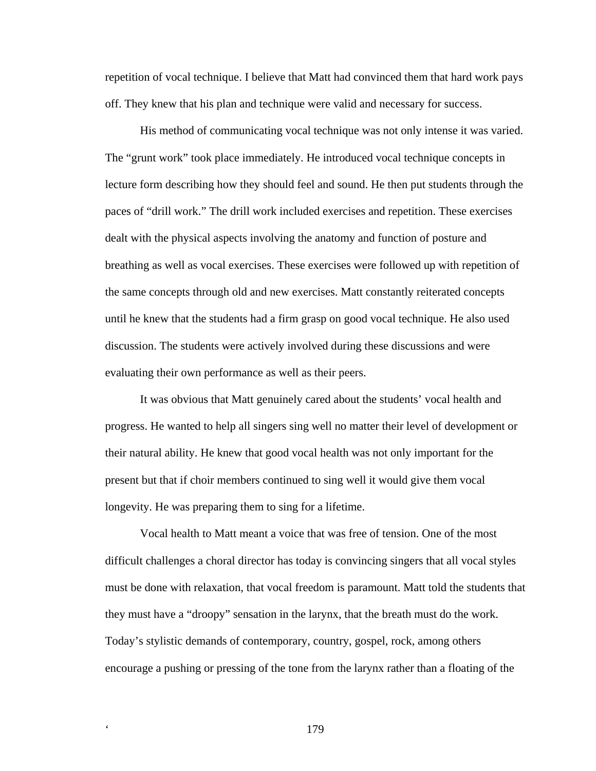repetition of vocal technique. I believe that Matt had convinced them that hard work pays off. They knew that his plan and technique were valid and necessary for success.

His method of communicating vocal technique was not only intense it was varied. The "grunt work" took place immediately. He introduced vocal technique concepts in lecture form describing how they should feel and sound. He then put students through the paces of "drill work." The drill work included exercises and repetition. These exercises dealt with the physical aspects involving the anatomy and function of posture and breathing as well as vocal exercises. These exercises were followed up with repetition of the same concepts through old and new exercises. Matt constantly reiterated concepts until he knew that the students had a firm grasp on good vocal technique. He also used discussion. The students were actively involved during these discussions and were evaluating their own performance as well as their peers.

It was obvious that Matt genuinely cared about the students' vocal health and progress. He wanted to help all singers sing well no matter their level of development or their natural ability. He knew that good vocal health was not only important for the present but that if choir members continued to sing well it would give them vocal longevity. He was preparing them to sing for a lifetime.

Vocal health to Matt meant a voice that was free of tension. One of the most difficult challenges a choral director has today is convincing singers that all vocal styles must be done with relaxation, that vocal freedom is paramount. Matt told the students that they must have a "droopy" sensation in the larynx, that the breath must do the work. Today's stylistic demands of contemporary, country, gospel, rock, among others encourage a pushing or pressing of the tone from the larynx rather than a floating of the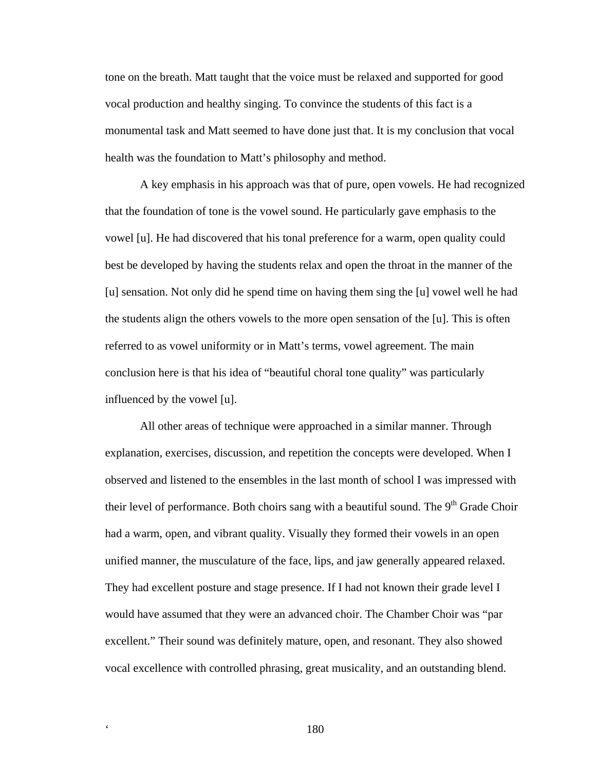tone on the breath. Matt taught that the voice must be relaxed and supported for good vocal production and healthy singing. To convince the students of this fact is a monumental task and Matt seemed to have done just that. It is my conclusion that vocal health was the foundation to Matt's philosophy and method.

A key emphasis in his approach was that of pure, open vowels. He had recognized that the foundation of tone is the vowel sound. He particularly gave emphasis to the vowel [u]. He had discovered that his tonal preference for a warm, open quality could best be developed by having the students relax and open the throat in the manner of the [u] sensation. Not only did he spend time on having them sing the [u] vowel well he had the students align the others vowels to the more open sensation of the [u]. This is often referred to as vowel uniformity or in Matt's terms, vowel agreement. The main conclusion here is that his idea of "beautiful choral tone quality" was particularly influenced by the vowel [u].

All other areas of technique were approached in a similar manner. Through explanation, exercises, discussion, and repetition the concepts were developed. When I observed and listened to the ensembles in the last month of school I was impressed with their level of performance. Both choirs sang with a beautiful sound. The  $9<sup>th</sup>$  Grade Choir had a warm, open, and vibrant quality. Visually they formed their vowels in an open unified manner, the musculature of the face, lips, and jaw generally appeared relaxed. They had excellent posture and stage presence. If I had not known their grade level I would have assumed that they were an advanced choir. The Chamber Choir was "par excellent." Their sound was definitely mature, open, and resonant. They also showed vocal excellence with controlled phrasing, great musicality, and an outstanding blend.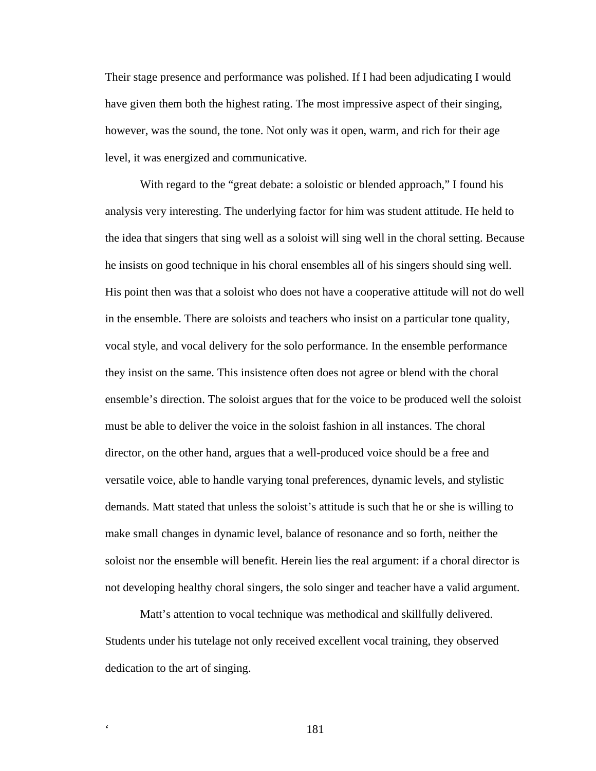Their stage presence and performance was polished. If I had been adjudicating I would have given them both the highest rating. The most impressive aspect of their singing, however, was the sound, the tone. Not only was it open, warm, and rich for their age level, it was energized and communicative.

With regard to the "great debate: a soloistic or blended approach," I found his analysis very interesting. The underlying factor for him was student attitude. He held to the idea that singers that sing well as a soloist will sing well in the choral setting. Because he insists on good technique in his choral ensembles all of his singers should sing well. His point then was that a soloist who does not have a cooperative attitude will not do well in the ensemble. There are soloists and teachers who insist on a particular tone quality, vocal style, and vocal delivery for the solo performance. In the ensemble performance they insist on the same. This insistence often does not agree or blend with the choral ensemble's direction. The soloist argues that for the voice to be produced well the soloist must be able to deliver the voice in the soloist fashion in all instances. The choral director, on the other hand, argues that a well-produced voice should be a free and versatile voice, able to handle varying tonal preferences, dynamic levels, and stylistic demands. Matt stated that unless the soloist's attitude is such that he or she is willing to make small changes in dynamic level, balance of resonance and so forth, neither the soloist nor the ensemble will benefit. Herein lies the real argument: if a choral director is not developing healthy choral singers, the solo singer and teacher have a valid argument.

Matt's attention to vocal technique was methodical and skillfully delivered. Students under his tutelage not only received excellent vocal training, they observed dedication to the art of singing.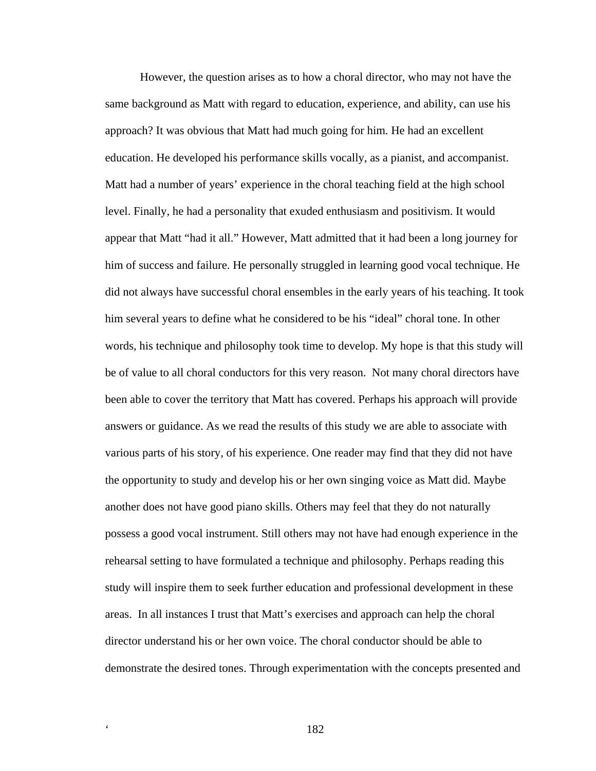However, the question arises as to how a choral director, who may not have the same background as Matt with regard to education, experience, and ability, can use his approach? It was obvious that Matt had much going for him. He had an excellent education. He developed his performance skills vocally, as a pianist, and accompanist. Matt had a number of years' experience in the choral teaching field at the high school level. Finally, he had a personality that exuded enthusiasm and positivism. It would appear that Matt "had it all." However, Matt admitted that it had been a long journey for him of success and failure. He personally struggled in learning good vocal technique. He did not always have successful choral ensembles in the early years of his teaching. It took him several years to define what he considered to be his "ideal" choral tone. In other words, his technique and philosophy took time to develop. My hope is that this study will be of value to all choral conductors for this very reason. Not many choral directors have been able to cover the territory that Matt has covered. Perhaps his approach will provide answers or guidance. As we read the results of this study we are able to associate with various parts of his story, of his experience. One reader may find that they did not have the opportunity to study and develop his or her own singing voice as Matt did. Maybe another does not have good piano skills. Others may feel that they do not naturally possess a good vocal instrument. Still others may not have had enough experience in the rehearsal setting to have formulated a technique and philosophy. Perhaps reading this study will inspire them to seek further education and professional development in these areas. In all instances I trust that Matt's exercises and approach can help the choral director understand his or her own voice. The choral conductor should be able to demonstrate the desired tones. Through experimentation with the concepts presented and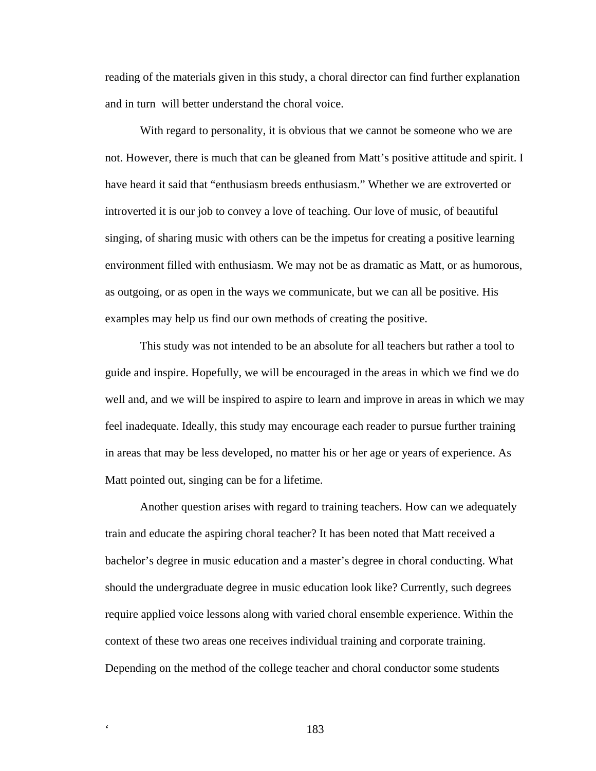reading of the materials given in this study, a choral director can find further explanation and in turn will better understand the choral voice.

With regard to personality, it is obvious that we cannot be someone who we are not. However, there is much that can be gleaned from Matt's positive attitude and spirit. I have heard it said that "enthusiasm breeds enthusiasm." Whether we are extroverted or introverted it is our job to convey a love of teaching. Our love of music, of beautiful singing, of sharing music with others can be the impetus for creating a positive learning environment filled with enthusiasm. We may not be as dramatic as Matt, or as humorous, as outgoing, or as open in the ways we communicate, but we can all be positive. His examples may help us find our own methods of creating the positive.

This study was not intended to be an absolute for all teachers but rather a tool to guide and inspire. Hopefully, we will be encouraged in the areas in which we find we do well and, and we will be inspired to aspire to learn and improve in areas in which we may feel inadequate. Ideally, this study may encourage each reader to pursue further training in areas that may be less developed, no matter his or her age or years of experience. As Matt pointed out, singing can be for a lifetime.

Another question arises with regard to training teachers. How can we adequately train and educate the aspiring choral teacher? It has been noted that Matt received a bachelor's degree in music education and a master's degree in choral conducting. What should the undergraduate degree in music education look like? Currently, such degrees require applied voice lessons along with varied choral ensemble experience. Within the context of these two areas one receives individual training and corporate training. Depending on the method of the college teacher and choral conductor some students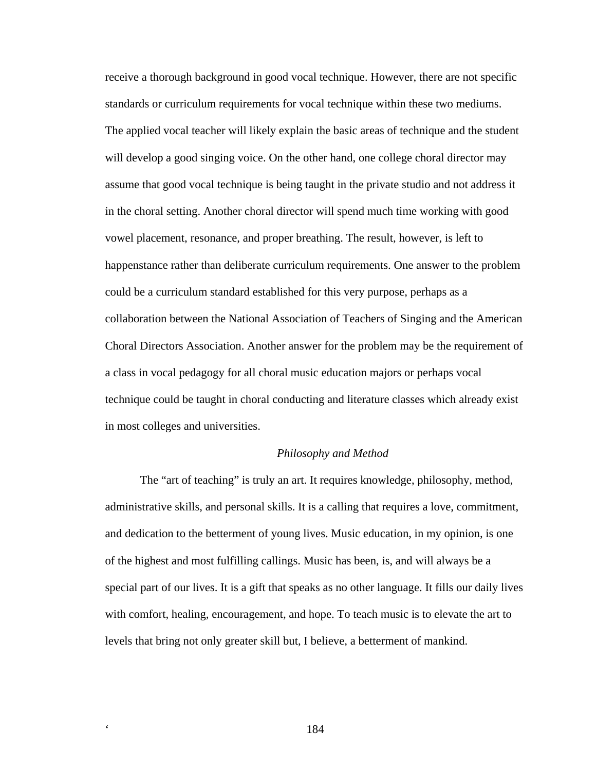receive a thorough background in good vocal technique. However, there are not specific standards or curriculum requirements for vocal technique within these two mediums. The applied vocal teacher will likely explain the basic areas of technique and the student will develop a good singing voice. On the other hand, one college choral director may assume that good vocal technique is being taught in the private studio and not address it in the choral setting. Another choral director will spend much time working with good vowel placement, resonance, and proper breathing. The result, however, is left to happenstance rather than deliberate curriculum requirements. One answer to the problem could be a curriculum standard established for this very purpose, perhaps as a collaboration between the National Association of Teachers of Singing and the American Choral Directors Association. Another answer for the problem may be the requirement of a class in vocal pedagogy for all choral music education majors or perhaps vocal technique could be taught in choral conducting and literature classes which already exist in most colleges and universities.

#### *Philosophy and Method*

The "art of teaching" is truly an art. It requires knowledge, philosophy, method, administrative skills, and personal skills. It is a calling that requires a love, commitment, and dedication to the betterment of young lives. Music education, in my opinion, is one of the highest and most fulfilling callings. Music has been, is, and will always be a special part of our lives. It is a gift that speaks as no other language. It fills our daily lives with comfort, healing, encouragement, and hope. To teach music is to elevate the art to levels that bring not only greater skill but, I believe, a betterment of mankind.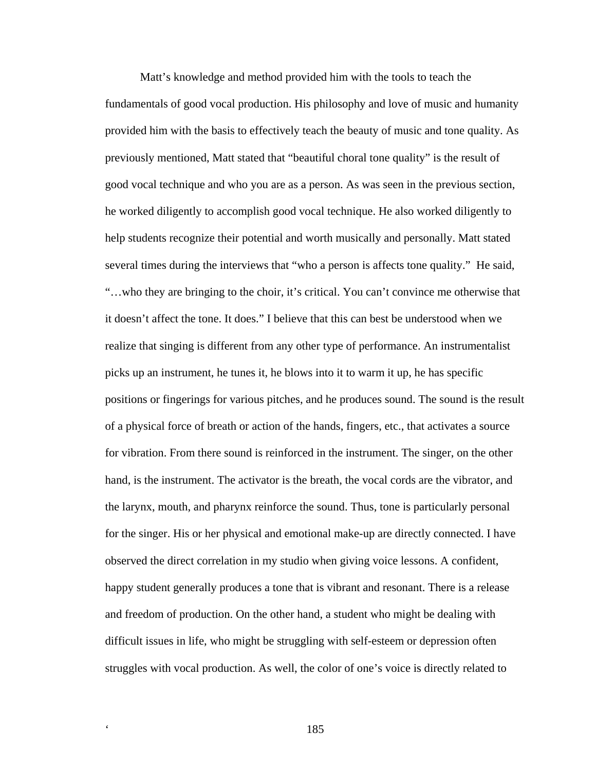Matt's knowledge and method provided him with the tools to teach the fundamentals of good vocal production. His philosophy and love of music and humanity provided him with the basis to effectively teach the beauty of music and tone quality. As previously mentioned, Matt stated that "beautiful choral tone quality" is the result of good vocal technique and who you are as a person. As was seen in the previous section, he worked diligently to accomplish good vocal technique. He also worked diligently to help students recognize their potential and worth musically and personally. Matt stated several times during the interviews that "who a person is affects tone quality." He said, "…who they are bringing to the choir, it's critical. You can't convince me otherwise that it doesn't affect the tone. It does." I believe that this can best be understood when we realize that singing is different from any other type of performance. An instrumentalist picks up an instrument, he tunes it, he blows into it to warm it up, he has specific positions or fingerings for various pitches, and he produces sound. The sound is the result of a physical force of breath or action of the hands, fingers, etc., that activates a source for vibration. From there sound is reinforced in the instrument. The singer, on the other hand, is the instrument. The activator is the breath, the vocal cords are the vibrator, and the larynx, mouth, and pharynx reinforce the sound. Thus, tone is particularly personal for the singer. His or her physical and emotional make-up are directly connected. I have observed the direct correlation in my studio when giving voice lessons. A confident, happy student generally produces a tone that is vibrant and resonant. There is a release and freedom of production. On the other hand, a student who might be dealing with difficult issues in life, who might be struggling with self-esteem or depression often struggles with vocal production. As well, the color of one's voice is directly related to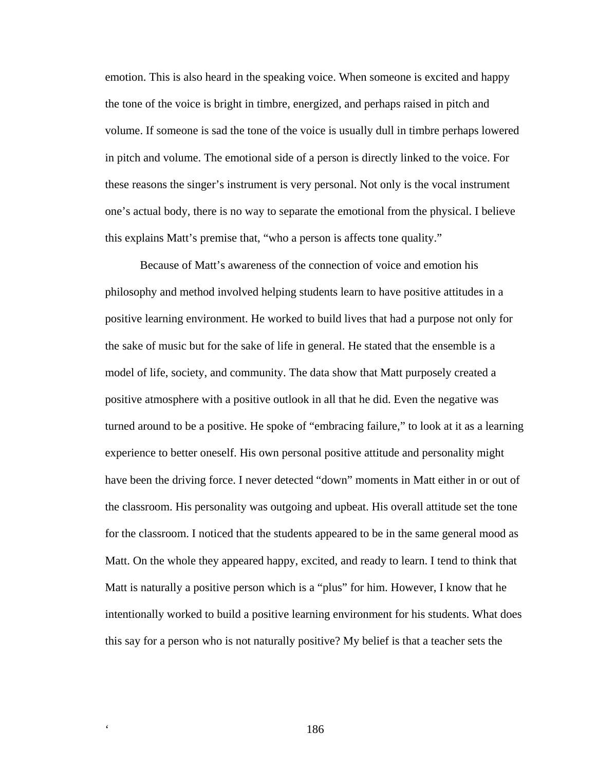emotion. This is also heard in the speaking voice. When someone is excited and happy the tone of the voice is bright in timbre, energized, and perhaps raised in pitch and volume. If someone is sad the tone of the voice is usually dull in timbre perhaps lowered in pitch and volume. The emotional side of a person is directly linked to the voice. For these reasons the singer's instrument is very personal. Not only is the vocal instrument one's actual body, there is no way to separate the emotional from the physical. I believe this explains Matt's premise that, "who a person is affects tone quality."

Because of Matt's awareness of the connection of voice and emotion his philosophy and method involved helping students learn to have positive attitudes in a positive learning environment. He worked to build lives that had a purpose not only for the sake of music but for the sake of life in general. He stated that the ensemble is a model of life, society, and community. The data show that Matt purposely created a positive atmosphere with a positive outlook in all that he did. Even the negative was turned around to be a positive. He spoke of "embracing failure," to look at it as a learning experience to better oneself. His own personal positive attitude and personality might have been the driving force. I never detected "down" moments in Matt either in or out of the classroom. His personality was outgoing and upbeat. His overall attitude set the tone for the classroom. I noticed that the students appeared to be in the same general mood as Matt. On the whole they appeared happy, excited, and ready to learn. I tend to think that Matt is naturally a positive person which is a "plus" for him. However, I know that he intentionally worked to build a positive learning environment for his students. What does this say for a person who is not naturally positive? My belief is that a teacher sets the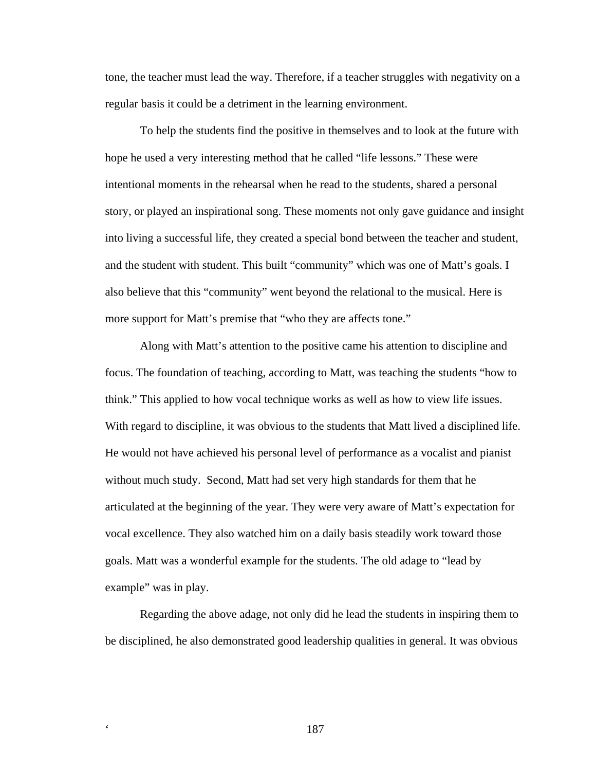tone, the teacher must lead the way. Therefore, if a teacher struggles with negativity on a regular basis it could be a detriment in the learning environment.

 To help the students find the positive in themselves and to look at the future with hope he used a very interesting method that he called "life lessons." These were intentional moments in the rehearsal when he read to the students, shared a personal story, or played an inspirational song. These moments not only gave guidance and insight into living a successful life, they created a special bond between the teacher and student, and the student with student. This built "community" which was one of Matt's goals. I also believe that this "community" went beyond the relational to the musical. Here is more support for Matt's premise that "who they are affects tone."

 Along with Matt's attention to the positive came his attention to discipline and focus. The foundation of teaching, according to Matt, was teaching the students "how to think." This applied to how vocal technique works as well as how to view life issues. With regard to discipline, it was obvious to the students that Matt lived a disciplined life. He would not have achieved his personal level of performance as a vocalist and pianist without much study. Second, Matt had set very high standards for them that he articulated at the beginning of the year. They were very aware of Matt's expectation for vocal excellence. They also watched him on a daily basis steadily work toward those goals. Matt was a wonderful example for the students. The old adage to "lead by example" was in play.

 Regarding the above adage, not only did he lead the students in inspiring them to be disciplined, he also demonstrated good leadership qualities in general. It was obvious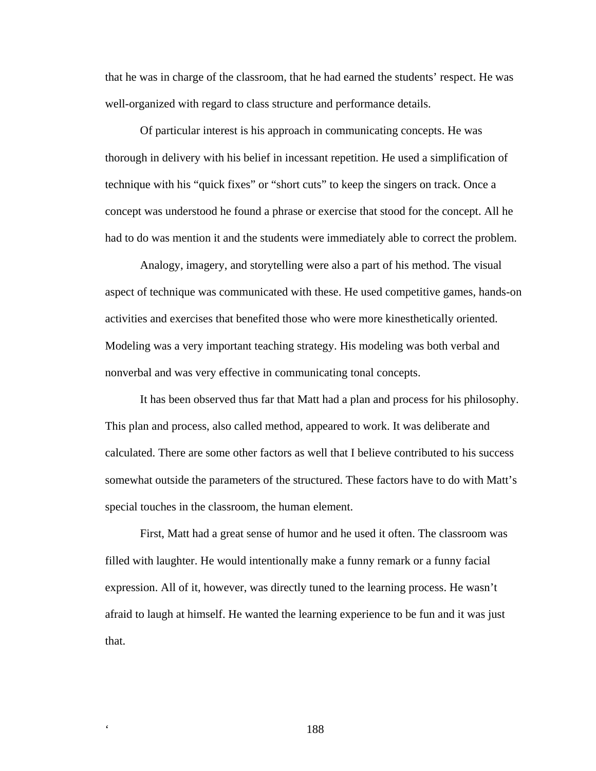that he was in charge of the classroom, that he had earned the students' respect. He was well-organized with regard to class structure and performance details.

 Of particular interest is his approach in communicating concepts. He was thorough in delivery with his belief in incessant repetition. He used a simplification of technique with his "quick fixes" or "short cuts" to keep the singers on track. Once a concept was understood he found a phrase or exercise that stood for the concept. All he had to do was mention it and the students were immediately able to correct the problem.

Analogy, imagery, and storytelling were also a part of his method. The visual aspect of technique was communicated with these. He used competitive games, hands-on activities and exercises that benefited those who were more kinesthetically oriented. Modeling was a very important teaching strategy. His modeling was both verbal and nonverbal and was very effective in communicating tonal concepts.

 It has been observed thus far that Matt had a plan and process for his philosophy. This plan and process, also called method, appeared to work. It was deliberate and calculated. There are some other factors as well that I believe contributed to his success somewhat outside the parameters of the structured. These factors have to do with Matt's special touches in the classroom, the human element.

 First, Matt had a great sense of humor and he used it often. The classroom was filled with laughter. He would intentionally make a funny remark or a funny facial expression. All of it, however, was directly tuned to the learning process. He wasn't afraid to laugh at himself. He wanted the learning experience to be fun and it was just that.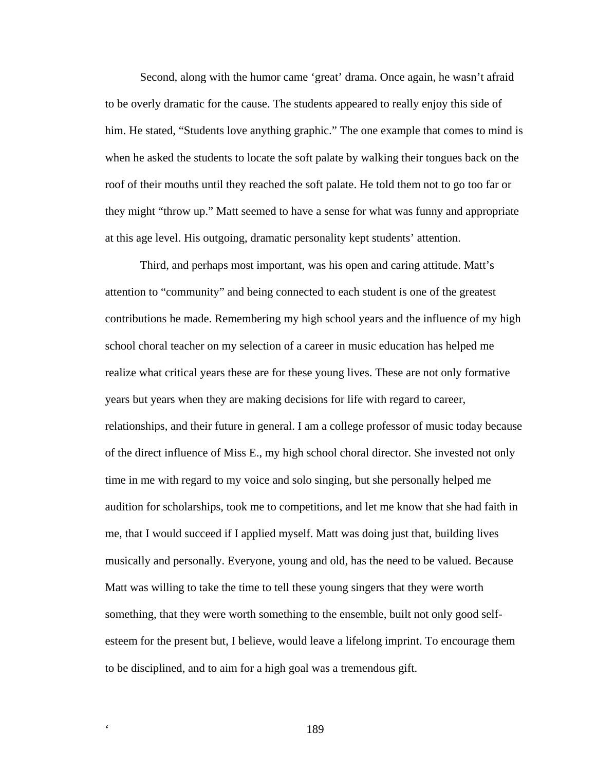Second, along with the humor came 'great' drama. Once again, he wasn't afraid to be overly dramatic for the cause. The students appeared to really enjoy this side of him. He stated, "Students love anything graphic." The one example that comes to mind is when he asked the students to locate the soft palate by walking their tongues back on the roof of their mouths until they reached the soft palate. He told them not to go too far or they might "throw up." Matt seemed to have a sense for what was funny and appropriate at this age level. His outgoing, dramatic personality kept students' attention.

 Third, and perhaps most important, was his open and caring attitude. Matt's attention to "community" and being connected to each student is one of the greatest contributions he made. Remembering my high school years and the influence of my high school choral teacher on my selection of a career in music education has helped me realize what critical years these are for these young lives. These are not only formative years but years when they are making decisions for life with regard to career, relationships, and their future in general. I am a college professor of music today because of the direct influence of Miss E., my high school choral director. She invested not only time in me with regard to my voice and solo singing, but she personally helped me audition for scholarships, took me to competitions, and let me know that she had faith in me, that I would succeed if I applied myself. Matt was doing just that, building lives musically and personally. Everyone, young and old, has the need to be valued. Because Matt was willing to take the time to tell these young singers that they were worth something, that they were worth something to the ensemble, built not only good selfesteem for the present but, I believe, would leave a lifelong imprint. To encourage them to be disciplined, and to aim for a high goal was a tremendous gift.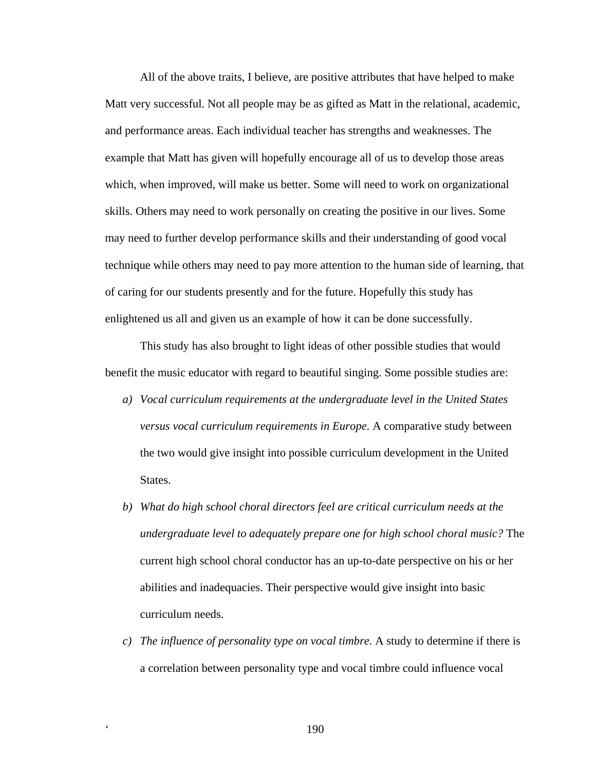All of the above traits, I believe, are positive attributes that have helped to make Matt very successful. Not all people may be as gifted as Matt in the relational, academic, and performance areas. Each individual teacher has strengths and weaknesses. The example that Matt has given will hopefully encourage all of us to develop those areas which, when improved, will make us better. Some will need to work on organizational skills. Others may need to work personally on creating the positive in our lives. Some may need to further develop performance skills and their understanding of good vocal technique while others may need to pay more attention to the human side of learning, that of caring for our students presently and for the future. Hopefully this study has enlightened us all and given us an example of how it can be done successfully.

 This study has also brought to light ideas of other possible studies that would benefit the music educator with regard to beautiful singing. Some possible studies are:

- *a) Vocal curriculum requirements at the undergraduate level in the United States versus vocal curriculum requirements in Europe.* A comparative study between the two would give insight into possible curriculum development in the United States.
- *b) What do high school choral directors feel are critical curriculum needs at the undergraduate level to adequately prepare one for high school choral music?* The current high school choral conductor has an up-to-date perspective on his or her abilities and inadequacies. Their perspective would give insight into basic curriculum needs.
- *c) The influence of personality type on vocal timbre.* A study to determine if there is a correlation between personality type and vocal timbre could influence vocal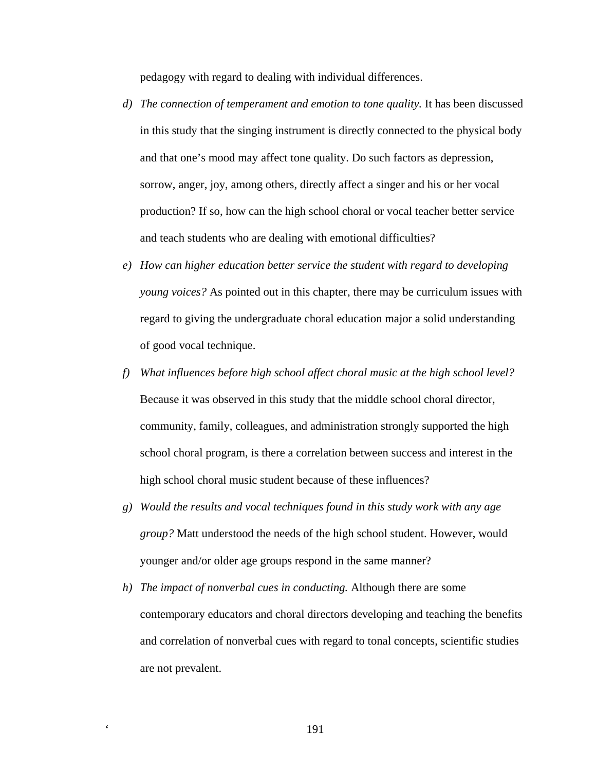pedagogy with regard to dealing with individual differences.

- *d)* The connection of temperament and emotion to tone quality. It has been discussed in this study that the singing instrument is directly connected to the physical body and that one's mood may affect tone quality. Do such factors as depression, sorrow, anger, joy, among others, directly affect a singer and his or her vocal production? If so, how can the high school choral or vocal teacher better service and teach students who are dealing with emotional difficulties?
- *e) How can higher education better service the student with regard to developing young voices?* As pointed out in this chapter, there may be curriculum issues with regard to giving the undergraduate choral education major a solid understanding of good vocal technique.
- *f) What influences before high school affect choral music at the high school level?* Because it was observed in this study that the middle school choral director, community, family, colleagues, and administration strongly supported the high school choral program, is there a correlation between success and interest in the high school choral music student because of these influences?
- *g) Would the results and vocal techniques found in this study work with any age group?* Matt understood the needs of the high school student. However, would younger and/or older age groups respond in the same manner?
- *h) The impact of nonverbal cues in conducting.* Although there are some contemporary educators and choral directors developing and teaching the benefits and correlation of nonverbal cues with regard to tonal concepts, scientific studies are not prevalent.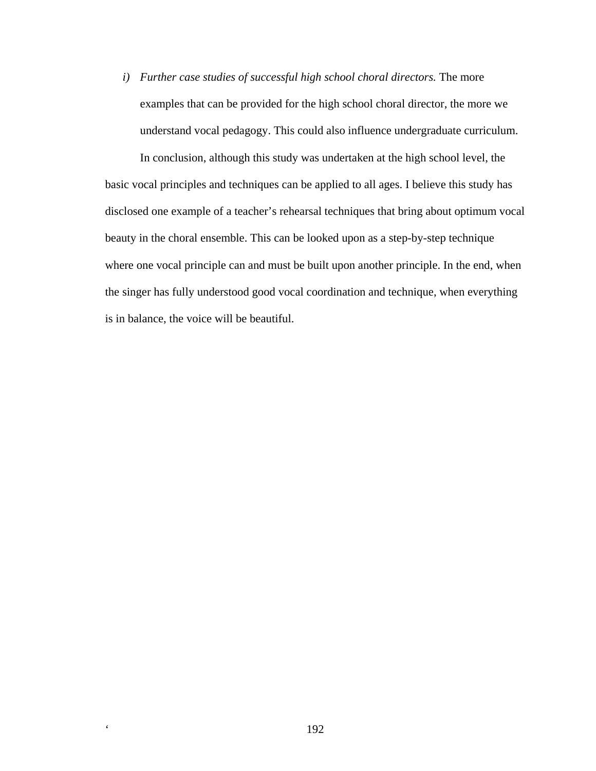*i) Further case studies of successful high school choral directors.* The more examples that can be provided for the high school choral director, the more we understand vocal pedagogy. This could also influence undergraduate curriculum.

In conclusion, although this study was undertaken at the high school level, the basic vocal principles and techniques can be applied to all ages. I believe this study has disclosed one example of a teacher's rehearsal techniques that bring about optimum vocal beauty in the choral ensemble. This can be looked upon as a step-by-step technique where one vocal principle can and must be built upon another principle. In the end, when the singer has fully understood good vocal coordination and technique, when everything is in balance, the voice will be beautiful.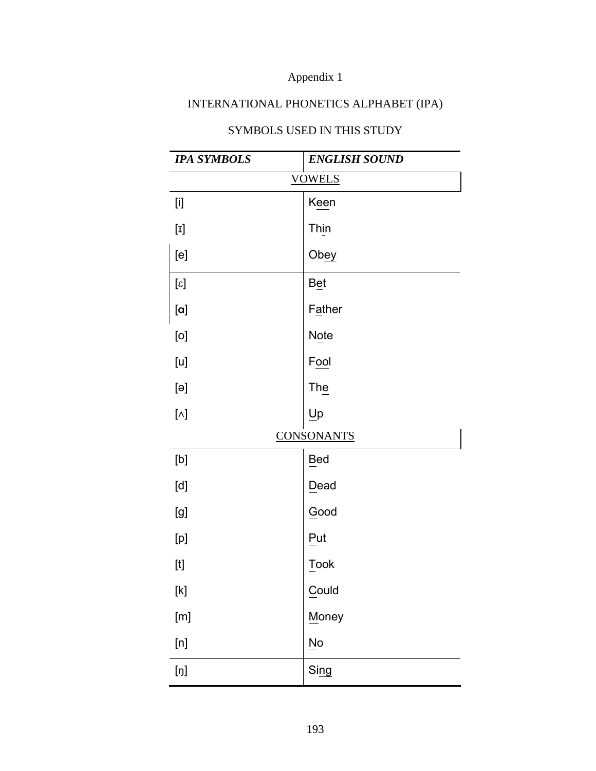# Appendix 1

# INTERNATIONAL PHONETICS ALPHABET (IPA)

# *IPA SYMBOLS ENGLISH SOUND*  **VOWELS** [i] Keen [ɪ] Thin [e] Obey  $[\epsilon]$  Bet [a] Father  $[o]$  Note  $[u]$  Fool  $[\theta]$  The  $\begin{array}{|c|c|}\n\hline\n[\lambda]\end{array}$ **CONSONANTS** [b] Bed [d] Dead  $[g]$  Good  $[p]$  Put [t] Took [k] Could [m] Money  $[n]$   $\sqrt{N\omega}$  $\lceil \mathfrak{h} \rceil$  Sing

# SYMBOLS USED IN THIS STUDY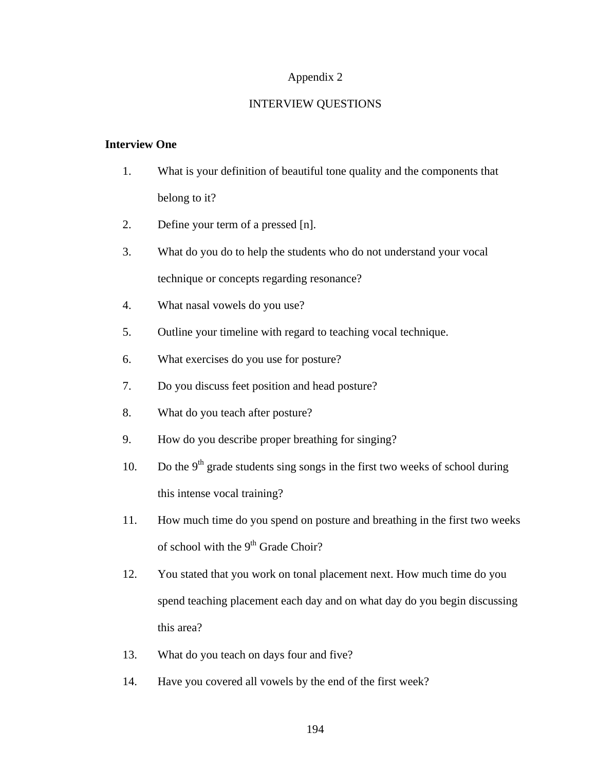#### Appendix 2

## INTERVIEW QUESTIONS

## **Interview One**

- 1. What is your definition of beautiful tone quality and the components that belong to it?
- 2. Define your term of a pressed [n].
- 3. What do you do to help the students who do not understand your vocal technique or concepts regarding resonance?
- 4. What nasal vowels do you use?
- 5. Outline your timeline with regard to teaching vocal technique.
- 6. What exercises do you use for posture?
- 7. Do you discuss feet position and head posture?
- 8. What do you teach after posture?
- 9. How do you describe proper breathing for singing?
- 10. Do the  $9<sup>th</sup>$  grade students sing songs in the first two weeks of school during this intense vocal training?
- 11. How much time do you spend on posture and breathing in the first two weeks of school with the  $9<sup>th</sup>$  Grade Choir?
- 12. You stated that you work on tonal placement next. How much time do you spend teaching placement each day and on what day do you begin discussing this area?
- 13. What do you teach on days four and five?
- 14. Have you covered all vowels by the end of the first week?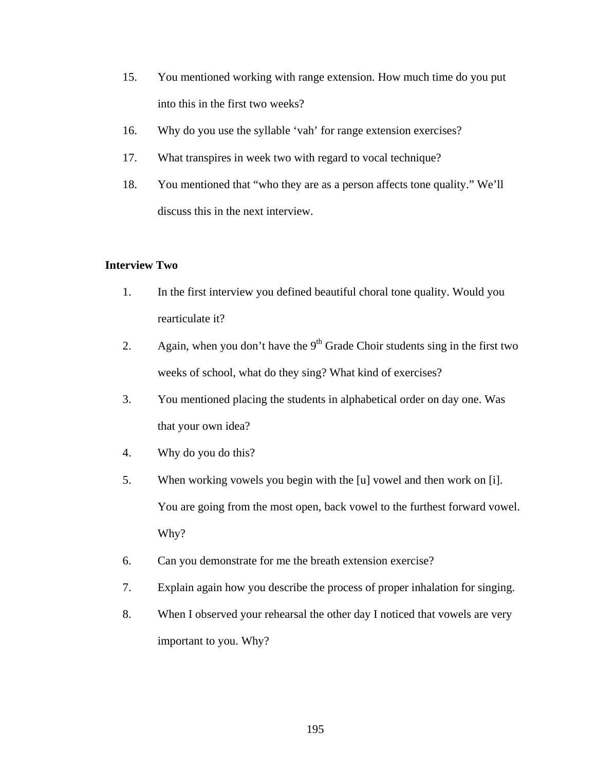- 15. You mentioned working with range extension. How much time do you put into this in the first two weeks?
- 16. Why do you use the syllable 'vah' for range extension exercises?
- 17. What transpires in week two with regard to vocal technique?
- 18. You mentioned that "who they are as a person affects tone quality." We'll discuss this in the next interview.

#### **Interview Two**

- 1. In the first interview you defined beautiful choral tone quality. Would you rearticulate it?
- 2. Again, when you don't have the  $9<sup>th</sup>$  Grade Choir students sing in the first two weeks of school, what do they sing? What kind of exercises?
- 3. You mentioned placing the students in alphabetical order on day one. Was that your own idea?
- 4. Why do you do this?
- 5. When working vowels you begin with the [u] vowel and then work on [i]. You are going from the most open, back vowel to the furthest forward vowel. Why?
- 6. Can you demonstrate for me the breath extension exercise?
- 7. Explain again how you describe the process of proper inhalation for singing.
- 8. When I observed your rehearsal the other day I noticed that vowels are very important to you. Why?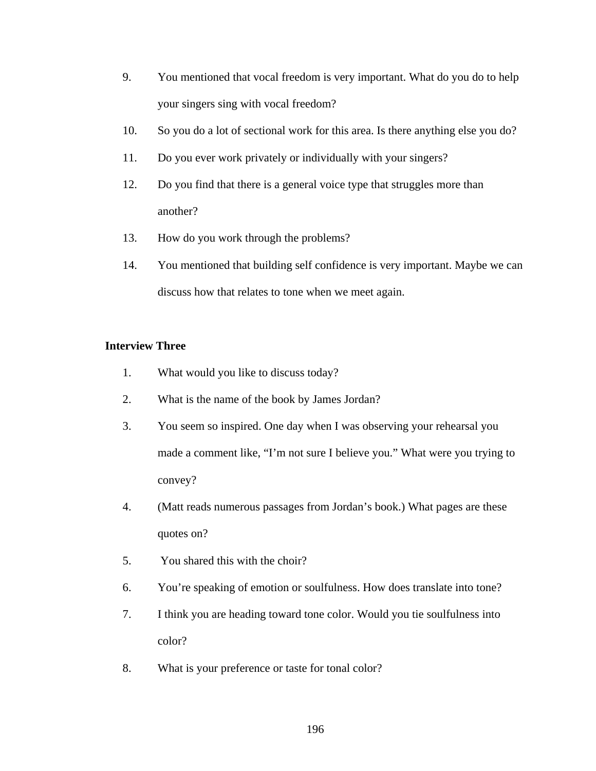- 9. You mentioned that vocal freedom is very important. What do you do to help your singers sing with vocal freedom?
- 10. So you do a lot of sectional work for this area. Is there anything else you do?
- 11. Do you ever work privately or individually with your singers?
- 12. Do you find that there is a general voice type that struggles more than another?
- 13. How do you work through the problems?
- 14. You mentioned that building self confidence is very important. Maybe we can discuss how that relates to tone when we meet again.

## **Interview Three**

- 1. What would you like to discuss today?
- 2. What is the name of the book by James Jordan?
- 3. You seem so inspired. One day when I was observing your rehearsal you made a comment like, "I'm not sure I believe you." What were you trying to convey?
- 4. (Matt reads numerous passages from Jordan's book.) What pages are these quotes on?
- 5. You shared this with the choir?
- 6. You're speaking of emotion or soulfulness. How does translate into tone?
- 7. I think you are heading toward tone color. Would you tie soulfulness into color?
- 8. What is your preference or taste for tonal color?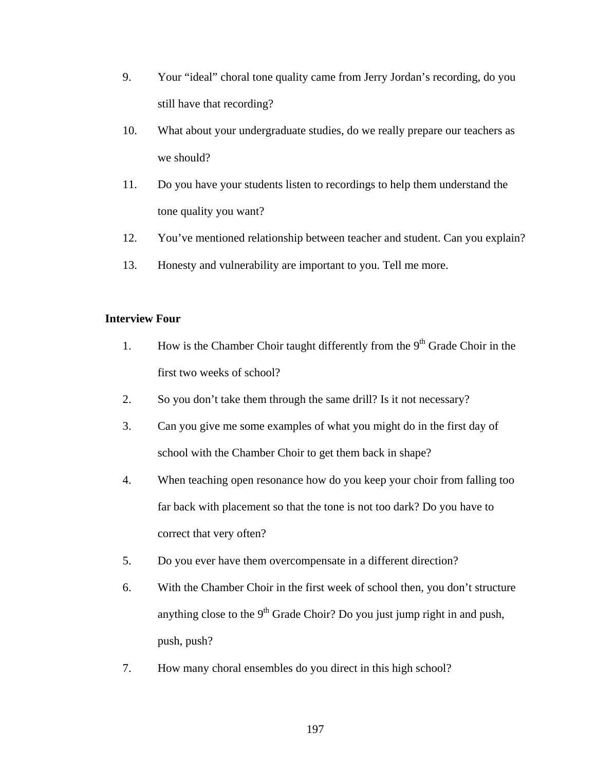- 9. Your "ideal" choral tone quality came from Jerry Jordan's recording, do you still have that recording?
- 10. What about your undergraduate studies, do we really prepare our teachers as we should?
- 11. Do you have your students listen to recordings to help them understand the tone quality you want?
- 12. You've mentioned relationship between teacher and student. Can you explain?
- 13. Honesty and vulnerability are important to you. Tell me more.

## **Interview Four**

- 1. How is the Chamber Choir taught differently from the  $9<sup>th</sup>$  Grade Choir in the first two weeks of school?
- 2. So you don't take them through the same drill? Is it not necessary?
- 3. Can you give me some examples of what you might do in the first day of school with the Chamber Choir to get them back in shape?
- 4. When teaching open resonance how do you keep your choir from falling too far back with placement so that the tone is not too dark? Do you have to correct that very often?
- 5. Do you ever have them overcompensate in a different direction?
- 6. With the Chamber Choir in the first week of school then, you don't structure anything close to the  $9<sup>th</sup>$  Grade Choir? Do you just jump right in and push, push, push?
- 7. How many choral ensembles do you direct in this high school?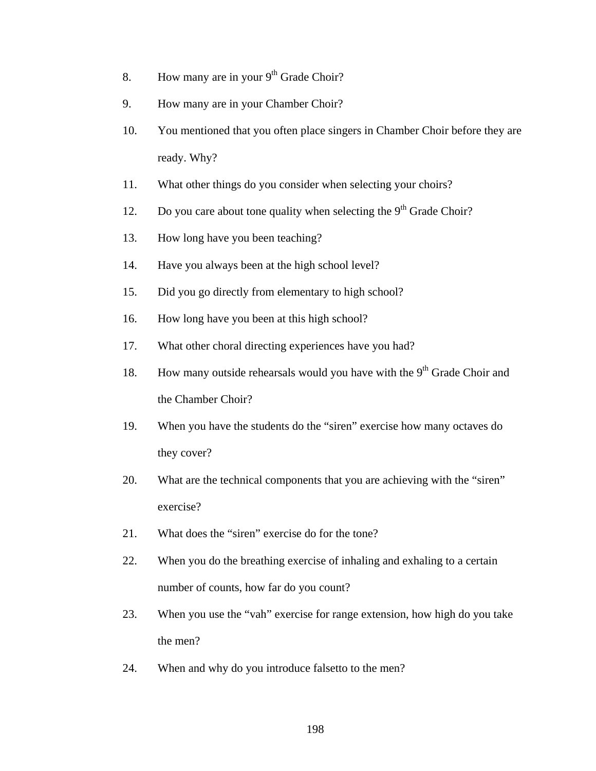- 8. How many are in your  $9<sup>th</sup>$  Grade Choir?
- 9. How many are in your Chamber Choir?
- 10. You mentioned that you often place singers in Chamber Choir before they are ready. Why?
- 11. What other things do you consider when selecting your choirs?
- 12. Do you care about tone quality when selecting the  $9<sup>th</sup>$  Grade Choir?
- 13. How long have you been teaching?
- 14. Have you always been at the high school level?
- 15. Did you go directly from elementary to high school?
- 16. How long have you been at this high school?
- 17. What other choral directing experiences have you had?
- 18. How many outside rehearsals would you have with the  $9<sup>th</sup>$  Grade Choir and the Chamber Choir?
- 19. When you have the students do the "siren" exercise how many octaves do they cover?
- 20. What are the technical components that you are achieving with the "siren" exercise?
- 21. What does the "siren" exercise do for the tone?
- 22. When you do the breathing exercise of inhaling and exhaling to a certain number of counts, how far do you count?
- 23. When you use the "vah" exercise for range extension, how high do you take the men?
- 24. When and why do you introduce falsetto to the men?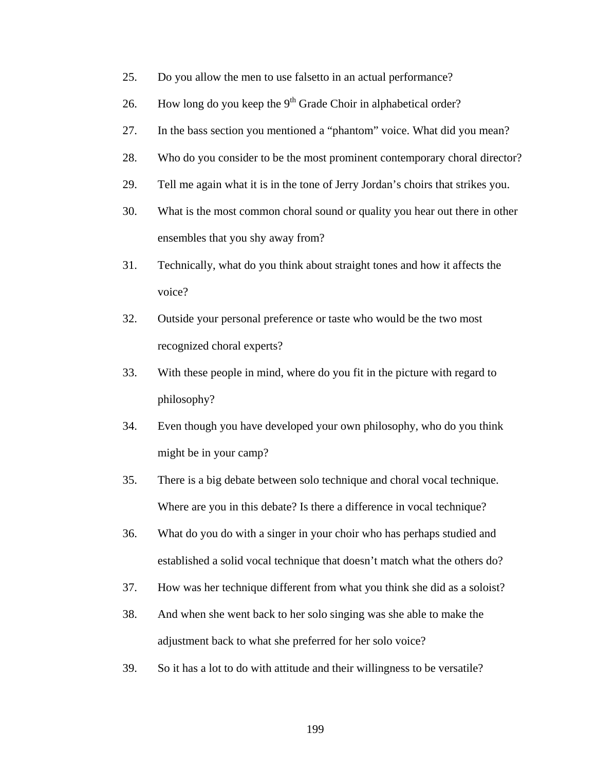- 25. Do you allow the men to use falsetto in an actual performance?
- 26. How long do you keep the  $9<sup>th</sup>$  Grade Choir in alphabetical order?
- 27. In the bass section you mentioned a "phantom" voice. What did you mean?
- 28. Who do you consider to be the most prominent contemporary choral director?
- 29. Tell me again what it is in the tone of Jerry Jordan's choirs that strikes you.
- 30. What is the most common choral sound or quality you hear out there in other ensembles that you shy away from?
- 31. Technically, what do you think about straight tones and how it affects the voice?
- 32. Outside your personal preference or taste who would be the two most recognized choral experts?
- 33. With these people in mind, where do you fit in the picture with regard to philosophy?
- 34. Even though you have developed your own philosophy, who do you think might be in your camp?
- 35. There is a big debate between solo technique and choral vocal technique. Where are you in this debate? Is there a difference in vocal technique?
- 36. What do you do with a singer in your choir who has perhaps studied and established a solid vocal technique that doesn't match what the others do?
- 37. How was her technique different from what you think she did as a soloist?
- 38. And when she went back to her solo singing was she able to make the adjustment back to what she preferred for her solo voice?
- 39. So it has a lot to do with attitude and their willingness to be versatile?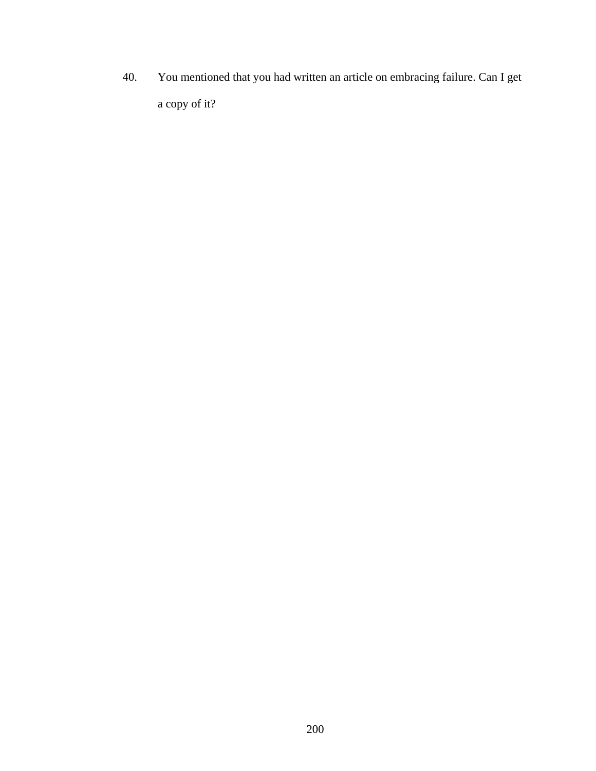40. You mentioned that you had written an article on embracing failure. Can I get a copy of it?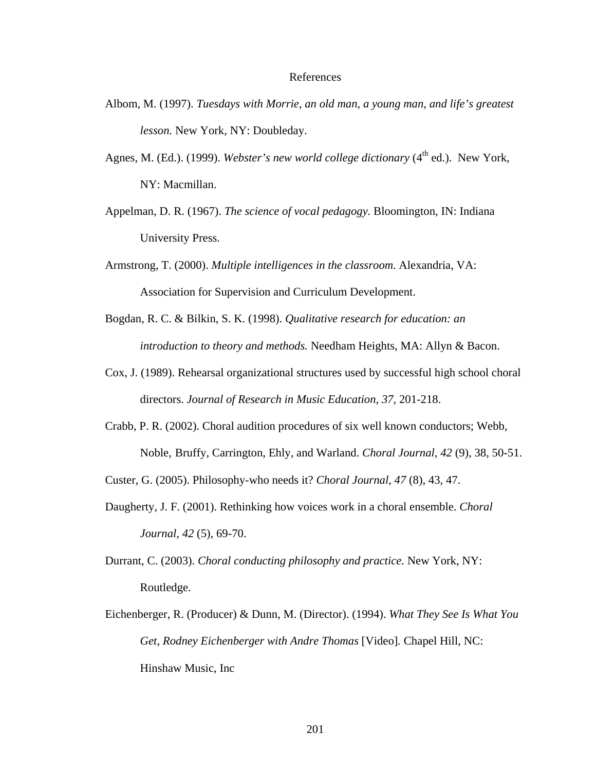#### References

- Albom, M. (1997). *Tuesdays with Morrie, an old man, a young man, and life's greatest lesson.* New York, NY: Doubleday.
- Agnes, M. (Ed.). (1999). *Webster's new world college dictionary* (4<sup>th</sup> ed.). New York, NY: Macmillan.
- Appelman, D. R. (1967). *The science of vocal pedagogy.* Bloomington, IN: Indiana University Press.
- Armstrong, T. (2000). *Multiple intelligences in the classroom.* Alexandria, VA: Association for Supervision and Curriculum Development.
- Bogdan, R. C. & Bilkin, S. K. (1998). *Qualitative research for education: an introduction to theory and methods.* Needham Heights, MA: Allyn & Bacon.
- Cox, J. (1989). Rehearsal organizational structures used by successful high school choral directors. *Journal of Research in Music Education, 37*, 201-218.
- Crabb, P. R. (2002). Choral audition procedures of six well known conductors; Webb, Noble, Bruffy, Carrington, Ehly, and Warland. *Choral Journal, 42* (9), 38, 50-51.

Custer, G. (2005). Philosophy-who needs it? *Choral Journal, 47* (8), 43, 47.

- Daugherty, J. F. (2001). Rethinking how voices work in a choral ensemble. *Choral Journal, 42* (5), 69-70.
- Durrant, C. (2003). *Choral conducting philosophy and practice.* New York, NY: Routledge.
- Eichenberger, R. (Producer) & Dunn, M. (Director). (1994). *What They See Is What You Get, Rodney Eichenberger with Andre Thomas [Video]. Chapel Hill, NC:* Hinshaw Music, Inc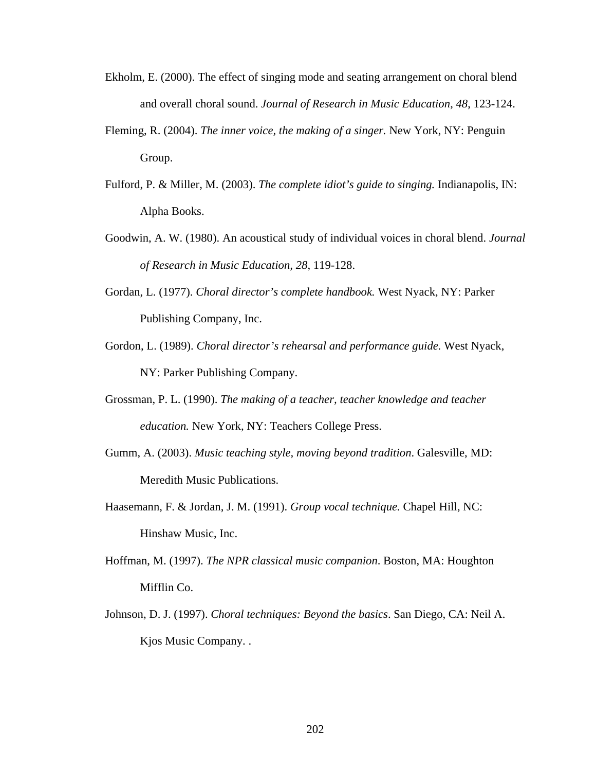- Ekholm, E. (2000). The effect of singing mode and seating arrangement on choral blend and overall choral sound. *Journal of Research in Music Education*, *48*, 123-124.
- Fleming, R. (2004). *The inner voice, the making of a singer.* New York, NY: Penguin Group.
- Fulford, P. & Miller, M. (2003). *The complete idiot's guide to singing.* Indianapolis, IN: Alpha Books.
- Goodwin, A. W. (1980). An acoustical study of individual voices in choral blend. *Journal of Research in Music Education, 28*, 119-128.
- Gordan, L. (1977). *Choral director's complete handbook.* West Nyack, NY: Parker Publishing Company, Inc.
- Gordon, L. (1989). *Choral director's rehearsal and performance guide.* West Nyack, NY: Parker Publishing Company.
- Grossman, P. L. (1990). *The making of a teacher, teacher knowledge and teacher education.* New York, NY: Teachers College Press.
- Gumm, A. (2003). *Music teaching style, moving beyond tradition*. Galesville, MD: Meredith Music Publications.
- Haasemann, F. & Jordan, J. M. (1991). *Group vocal technique.* Chapel Hill, NC: Hinshaw Music, Inc.
- Hoffman, M. (1997). *The NPR classical music companion*. Boston, MA: Houghton Mifflin Co.
- Johnson, D. J. (1997). *Choral techniques: Beyond the basics*. San Diego, CA: Neil A. Kjos Music Company. .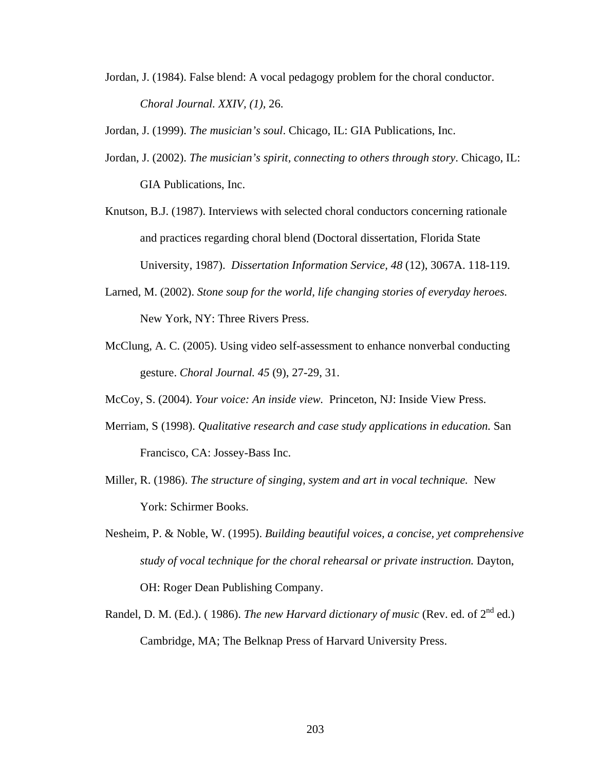Jordan, J. (1984). False blend: A vocal pedagogy problem for the choral conductor. *Choral Journal. XXIV, (1),* 26.

Jordan, J. (1999). *The musician's soul*. Chicago, IL: GIA Publications, Inc.

- Jordan, J. (2002). *The musician's spirit, connecting to others through story*. Chicago, IL: GIA Publications, Inc.
- Knutson, B.J. (1987). Interviews with selected choral conductors concerning rationale and practices regarding choral blend (Doctoral dissertation, Florida State University, 1987). *Dissertation Information Service, 48* (12), 3067A. 118-119.
- Larned, M. (2002). *Stone soup for the world, life changing stories of everyday heroes.* New York, NY: Three Rivers Press.
- McClung, A. C. (2005). Using video self-assessment to enhance nonverbal conducting gesture. *Choral Journal. 45* (9), 27-29, 31.
- McCoy, S. (2004). *Your voice: An inside view.* Princeton, NJ: Inside View Press.
- Merriam, S (1998). *Qualitative research and case study applications in education.* San Francisco, CA: Jossey-Bass Inc.
- Miller, R. (1986). *The structure of singing, system and art in vocal technique.* New York: Schirmer Books.
- Nesheim, P. & Noble, W. (1995). *Building beautiful voices, a concise, yet comprehensive study of vocal technique for the choral rehearsal or private instruction.* Dayton, OH: Roger Dean Publishing Company.
- Randel, D. M. (Ed.). (1986). *The new Harvard dictionary of music* (Rev. ed. of 2<sup>nd</sup> ed.) Cambridge, MA; The Belknap Press of Harvard University Press.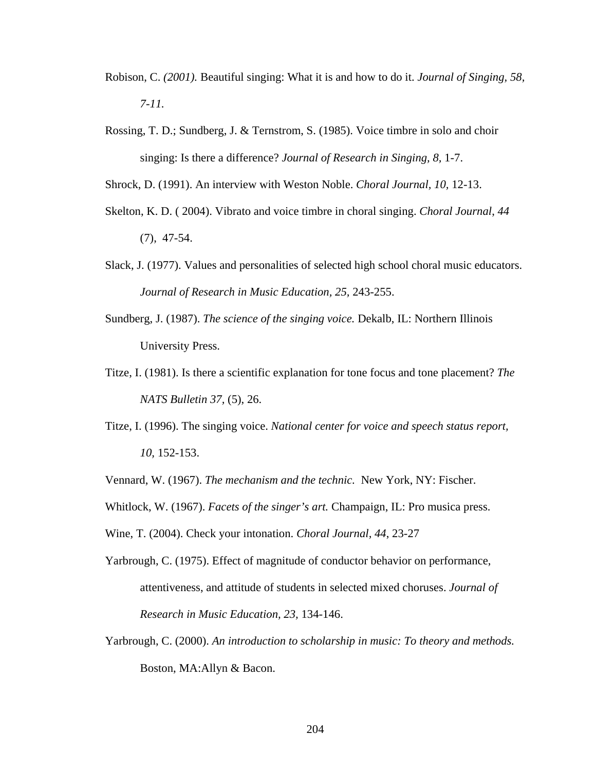- Robison, C. *(2001).* Beautiful singing: What it is and how to do it. *Journal of Singing, 58, 7-11.*
- Rossing, T. D.; Sundberg, J. & Ternstrom, S. (1985). Voice timbre in solo and choir singing: Is there a difference? *Journal of Research in Singing, 8,* 1-7.

Shrock, D. (1991). An interview with Weston Noble. *Choral Journal, 10,* 12-13.

- Skelton, K. D. ( 2004). Vibrato and voice timbre in choral singing. *Choral Journal*, *44*  (7), 47-54.
- Slack, J. (1977). Values and personalities of selected high school choral music educators. *Journal of Research in Music Education, 25,* 243-255.
- Sundberg, J. (1987). *The science of the singing voice.* Dekalb, IL: Northern Illinois University Press.
- Titze, I. (1981). Is there a scientific explanation for tone focus and tone placement? *The NATS Bulletin 37,* (5), 26.
- Titze, I. (1996). The singing voice. *National center for voice and speech status report, 10,* 152-153.
- Vennard, W. (1967). *The mechanism and the technic.* New York, NY: Fischer.
- Whitlock, W. (1967). *Facets of the singer's art.* Champaign, IL: Pro musica press.
- Wine, T. (2004). Check your intonation. *Choral Journal, 44*, 23-27
- Yarbrough, C. (1975). Effect of magnitude of conductor behavior on performance, attentiveness, and attitude of students in selected mixed choruses. *Journal of Research in Music Education, 23,* 134-146.
- Yarbrough, C. (2000). *An introduction to scholarship in music: To theory and methods.* Boston, MA:Allyn & Bacon.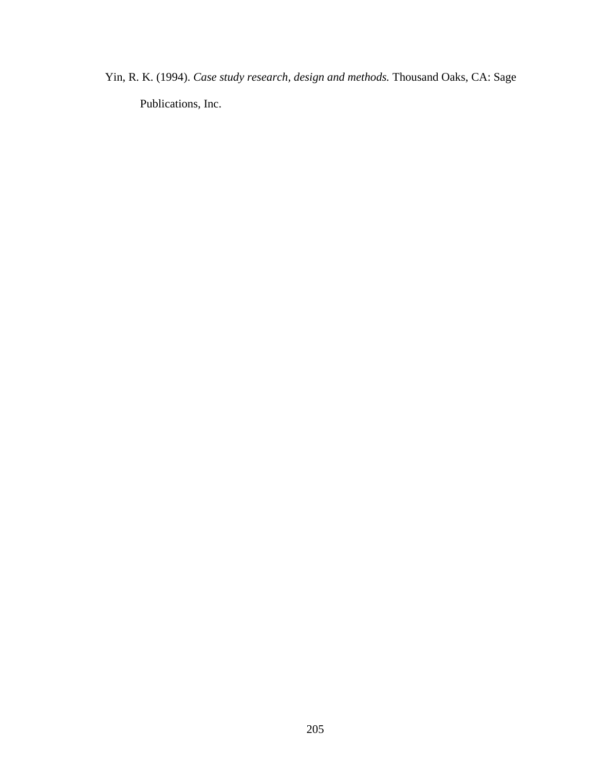Yin, R. K. (1994). *Case study research, design and methods.* Thousand Oaks, CA: Sage Publications, Inc.